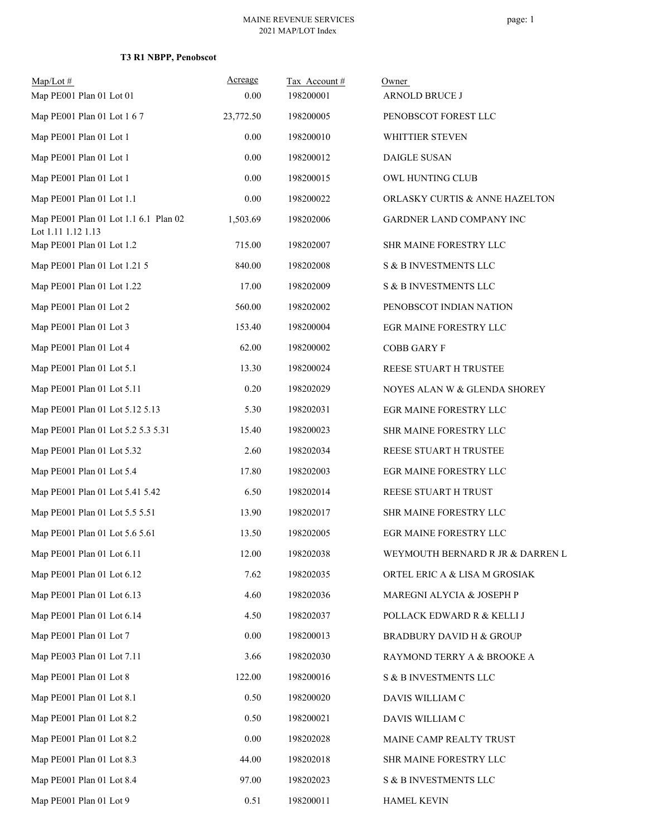# **T3 R1 NBPP, Penobscot**

| $Map/Lot \#$                                                | Acreage   | Tax Account# | Owner                               |
|-------------------------------------------------------------|-----------|--------------|-------------------------------------|
| Map PE001 Plan 01 Lot 01                                    | 0.00      | 198200001    | ARNOLD BRUCE J                      |
| Map PE001 Plan 01 Lot 1 6 7                                 | 23,772.50 | 198200005    | PENOBSCOT FOREST LLC                |
| Map PE001 Plan 01 Lot 1                                     | 0.00      | 198200010    | WHITTIER STEVEN                     |
| Map PE001 Plan 01 Lot 1                                     | 0.00      | 198200012    | DAIGLE SUSAN                        |
| Map PE001 Plan 01 Lot 1                                     | 0.00      | 198200015    | OWL HUNTING CLUB                    |
| Map PE001 Plan 01 Lot 1.1                                   | 0.00      | 198200022    | ORLASKY CURTIS & ANNE HAZELTON      |
| Map PE001 Plan 01 Lot 1.1 6.1 Plan 02<br>Lot 1.11 1.12 1.13 | 1,503.69  | 198202006    | GARDNER LAND COMPANY INC            |
| Map PE001 Plan 01 Lot 1.2                                   | 715.00    | 198202007    | SHR MAINE FORESTRY LLC              |
| Map PE001 Plan 01 Lot 1.21 5                                | 840.00    | 198202008    | S & B INVESTMENTS LLC               |
| Map PE001 Plan 01 Lot 1.22                                  | 17.00     | 198202009    | S & B INVESTMENTS LLC               |
| Map PE001 Plan 01 Lot 2                                     | 560.00    | 198202002    | PENOBSCOT INDIAN NATION             |
| Map PE001 Plan 01 Lot 3                                     | 153.40    | 198200004    | EGR MAINE FORESTRY LLC              |
| Map PE001 Plan 01 Lot 4                                     | 62.00     | 198200002    | <b>COBB GARY F</b>                  |
| Map PE001 Plan 01 Lot 5.1                                   | 13.30     | 198200024    | REESE STUART H TRUSTEE              |
| Map PE001 Plan 01 Lot 5.11                                  | 0.20      | 198202029    | NOYES ALAN W & GLENDA SHOREY        |
| Map PE001 Plan 01 Lot 5.12 5.13                             | 5.30      | 198202031    | EGR MAINE FORESTRY LLC              |
| Map PE001 Plan 01 Lot 5.2 5.3 5.31                          | 15.40     | 198200023    | SHR MAINE FORESTRY LLC              |
| Map PE001 Plan 01 Lot 5.32                                  | 2.60      | 198202034    | REESE STUART H TRUSTEE              |
| Map PE001 Plan 01 Lot 5.4                                   | 17.80     | 198202003    | EGR MAINE FORESTRY LLC              |
| Map PE001 Plan 01 Lot 5.41 5.42                             | 6.50      | 198202014    | REESE STUART H TRUST                |
| Map PE001 Plan 01 Lot 5.5 5.51                              | 13.90     | 198202017    | SHR MAINE FORESTRY LLC              |
| Map PE001 Plan 01 Lot 5.6 5.61                              | 13.50     | 198202005    | EGR MAINE FORESTRY LLC              |
| Map PE001 Plan 01 Lot 6.11                                  | 12.00     | 198202038    | WEYMOUTH BERNARD R JR & DARREN L    |
| Map PE001 Plan 01 Lot 6.12                                  | 7.62      | 198202035    | ORTEL ERIC A & LISA M GROSIAK       |
| Map PE001 Plan 01 Lot 6.13                                  | 4.60      | 198202036    | MAREGNI ALYCIA & JOSEPH P           |
| Map PE001 Plan 01 Lot 6.14                                  | 4.50      | 198202037    | POLLACK EDWARD R & KELLI J          |
| Map PE001 Plan 01 Lot 7                                     | $0.00\,$  | 198200013    | <b>BRADBURY DAVID H &amp; GROUP</b> |
| Map PE003 Plan 01 Lot 7.11                                  | 3.66      | 198202030    | RAYMOND TERRY A & BROOKE A          |
| Map PE001 Plan 01 Lot 8                                     | 122.00    | 198200016    | S & B INVESTMENTS LLC               |
| Map PE001 Plan 01 Lot 8.1                                   | 0.50      | 198200020    | DAVIS WILLIAM C                     |
| Map PE001 Plan 01 Lot 8.2                                   | 0.50      | 198200021    | DAVIS WILLIAM C                     |
| Map PE001 Plan 01 Lot 8.2                                   | $0.00\,$  | 198202028    | MAINE CAMP REALTY TRUST             |
| Map PE001 Plan 01 Lot 8.3                                   | 44.00     | 198202018    | SHR MAINE FORESTRY LLC              |
| Map PE001 Plan 01 Lot 8.4                                   | 97.00     | 198202023    | S & B INVESTMENTS LLC               |
| Map PE001 Plan 01 Lot 9                                     | 0.51      | 198200011    | <b>HAMEL KEVIN</b>                  |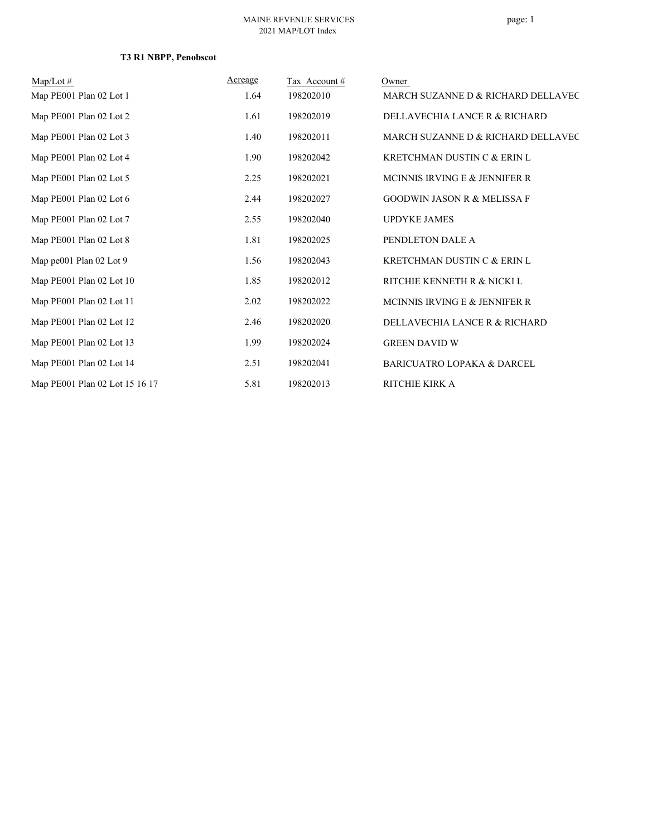# **T3 R1 NBPP, Penobscot**

| $Map/Lot \#$                   | Acreage | Tax Account# | Owner                                  |
|--------------------------------|---------|--------------|----------------------------------------|
| Map PE001 Plan 02 Lot 1        | 1.64    | 198202010    | MARCH SUZANNE D & RICHARD DELLAVEC     |
| Map PE001 Plan 02 Lot 2        | 1.61    | 198202019    | DELLAVECHIA LANCE R & RICHARD          |
| Map PE001 Plan 02 Lot 3        | 1.40    | 198202011    | MARCH SUZANNE D & RICHARD DELLAVEC     |
| Map PE001 Plan 02 Lot 4        | 1.90    | 198202042    | KRETCHMAN DUSTIN C & ERIN L            |
| Map PE001 Plan 02 Lot 5        | 2.25    | 198202021    | MCINNIS IRVING E & JENNIFER R          |
| Map PE001 Plan 02 Lot 6        | 2.44    | 198202027    | <b>GOODWIN JASON R &amp; MELISSA F</b> |
| Map PE001 Plan 02 Lot 7        | 2.55    | 198202040    | <b>UPDYKE JAMES</b>                    |
| Map PE001 Plan 02 Lot 8        | 1.81    | 198202025    | PENDLETON DALE A                       |
| Map $pe001$ Plan 02 Lot 9      | 1.56    | 198202043    | KRETCHMAN DUSTIN C & ERIN L            |
| Map PE001 Plan 02 Lot 10       | 1.85    | 198202012    | RITCHIE KENNETH R & NICKI L            |
| Map PE001 Plan 02 Lot 11       | 2.02    | 198202022    | MCINNIS IRVING E & JENNIFER R          |
| Map PE001 Plan 02 Lot 12       | 2.46    | 198202020    | DELLAVECHIA LANCE R & RICHARD          |
| Map PE001 Plan 02 Lot 13       | 1.99    | 198202024    | <b>GREEN DAVID W</b>                   |
| Map PE001 Plan 02 Lot 14       | 2.51    | 198202041    | <b>BARICUATRO LOPAKA &amp; DARCEL</b>  |
| Map PE001 Plan 02 Lot 15 16 17 | 5.81    | 198202013    | RITCHIE KIRK A                         |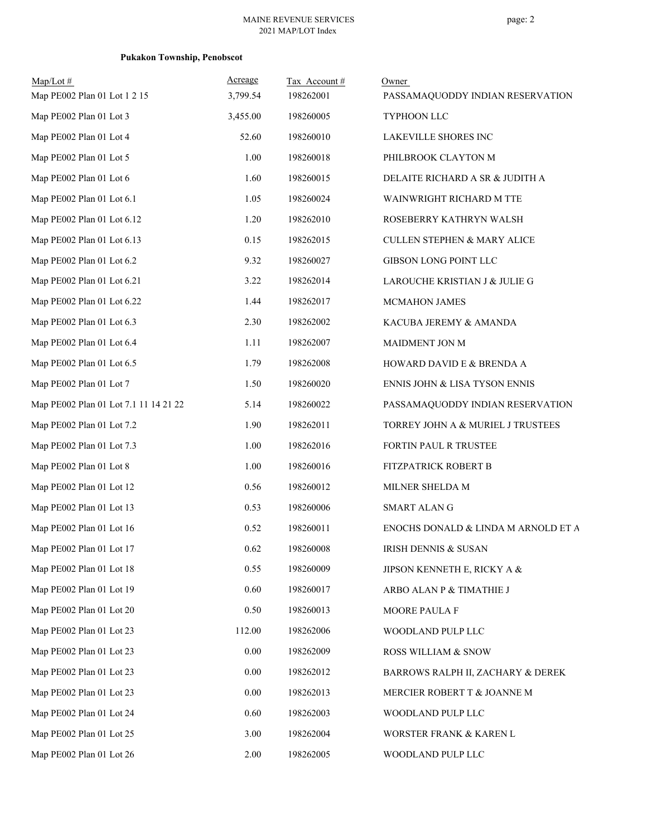# **Pukakon Township, Penobscot**

| $Map/Lot \#$<br>Map PE002 Plan 01 Lot 1 2 15 | Acreage<br>3,799.54 | Tax Account#<br>198262001 | Owner<br>PASSAMAQUODDY INDIAN RESERVATION |
|----------------------------------------------|---------------------|---------------------------|-------------------------------------------|
| Map PE002 Plan 01 Lot 3                      | 3,455.00            | 198260005                 | TYPHOON LLC                               |
| Map PE002 Plan 01 Lot 4                      | 52.60               | 198260010                 | LAKEVILLE SHORES INC                      |
| Map PE002 Plan 01 Lot 5                      | 1.00                | 198260018                 | PHILBROOK CLAYTON M                       |
| Map PE002 Plan 01 Lot 6                      | 1.60                | 198260015                 | DELAITE RICHARD A SR & JUDITH A           |
| Map PE002 Plan 01 Lot 6.1                    | 1.05                | 198260024                 | WAINWRIGHT RICHARD M TTE                  |
| Map PE002 Plan 01 Lot 6.12                   | 1.20                | 198262010                 | ROSEBERRY KATHRYN WALSH                   |
| Map PE002 Plan 01 Lot 6.13                   | 0.15                | 198262015                 | <b>CULLEN STEPHEN &amp; MARY ALICE</b>    |
| Map PE002 Plan 01 Lot 6.2                    | 9.32                | 198260027                 | GIBSON LONG POINT LLC                     |
| Map PE002 Plan 01 Lot 6.21                   | 3.22                | 198262014                 | LAROUCHE KRISTIAN J & JULIE G             |
| Map PE002 Plan 01 Lot 6.22                   | 1.44                | 198262017                 | <b>MCMAHON JAMES</b>                      |
| Map PE002 Plan 01 Lot 6.3                    | 2.30                | 198262002                 | KACUBA JEREMY & AMANDA                    |
| Map PE002 Plan 01 Lot 6.4                    | 1.11                | 198262007                 | MAIDMENT JON M                            |
| Map PE002 Plan 01 Lot 6.5                    | 1.79                | 198262008                 | HOWARD DAVID E & BRENDA A                 |
| Map PE002 Plan 01 Lot 7                      | 1.50                | 198260020                 | ENNIS JOHN & LISA TYSON ENNIS             |
| Map PE002 Plan 01 Lot 7.1 11 14 21 22        | 5.14                | 198260022                 | PASSAMAQUODDY INDIAN RESERVATION          |
| Map PE002 Plan 01 Lot 7.2                    | 1.90                | 198262011                 | TORREY JOHN A & MURIEL J TRUSTEES         |
| Map PE002 Plan 01 Lot 7.3                    | 1.00                | 198262016                 | FORTIN PAUL R TRUSTEE                     |
| Map PE002 Plan 01 Lot 8                      | 1.00                | 198260016                 | FITZPATRICK ROBERT B                      |
| Map PE002 Plan 01 Lot 12                     | 0.56                | 198260012                 | MILNER SHELDA M                           |
| Map PE002 Plan 01 Lot 13                     | 0.53                | 198260006                 | <b>SMART ALANG</b>                        |
| Map PE002 Plan 01 Lot 16                     | 0.52                | 198260011                 | ENOCHS DONALD & LINDA M ARNOLD ET A       |
| Map PE002 Plan 01 Lot 17                     | 0.62                | 198260008                 | <b>IRISH DENNIS &amp; SUSAN</b>           |
| Map PE002 Plan 01 Lot 18                     | 0.55                | 198260009                 | JIPSON KENNETH E, RICKY A &               |
| Map PE002 Plan 01 Lot 19                     | 0.60                | 198260017                 | ARBO ALAN P & TIMATHIE J                  |
| Map PE002 Plan 01 Lot 20                     | 0.50                | 198260013                 | MOORE PAULA F                             |
| Map PE002 Plan 01 Lot 23                     | 112.00              | 198262006                 | WOODLAND PULP LLC                         |
| Map PE002 Plan 01 Lot 23                     | 0.00                | 198262009                 | ROSS WILLIAM & SNOW                       |
| Map PE002 Plan 01 Lot 23                     | $0.00\,$            | 198262012                 | BARROWS RALPH II, ZACHARY & DEREK         |
| Map PE002 Plan 01 Lot 23                     | 0.00                | 198262013                 | MERCIER ROBERT T & JOANNE M               |
| Map PE002 Plan 01 Lot 24                     | 0.60                | 198262003                 | WOODLAND PULP LLC                         |
| Map PE002 Plan 01 Lot 25                     | 3.00                | 198262004                 | WORSTER FRANK & KAREN L                   |
| Map PE002 Plan 01 Lot 26                     | 2.00                | 198262005                 | WOODLAND PULP LLC                         |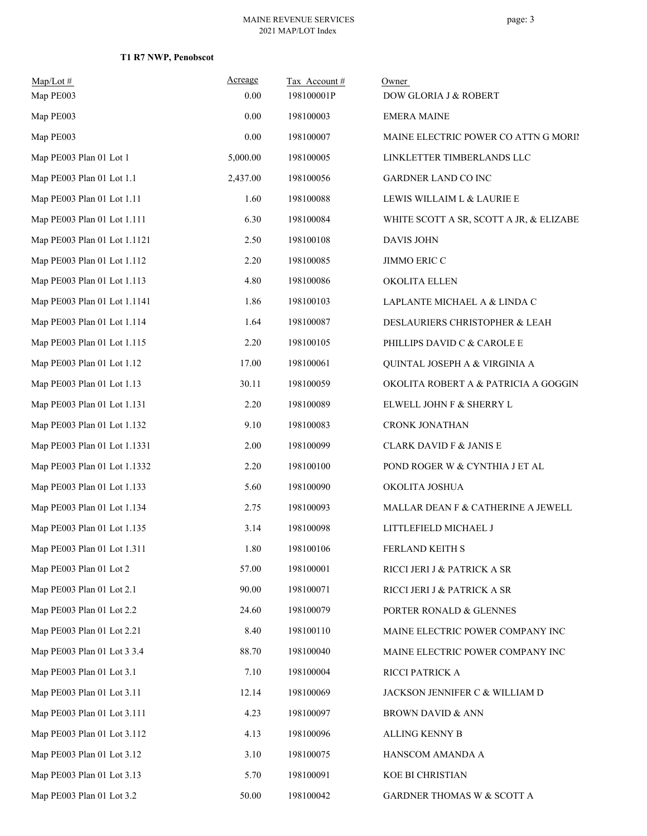### **T1 R7 NWP, Penobscot**

| $Map/Lot \#$<br>Map PE003    | Acreage<br>0.00 | Tax Account#<br>198100001P | Owner<br>DOW GLORIA J & ROBERT          |
|------------------------------|-----------------|----------------------------|-----------------------------------------|
| Map PE003                    | 0.00            | 198100003                  | <b>EMERA MAINE</b>                      |
| Map PE003                    | 0.00            | 198100007                  | MAINE ELECTRIC POWER CO ATTN G MORIN    |
| Map PE003 Plan 01 Lot 1      | 5,000.00        | 198100005                  | LINKLETTER TIMBERLANDS LLC              |
| Map PE003 Plan 01 Lot 1.1    | 2,437.00        | 198100056                  | GARDNER LAND CO INC                     |
| Map PE003 Plan 01 Lot 1.11   | 1.60            | 198100088                  | LEWIS WILLAIM L & LAURIE E              |
| Map PE003 Plan 01 Lot 1.111  | 6.30            | 198100084                  | WHITE SCOTT A SR, SCOTT A JR, & ELIZABE |
| Map PE003 Plan 01 Lot 1.1121 | 2.50            | 198100108                  | <b>DAVIS JOHN</b>                       |
| Map PE003 Plan 01 Lot 1.112  | 2.20            | 198100085                  | JIMMO ERIC C                            |
| Map PE003 Plan 01 Lot 1.113  | 4.80            | 198100086                  | OKOLITA ELLEN                           |
| Map PE003 Plan 01 Lot 1.1141 | 1.86            | 198100103                  | LAPLANTE MICHAEL A & LINDA C            |
| Map PE003 Plan 01 Lot 1.114  | 1.64            | 198100087                  | DESLAURIERS CHRISTOPHER & LEAH          |
| Map PE003 Plan 01 Lot 1.115  | 2.20            | 198100105                  | PHILLIPS DAVID C & CAROLE E             |
| Map PE003 Plan 01 Lot 1.12   | 17.00           | 198100061                  | QUINTAL JOSEPH A & VIRGINIA A           |
| Map PE003 Plan 01 Lot 1.13   | 30.11           | 198100059                  | OKOLITA ROBERT A & PATRICIA A GOGGIN    |
| Map PE003 Plan 01 Lot 1.131  | 2.20            | 198100089                  | ELWELL JOHN F & SHERRY L                |
| Map PE003 Plan 01 Lot 1.132  | 9.10            | 198100083                  | CRONK JONATHAN                          |
| Map PE003 Plan 01 Lot 1.1331 | 2.00            | 198100099                  | <b>CLARK DAVID F &amp; JANIS E</b>      |
| Map PE003 Plan 01 Lot 1.1332 | 2.20            | 198100100                  | POND ROGER W & CYNTHIA J ET AL          |
| Map PE003 Plan 01 Lot 1.133  | 5.60            | 198100090                  | OKOLITA JOSHUA                          |
| Map PE003 Plan 01 Lot 1.134  | 2.75            | 198100093                  | MALLAR DEAN F & CATHERINE A JEWELL      |
| Map PE003 Plan 01 Lot 1.135  | 3.14            | 198100098                  | LITTLEFIELD MICHAEL J                   |
| Map PE003 Plan 01 Lot 1.311  | 1.80            | 198100106                  | FERLAND KEITH S                         |
| Map PE003 Plan 01 Lot 2      | 57.00           | 198100001                  | RICCI JERI J & PATRICK A SR             |
| Map PE003 Plan 01 Lot 2.1    | 90.00           | 198100071                  | RICCI JERI J & PATRICK A SR             |
| Map PE003 Plan 01 Lot 2.2    | 24.60           | 198100079                  | PORTER RONALD & GLENNES                 |
| Map PE003 Plan 01 Lot 2.21   | 8.40            | 198100110                  | MAINE ELECTRIC POWER COMPANY INC        |
| Map PE003 Plan 01 Lot 3 3.4  | 88.70           | 198100040                  | MAINE ELECTRIC POWER COMPANY INC        |
| Map PE003 Plan 01 Lot 3.1    | 7.10            | 198100004                  | RICCI PATRICK A                         |
| Map PE003 Plan 01 Lot 3.11   | 12.14           | 198100069                  | JACKSON JENNIFER C $\&$ WILLIAM D       |
| Map PE003 Plan 01 Lot 3.111  | 4.23            | 198100097                  | <b>BROWN DAVID &amp; ANN</b>            |
| Map PE003 Plan 01 Lot 3.112  | 4.13            | 198100096                  | ALLING KENNY B                          |
| Map PE003 Plan 01 Lot 3.12   | 3.10            | 198100075                  | HANSCOM AMANDA A                        |
| Map PE003 Plan 01 Lot 3.13   | 5.70            | 198100091                  | KOE BI CHRISTIAN                        |
| Map PE003 Plan 01 Lot 3.2    | 50.00           | 198100042                  | GARDNER THOMAS W & SCOTT A              |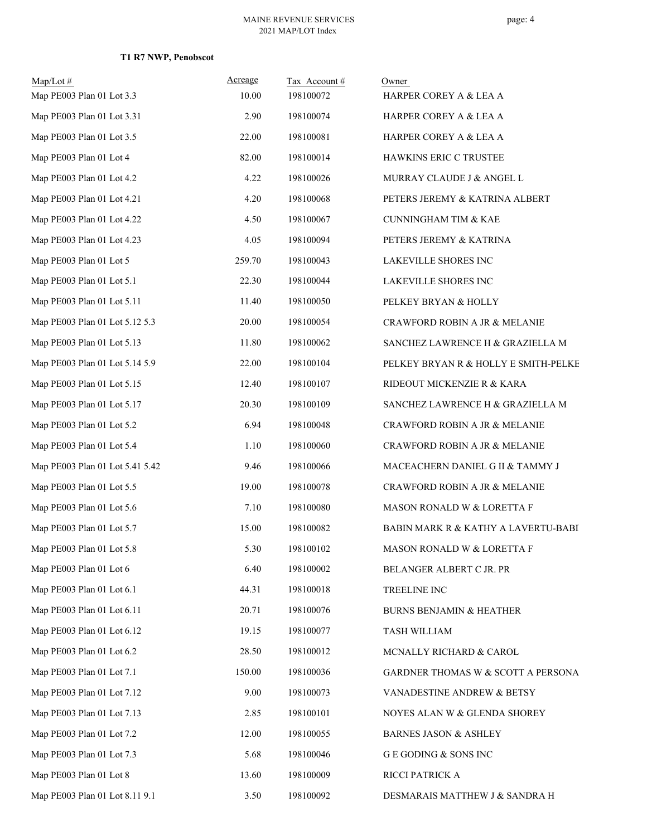### **T1 R7 NWP, Penobscot**

| $Map/Lot \#$<br>Map PE003 Plan 01 Lot 3.3 | Acreage<br>10.00 | Tax Account#<br>198100072 | Owner<br>HARPER COREY A & LEA A                |
|-------------------------------------------|------------------|---------------------------|------------------------------------------------|
| Map PE003 Plan 01 Lot 3.31                | 2.90             | 198100074                 | HARPER COREY A & LEA A                         |
| Map PE003 Plan 01 Lot 3.5                 | 22.00            | 198100081                 | HARPER COREY A & LEA A                         |
| Map PE003 Plan 01 Lot 4                   | 82.00            | 198100014                 | HAWKINS ERIC C TRUSTEE                         |
| Map PE003 Plan 01 Lot 4.2                 | 4.22             | 198100026                 | MURRAY CLAUDE J & ANGEL L                      |
| Map PE003 Plan 01 Lot 4.21                | 4.20             | 198100068                 | PETERS JEREMY & KATRINA ALBERT                 |
| Map PE003 Plan 01 Lot 4.22                | 4.50             | 198100067                 | <b>CUNNINGHAM TIM &amp; KAE</b>                |
| Map PE003 Plan 01 Lot 4.23                | 4.05             | 198100094                 | PETERS JEREMY & KATRINA                        |
| Map PE003 Plan 01 Lot 5                   | 259.70           | 198100043                 | LAKEVILLE SHORES INC                           |
| Map PE003 Plan 01 Lot 5.1                 | 22.30            | 198100044                 | LAKEVILLE SHORES INC                           |
| Map PE003 Plan 01 Lot 5.11                | 11.40            | 198100050                 | PELKEY BRYAN & HOLLY                           |
| Map PE003 Plan 01 Lot 5.12 5.3            | 20.00            | 198100054                 | CRAWFORD ROBIN A JR & MELANIE                  |
| Map PE003 Plan 01 Lot 5.13                | 11.80            | 198100062                 | SANCHEZ LAWRENCE H & GRAZIELLA M               |
| Map PE003 Plan 01 Lot 5.14 5.9            | 22.00            | 198100104                 | PELKEY BRYAN R & HOLLY E SMITH-PELKE           |
| Map PE003 Plan 01 Lot 5.15                | 12.40            | 198100107                 | RIDEOUT MICKENZIE R & KARA                     |
| Map PE003 Plan 01 Lot 5.17                | 20.30            | 198100109                 | SANCHEZ LAWRENCE H & GRAZIELLA M               |
| Map PE003 Plan 01 Lot 5.2                 | 6.94             | 198100048                 | CRAWFORD ROBIN A JR & MELANIE                  |
| Map PE003 Plan 01 Lot 5.4                 | 1.10             | 198100060                 | CRAWFORD ROBIN A JR & MELANIE                  |
| Map PE003 Plan 01 Lot 5.41 5.42           | 9.46             | 198100066                 | MACEACHERN DANIEL G II & TAMMY J               |
| Map PE003 Plan 01 Lot 5.5                 | 19.00            | 198100078                 | CRAWFORD ROBIN A JR & MELANIE                  |
| Map PE003 Plan 01 Lot 5.6                 | 7.10             | 198100080                 | MASON RONALD W & LORETTA F                     |
| Map PE003 Plan 01 Lot 5.7                 | 15.00            | 198100082                 | <b>BABIN MARK R &amp; KATHY A LAVERTU-BABI</b> |
| Map PE003 Plan 01 Lot 5.8                 | 5.30             | 198100102                 | MASON RONALD W & LORETTA F                     |
| Map PE003 Plan 01 Lot 6                   | 6.40             | 198100002                 | BELANGER ALBERT C JR. PR                       |
| Map PE003 Plan 01 Lot 6.1                 | 44.31            | 198100018                 | TREELINE INC                                   |
| Map PE003 Plan 01 Lot 6.11                | 20.71            | 198100076                 | <b>BURNS BENJAMIN &amp; HEATHER</b>            |
| Map PE003 Plan 01 Lot 6.12                | 19.15            | 198100077                 | TASH WILLIAM                                   |
| Map PE003 Plan 01 Lot 6.2                 | 28.50            | 198100012                 | MCNALLY RICHARD & CAROL                        |
| Map PE003 Plan 01 Lot 7.1                 | 150.00           | 198100036                 | GARDNER THOMAS W & SCOTT A PERSONA             |
| Map PE003 Plan 01 Lot 7.12                | 9.00             | 198100073                 | VANADESTINE ANDREW & BETSY                     |
| Map PE003 Plan 01 Lot 7.13                | 2.85             | 198100101                 | NOYES ALAN W & GLENDA SHOREY                   |
| Map PE003 Plan 01 Lot 7.2                 | 12.00            | 198100055                 | <b>BARNES JASON &amp; ASHLEY</b>               |
| Map PE003 Plan 01 Lot 7.3                 | 5.68             | 198100046                 | G E GODING & SONS INC                          |
| Map PE003 Plan 01 Lot 8                   | 13.60            | 198100009                 | RICCI PATRICK A                                |
| Map PE003 Plan 01 Lot 8.11 9.1            | 3.50             | 198100092                 | DESMARAIS MATTHEW J & SANDRA H                 |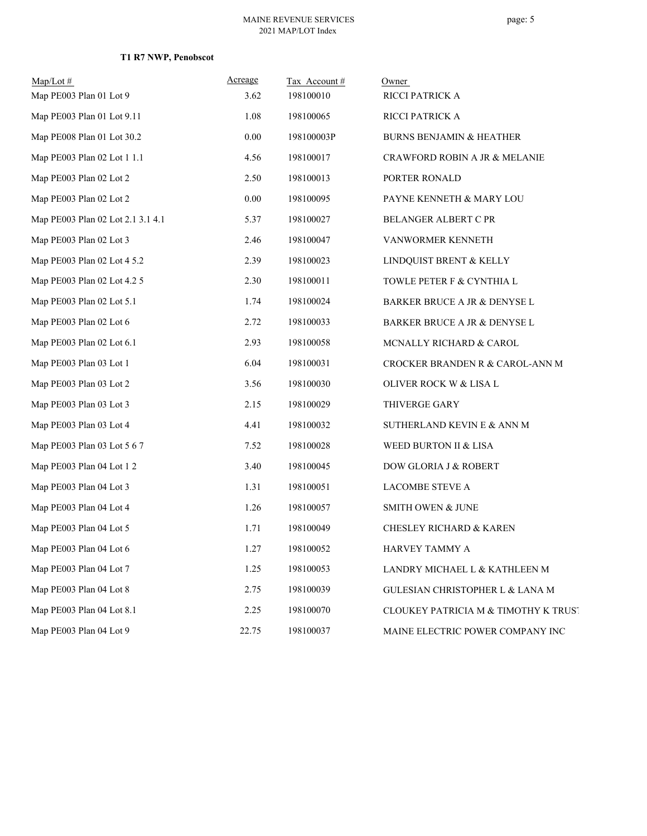# **T1 R7 NWP, Penobscot**

| $Map/Lot \#$                      | Acreage | Tax Account# | Owner                                    |
|-----------------------------------|---------|--------------|------------------------------------------|
| Map PE003 Plan 01 Lot 9           | 3.62    | 198100010    | RICCI PATRICK A                          |
| Map PE003 Plan 01 Lot 9.11        | 1.08    | 198100065    | RICCI PATRICK A                          |
| Map PE008 Plan 01 Lot 30.2        | 0.00    | 198100003P   | <b>BURNS BENJAMIN &amp; HEATHER</b>      |
| Map PE003 Plan 02 Lot 1 1.1       | 4.56    | 198100017    | <b>CRAWFORD ROBIN A JR &amp; MELANIE</b> |
| Map PE003 Plan 02 Lot 2           | 2.50    | 198100013    | PORTER RONALD                            |
| Map PE003 Plan 02 Lot 2           | 0.00    | 198100095    | PAYNE KENNETH & MARY LOU                 |
| Map PE003 Plan 02 Lot 2.1 3.1 4.1 | 5.37    | 198100027    | BELANGER ALBERT C PR                     |
| Map PE003 Plan 02 Lot 3           | 2.46    | 198100047    | VANWORMER KENNETH                        |
| Map PE003 Plan 02 Lot 4 5.2       | 2.39    | 198100023    | LINDQUIST BRENT & KELLY                  |
| Map PE003 Plan 02 Lot 4.2 5       | 2.30    | 198100011    | TOWLE PETER F & CYNTHIA L                |
| Map PE003 Plan 02 Lot 5.1         | 1.74    | 198100024    | BARKER BRUCE A JR & DENYSE L             |
| Map PE003 Plan 02 Lot 6           | 2.72    | 198100033    | BARKER BRUCE A JR & DENYSE L             |
| Map PE003 Plan 02 Lot 6.1         | 2.93    | 198100058    | MCNALLY RICHARD $\&$ CAROL               |
| Map PE003 Plan 03 Lot 1           | 6.04    | 198100031    | CROCKER BRANDEN R & CAROL-ANN M          |
| Map PE003 Plan 03 Lot 2           | 3.56    | 198100030    | OLIVER ROCK W & LISA L                   |
| Map PE003 Plan 03 Lot 3           | 2.15    | 198100029    | THIVERGE GARY                            |
| Map PE003 Plan 03 Lot 4           | 4.41    | 198100032    | SUTHERLAND KEVIN E & ANN M               |
| Map PE003 Plan 03 Lot 5 6 7       | 7.52    | 198100028    | WEED BURTON II & LISA                    |
| Map PE003 Plan 04 Lot 1 2         | 3.40    | 198100045    | DOW GLORIA J & ROBERT                    |
| Map PE003 Plan 04 Lot 3           | 1.31    | 198100051    | <b>LACOMBE STEVE A</b>                   |
| Map PE003 Plan 04 Lot 4           | 1.26    | 198100057    | SMITH OWEN & JUNE                        |
| Map PE003 Plan 04 Lot 5           | 1.71    | 198100049    | <b>CHESLEY RICHARD &amp; KAREN</b>       |
| Map PE003 Plan 04 Lot 6           | 1.27    | 198100052    | HARVEY TAMMY A                           |
| Map PE003 Plan 04 Lot 7           | 1.25    | 198100053    | LANDRY MICHAEL L & KATHLEEN M            |
| Map PE003 Plan 04 Lot 8           | 2.75    | 198100039    | GULESIAN CHRISTOPHER L & LANA M          |
| Map PE003 Plan 04 Lot 8.1         | 2.25    | 198100070    | CLOUKEY PATRICIA M & TIMOTHY K TRUST     |
| Map PE003 Plan 04 Lot 9           | 22.75   | 198100037    | MAINE ELECTRIC POWER COMPANY INC         |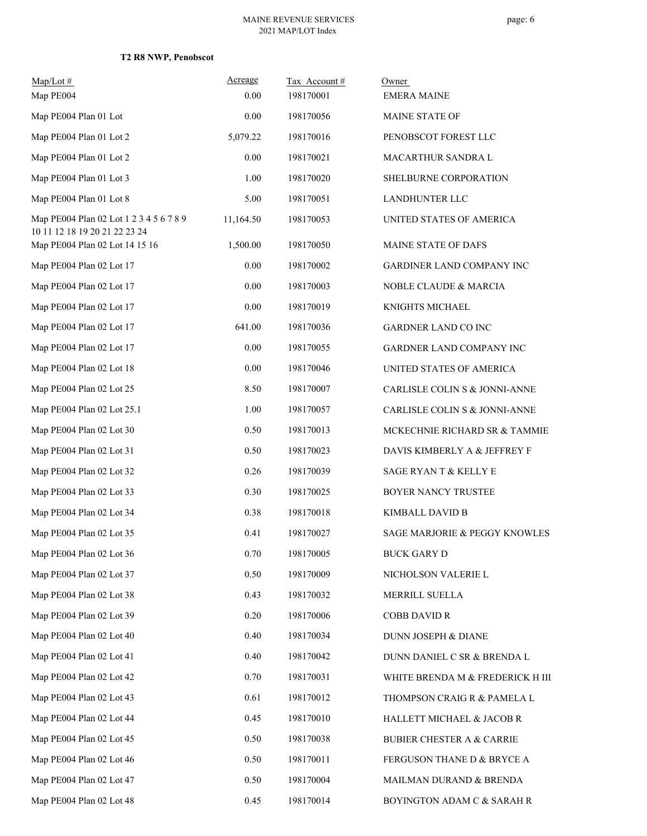### **T2 R8 NWP, Penobscot**

| Map/Lot#<br>Map PE004                                                    | Acreage<br>0.00 | Tax Account#<br>198170001 | Owner<br><b>EMERA MAINE</b>          |
|--------------------------------------------------------------------------|-----------------|---------------------------|--------------------------------------|
| Map PE004 Plan 01 Lot                                                    | 0.00            | 198170056                 | MAINE STATE OF                       |
| Map PE004 Plan 01 Lot 2                                                  | 5,079.22        | 198170016                 | PENOBSCOT FOREST LLC                 |
| Map PE004 Plan 01 Lot 2                                                  | 0.00            | 198170021                 | MACARTHUR SANDRA L                   |
| Map PE004 Plan 01 Lot 3                                                  | 1.00            | 198170020                 | SHELBURNE CORPORATION                |
| Map PE004 Plan 01 Lot 8                                                  | 5.00            | 198170051                 | <b>LANDHUNTER LLC</b>                |
| Map PE004 Plan 02 Lot 1 2 3 4 5 6 7 8 9<br>10 11 12 18 19 20 21 22 23 24 | 11,164.50       | 198170053                 | UNITED STATES OF AMERICA             |
| Map PE004 Plan 02 Lot 14 15 16                                           | 1,500.00        | 198170050                 | MAINE STATE OF DAFS                  |
| Map PE004 Plan 02 Lot 17                                                 | 0.00            | 198170002                 | <b>GARDINER LAND COMPANY INC</b>     |
| Map PE004 Plan 02 Lot 17                                                 | 0.00            | 198170003                 | <b>NOBLE CLAUDE &amp; MARCIA</b>     |
| Map PE004 Plan 02 Lot 17                                                 | 0.00            | 198170019                 | KNIGHTS MICHAEL                      |
| Map PE004 Plan 02 Lot 17                                                 | 641.00          | 198170036                 | GARDNER LAND CO INC                  |
| Map PE004 Plan 02 Lot 17                                                 | 0.00            | 198170055                 | <b>GARDNER LAND COMPANY INC</b>      |
| Map PE004 Plan 02 Lot 18                                                 | 0.00            | 198170046                 | UNITED STATES OF AMERICA             |
| Map PE004 Plan 02 Lot 25                                                 | 8.50            | 198170007                 | CARLISLE COLIN S & JONNI-ANNE        |
| Map PE004 Plan 02 Lot 25.1                                               | 1.00            | 198170057                 | CARLISLE COLIN S & JONNI-ANNE        |
| Map PE004 Plan 02 Lot 30                                                 | 0.50            | 198170013                 | MCKECHNIE RICHARD SR & TAMMIE        |
| Map PE004 Plan 02 Lot 31                                                 | 0.50            | 198170023                 | DAVIS KIMBERLY A & JEFFREY F         |
| Map PE004 Plan 02 Lot 32                                                 | 0.26            | 198170039                 | SAGE RYAN T & KELLY E                |
| Map PE004 Plan 02 Lot 33                                                 | 0.30            | 198170025                 | BOYER NANCY TRUSTEE                  |
| Map PE004 Plan 02 Lot 34                                                 | 0.38            | 198170018                 | <b>KIMBALL DAVID B</b>               |
| Map PE004 Plan 02 Lot 35                                                 | 0.41            | 198170027                 | SAGE MARJORIE & PEGGY KNOWLES        |
| Map PE004 Plan 02 Lot 36                                                 | 0.70            | 198170005                 | <b>BUCK GARY D</b>                   |
| Map PE004 Plan 02 Lot 37                                                 | 0.50            | 198170009                 | NICHOLSON VALERIE L                  |
| Map PE004 Plan 02 Lot 38                                                 | 0.43            | 198170032                 | MERRILL SUELLA                       |
| Map PE004 Plan 02 Lot 39                                                 | 0.20            | 198170006                 | <b>COBB DAVID R</b>                  |
| Map PE004 Plan 02 Lot 40                                                 | 0.40            | 198170034                 | DUNN JOSEPH & DIANE                  |
| Map PE004 Plan 02 Lot 41                                                 | 0.40            | 198170042                 | DUNN DANIEL C SR & BRENDA L          |
| Map PE004 Plan 02 Lot 42                                                 | 0.70            | 198170031                 | WHITE BRENDA M & FREDERICK H III     |
| Map PE004 Plan 02 Lot 43                                                 | 0.61            | 198170012                 | THOMPSON CRAIG R & PAMELA L          |
| Map PE004 Plan 02 Lot 44                                                 | 0.45            | 198170010                 | HALLETT MICHAEL & JACOB R            |
| Map PE004 Plan 02 Lot 45                                                 | 0.50            | 198170038                 | <b>BUBIER CHESTER A &amp; CARRIE</b> |
| Map PE004 Plan 02 Lot 46                                                 | 0.50            | 198170011                 | FERGUSON THANE D & BRYCE A           |
| Map PE004 Plan 02 Lot 47                                                 | 0.50            | 198170004                 | MAILMAN DURAND & BRENDA              |
| Map PE004 Plan 02 Lot 48                                                 | 0.45            | 198170014                 | BOYINGTON ADAM C & SARAH R           |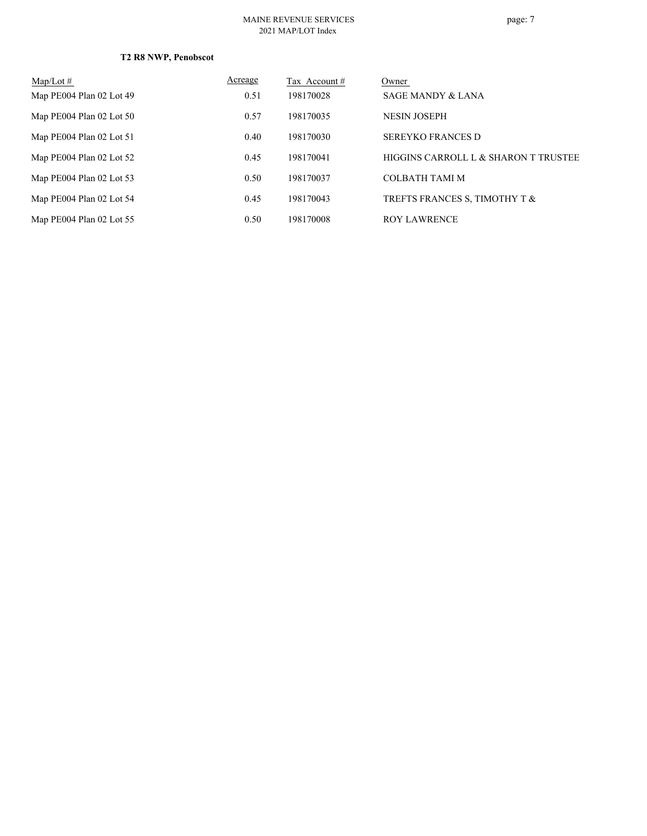#### MAINE REVENUE SERVICES 2021 MAP/LOT Index

### **T2 R8 NWP, Penobscot**

| $Map/Lot \#$             | Acreage | Tax Account # | Owner                                |
|--------------------------|---------|---------------|--------------------------------------|
| Map PE004 Plan 02 Lot 49 | 0.51    | 198170028     | <b>SAGE MANDY &amp; LANA</b>         |
| Map PE004 Plan 02 Lot 50 | 0.57    | 198170035     | <b>NESIN JOSEPH</b>                  |
| Map PE004 Plan 02 Lot 51 | 0.40    | 198170030     | <b>SEREYKO FRANCES D</b>             |
| Map PE004 Plan 02 Lot 52 | 0.45    | 198170041     | HIGGINS CARROLL L & SHARON T TRUSTEE |
| Map PE004 Plan 02 Lot 53 | 0.50    | 198170037     | <b>COLBATH TAMI M</b>                |
| Map PE004 Plan 02 Lot 54 | 0.45    | 198170043     | TREFTS FRANCES S, TIMOTHY T &        |
| Map PE004 Plan 02 Lot 55 | 0.50    | 198170008     | <b>ROY LAWRENCE</b>                  |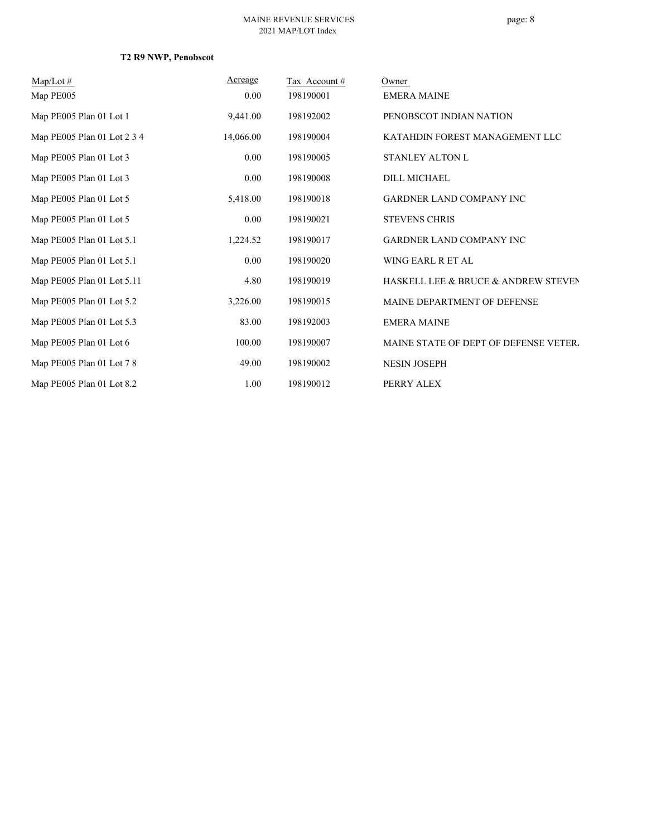## **T2 R9 NWP, Penobscot**

| $Map/Lot \#$                | Acreage   | Tax Account# | Owner                                 |
|-----------------------------|-----------|--------------|---------------------------------------|
| Map PE005                   | 0.00      | 198190001    | <b>EMERA MAINE</b>                    |
| Map PE005 Plan 01 Lot 1     | 9,441.00  | 198192002    | PENOBSCOT INDIAN NATION               |
| Map PE005 Plan 01 Lot 2 3 4 | 14,066.00 | 198190004    | KATAHDIN FOREST MANAGEMENT LLC        |
| Map PE005 Plan 01 Lot 3     | 0.00      | 198190005    | STANLEY ALTON L                       |
| Map PE005 Plan 01 Lot 3     | 0.00      | 198190008    | DILL MICHAEL                          |
| Map PE005 Plan 01 Lot 5     | 5,418.00  | 198190018    | <b>GARDNER LAND COMPANY INC</b>       |
| Map PE005 Plan 01 Lot 5     | $0.00\,$  | 198190021    | <b>STEVENS CHRIS</b>                  |
| Map PE005 Plan 01 Lot 5.1   | 1,224.52  | 198190017    | <b>GARDNER LAND COMPANY INC</b>       |
| Map PE005 Plan 01 Lot 5.1   | $0.00\,$  | 198190020    | WING EARL R ET AL                     |
| Map PE005 Plan 01 Lot 5.11  | 4.80      | 198190019    | HASKELL LEE & BRUCE & ANDREW STEVEN   |
| Map PE005 Plan 01 Lot 5.2   | 3,226.00  | 198190015    | MAINE DEPARTMENT OF DEFENSE           |
| Map PE005 Plan 01 Lot 5.3   | 83.00     | 198192003    | <b>EMERA MAINE</b>                    |
| Map PE005 Plan 01 Lot 6     | 100.00    | 198190007    | MAINE STATE OF DEPT OF DEFENSE VETER. |
| Map PE005 Plan 01 Lot 7 8   | 49.00     | 198190002    | <b>NESIN JOSEPH</b>                   |
| Map PE005 Plan 01 Lot 8.2   | 1.00      | 198190012    | PERRY ALEX                            |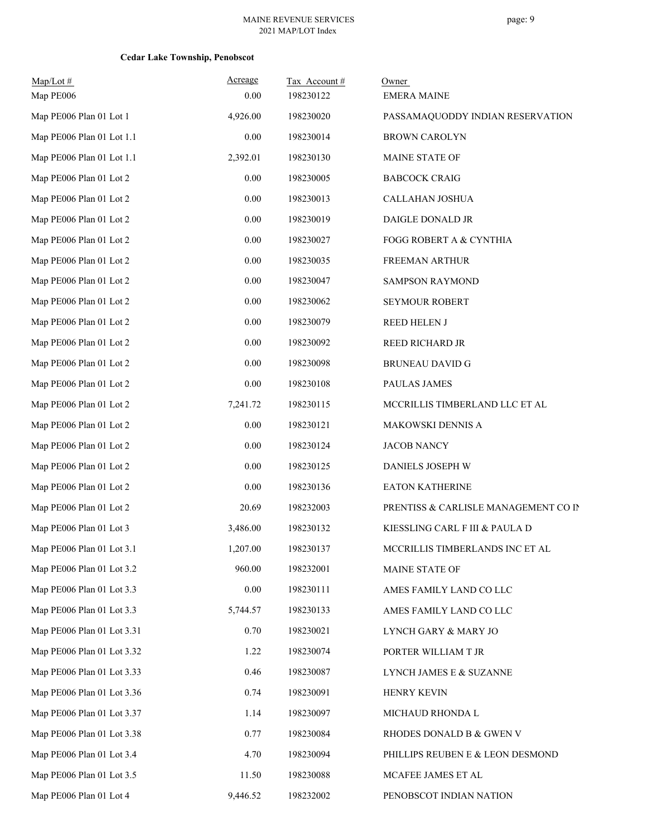| $Map/Lot \#$<br>Map PE006  | Acreage<br>0.00 | Tax Account#<br>198230122 | Owner<br><b>EMERA MAINE</b>          |
|----------------------------|-----------------|---------------------------|--------------------------------------|
| Map PE006 Plan 01 Lot 1    | 4,926.00        | 198230020                 | PASSAMAQUODDY INDIAN RESERVATION     |
| Map PE006 Plan 01 Lot 1.1  | 0.00            | 198230014                 | <b>BROWN CAROLYN</b>                 |
| Map PE006 Plan 01 Lot 1.1  | 2,392.01        | 198230130                 | MAINE STATE OF                       |
| Map PE006 Plan 01 Lot 2    | 0.00            | 198230005                 | <b>BABCOCK CRAIG</b>                 |
| Map PE006 Plan 01 Lot 2    | $0.00\,$        | 198230013                 | CALLAHAN JOSHUA                      |
| Map PE006 Plan 01 Lot 2    | 0.00            | 198230019                 | DAIGLE DONALD JR                     |
| Map PE006 Plan 01 Lot 2    | $0.00\,$        | 198230027                 | FOGG ROBERT A & CYNTHIA              |
| Map PE006 Plan 01 Lot 2    | $0.00\,$        | 198230035                 | FREEMAN ARTHUR                       |
| Map PE006 Plan 01 Lot 2    | $0.00\,$        | 198230047                 | SAMPSON RAYMOND                      |
| Map PE006 Plan 01 Lot 2    | 0.00            | 198230062                 | SEYMOUR ROBERT                       |
| Map PE006 Plan 01 Lot 2    | $0.00\,$        | 198230079                 | REED HELEN J                         |
| Map PE006 Plan 01 Lot 2    | 0.00            | 198230092                 | REED RICHARD JR                      |
| Map PE006 Plan 01 Lot 2    | $0.00\,$        | 198230098                 | <b>BRUNEAU DAVID G</b>               |
| Map PE006 Plan 01 Lot 2    | 0.00            | 198230108                 | PAULAS JAMES                         |
| Map PE006 Plan 01 Lot 2    | 7,241.72        | 198230115                 | MCCRILLIS TIMBERLAND LLC ET AL       |
| Map PE006 Plan 01 Lot 2    | 0.00            | 198230121                 | MAKOWSKI DENNIS A                    |
| Map PE006 Plan 01 Lot 2    | $0.00\,$        | 198230124                 | <b>JACOB NANCY</b>                   |
| Map PE006 Plan 01 Lot 2    | 0.00            | 198230125                 | DANIELS JOSEPH W                     |
| Map PE006 Plan 01 Lot 2    | $0.00\,$        | 198230136                 | <b>EATON KATHERINE</b>               |
| Map PE006 Plan 01 Lot 2    | 20.69           | 198232003                 | PRENTISS & CARLISLE MANAGEMENT CO IN |
| Map PE006 Plan 01 Lot 3    | 3,486.00        | 198230132                 | KIESSLING CARL F III & PAULA D       |
| Map PE006 Plan 01 Lot 3.1  | 1,207.00        | 198230137                 | MCCRILLIS TIMBERLANDS INC ET AL      |
| Map PE006 Plan 01 Lot 3.2  | 960.00          | 198232001                 | MAINE STATE OF                       |
| Map PE006 Plan 01 Lot 3.3  | $0.00\,$        | 198230111                 | AMES FAMILY LAND CO LLC              |
| Map PE006 Plan 01 Lot 3.3  | 5,744.57        | 198230133                 | AMES FAMILY LAND CO LLC              |
| Map PE006 Plan 01 Lot 3.31 | 0.70            | 198230021                 | LYNCH GARY & MARY JO                 |
| Map PE006 Plan 01 Lot 3.32 | 1.22            | 198230074                 | PORTER WILLIAM T JR                  |
| Map PE006 Plan 01 Lot 3.33 | 0.46            | 198230087                 | LYNCH JAMES E & SUZANNE              |
| Map PE006 Plan 01 Lot 3.36 | 0.74            | 198230091                 | HENRY KEVIN                          |
| Map PE006 Plan 01 Lot 3.37 | 1.14            | 198230097                 | MICHAUD RHONDA L                     |
| Map PE006 Plan 01 Lot 3.38 | 0.77            | 198230084                 | RHODES DONALD B & GWEN V             |
| Map PE006 Plan 01 Lot 3.4  | 4.70            | 198230094                 | PHILLIPS REUBEN E & LEON DESMOND     |
| Map PE006 Plan 01 Lot 3.5  | 11.50           | 198230088                 | MCAFEE JAMES ET AL                   |
| Map PE006 Plan 01 Lot 4    | 9,446.52        | 198232002                 | PENOBSCOT INDIAN NATION              |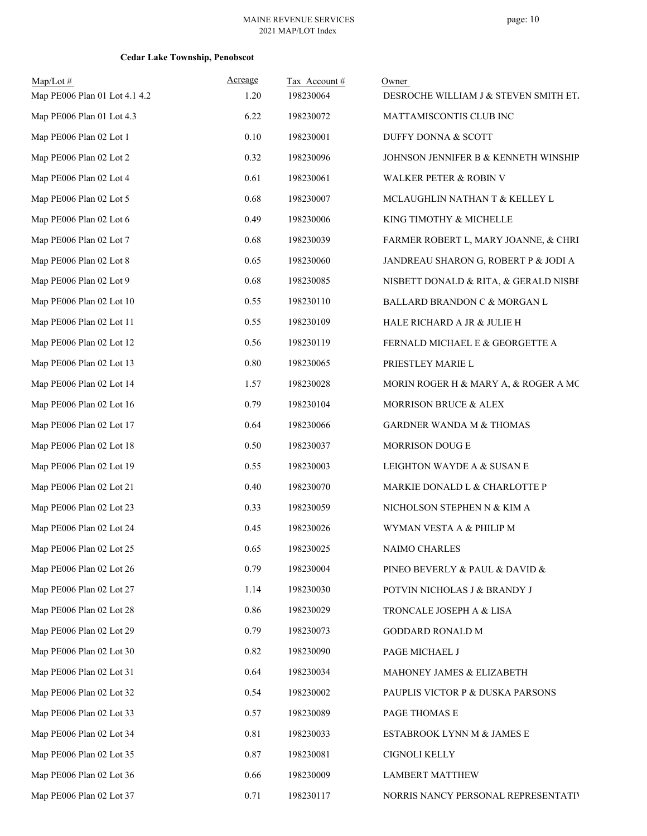| $Map/Lot \#$                  | Acreage  | Tax Account# | Owner                                 |
|-------------------------------|----------|--------------|---------------------------------------|
| Map PE006 Plan 01 Lot 4.1 4.2 | 1.20     | 198230064    | DESROCHE WILLIAM J & STEVEN SMITH ET. |
| Map PE006 Plan 01 Lot 4.3     | 6.22     | 198230072    | MATTAMISCONTIS CLUB INC               |
| Map PE006 Plan 02 Lot 1       | 0.10     | 198230001    | DUFFY DONNA & SCOTT                   |
| Map PE006 Plan 02 Lot 2       | 0.32     | 198230096    | JOHNSON JENNIFER B & KENNETH WINSHIP  |
| Map PE006 Plan 02 Lot 4       | 0.61     | 198230061    | WALKER PETER & ROBIN V                |
| Map PE006 Plan 02 Lot 5       | 0.68     | 198230007    | MCLAUGHLIN NATHAN T & KELLEY L        |
| Map PE006 Plan 02 Lot 6       | 0.49     | 198230006    | KING TIMOTHY & MICHELLE               |
| Map PE006 Plan 02 Lot 7       | 0.68     | 198230039    | FARMER ROBERT L, MARY JOANNE, & CHRI  |
| Map PE006 Plan 02 Lot 8       | 0.65     | 198230060    | JANDREAU SHARON G, ROBERT P & JODI A  |
| Map PE006 Plan 02 Lot 9       | 0.68     | 198230085    | NISBETT DONALD & RITA, & GERALD NISBE |
| Map PE006 Plan 02 Lot 10      | 0.55     | 198230110    | BALLARD BRANDON C & MORGAN L          |
| Map PE006 Plan 02 Lot 11      | 0.55     | 198230109    | HALE RICHARD A JR & JULIE H           |
| Map PE006 Plan 02 Lot 12      | 0.56     | 198230119    | FERNALD MICHAEL E & GEORGETTE A       |
| Map PE006 Plan 02 Lot 13      | $0.80\,$ | 198230065    | PRIESTLEY MARIE L                     |
| Map PE006 Plan 02 Lot 14      | 1.57     | 198230028    | MORIN ROGER H & MARY A, & ROGER A MC  |
| Map PE006 Plan 02 Lot 16      | 0.79     | 198230104    | MORRISON BRUCE & ALEX                 |
| Map PE006 Plan 02 Lot 17      | 0.64     | 198230066    | GARDNER WANDA M & THOMAS              |
| Map PE006 Plan 02 Lot 18      | 0.50     | 198230037    | MORRISON DOUG E                       |
| Map PE006 Plan 02 Lot 19      | 0.55     | 198230003    | LEIGHTON WAYDE A & SUSAN E            |
| Map PE006 Plan 02 Lot 21      | 0.40     | 198230070    | MARKIE DONALD L & CHARLOTTE P         |
| Map PE006 Plan 02 Lot 23      | 0.33     | 198230059    | NICHOLSON STEPHEN N & KIM A           |
| Map PE006 Plan 02 Lot 24      | 0.45     | 198230026    | WYMAN VESTA A & PHILIP M              |
| Map PE006 Plan 02 Lot 25      | 0.65     | 198230025    | NAIMO CHARLES                         |
| Map PE006 Plan 02 Lot 26      | 0.79     | 198230004    | PINEO BEVERLY & PAUL & DAVID &        |
| Map PE006 Plan 02 Lot 27      | 1.14     | 198230030    | POTVIN NICHOLAS J & BRANDY J          |
| Map PE006 Plan 02 Lot 28      | 0.86     | 198230029    | TRONCALE JOSEPH A & LISA              |
| Map PE006 Plan 02 Lot 29      | 0.79     | 198230073    | GODDARD RONALD M                      |
| Map PE006 Plan 02 Lot 30      | 0.82     | 198230090    | PAGE MICHAEL J                        |
| Map PE006 Plan 02 Lot 31      | 0.64     | 198230034    | MAHONEY JAMES & ELIZABETH             |
| Map PE006 Plan 02 Lot 32      | 0.54     | 198230002    | PAUPLIS VICTOR P & DUSKA PARSONS      |
| Map PE006 Plan 02 Lot 33      | 0.57     | 198230089    | PAGE THOMAS E                         |
| Map PE006 Plan 02 Lot 34      | 0.81     | 198230033    | ESTABROOK LYNN M & JAMES E            |
| Map PE006 Plan 02 Lot 35      | 0.87     | 198230081    | CIGNOLI KELLY                         |
| Map PE006 Plan 02 Lot 36      | 0.66     | 198230009    | <b>LAMBERT MATTHEW</b>                |
| Map PE006 Plan 02 Lot 37      | 0.71     | 198230117    | NORRIS NANCY PERSONAL REPRESENTATIV   |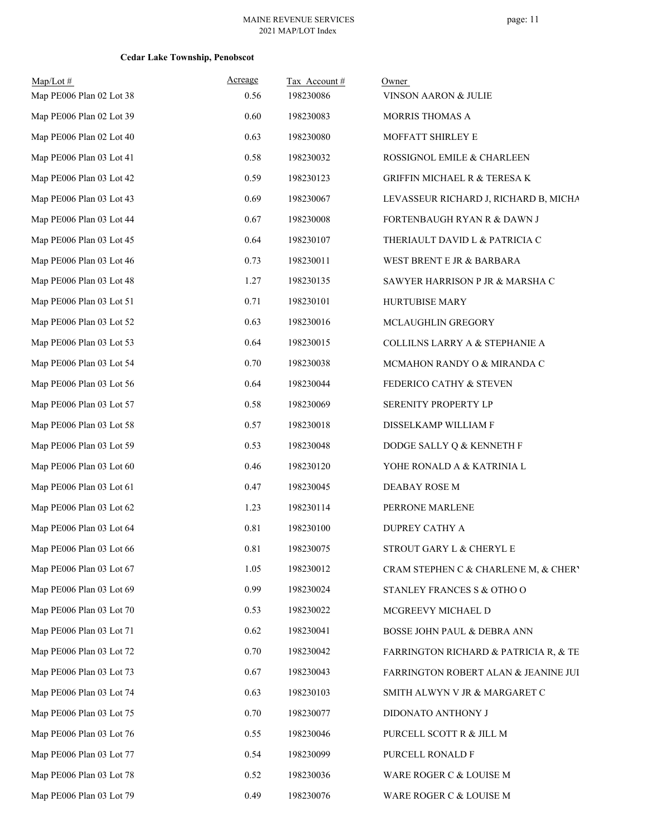| $Map/Lot \#$<br>Map PE006 Plan 02 Lot 38 | Acreage<br>0.56 | Tax Account#<br>198230086 | Owner<br>VINSON AARON & JULIE         |
|------------------------------------------|-----------------|---------------------------|---------------------------------------|
| Map PE006 Plan 02 Lot 39                 | 0.60            | 198230083                 | MORRIS THOMAS A                       |
| Map PE006 Plan 02 Lot 40                 | 0.63            | 198230080                 | MOFFATT SHIRLEY E                     |
| Map PE006 Plan 03 Lot 41                 | 0.58            | 198230032                 | ROSSIGNOL EMILE & CHARLEEN            |
| Map PE006 Plan 03 Lot 42                 | 0.59            | 198230123                 | GRIFFIN MICHAEL R & TERESA K          |
| Map PE006 Plan 03 Lot 43                 | 0.69            | 198230067                 | LEVASSEUR RICHARD J, RICHARD B, MICHA |
| Map PE006 Plan 03 Lot 44                 | 0.67            | 198230008                 | FORTENBAUGH RYAN R & DAWN J           |
| Map PE006 Plan 03 Lot 45                 | 0.64            | 198230107                 | THERIAULT DAVID L & PATRICIA C        |
| Map PE006 Plan 03 Lot 46                 | 0.73            | 198230011                 | WEST BRENT E JR & BARBARA             |
| Map PE006 Plan 03 Lot 48                 | 1.27            | 198230135                 | SAWYER HARRISON P JR & MARSHA C       |
| Map PE006 Plan 03 Lot 51                 | 0.71            | 198230101                 | HURTUBISE MARY                        |
| Map PE006 Plan 03 Lot 52                 | 0.63            | 198230016                 | MCLAUGHLIN GREGORY                    |
| Map PE006 Plan 03 Lot 53                 | 0.64            | 198230015                 | COLLILNS LARRY A & STEPHANIE A        |
| Map PE006 Plan 03 Lot 54                 | 0.70            | 198230038                 | MCMAHON RANDY O & MIRANDA C           |
| Map PE006 Plan 03 Lot 56                 | 0.64            | 198230044                 | FEDERICO CATHY & STEVEN               |
| Map PE006 Plan 03 Lot 57                 | 0.58            | 198230069                 | SERENITY PROPERTY LP                  |
| Map PE006 Plan 03 Lot 58                 | 0.57            | 198230018                 | DISSELKAMP WILLIAM F                  |
| Map PE006 Plan 03 Lot 59                 | 0.53            | 198230048                 | DODGE SALLY Q & KENNETH F             |
| Map PE006 Plan 03 Lot 60                 | 0.46            | 198230120                 | YOHE RONALD A & KATRINIA L            |
| Map PE006 Plan 03 Lot 61                 | 0.47            | 198230045                 | DEABAY ROSE M                         |
| Map PE006 Plan 03 Lot 62                 | 1.23            | 198230114                 | PERRONE MARLENE                       |
| Map PE006 Plan 03 Lot 64                 | 0.81            | 198230100                 | DUPREY CATHY A                        |
| Map PE006 Plan 03 Lot 66                 | 0.81            | 198230075                 | STROUT GARY L & CHERYL E              |
| Map PE006 Plan 03 Lot 67                 | 1.05            | 198230012                 | CRAM STEPHEN C & CHARLENE M, & CHERY  |
| Map PE006 Plan 03 Lot 69                 | 0.99            | 198230024                 | STANLEY FRANCES S & OTHO O            |
| Map PE006 Plan 03 Lot 70                 | 0.53            | 198230022                 | MCGREEVY MICHAEL D                    |
| Map PE006 Plan 03 Lot 71                 | 0.62            | 198230041                 | BOSSE JOHN PAUL & DEBRA ANN           |
| Map PE006 Plan 03 Lot 72                 | 0.70            | 198230042                 | FARRINGTON RICHARD & PATRICIA R, & TE |
| Map PE006 Plan 03 Lot 73                 | 0.67            | 198230043                 | FARRINGTON ROBERT ALAN & JEANINE JUI  |
| Map PE006 Plan 03 Lot 74                 | 0.63            | 198230103                 | SMITH ALWYN V JR & MARGARET C         |
| Map PE006 Plan 03 Lot 75                 | 0.70            | 198230077                 | DIDONATO ANTHONY J                    |
| Map PE006 Plan 03 Lot 76                 | 0.55            | 198230046                 | PURCELL SCOTT R & JILL M              |
| Map PE006 Plan 03 Lot 77                 | 0.54            | 198230099                 | PURCELL RONALD F                      |
| Map PE006 Plan 03 Lot 78                 | 0.52            | 198230036                 | WARE ROGER C & LOUISE M               |
| Map PE006 Plan 03 Lot 79                 | 0.49            | 198230076                 | WARE ROGER C & LOUISE M               |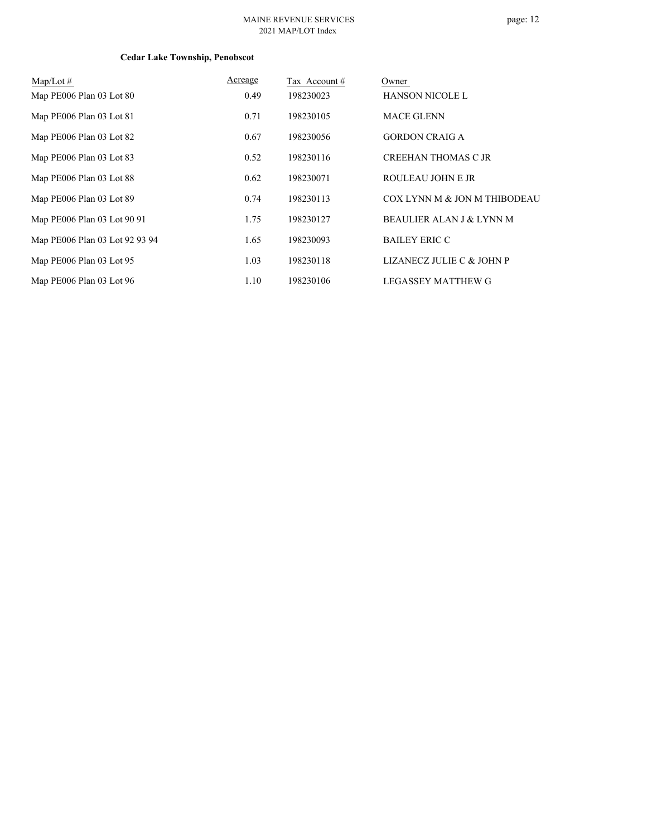#### MAINE REVENUE SERVICES 2021 MAP/LOT Index

| $\text{Map/Lot}\,\#$           | Acreage | Tax Account # | Owner                        |
|--------------------------------|---------|---------------|------------------------------|
| Map PE006 Plan 03 Lot 80       | 0.49    | 198230023     | <b>HANSON NICOLE L</b>       |
| Map PE006 Plan 03 Lot 81       | 0.71    | 198230105     | <b>MACE GLENN</b>            |
| Map PE006 Plan 03 Lot 82       | 0.67    | 198230056     | <b>GORDON CRAIG A</b>        |
| Map PE006 Plan 03 Lot 83       | 0.52    | 198230116     | <b>CREEHAN THOMAS C JR</b>   |
| Map PE006 Plan 03 Lot 88       | 0.62    | 198230071     | ROULEAU JOHN E JR            |
| Map PE006 Plan 03 Lot 89       | 0.74    | 198230113     | COX LYNN M & JON M THIBODEAU |
| Map PE006 Plan 03 Lot 90 91    | 1.75    | 198230127     | BEAULIER ALAN J & LYNN M     |
| Map PE006 Plan 03 Lot 92 93 94 | 1.65    | 198230093     | <b>BAILEY ERIC C</b>         |
| Map PE006 Plan 03 Lot 95       | 1.03    | 198230118     | LIZANECZ JULIE C & JOHN P    |
| Map PE006 Plan 03 Lot 96       | 1.10    | 198230106     | <b>LEGASSEY MATTHEW G</b>    |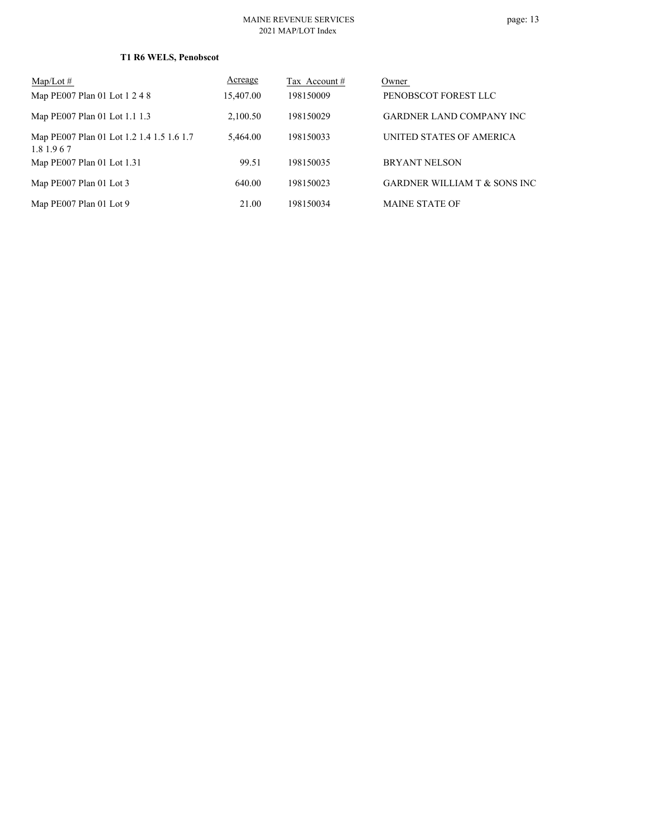| $Map/Lot \#$                                             | Acreage   | Tax Account # | Owner                           |
|----------------------------------------------------------|-----------|---------------|---------------------------------|
| Map PE007 Plan 01 Lot 1 2 4 8                            | 15,407.00 | 198150009     | PENOBSCOT FOREST LLC            |
| Map PE007 Plan 01 Lot 1.1 1.3                            | 2,100.50  | 198150029     | <b>GARDNER LAND COMPANY INC</b> |
| Map PE007 Plan 01 Lot 1.2 1.4 1.5 1.6 1.7<br>1.8 1.9 6 7 | 5.464.00  | 198150033     | UNITED STATES OF AMERICA        |
| Map PE007 Plan 01 Lot 1.31                               | 99.51     | 198150035     | <b>BRYANT NELSON</b>            |
| Map PE007 Plan 01 Lot 3                                  | 640.00    | 198150023     | GARDNER WILLIAM T & SONS INC    |
| Map PE007 Plan 01 Lot 9                                  | 21.00     | 198150034     | <b>MAINE STATE OF</b>           |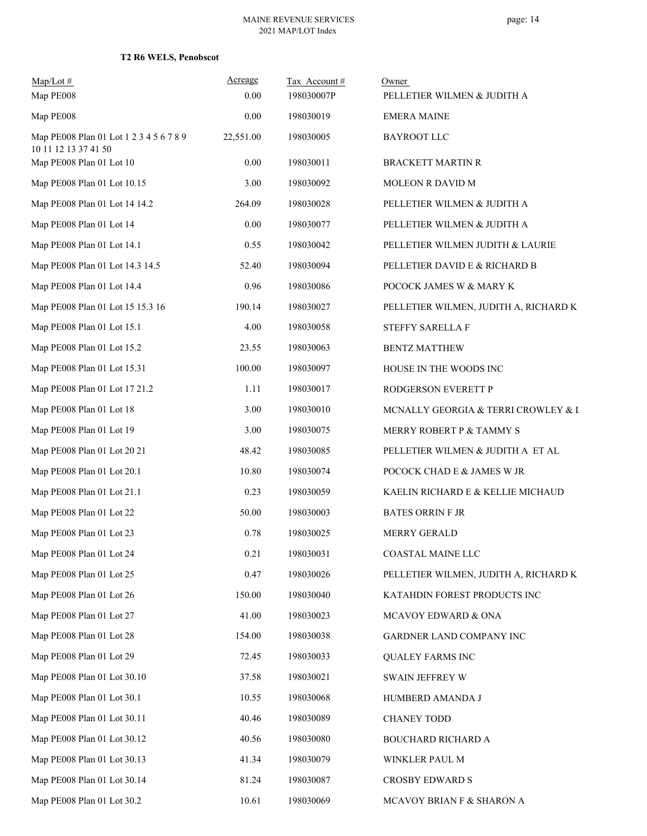| $Map/Lot$ #<br>Map PE008                                        | Acreage<br>0.00 | Tax Account#<br>198030007P | Owner<br>PELLETIER WILMEN & JUDITH A  |  |
|-----------------------------------------------------------------|-----------------|----------------------------|---------------------------------------|--|
| Map PE008                                                       | 0.00            | 198030019                  | <b>EMERA MAINE</b>                    |  |
| Map PE008 Plan 01 Lot 1 2 3 4 5 6 7 8 9<br>10 11 12 13 37 41 50 | 22,551.00       | 198030005                  | <b>BAYROOT LLC</b>                    |  |
| Map PE008 Plan 01 Lot 10                                        | $0.00\,$        | 198030011                  | <b>BRACKETT MARTIN R</b>              |  |
| Map PE008 Plan 01 Lot 10.15                                     | 3.00            | 198030092                  | MOLEON R DAVID M                      |  |
| Map PE008 Plan 01 Lot 14 14.2                                   | 264.09          | 198030028                  | PELLETIER WILMEN & JUDITH A           |  |
| Map PE008 Plan 01 Lot 14                                        | $0.00\,$        | 198030077                  | PELLETIER WILMEN & JUDITH A           |  |
| Map PE008 Plan 01 Lot 14.1                                      | 0.55            | 198030042                  | PELLETIER WILMEN JUDITH & LAURIE      |  |
| Map PE008 Plan 01 Lot 14.3 14.5                                 | 52.40           | 198030094                  | PELLETIER DAVID E & RICHARD B         |  |
| Map PE008 Plan 01 Lot 14.4                                      | 0.96            | 198030086                  | POCOCK JAMES W & MARY K               |  |
| Map PE008 Plan 01 Lot 15 15.3 16                                | 190.14          | 198030027                  | PELLETIER WILMEN, JUDITH A, RICHARD K |  |
| Map PE008 Plan 01 Lot 15.1                                      | 4.00            | 198030058                  | <b>STEFFY SARELLA F</b>               |  |
| Map PE008 Plan 01 Lot 15.2                                      | 23.55           | 198030063                  | <b>BENTZ MATTHEW</b>                  |  |
| Map PE008 Plan 01 Lot 15.31                                     | 100.00          | 198030097                  | HOUSE IN THE WOODS INC                |  |
| Map PE008 Plan 01 Lot 17 21.2                                   | 1.11            | 198030017                  | RODGERSON EVERETT P                   |  |
| Map PE008 Plan 01 Lot 18                                        | 3.00            | 198030010                  | MCNALLY GEORGIA & TERRI CROWLEY & I   |  |
| Map PE008 Plan 01 Lot 19                                        | 3.00            | 198030075                  | MERRY ROBERT P & TAMMY S              |  |
| Map PE008 Plan 01 Lot 20 21                                     | 48.42           | 198030085                  | PELLETIER WILMEN & JUDITH A ET AL     |  |
| Map PE008 Plan 01 Lot 20.1                                      | 10.80           | 198030074                  | POCOCK CHAD E & JAMES W JR            |  |
| Map PE008 Plan 01 Lot 21.1                                      | 0.23            | 198030059                  | KAELIN RICHARD E & KELLIE MICHAUD     |  |
| Map PE008 Plan 01 Lot 22                                        | 50.00           | 198030003                  | <b>BATES ORRIN F JR</b>               |  |
| Map PE008 Plan 01 Lot 23                                        | 0.78            | 198030025                  | MERRY GERALD                          |  |
| Map PE008 Plan 01 Lot 24                                        | 0.21            | 198030031                  | COASTAL MAINE LLC                     |  |
| Map PE008 Plan 01 Lot 25                                        | 0.47            | 198030026                  | PELLETIER WILMEN, JUDITH A, RICHARD K |  |
| Map PE008 Plan 01 Lot 26                                        | 150.00          | 198030040                  | KATAHDIN FOREST PRODUCTS INC          |  |
| Map PE008 Plan 01 Lot 27                                        | 41.00           | 198030023                  | MCAVOY EDWARD & ONA                   |  |
| Map PE008 Plan 01 Lot 28                                        | 154.00          | 198030038                  | GARDNER LAND COMPANY INC              |  |
| Map PE008 Plan 01 Lot 29                                        | 72.45           | 198030033                  | <b>QUALEY FARMS INC</b>               |  |
| Map PE008 Plan 01 Lot 30.10                                     | 37.58           | 198030021                  | SWAIN JEFFREY W                       |  |
| Map PE008 Plan 01 Lot 30.1                                      | 10.55           | 198030068                  | HUMBERD AMANDA J                      |  |
| Map PE008 Plan 01 Lot 30.11                                     | 40.46           | 198030089                  | <b>CHANEY TODD</b>                    |  |
| Map PE008 Plan 01 Lot 30.12                                     | 40.56           | 198030080                  | BOUCHARD RICHARD A                    |  |
| Map PE008 Plan 01 Lot 30.13                                     | 41.34           | 198030079                  | WINKLER PAUL M                        |  |
| Map PE008 Plan 01 Lot 30.14                                     | 81.24           | 198030087                  | CROSBY EDWARD S                       |  |
| Map PE008 Plan 01 Lot 30.2                                      | 10.61           | 198030069                  | MCAVOY BRIAN F & SHARON A             |  |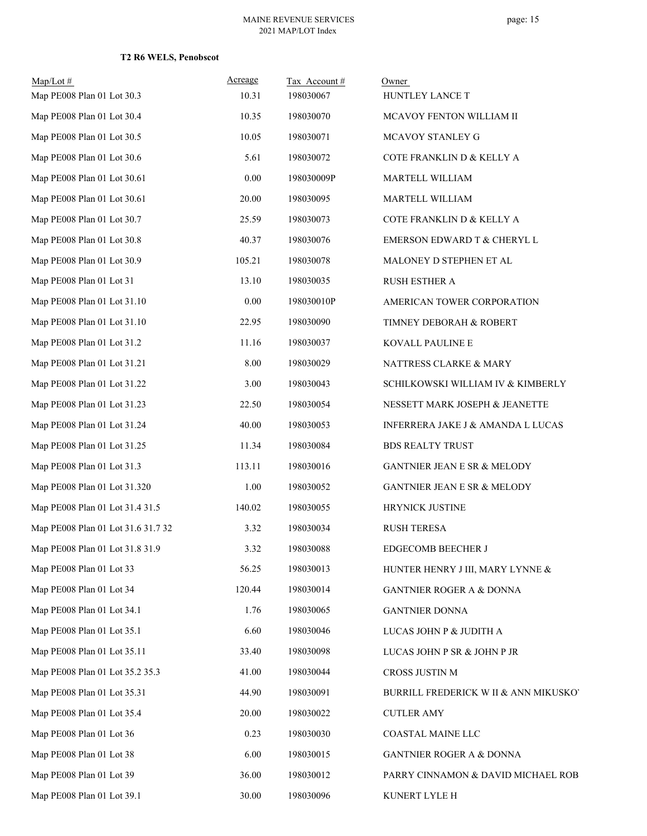| Map/Lot#<br>Map PE008 Plan 01 Lot 30.3 | Acreage<br>10.31 | Tax Account #<br>198030067 | Owner<br>HUNTLEY LANCE T              |
|----------------------------------------|------------------|----------------------------|---------------------------------------|
| Map PE008 Plan 01 Lot 30.4             | 10.35            | 198030070                  | MCAVOY FENTON WILLIAM II              |
| Map PE008 Plan 01 Lot 30.5             | 10.05            | 198030071                  | MCAVOY STANLEY G                      |
| Map PE008 Plan 01 Lot 30.6             | 5.61             | 198030072                  | COTE FRANKLIN D & KELLY A             |
| Map PE008 Plan 01 Lot 30.61            | $0.00\,$         | 198030009P                 | MARTELL WILLIAM                       |
| Map PE008 Plan 01 Lot 30.61            | 20.00            | 198030095                  | MARTELL WILLIAM                       |
| Map PE008 Plan 01 Lot 30.7             | 25.59            | 198030073                  | COTE FRANKLIN D & KELLY A             |
| Map PE008 Plan 01 Lot 30.8             | 40.37            | 198030076                  | EMERSON EDWARD T & CHERYL L           |
| Map PE008 Plan 01 Lot 30.9             | 105.21           |                            |                                       |
|                                        |                  | 198030078                  | MALONEY D STEPHEN ET AL               |
| Map PE008 Plan 01 Lot 31               | 13.10            | 198030035                  | <b>RUSH ESTHER A</b>                  |
| Map PE008 Plan 01 Lot 31.10            | 0.00             | 198030010P                 | AMERICAN TOWER CORPORATION            |
| Map PE008 Plan 01 Lot 31.10            | 22.95            | 198030090                  | TIMNEY DEBORAH & ROBERT               |
| Map PE008 Plan 01 Lot 31.2             | 11.16            | 198030037                  | KOVALL PAULINE E                      |
| Map PE008 Plan 01 Lot 31.21            | 8.00             | 198030029                  | NATTRESS CLARKE & MARY                |
| Map PE008 Plan 01 Lot 31.22            | 3.00             | 198030043                  | SCHILKOWSKI WILLIAM IV & KIMBERLY     |
| Map PE008 Plan 01 Lot 31.23            | 22.50            | 198030054                  | NESSETT MARK JOSEPH & JEANETTE        |
| Map PE008 Plan 01 Lot 31.24            | 40.00            | 198030053                  | INFERRERA JAKE J & AMANDA L LUCAS     |
| Map PE008 Plan 01 Lot 31.25            | 11.34            | 198030084                  | <b>BDS REALTY TRUST</b>               |
| Map PE008 Plan 01 Lot 31.3             | 113.11           | 198030016                  | GANTNIER JEAN E SR & MELODY           |
| Map PE008 Plan 01 Lot 31.320           | 1.00             | 198030052                  | GANTNIER JEAN E SR & MELODY           |
| Map PE008 Plan 01 Lot 31.4 31.5        | 140.02           | 198030055                  | HRYNICK JUSTINE                       |
| Map PE008 Plan 01 Lot 31.6 31.7 32     | 3.32             | 198030034                  | <b>RUSH TERESA</b>                    |
| Map PE008 Plan 01 Lot 31.8 31.9        | 3.32             | 198030088                  | <b>EDGECOMB BEECHER J</b>             |
| Map PE008 Plan 01 Lot 33               | 56.25            | 198030013                  | HUNTER HENRY J III, MARY LYNNE &      |
| Map PE008 Plan 01 Lot 34               | 120.44           | 198030014                  | <b>GANTNIER ROGER A &amp; DONNA</b>   |
| Map PE008 Plan 01 Lot 34.1             | 1.76             | 198030065                  | <b>GANTNIER DONNA</b>                 |
| Map PE008 Plan 01 Lot 35.1             | 6.60             | 198030046                  | LUCAS JOHN P & JUDITH A               |
| Map PE008 Plan 01 Lot 35.11            | 33.40            | 198030098                  | LUCAS JOHN P SR & JOHN P JR           |
| Map PE008 Plan 01 Lot 35.2 35.3        | 41.00            | 198030044                  | CROSS JUSTIN M                        |
| Map PE008 Plan 01 Lot 35.31            | 44.90            | 198030091                  | BURRILL FREDERICK W II & ANN MIKUSKO' |
| Map PE008 Plan 01 Lot 35.4             | 20.00            | 198030022                  | <b>CUTLER AMY</b>                     |
| Map PE008 Plan 01 Lot 36               | 0.23             | 198030030                  | COASTAL MAINE LLC                     |
| Map PE008 Plan 01 Lot 38               | 6.00             | 198030015                  | <b>GANTNIER ROGER A &amp; DONNA</b>   |
| Map PE008 Plan 01 Lot 39               | 36.00            | 198030012                  | PARRY CINNAMON & DAVID MICHAEL ROB    |
| Map PE008 Plan 01 Lot 39.1             | 30.00            | 198030096                  | KUNERT LYLE H                         |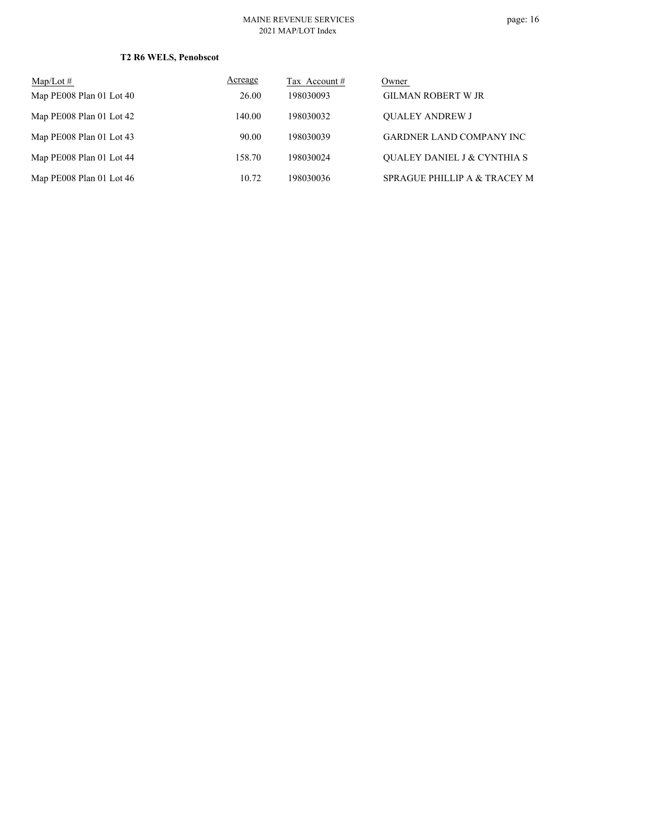#### MAINE REVENUE SERVICES 2021 MAP/LOT Index

| $Map/Lot \#$             | Acreage | Tax Account # | Owner                                  |
|--------------------------|---------|---------------|----------------------------------------|
| Map PE008 Plan 01 Lot 40 | 26.00   | 198030093     | <b>GILMAN ROBERT W JR</b>              |
| Map PE008 Plan 01 Lot 42 | 140.00  | 198030032     | <b>OUALEY ANDREW J</b>                 |
| Map PE008 Plan 01 Lot 43 | 90.00   | 198030039     | <b>GARDNER LAND COMPANY INC</b>        |
| Map PE008 Plan 01 Lot 44 | 158.70  | 198030024     | <b>OUALEY DANIEL J &amp; CYNTHIA S</b> |
| Map PE008 Plan 01 Lot 46 | 10.72   | 198030036     | SPRAGUE PHILLIP A & TRACEY M           |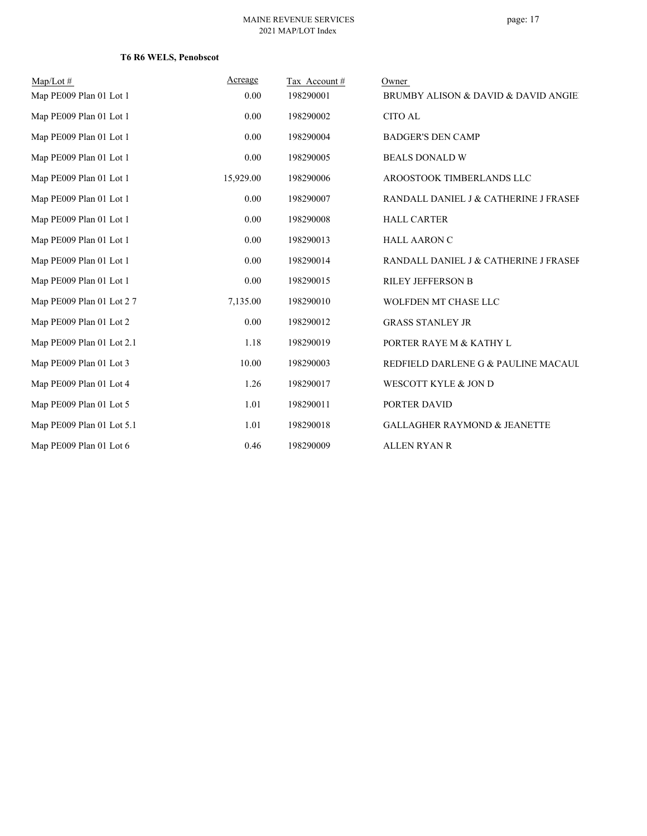| $Map/Lot \#$              | Acreage   | Tax Account# | Owner                                   |
|---------------------------|-----------|--------------|-----------------------------------------|
| Map PE009 Plan 01 Lot 1   | 0.00      | 198290001    | BRUMBY ALISON & DAVID & DAVID ANGIE     |
| Map PE009 Plan 01 Lot 1   | 0.00      | 198290002    | <b>CITO AL</b>                          |
| Map PE009 Plan 01 Lot 1   | 0.00      | 198290004    | <b>BADGER'S DEN CAMP</b>                |
| Map PE009 Plan 01 Lot 1   | 0.00      | 198290005    | <b>BEALS DONALD W</b>                   |
| Map PE009 Plan 01 Lot 1   | 15,929.00 | 198290006    | AROOSTOOK TIMBERLANDS LLC               |
| Map PE009 Plan 01 Lot 1   | 0.00      | 198290007    | RANDALL DANIEL J & CATHERINE J FRASEF   |
| Map PE009 Plan 01 Lot 1   | 0.00      | 198290008    | <b>HALL CARTER</b>                      |
| Map PE009 Plan 01 Lot 1   | 0.00      | 198290013    | <b>HALL AARON C</b>                     |
| Map PE009 Plan 01 Lot 1   | 0.00      | 198290014    | RANDALL DANIEL J & CATHERINE J FRASEF   |
| Map PE009 Plan 01 Lot 1   | 0.00      | 198290015    | <b>RILEY JEFFERSON B</b>                |
| Map PE009 Plan 01 Lot 27  | 7,135.00  | 198290010    | WOLFDEN MT CHASE LLC                    |
| Map PE009 Plan 01 Lot 2   | 0.00      | 198290012    | <b>GRASS STANLEY JR</b>                 |
| Map PE009 Plan 01 Lot 2.1 | 1.18      | 198290019    | PORTER RAYE M & KATHY L                 |
| Map PE009 Plan 01 Lot 3   | 10.00     | 198290003    | REDFIELD DARLENE G & PAULINE MACAUL     |
| Map PE009 Plan 01 Lot 4   | 1.26      | 198290017    | WESCOTT KYLE & JON D                    |
| Map PE009 Plan 01 Lot 5   | 1.01      | 198290011    | PORTER DAVID                            |
| Map PE009 Plan 01 Lot 5.1 | 1.01      | 198290018    | <b>GALLAGHER RAYMOND &amp; JEANETTE</b> |
| Map PE009 Plan 01 Lot 6   | 0.46      | 198290009    | <b>ALLEN RYAN R</b>                     |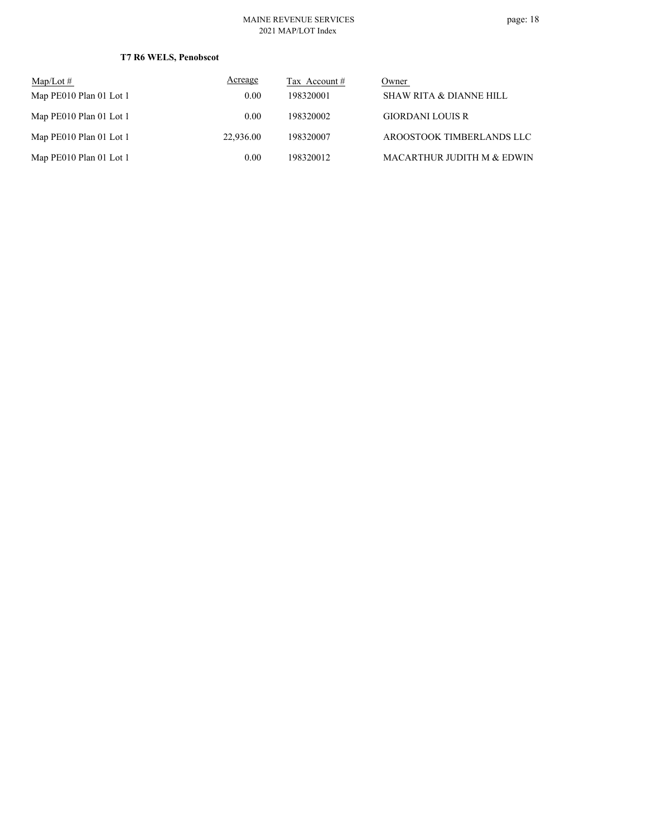#### MAINE REVENUE SERVICES 2021 MAP/LOT Index

| Map/Lot $#$             | Acreage   | Tax Account # | Owner                      |
|-------------------------|-----------|---------------|----------------------------|
| Map PE010 Plan 01 Lot 1 | 0.00      | 198320001     | SHAW RITA & DIANNE HILL    |
| Map PE010 Plan 01 Lot 1 | 0.00      | 198320002     | <b>GIORDANI LOUIS R</b>    |
| Map PE010 Plan 01 Lot 1 | 22,936.00 | 198320007     | AROOSTOOK TIMBERLANDS LLC  |
| Map PE010 Plan 01 Lot 1 | 0.00      | 198320012     | MACARTHUR JUDITH M & EDWIN |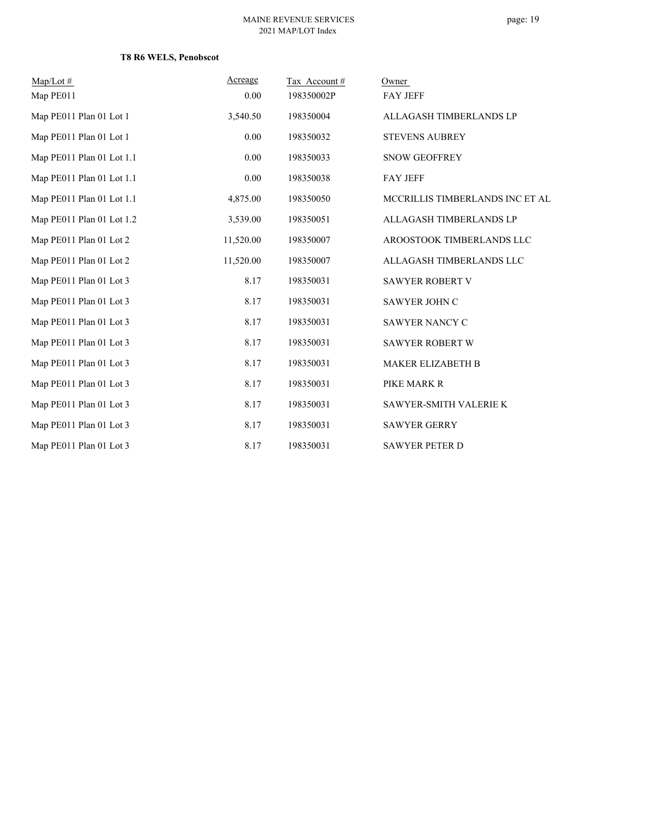page: 19

| Map/Lot#                  | Acreage   | Tax Account# | Owner                           |
|---------------------------|-----------|--------------|---------------------------------|
| Map PE011                 | 0.00      | 198350002P   | <b>FAY JEFF</b>                 |
| Map PE011 Plan 01 Lot 1   | 3,540.50  | 198350004    | ALLAGASH TIMBERLANDS LP         |
| Map PE011 Plan 01 Lot 1   | 0.00      | 198350032    | <b>STEVENS AUBREY</b>           |
| Map PE011 Plan 01 Lot 1.1 | 0.00      | 198350033    | <b>SNOW GEOFFREY</b>            |
| Map PE011 Plan 01 Lot 1.1 | 0.00      | 198350038    | <b>FAY JEFF</b>                 |
| Map PE011 Plan 01 Lot 1.1 | 4,875.00  | 198350050    | MCCRILLIS TIMBERLANDS INC ET AL |
| Map PE011 Plan 01 Lot 1.2 | 3,539.00  | 198350051    | ALLAGASH TIMBERLANDS LP         |
| Map PE011 Plan 01 Lot 2   | 11,520.00 | 198350007    | AROOSTOOK TIMBERLANDS LLC       |
| Map PE011 Plan 01 Lot 2   | 11,520.00 | 198350007    | ALLAGASH TIMBERLANDS LLC        |
| Map PE011 Plan 01 Lot 3   | 8.17      | 198350031    | <b>SAWYER ROBERT V</b>          |
| Map PE011 Plan 01 Lot 3   | 8.17      | 198350031    | SAWYER JOHN C                   |
| Map PE011 Plan 01 Lot 3   | 8.17      | 198350031    | SAWYER NANCY C                  |
| Map PE011 Plan 01 Lot 3   | 8.17      | 198350031    | <b>SAWYER ROBERT W</b>          |
| Map PE011 Plan 01 Lot 3   | 8.17      | 198350031    | <b>MAKER ELIZABETH B</b>        |
| Map PE011 Plan 01 Lot 3   | 8.17      | 198350031    | PIKE MARK R                     |
| Map PE011 Plan 01 Lot 3   | 8.17      | 198350031    | SAWYER-SMITH VALERIE K          |
| Map PE011 Plan 01 Lot 3   | 8.17      | 198350031    | <b>SAWYER GERRY</b>             |
| Map PE011 Plan 01 Lot 3   | 8.17      | 198350031    | <b>SAWYER PETER D</b>           |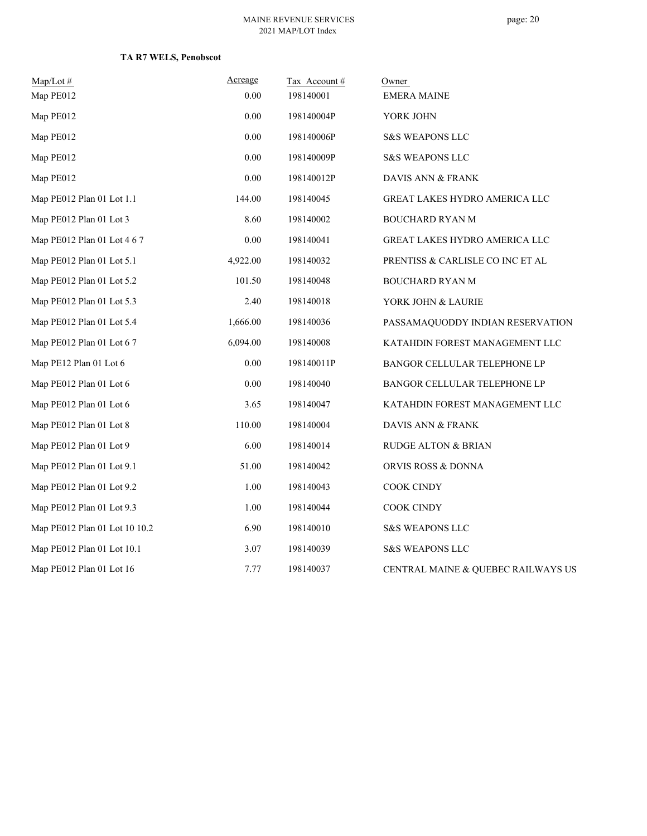#### MAINE REVENUE SERVICES 2021 MAP/LOT Index

| $Map/Lot \#$                  | Acreage  | Tax Account# | Owner                              |
|-------------------------------|----------|--------------|------------------------------------|
| Map PE012                     | 0.00     | 198140001    | <b>EMERA MAINE</b>                 |
| Map PE012                     | 0.00     | 198140004P   | YORK JOHN                          |
| Map PE012                     | 0.00     | 198140006P   | <b>S&amp;S WEAPONS LLC</b>         |
| Map PE012                     | 0.00     | 198140009P   | <b>S&amp;S WEAPONS LLC</b>         |
| Map PE012                     | 0.00     | 198140012P   | DAVIS ANN & FRANK                  |
| Map PE012 Plan 01 Lot 1.1     | 144.00   | 198140045    | GREAT LAKES HYDRO AMERICA LLC      |
| Map PE012 Plan 01 Lot 3       | 8.60     | 198140002    | <b>BOUCHARD RYAN M</b>             |
| Map PE012 Plan 01 Lot 4 6 7   | 0.00     | 198140041    | GREAT LAKES HYDRO AMERICA LLC      |
| Map PE012 Plan 01 Lot 5.1     | 4,922.00 | 198140032    | PRENTISS & CARLISLE CO INC ET AL   |
| Map PE012 Plan 01 Lot 5.2     | 101.50   | 198140048    | BOUCHARD RYAN M                    |
| Map PE012 Plan 01 Lot 5.3     | 2.40     | 198140018    | YORK JOHN & LAURIE                 |
| Map PE012 Plan 01 Lot 5.4     | 1,666.00 | 198140036    | PASSAMAQUODDY INDIAN RESERVATION   |
| Map PE012 Plan 01 Lot 6 7     | 6,094.00 | 198140008    | KATAHDIN FOREST MANAGEMENT LLC     |
| Map PE12 Plan 01 Lot 6        | 0.00     | 198140011P   | BANGOR CELLULAR TELEPHONE LP       |
| Map PE012 Plan 01 Lot 6       | 0.00     | 198140040    | BANGOR CELLULAR TELEPHONE LP       |
| Map PE012 Plan 01 Lot 6       | 3.65     | 198140047    | KATAHDIN FOREST MANAGEMENT LLC     |
| Map PE012 Plan 01 Lot 8       | 110.00   | 198140004    | DAVIS ANN & FRANK                  |
| Map PE012 Plan 01 Lot 9       | 6.00     | 198140014    | <b>RUDGE ALTON &amp; BRIAN</b>     |
| Map PE012 Plan 01 Lot 9.1     | 51.00    | 198140042    | ORVIS ROSS & DONNA                 |
| Map PE012 Plan 01 Lot 9.2     | 1.00     | 198140043    | COOK CINDY                         |
| Map PE012 Plan 01 Lot 9.3     | 1.00     | 198140044    | COOK CINDY                         |
| Map PE012 Plan 01 Lot 10 10.2 | 6.90     | 198140010    | <b>S&amp;S WEAPONS LLC</b>         |
| Map PE012 Plan 01 Lot 10.1    | 3.07     | 198140039    | <b>S&amp;S WEAPONS LLC</b>         |
| Map PE012 Plan 01 Lot 16      | 7.77     | 198140037    | CENTRAL MAINE & QUEBEC RAILWAYS US |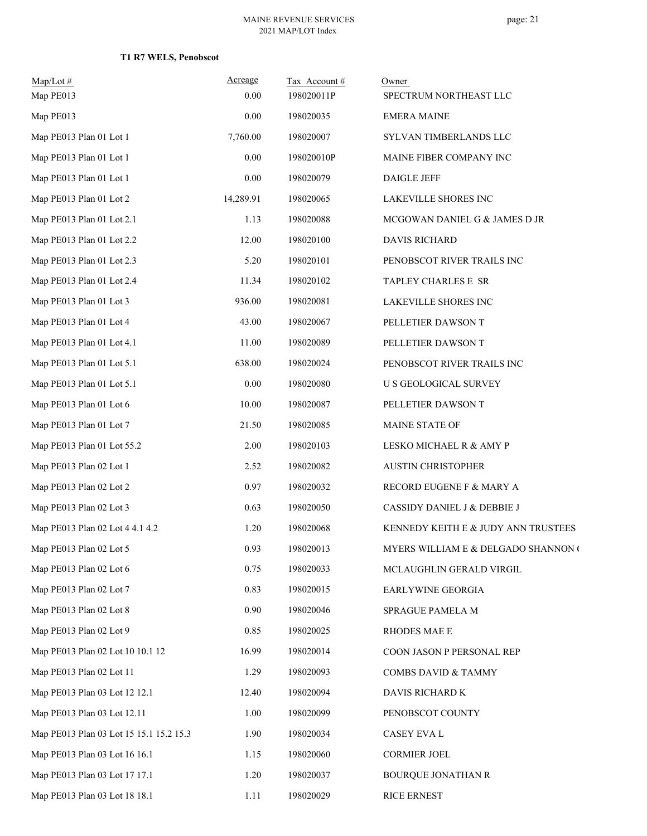| Map/Lot #<br>Map PE013                  | Acreage<br>0.00 | Tax Account#<br>198020011P | Owner<br>SPECTRUM NORTHEAST LLC     |
|-----------------------------------------|-----------------|----------------------------|-------------------------------------|
| Map PE013                               | 0.00            | 198020035                  | <b>EMERA MAINE</b>                  |
| Map PE013 Plan 01 Lot 1                 | 7,760.00        | 198020007                  | SYLVAN TIMBERLANDS LLC              |
| Map PE013 Plan 01 Lot 1                 | 0.00            | 198020010P                 | MAINE FIBER COMPANY INC             |
| Map PE013 Plan 01 Lot 1                 | 0.00            | 198020079                  | <b>DAIGLE JEFF</b>                  |
| Map PE013 Plan 01 Lot 2                 | 14,289.91       | 198020065                  | LAKEVILLE SHORES INC                |
| Map PE013 Plan 01 Lot 2.1               | 1.13            | 198020088                  | MCGOWAN DANIEL G & JAMES D JR       |
| Map PE013 Plan 01 Lot 2.2               | 12.00           | 198020100                  | <b>DAVIS RICHARD</b>                |
| Map PE013 Plan 01 Lot 2.3               | 5.20            | 198020101                  | PENOBSCOT RIVER TRAILS INC          |
| Map PE013 Plan 01 Lot 2.4               | 11.34           | 198020102                  | TAPLEY CHARLES E SR                 |
| Map PE013 Plan 01 Lot 3                 | 936.00          | 198020081                  | LAKEVILLE SHORES INC                |
| Map PE013 Plan 01 Lot 4                 | 43.00           | 198020067                  | PELLETIER DAWSON T                  |
| Map PE013 Plan 01 Lot 4.1               | 11.00           | 198020089                  | PELLETIER DAWSON T                  |
| Map PE013 Plan 01 Lot 5.1               | 638.00          | 198020024                  | PENOBSCOT RIVER TRAILS INC          |
| Map PE013 Plan 01 Lot 5.1               | $0.00\,$        | 198020080                  | <b>U S GEOLOGICAL SURVEY</b>        |
| Map PE013 Plan 01 Lot 6                 | 10.00           | 198020087                  | PELLETIER DAWSON T                  |
| Map PE013 Plan 01 Lot 7                 | 21.50           | 198020085                  | MAINE STATE OF                      |
| Map PE013 Plan 01 Lot 55.2              | 2.00            | 198020103                  | LESKO MICHAEL R & AMY P             |
| Map PE013 Plan 02 Lot 1                 | 2.52            | 198020082                  | <b>AUSTIN CHRISTOPHER</b>           |
| Map PE013 Plan 02 Lot 2                 | 0.97            | 198020032                  | RECORD EUGENE F & MARY A            |
| Map PE013 Plan 02 Lot 3                 | 0.63            | 198020050                  | CASSIDY DANIEL J & DEBBIE J         |
| Map PE013 Plan 02 Lot 4 4.1 4.2         | 1.20            | 198020068                  | KENNEDY KEITH E & JUDY ANN TRUSTEES |
| Map PE013 Plan 02 Lot 5                 | 0.93            | 198020013                  | MYERS WILLIAM E & DELGADO SHANNON ( |
| Map PE013 Plan 02 Lot 6                 | 0.75            | 198020033                  | MCLAUGHLIN GERALD VIRGIL            |
| Map PE013 Plan 02 Lot 7                 | 0.83            | 198020015                  | EARLYWINE GEORGIA                   |
| Map PE013 Plan 02 Lot 8                 | 0.90            | 198020046                  | SPRAGUE PAMELA M                    |
| Map PE013 Plan 02 Lot 9                 | 0.85            | 198020025                  | RHODES MAE E                        |
| Map PE013 Plan 02 Lot 10 10.1 12        | 16.99           | 198020014                  | COON JASON P PERSONAL REP           |
| Map PE013 Plan 02 Lot 11                | 1.29            | 198020093                  | COMBS DAVID & TAMMY                 |
| Map PE013 Plan 03 Lot 12 12.1           | 12.40           | 198020094                  | DAVIS RICHARD K                     |
| Map PE013 Plan 03 Lot 12.11             | 1.00            | 198020099                  | PENOBSCOT COUNTY                    |
| Map PE013 Plan 03 Lot 15 15.1 15.2 15.3 | 1.90            | 198020034                  | CASEY EVA L                         |
| Map PE013 Plan 03 Lot 16 16.1           | 1.15            | 198020060                  | <b>CORMIER JOEL</b>                 |
| Map PE013 Plan 03 Lot 17 17.1           | 1.20            | 198020037                  | <b>BOURQUE JONATHAN R</b>           |
| Map PE013 Plan 03 Lot 18 18.1           | 1.11            | 198020029                  | RICE ERNEST                         |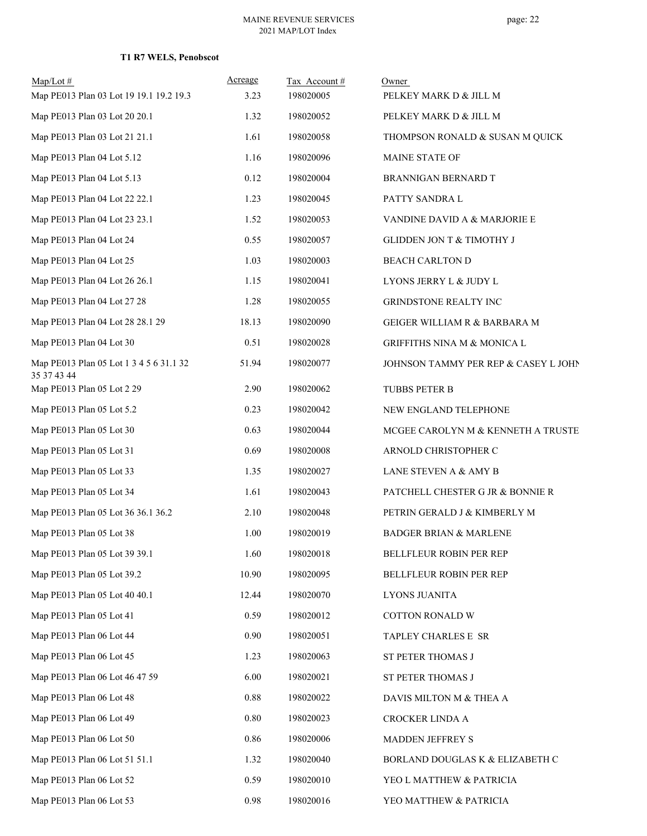| $Map/Lot \#$<br>Map PE013 Plan 03 Lot 19 19.1 19.2 19.3 | Acreage<br>3.23 | Tax Account#<br>198020005 | Owner<br>PELKEY MARK D & JILL M      |
|---------------------------------------------------------|-----------------|---------------------------|--------------------------------------|
| Map PE013 Plan 03 Lot 20 20.1                           | 1.32            | 198020052                 | PELKEY MARK D & JILL M               |
| Map PE013 Plan 03 Lot 21 21.1                           | 1.61            | 198020058                 | THOMPSON RONALD & SUSAN M QUICK      |
| Map PE013 Plan 04 Lot 5.12                              | 1.16            | 198020096                 | MAINE STATE OF                       |
| Map PE013 Plan 04 Lot 5.13                              | 0.12            | 198020004                 | BRANNIGAN BERNARD T                  |
| Map PE013 Plan 04 Lot 22 22.1                           | 1.23            | 198020045                 | PATTY SANDRA L                       |
| Map PE013 Plan 04 Lot 23 23.1                           | 1.52            | 198020053                 | VANDINE DAVID A & MARJORIE E         |
| Map PE013 Plan 04 Lot 24                                | 0.55            | 198020057                 | GLIDDEN JON T & TIMOTHY J            |
| Map PE013 Plan 04 Lot 25                                | 1.03            | 198020003                 | <b>BEACH CARLTON D</b>               |
| Map PE013 Plan 04 Lot 26 26.1                           | 1.15            | 198020041                 | LYONS JERRY L & JUDY L               |
| Map PE013 Plan 04 Lot 27 28                             | 1.28            | 198020055                 | GRINDSTONE REALTY INC                |
| Map PE013 Plan 04 Lot 28 28.1 29                        | 18.13           | 198020090                 | GEIGER WILLIAM R & BARBARA M         |
| Map PE013 Plan 04 Lot 30                                | 0.51            | 198020028                 | GRIFFITHS NINA M $\&$ MONICA L       |
| Map PE013 Plan 05 Lot 1 3 4 5 6 31.1 32<br>35 37 43 44  | 51.94           | 198020077                 | JOHNSON TAMMY PER REP & CASEY L JOHN |
| Map PE013 Plan 05 Lot 2 29                              | 2.90            | 198020062                 | TUBBS PETER B                        |
| Map PE013 Plan 05 Lot 5.2                               | 0.23            | 198020042                 | NEW ENGLAND TELEPHONE                |
| Map PE013 Plan 05 Lot 30                                | 0.63            | 198020044                 | MCGEE CAROLYN M & KENNETH A TRUSTE   |
| Map PE013 Plan 05 Lot 31                                | 0.69            | 198020008                 | ARNOLD CHRISTOPHER C                 |
| Map PE013 Plan 05 Lot 33                                | 1.35            | 198020027                 | LANE STEVEN A & AMY B                |
| Map PE013 Plan 05 Lot 34                                | 1.61            | 198020043                 | PATCHELL CHESTER G JR & BONNIE R     |
| Map PE013 Plan 05 Lot 36 36.1 36.2                      | 2.10            | 198020048                 | PETRIN GERALD J & KIMBERLY M         |
| Map PE013 Plan 05 Lot 38                                | 1.00            | 198020019                 | <b>BADGER BRIAN &amp; MARLENE</b>    |
| Map PE013 Plan 05 Lot 39 39.1                           | 1.60            | 198020018                 | BELLFLEUR ROBIN PER REP              |
| Map PE013 Plan 05 Lot 39.2                              | 10.90           | 198020095                 | BELLFLEUR ROBIN PER REP              |
| Map PE013 Plan 05 Lot 40 40.1                           | 12.44           | 198020070                 | LYONS JUANITA                        |
| Map PE013 Plan 05 Lot 41                                | 0.59            | 198020012                 | COTTON RONALD W                      |
| Map PE013 Plan 06 Lot 44                                | 0.90            | 198020051                 | TAPLEY CHARLES E SR                  |
| Map PE013 Plan 06 Lot 45                                | 1.23            | 198020063                 | ST PETER THOMAS J                    |
| Map PE013 Plan 06 Lot 46 47 59                          | 6.00            | 198020021                 | ST PETER THOMAS J                    |
| Map PE013 Plan 06 Lot 48                                | 0.88            | 198020022                 | DAVIS MILTON M & THEA A              |
| Map PE013 Plan 06 Lot 49                                | 0.80            | 198020023                 | CROCKER LINDA A                      |
| Map PE013 Plan 06 Lot 50                                | 0.86            | 198020006                 | MADDEN JEFFREY S                     |
| Map PE013 Plan 06 Lot 51 51.1                           | 1.32            | 198020040                 | BORLAND DOUGLAS K & ELIZABETH C      |
| Map PE013 Plan 06 Lot 52                                | 0.59            | 198020010                 | YEO L MATTHEW & PATRICIA             |
| Map PE013 Plan 06 Lot 53                                | 0.98            | 198020016                 | YEO MATTHEW & PATRICIA               |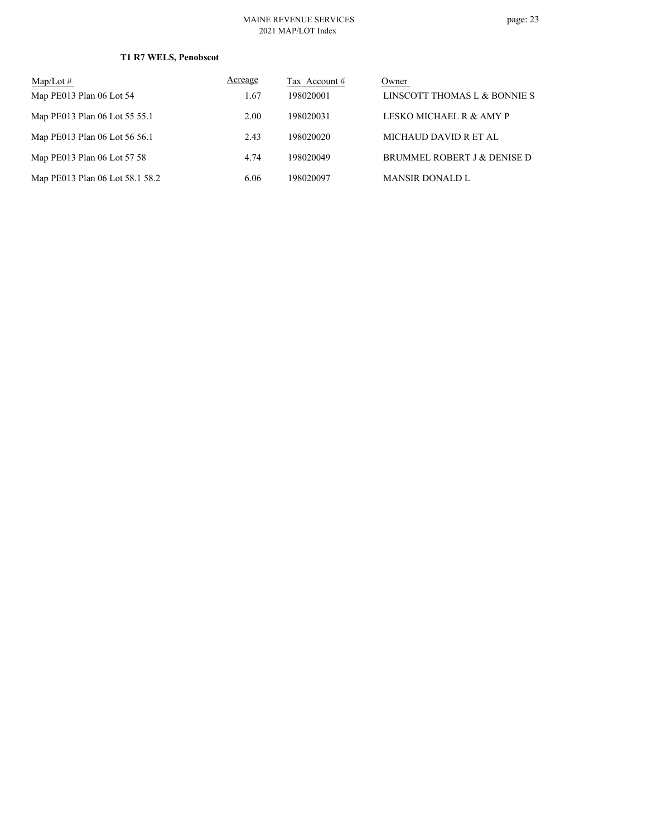#### MAINE REVENUE SERVICES 2021 MAP/LOT Index

| $Map/Lot \#$                    | Acreage | Tax Account # | Owner                        |
|---------------------------------|---------|---------------|------------------------------|
| Map PE013 Plan 06 Lot 54        | 1.67    | 198020001     | LINSCOTT THOMAS L & BONNIE S |
| Map PE013 Plan 06 Lot 55 55.1   | 2.00    | 198020031     | LESKO MICHAEL R & AMY P      |
| Map PE013 Plan 06 Lot 56 56.1   | 2.43    | 198020020     | MICHAUD DAVID R ET AL        |
| Map PE013 Plan 06 Lot 57 58     | 4.74    | 198020049     | BRUMMEL ROBERT J & DENISE D  |
| Map PE013 Plan 06 Lot 58.1 58.2 | 6.06    | 198020097     | <b>MANSIR DONALD L</b>       |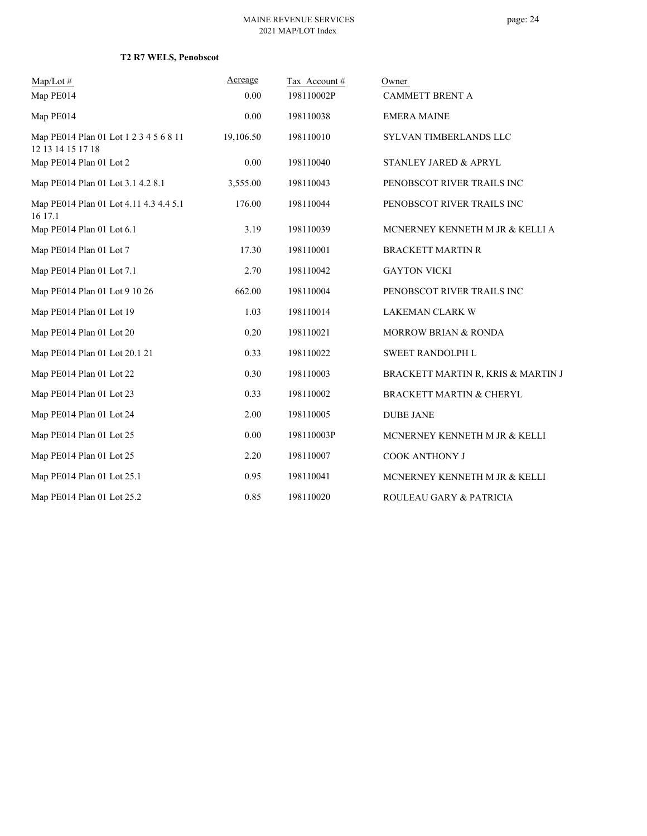| $Map/Lot \#$                                                | Acreage   | Tax Account# | Owner                              |
|-------------------------------------------------------------|-----------|--------------|------------------------------------|
| Map PE014                                                   | 0.00      | 198110002P   | <b>CAMMETT BRENT A</b>             |
| Map PE014                                                   | 0.00      | 198110038    | <b>EMERA MAINE</b>                 |
| Map PE014 Plan 01 Lot 1 2 3 4 5 6 8 11<br>12 13 14 15 17 18 | 19,106.50 | 198110010    | SYLVAN TIMBERLANDS LLC             |
| Map PE014 Plan 01 Lot 2                                     | 0.00      | 198110040    | STANLEY JARED & APRYL              |
| Map PE014 Plan 01 Lot 3.1 4.2 8.1                           | 3,555.00  | 198110043    | PENOBSCOT RIVER TRAILS INC         |
| Map PE014 Plan 01 Lot 4.11 4.3 4.4 5.1<br>16 17.1           | 176.00    | 198110044    | PENOBSCOT RIVER TRAILS INC         |
| Map PE014 Plan 01 Lot 6.1                                   | 3.19      | 198110039    | MCNERNEY KENNETH M JR & KELLI A    |
| Map PE014 Plan 01 Lot 7                                     | 17.30     | 198110001    | <b>BRACKETT MARTIN R</b>           |
| Map PE014 Plan 01 Lot 7.1                                   | 2.70      | 198110042    | <b>GAYTON VICKI</b>                |
| Map PE014 Plan 01 Lot 9 10 26                               | 662.00    | 198110004    | PENOBSCOT RIVER TRAILS INC         |
| Map PE014 Plan 01 Lot 19                                    | 1.03      | 198110014    | LAKEMAN CLARK W                    |
| Map PE014 Plan 01 Lot 20                                    | 0.20      | 198110021    | <b>MORROW BRIAN &amp; RONDA</b>    |
| Map PE014 Plan 01 Lot 20.1 21                               | 0.33      | 198110022    | <b>SWEET RANDOLPH L</b>            |
| Map PE014 Plan 01 Lot 22                                    | 0.30      | 198110003    | BRACKETT MARTIN R, KRIS & MARTIN J |
| Map PE014 Plan 01 Lot 23                                    | 0.33      | 198110002    | BRACKETT MARTIN & CHERYL           |
| Map PE014 Plan 01 Lot 24                                    | 2.00      | 198110005    | <b>DUBE JANE</b>                   |
| Map PE014 Plan 01 Lot 25                                    | 0.00      | 198110003P   | MCNERNEY KENNETH M JR & KELLI      |
| Map PE014 Plan 01 Lot 25                                    | 2.20      | 198110007    | COOK ANTHONY J                     |
| Map PE014 Plan 01 Lot 25.1                                  | 0.95      | 198110041    | MCNERNEY KENNETH M JR & KELLI      |
| Map PE014 Plan 01 Lot 25.2                                  | 0.85      | 198110020    | ROULEAU GARY & PATRICIA            |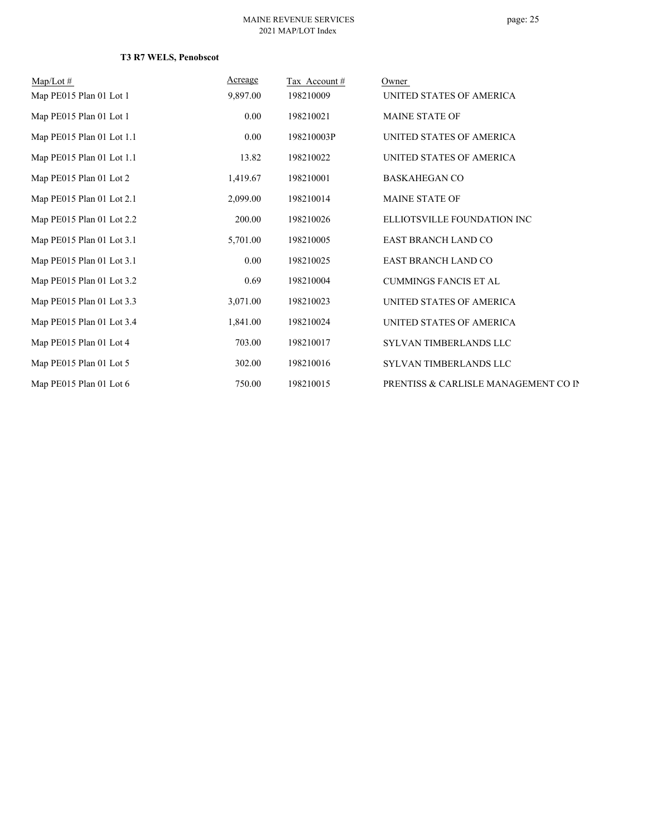| $Map/Lot \#$              | Acreage  | Tax Account# | Owner                                |
|---------------------------|----------|--------------|--------------------------------------|
| Map PE015 Plan 01 Lot 1   | 9,897.00 | 198210009    | UNITED STATES OF AMERICA             |
| Map PE015 Plan 01 Lot 1   | 0.00     | 198210021    | <b>MAINE STATE OF</b>                |
| Map PE015 Plan 01 Lot 1.1 | 0.00     | 198210003P   | UNITED STATES OF AMERICA             |
| Map PE015 Plan 01 Lot 1.1 | 13.82    | 198210022    | UNITED STATES OF AMERICA             |
| Map PE015 Plan 01 Lot 2   | 1,419.67 | 198210001    | <b>BASKAHEGAN CO</b>                 |
| Map PE015 Plan 01 Lot 2.1 | 2,099.00 | 198210014    | <b>MAINE STATE OF</b>                |
| Map PE015 Plan 01 Lot 2.2 | 200.00   | 198210026    | ELLIOTSVILLE FOUNDATION INC          |
| Map PE015 Plan 01 Lot 3.1 | 5,701.00 | 198210005    | <b>EAST BRANCH LAND CO</b>           |
| Map PE015 Plan 01 Lot 3.1 | 0.00     | 198210025    | <b>EAST BRANCH LAND CO</b>           |
| Map PE015 Plan 01 Lot 3.2 | 0.69     | 198210004    | <b>CUMMINGS FANCIS ET AL</b>         |
| Map PE015 Plan 01 Lot 3.3 | 3,071.00 | 198210023    | UNITED STATES OF AMERICA             |
| Map PE015 Plan 01 Lot 3.4 | 1,841.00 | 198210024    | UNITED STATES OF AMERICA             |
| Map PE015 Plan 01 Lot 4   | 703.00   | 198210017    | SYLVAN TIMBERLANDS LLC               |
| Map PE015 Plan 01 Lot 5   | 302.00   | 198210016    | SYLVAN TIMBERLANDS LLC               |
| Map PE015 Plan 01 Lot 6   | 750.00   | 198210015    | PRENTISS & CARLISLE MANAGEMENT CO IN |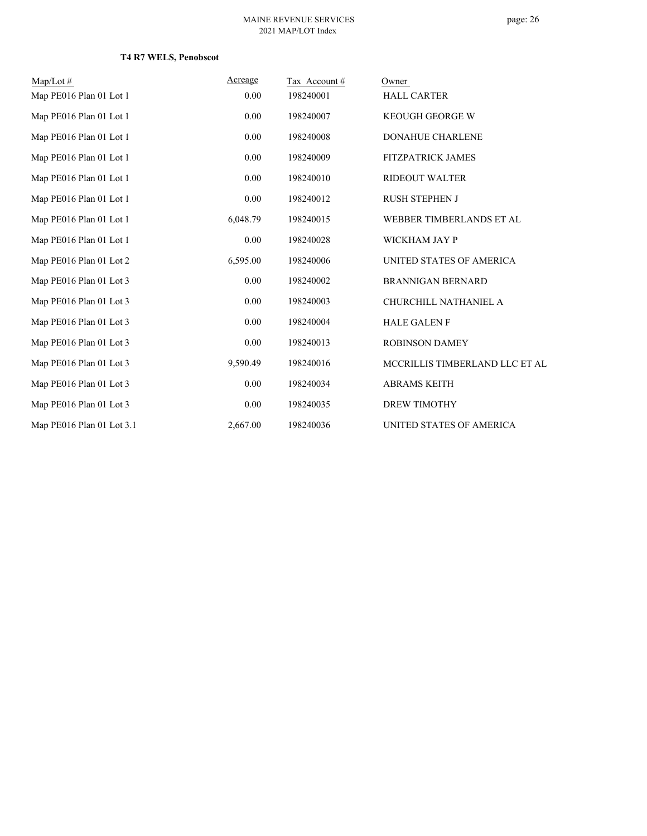| $Map/Lot \#$              | Acreage  | Tax Account# | Owner                          |
|---------------------------|----------|--------------|--------------------------------|
| Map PE016 Plan 01 Lot 1   | 0.00     | 198240001    | <b>HALL CARTER</b>             |
| Map PE016 Plan 01 Lot 1   | 0.00     | 198240007    | <b>KEOUGH GEORGE W</b>         |
| Map PE016 Plan 01 Lot 1   | 0.00     | 198240008    | <b>DONAHUE CHARLENE</b>        |
| Map PE016 Plan 01 Lot 1   | 0.00     | 198240009    | <b>FITZPATRICK JAMES</b>       |
| Map PE016 Plan 01 Lot 1   | 0.00     | 198240010    | <b>RIDEOUT WALTER</b>          |
| Map PE016 Plan 01 Lot 1   | 0.00     | 198240012    | <b>RUSH STEPHEN J</b>          |
| Map PE016 Plan 01 Lot 1   | 6,048.79 | 198240015    | WEBBER TIMBERLANDS ET AL       |
| Map PE016 Plan 01 Lot 1   | 0.00     | 198240028    | WICKHAM JAY P                  |
| Map PE016 Plan 01 Lot 2   | 6,595.00 | 198240006    | UNITED STATES OF AMERICA       |
| Map PE016 Plan 01 Lot 3   | 0.00     | 198240002    | <b>BRANNIGAN BERNARD</b>       |
| Map PE016 Plan 01 Lot 3   | 0.00     | 198240003    | CHURCHILL NATHANIEL A          |
| Map PE016 Plan 01 Lot 3   | 0.00     | 198240004    | <b>HALE GALEN F</b>            |
| Map PE016 Plan 01 Lot 3   | 0.00     | 198240013    | <b>ROBINSON DAMEY</b>          |
| Map PE016 Plan 01 Lot 3   | 9,590.49 | 198240016    | MCCRILLIS TIMBERLAND LLC ET AL |
| Map PE016 Plan 01 Lot 3   | 0.00     | 198240034    | <b>ABRAMS KEITH</b>            |
| Map PE016 Plan 01 Lot 3   | 0.00     | 198240035    | <b>DREW TIMOTHY</b>            |
| Map PE016 Plan 01 Lot 3.1 | 2,667.00 | 198240036    | UNITED STATES OF AMERICA       |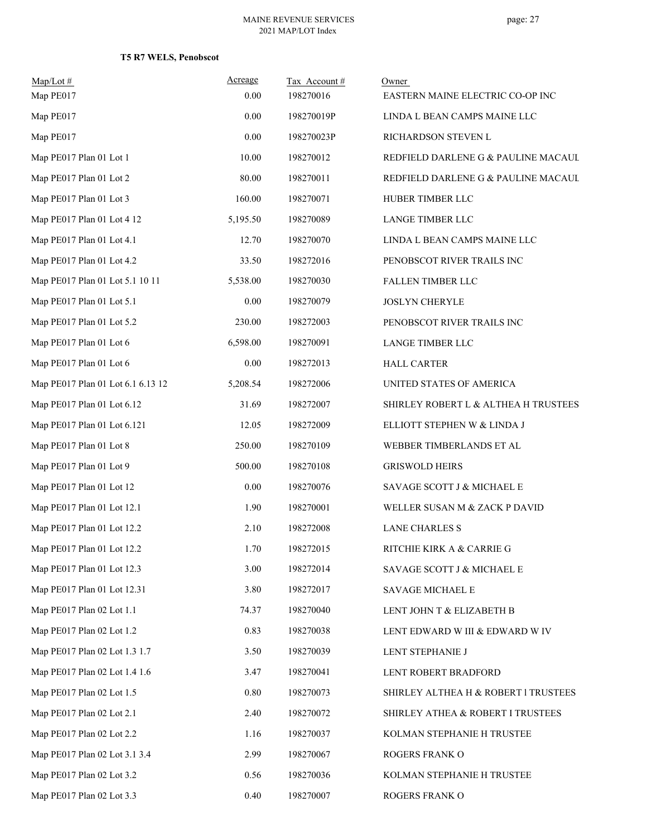| Map/Lot#<br>Map PE017             | Acreage<br>0.00 | Tax Account#<br>198270016 | Owner<br>EASTERN MAINE ELECTRIC CO-OP INC |
|-----------------------------------|-----------------|---------------------------|-------------------------------------------|
| Map PE017                         | 0.00            | 198270019P                | LINDA L BEAN CAMPS MAINE LLC              |
| Map PE017                         | 0.00            | 198270023P                | RICHARDSON STEVEN L                       |
| Map PE017 Plan 01 Lot 1           | 10.00           | 198270012                 | REDFIELD DARLENE G & PAULINE MACAUL       |
| Map PE017 Plan 01 Lot 2           | 80.00           | 198270011                 | REDFIELD DARLENE G & PAULINE MACAUL       |
| Map PE017 Plan 01 Lot 3           | 160.00          | 198270071                 | HUBER TIMBER LLC                          |
| Map PE017 Plan 01 Lot 4 12        | 5,195.50        | 198270089                 | <b>LANGE TIMBER LLC</b>                   |
| Map PE017 Plan 01 Lot 4.1         | 12.70           | 198270070                 | LINDA L BEAN CAMPS MAINE LLC              |
| Map PE017 Plan 01 Lot 4.2         | 33.50           | 198272016                 | PENOBSCOT RIVER TRAILS INC                |
| Map PE017 Plan 01 Lot 5.1 10 11   | 5,538.00        | 198270030                 | FALLEN TIMBER LLC                         |
| Map PE017 Plan 01 Lot 5.1         | 0.00            | 198270079                 | <b>JOSLYN CHERYLE</b>                     |
| Map PE017 Plan 01 Lot 5.2         | 230.00          | 198272003                 | PENOBSCOT RIVER TRAILS INC                |
| Map PE017 Plan 01 Lot 6           | 6,598.00        | 198270091                 | <b>LANGE TIMBER LLC</b>                   |
| Map PE017 Plan 01 Lot 6           | 0.00            | 198272013                 | <b>HALL CARTER</b>                        |
| Map PE017 Plan 01 Lot 6.1 6.13 12 | 5,208.54        | 198272006                 | UNITED STATES OF AMERICA                  |
| Map PE017 Plan 01 Lot 6.12        | 31.69           | 198272007                 | SHIRLEY ROBERT L & ALTHEA H TRUSTEES      |
| Map PE017 Plan 01 Lot 6.121       | 12.05           | 198272009                 | ELLIOTT STEPHEN W & LINDA J               |
| Map PE017 Plan 01 Lot 8           | 250.00          | 198270109                 | WEBBER TIMBERLANDS ET AL                  |
| Map PE017 Plan 01 Lot 9           | 500.00          | 198270108                 | <b>GRISWOLD HEIRS</b>                     |
| Map PE017 Plan 01 Lot 12          | 0.00            | 198270076                 | SAVAGE SCOTT J & MICHAEL E                |
| Map PE017 Plan 01 Lot 12.1        | 1.90            | 198270001                 | WELLER SUSAN M & ZACK P DAVID             |
| Map PE017 Plan 01 Lot 12.2        | 2.10            | 198272008                 | <b>LANE CHARLES S</b>                     |
| Map PE017 Plan 01 Lot 12.2        | 1.70            | 198272015                 | RITCHIE KIRK A & CARRIE G                 |
| Map PE017 Plan 01 Lot 12.3        | 3.00            | 198272014                 | SAVAGE SCOTT J & MICHAEL E                |
| Map PE017 Plan 01 Lot 12.31       | 3.80            | 198272017                 | SAVAGE MICHAEL E                          |
| Map PE017 Plan 02 Lot 1.1         | 74.37           | 198270040                 | LENT JOHN T & ELIZABETH B                 |
| Map PE017 Plan 02 Lot 1.2         | 0.83            | 198270038                 | LENT EDWARD W III & EDWARD W IV           |
| Map PE017 Plan 02 Lot 1.3 1.7     | 3.50            | 198270039                 | LENT STEPHANIE J                          |
| Map PE017 Plan 02 Lot 1.4 1.6     | 3.47            | 198270041                 | LENT ROBERT BRADFORD                      |
| Map PE017 Plan 02 Lot 1.5         | 0.80            | 198270073                 | SHIRLEY ALTHEA H & ROBERT I TRUSTEES      |
| Map PE017 Plan 02 Lot 2.1         | 2.40            | 198270072                 | SHIRLEY ATHEA & ROBERT I TRUSTEES         |
| Map PE017 Plan 02 Lot 2.2         | 1.16            | 198270037                 | KOLMAN STEPHANIE H TRUSTEE                |
| Map PE017 Plan 02 Lot 3.1 3.4     | 2.99            | 198270067                 | ROGERS FRANK O                            |
| Map PE017 Plan 02 Lot 3.2         | 0.56            | 198270036                 | KOLMAN STEPHANIE H TRUSTEE                |
| Map PE017 Plan 02 Lot 3.3         | 0.40            | 198270007                 | ROGERS FRANK O                            |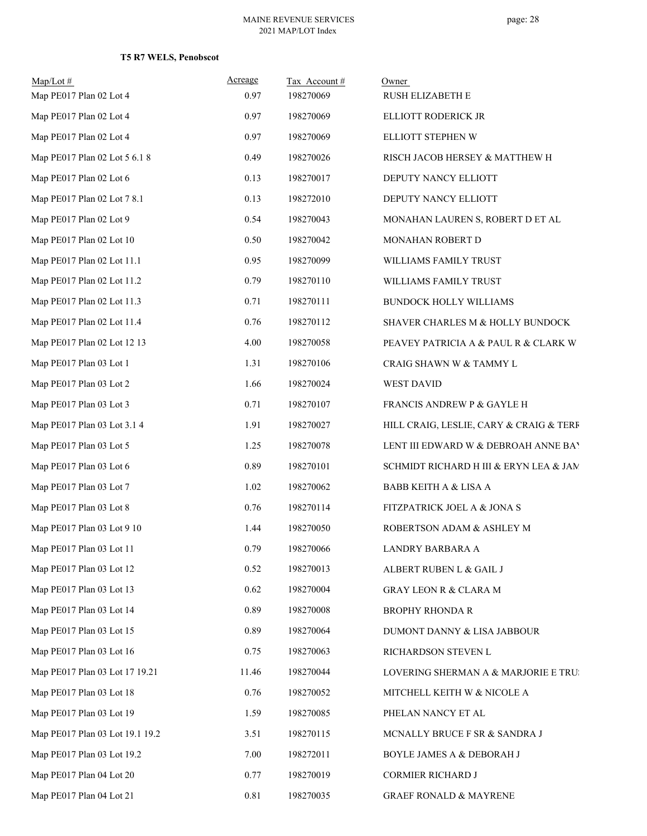| $Map/Lot \#$<br>Map PE017 Plan 02 Lot 4 | Acreage<br>0.97 | Tax Account#<br>198270069 | Owner<br>RUSH ELIZABETH E               |
|-----------------------------------------|-----------------|---------------------------|-----------------------------------------|
| Map PE017 Plan 02 Lot 4                 | 0.97            | 198270069                 | ELLIOTT RODERICK JR                     |
| Map PE017 Plan 02 Lot 4                 | 0.97            | 198270069                 | ELLIOTT STEPHEN W                       |
| Map PE017 Plan 02 Lot 5 6.1 8           | 0.49            | 198270026                 | RISCH JACOB HERSEY & MATTHEW H          |
| Map PE017 Plan 02 Lot 6                 | 0.13            | 198270017                 | DEPUTY NANCY ELLIOTT                    |
| Map PE017 Plan 02 Lot 7 8.1             | 0.13            | 198272010                 | DEPUTY NANCY ELLIOTT                    |
| Map PE017 Plan 02 Lot 9                 | 0.54            | 198270043                 | MONAHAN LAUREN S, ROBERT D ET AL        |
| Map PE017 Plan 02 Lot 10                | 0.50            | 198270042                 | MONAHAN ROBERT D                        |
| Map PE017 Plan 02 Lot 11.1              | 0.95            | 198270099                 | WILLIAMS FAMILY TRUST                   |
| Map PE017 Plan 02 Lot 11.2              | 0.79            | 198270110                 | WILLIAMS FAMILY TRUST                   |
| Map PE017 Plan 02 Lot 11.3              | 0.71            | 198270111                 | BUNDOCK HOLLY WILLIAMS                  |
| Map PE017 Plan 02 Lot 11.4              | 0.76            | 198270112                 | SHAVER CHARLES M & HOLLY BUNDOCK        |
| Map PE017 Plan 02 Lot 12 13             | 4.00            | 198270058                 | PEAVEY PATRICIA A & PAUL R & CLARK W    |
| Map PE017 Plan 03 Lot 1                 | 1.31            | 198270106                 | CRAIG SHAWN W & TAMMY L                 |
| Map PE017 Plan 03 Lot 2                 | 1.66            | 198270024                 | WEST DAVID                              |
| Map PE017 Plan 03 Lot 3                 | 0.71            | 198270107                 | FRANCIS ANDREW P & GAYLE H              |
| Map PE017 Plan 03 Lot 3.1 4             | 1.91            | 198270027                 | HILL CRAIG, LESLIE, CARY & CRAIG & TERF |
| Map PE017 Plan 03 Lot 5                 | 1.25            | 198270078                 | LENT III EDWARD W & DEBROAH ANNE BAY    |
| Map PE017 Plan 03 Lot 6                 | 0.89            | 198270101                 | SCHMIDT RICHARD H III & ERYN LEA & JAM  |
| Map PE017 Plan 03 Lot 7                 | 1.02            | 198270062                 | <b>BABB KEITH A &amp; LISA A</b>        |
| Map PE017 Plan 03 Lot 8                 | 0.76            | 198270114                 | FITZPATRICK JOEL A & JONA S             |
| Map PE017 Plan 03 Lot 9 10              | 1.44            | 198270050                 | ROBERTSON ADAM & ASHLEY M               |
| Map PE017 Plan 03 Lot 11                | 0.79            | 198270066                 | LANDRY BARBARA A                        |
| Map PE017 Plan 03 Lot 12                | 0.52            | 198270013                 | ALBERT RUBEN L & GAIL J                 |
| Map PE017 Plan 03 Lot 13                | 0.62            | 198270004                 | <b>GRAY LEON R &amp; CLARA M</b>        |
| Map PE017 Plan 03 Lot 14                | 0.89            | 198270008                 | <b>BROPHY RHONDA R</b>                  |
| Map PE017 Plan 03 Lot 15                | 0.89            | 198270064                 | DUMONT DANNY & LISA JABBOUR             |
| Map PE017 Plan 03 Lot 16                | 0.75            | 198270063                 | RICHARDSON STEVEN L                     |
| Map PE017 Plan 03 Lot 17 19.21          | 11.46           | 198270044                 | LOVERING SHERMAN A & MARJORIE E TRU:    |
| Map PE017 Plan 03 Lot 18                | 0.76            | 198270052                 | MITCHELL KEITH W & NICOLE A             |
| Map PE017 Plan 03 Lot 19                | 1.59            | 198270085                 | PHELAN NANCY ET AL                      |
| Map PE017 Plan 03 Lot 19.1 19.2         | 3.51            | 198270115                 | MCNALLY BRUCE F SR & SANDRA J           |
| Map PE017 Plan 03 Lot 19.2              | 7.00            | 198272011                 | BOYLE JAMES A & DEBORAH J               |
| Map PE017 Plan 04 Lot 20                | 0.77            | 198270019                 | CORMIER RICHARD J                       |
| Map PE017 Plan 04 Lot 21                | $0.81\,$        | 198270035                 | <b>GRAEF RONALD &amp; MAYRENE</b>       |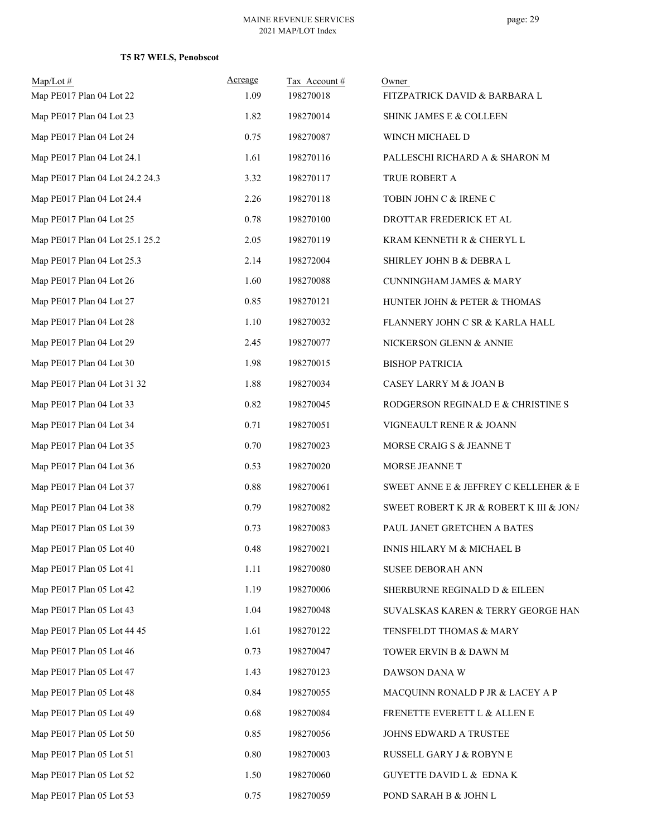| $Map/Lot \#$<br>Map PE017 Plan 04 Lot 22 | Acreage<br>1.09 | Tax Account#<br>198270018 | Owner<br>FITZPATRICK DAVID & BARBARA L  |
|------------------------------------------|-----------------|---------------------------|-----------------------------------------|
| Map PE017 Plan 04 Lot 23                 | 1.82            | 198270014                 | SHINK JAMES E & COLLEEN                 |
| Map PE017 Plan 04 Lot 24                 | 0.75            | 198270087                 | WINCH MICHAEL D                         |
| Map PE017 Plan 04 Lot 24.1               | 1.61            | 198270116                 | PALLESCHI RICHARD A & SHARON M          |
| Map PE017 Plan 04 Lot 24.2 24.3          | 3.32            | 198270117                 | TRUE ROBERT A                           |
| Map PE017 Plan 04 Lot 24.4               | 2.26            | 198270118                 | TOBIN JOHN C & IRENE C                  |
| Map PE017 Plan 04 Lot 25                 | 0.78            | 198270100                 | DROTTAR FREDERICK ET AL                 |
| Map PE017 Plan 04 Lot 25.1 25.2          | 2.05            | 198270119                 | KRAM KENNETH R & CHERYL L               |
| Map PE017 Plan 04 Lot 25.3               | 2.14            | 198272004                 | SHIRLEY JOHN B & DEBRA L                |
| Map PE017 Plan 04 Lot 26                 | 1.60            | 198270088                 | <b>CUNNINGHAM JAMES &amp; MARY</b>      |
| Map PE017 Plan 04 Lot 27                 | 0.85            | 198270121                 | HUNTER JOHN & PETER & THOMAS            |
| Map PE017 Plan 04 Lot 28                 | 1.10            | 198270032                 | FLANNERY JOHN C SR & KARLA HALL         |
| Map PE017 Plan 04 Lot 29                 | 2.45            | 198270077                 | NICKERSON GLENN & ANNIE                 |
| Map PE017 Plan 04 Lot 30                 | 1.98            | 198270015                 | <b>BISHOP PATRICIA</b>                  |
| Map PE017 Plan 04 Lot 31 32              | 1.88            | 198270034                 | CASEY LARRY M & JOAN B                  |
| Map PE017 Plan 04 Lot 33                 | 0.82            | 198270045                 | RODGERSON REGINALD E & CHRISTINE S      |
| Map PE017 Plan 04 Lot 34                 | 0.71            | 198270051                 | VIGNEAULT RENE R & JOANN                |
| Map PE017 Plan 04 Lot 35                 | 0.70            | 198270023                 | MORSE CRAIG S & JEANNE T                |
| Map PE017 Plan 04 Lot 36                 | 0.53            | 198270020                 | MORSE JEANNE T                          |
| Map PE017 Plan 04 Lot 37                 | 0.88            | 198270061                 | SWEET ANNE E & JEFFREY C KELLEHER & E   |
| Map PE017 Plan 04 Lot 38                 | 0.79            | 198270082                 | SWEET ROBERT K JR & ROBERT K III & JON/ |
| Map PE017 Plan 05 Lot 39                 | 0.73            | 198270083                 | PAUL JANET GRETCHEN A BATES             |
| Map PE017 Plan 05 Lot 40                 | 0.48            | 198270021                 | INNIS HILARY M & MICHAEL B              |
| Map PE017 Plan 05 Lot 41                 | 1.11            | 198270080                 | <b>SUSEE DEBORAH ANN</b>                |
| Map PE017 Plan 05 Lot 42                 | 1.19            | 198270006                 | SHERBURNE REGINALD D & EILEEN           |
| Map PE017 Plan 05 Lot 43                 | 1.04            | 198270048                 | SUVALSKAS KAREN & TERRY GEORGE HAN      |
| Map PE017 Plan 05 Lot 44 45              | 1.61            | 198270122                 | TENSFELDT THOMAS & MARY                 |
| Map PE017 Plan 05 Lot 46                 | 0.73            | 198270047                 | TOWER ERVIN B & DAWN M                  |
| Map PE017 Plan 05 Lot 47                 | 1.43            | 198270123                 | DAWSON DANA W                           |
| Map PE017 Plan 05 Lot 48                 | 0.84            | 198270055                 | MACQUINN RONALD P JR & LACEY A P        |
| Map PE017 Plan 05 Lot 49                 | 0.68            | 198270084                 | FRENETTE EVERETT L & ALLEN E            |
| Map PE017 Plan 05 Lot 50                 | 0.85            | 198270056                 | JOHNS EDWARD A TRUSTEE                  |
| Map PE017 Plan 05 Lot 51                 | 0.80            | 198270003                 | RUSSELL GARY J & ROBYN E                |
| Map PE017 Plan 05 Lot 52                 | 1.50            | 198270060                 | <b>GUYETTE DAVID L &amp; EDNAK</b>      |
| Map PE017 Plan 05 Lot 53                 | 0.75            | 198270059                 | POND SARAH B & JOHN L                   |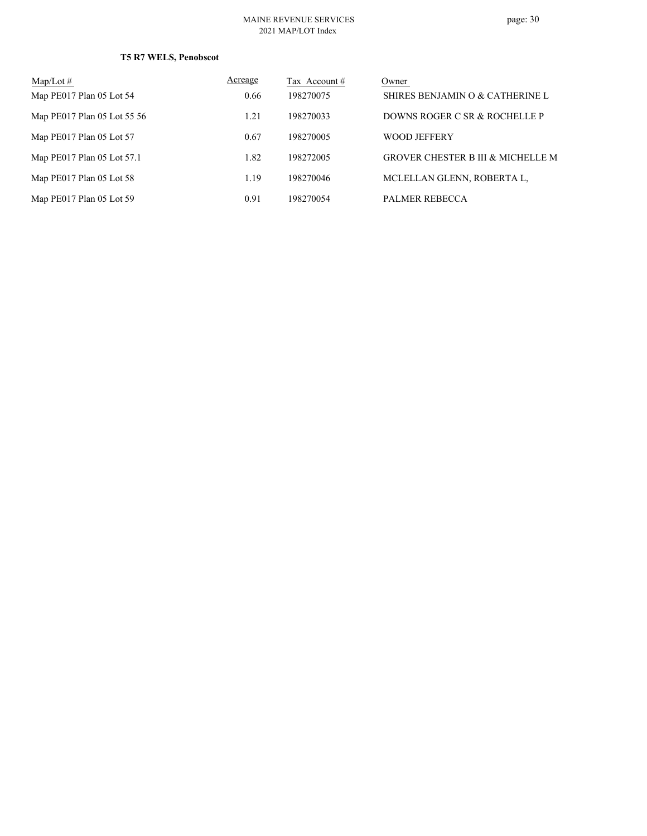#### MAINE REVENUE SERVICES 2021 MAP/LOT Index

| $Map/Lot \#$                | Acreage | Tax Account # | Owner                                        |
|-----------------------------|---------|---------------|----------------------------------------------|
| Map PE017 Plan 05 Lot 54    | 0.66    | 198270075     | SHIRES BENJAMIN O & CATHERINE L              |
| Map PE017 Plan 05 Lot 55 56 | 1.21    | 198270033     | DOWNS ROGER C SR & ROCHELLE P                |
| Map PE017 Plan 05 Lot 57    | 0.67    | 198270005     | <b>WOOD JEFFERY</b>                          |
| Map PE017 Plan 05 Lot 57.1  | 1.82    | 198272005     | <b>GROVER CHESTER B III &amp; MICHELLE M</b> |
| Map PE017 Plan 05 Lot 58    | 1.19    | 198270046     | MCLELLAN GLENN, ROBERTA L,                   |
| Map PE017 Plan 05 Lot 59    | 0.91    | 198270054     | PALMER REBECCA                               |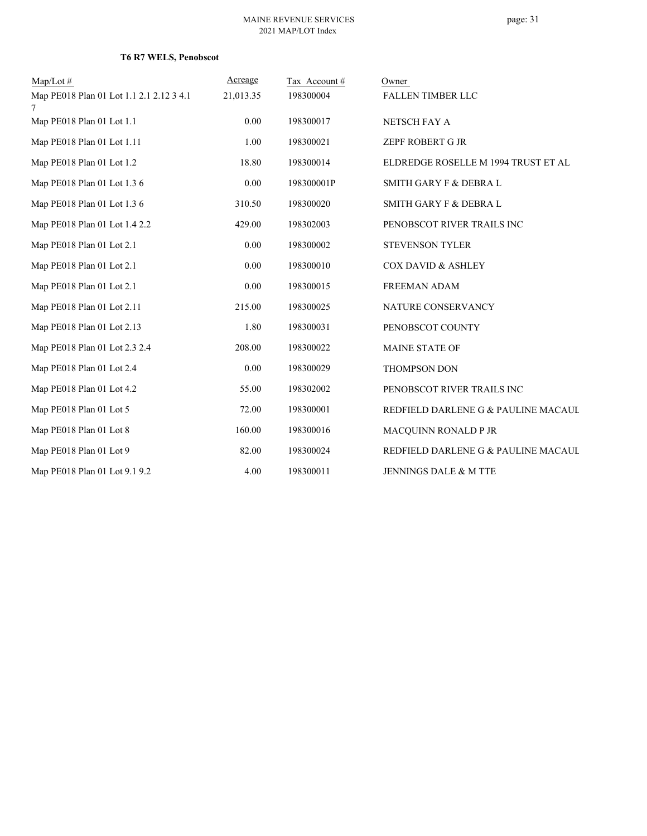| $Map/Lot \#$                                  | Acreage   | Tax Account# | Owner                               |
|-----------------------------------------------|-----------|--------------|-------------------------------------|
| Map PE018 Plan 01 Lot 1.1 2.1 2.12 3 4.1<br>7 | 21,013.35 | 198300004    | <b>FALLEN TIMBER LLC</b>            |
| Map PE018 Plan 01 Lot 1.1                     | 0.00      | 198300017    | NETSCH FAY A                        |
| Map PE018 Plan 01 Lot 1.11                    | 1.00      | 198300021    | ZEPF ROBERT G JR                    |
| Map PE018 Plan 01 Lot 1.2                     | 18.80     | 198300014    | ELDREDGE ROSELLE M 1994 TRUST ET AL |
| Map PE018 Plan 01 Lot 1.3 6                   | 0.00      | 198300001P   | SMITH GARY F & DEBRA L              |
| Map PE018 Plan 01 Lot 1.3 6                   | 310.50    | 198300020    | <b>SMITH GARY F &amp; DEBRA L</b>   |
| Map PE018 Plan 01 Lot 1.4 2.2                 | 429.00    | 198302003    | PENOBSCOT RIVER TRAILS INC          |
| Map PE018 Plan 01 Lot 2.1                     | 0.00      | 198300002    | <b>STEVENSON TYLER</b>              |
| Map PE018 Plan 01 Lot 2.1                     | 0.00      | 198300010    | COX DAVID & ASHLEY                  |
| Map PE018 Plan 01 Lot 2.1                     | 0.00      | 198300015    | <b>FREEMAN ADAM</b>                 |
| Map PE018 Plan 01 Lot 2.11                    | 215.00    | 198300025    | NATURE CONSERVANCY                  |
| Map PE018 Plan 01 Lot 2.13                    | 1.80      | 198300031    | PENOBSCOT COUNTY                    |
| Map PE018 Plan 01 Lot 2.3 2.4                 | 208.00    | 198300022    | MAINE STATE OF                      |
| Map PE018 Plan 01 Lot 2.4                     | 0.00      | 198300029    | <b>THOMPSON DON</b>                 |
| Map PE018 Plan 01 Lot 4.2                     | 55.00     | 198302002    | PENOBSCOT RIVER TRAILS INC          |
| Map PE018 Plan 01 Lot 5                       | 72.00     | 198300001    | REDFIELD DARLENE G & PAULINE MACAUL |
| Map PE018 Plan 01 Lot 8                       | 160.00    | 198300016    | MACQUINN RONALD P JR                |
| Map PE018 Plan 01 Lot 9                       | 82.00     | 198300024    | REDFIELD DARLENE G & PAULINE MACAUL |
| Map PE018 Plan 01 Lot 9.1 9.2                 | 4.00      | 198300011    | JENNINGS DALE & M TTE               |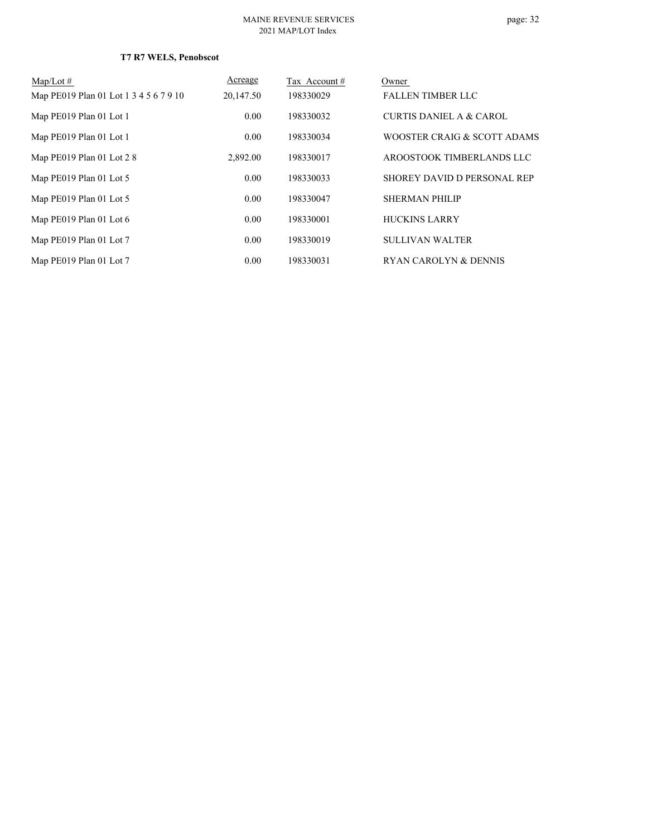# page: 32

| $Map/Lot \#$                           | Acreage   | Tax Account # | Owner                       |
|----------------------------------------|-----------|---------------|-----------------------------|
| Map PE019 Plan 01 Lot 1 3 4 5 6 7 9 10 | 20,147.50 | 198330029     | <b>FALLEN TIMBER LLC</b>    |
| Map PE019 Plan 01 Lot 1                | 0.00      | 198330032     | CURTIS DANIEL A & CAROL     |
| Map PE019 Plan 01 Lot 1                | 0.00      | 198330034     | WOOSTER CRAIG & SCOTT ADAMS |
| Map PE019 Plan 01 Lot 28               | 2,892.00  | 198330017     | AROOSTOOK TIMBERLANDS LLC   |
| Map PE019 Plan 01 Lot 5                | 0.00      | 198330033     | SHOREY DAVID D PERSONAL REP |
| Map PE019 Plan 01 Lot 5                | 0.00      | 198330047     | <b>SHERMAN PHILIP</b>       |
| Map PE019 Plan 01 Lot 6                | 0.00      | 198330001     | <b>HUCKINS LARRY</b>        |
| Map PE019 Plan 01 Lot 7                | 0.00      | 198330019     | <b>SULLIVAN WALTER</b>      |
| Map PE019 Plan 01 Lot 7                | 0.00      | 198330031     | RYAN CAROLYN & DENNIS       |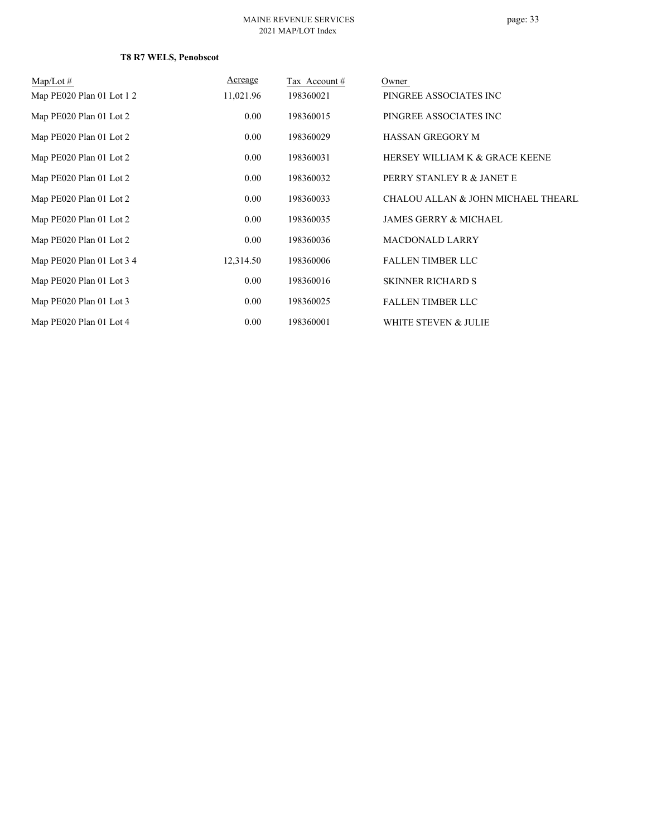| $Map/Lot \#$              | <u>Acreage</u> | Tax Account # | Owner                                         |
|---------------------------|----------------|---------------|-----------------------------------------------|
| Map PE020 Plan 01 Lot 1 2 | 11,021.96      | 198360021     | PINGREE ASSOCIATES INC                        |
| Map PE020 Plan 01 Lot 2   | 0.00           | 198360015     | PINGREE ASSOCIATES INC                        |
| Map PE020 Plan 01 Lot 2   | 0.00           | 198360029     | <b>HASSAN GREGORY M</b>                       |
| Map PE020 Plan 01 Lot 2   | 0.00           | 198360031     | HERSEY WILLIAM K & GRACE KEENE                |
| Map PE020 Plan 01 Lot 2   | 0.00           | 198360032     | PERRY STANLEY R & JANET E                     |
| Map PE020 Plan 01 Lot 2   | 0.00           | 198360033     | <b>CHALOU ALLAN &amp; JOHN MICHAEL THEARL</b> |
| Map PE020 Plan 01 Lot 2   | 0.00           | 198360035     | <b>JAMES GERRY &amp; MICHAEL</b>              |
| Map PE020 Plan 01 Lot 2   | 0.00           | 198360036     | <b>MACDONALD LARRY</b>                        |
| Map PE020 Plan 01 Lot 3 4 | 12,314.50      | 198360006     | <b>FALLEN TIMBER LLC</b>                      |
| Map PE020 Plan 01 Lot 3   | 0.00           | 198360016     | <b>SKINNER RICHARD S</b>                      |
| Map PE020 Plan 01 Lot 3   | 0.00           | 198360025     | <b>FALLEN TIMBER LLC</b>                      |
| Map PE020 Plan 01 Lot 4   | 0.00           | 198360001     | WHITE STEVEN & JULIE                          |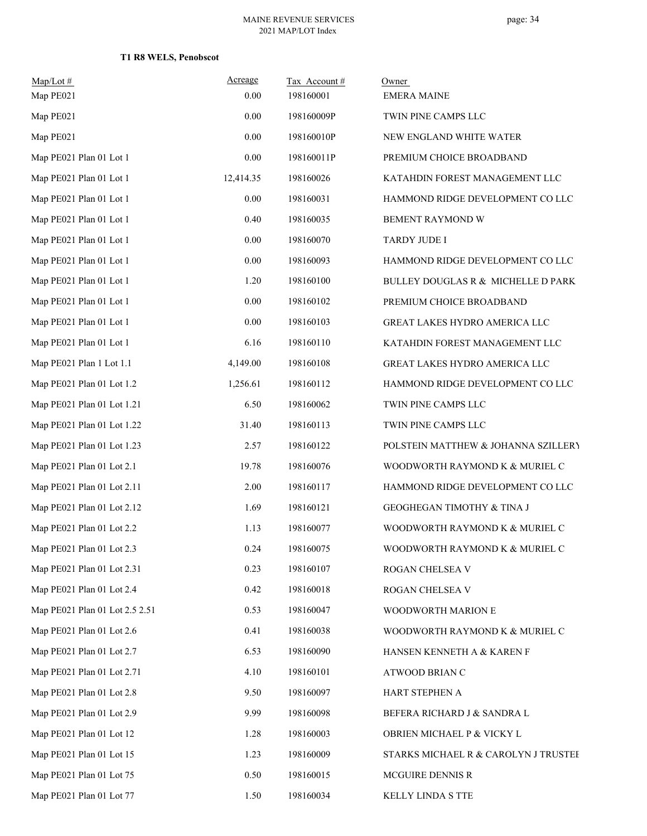| Map/Lot#<br>Map PE021          | Acreage<br>0.00 | Tax Account#<br>198160001 | Owner<br><b>EMERA MAINE</b>          |
|--------------------------------|-----------------|---------------------------|--------------------------------------|
| Map PE021                      | 0.00            | 198160009P                | TWIN PINE CAMPS LLC                  |
| Map PE021                      | $0.00\,$        | 198160010P                | NEW ENGLAND WHITE WATER              |
| Map PE021 Plan 01 Lot 1        | $0.00\,$        | 198160011P                | PREMIUM CHOICE BROADBAND             |
| Map PE021 Plan 01 Lot 1        | 12,414.35       | 198160026                 | KATAHDIN FOREST MANAGEMENT LLC       |
| Map PE021 Plan 01 Lot 1        | $0.00\,$        | 198160031                 | HAMMOND RIDGE DEVELOPMENT CO LLC     |
| Map PE021 Plan 01 Lot 1        | 0.40            | 198160035                 | <b>BEMENT RAYMOND W</b>              |
| Map PE021 Plan 01 Lot 1        | $0.00\,$        | 198160070                 | TARDY JUDE I                         |
| Map PE021 Plan 01 Lot 1        | 0.00            | 198160093                 | HAMMOND RIDGE DEVELOPMENT CO LLC     |
| Map PE021 Plan 01 Lot 1        | 1.20            | 198160100                 | BULLEY DOUGLAS R & MICHELLE D PARK   |
| Map PE021 Plan 01 Lot 1        | $0.00\,$        | 198160102                 | PREMIUM CHOICE BROADBAND             |
| Map PE021 Plan 01 Lot 1        | $0.00\,$        | 198160103                 | GREAT LAKES HYDRO AMERICA LLC        |
| Map PE021 Plan 01 Lot 1        | 6.16            | 198160110                 | KATAHDIN FOREST MANAGEMENT LLC       |
| Map PE021 Plan 1 Lot 1.1       | 4,149.00        | 198160108                 | GREAT LAKES HYDRO AMERICA LLC        |
| Map PE021 Plan 01 Lot 1.2      | 1,256.61        | 198160112                 | HAMMOND RIDGE DEVELOPMENT CO LLC     |
| Map PE021 Plan 01 Lot 1.21     | 6.50            | 198160062                 | TWIN PINE CAMPS LLC                  |
| Map PE021 Plan 01 Lot 1.22     | 31.40           | 198160113                 | TWIN PINE CAMPS LLC                  |
| Map PE021 Plan 01 Lot 1.23     | 2.57            | 198160122                 | POLSTEIN MATTHEW & JOHANNA SZILLERY  |
| Map PE021 Plan 01 Lot 2.1      | 19.78           | 198160076                 | WOODWORTH RAYMOND K & MURIEL C       |
| Map PE021 Plan 01 Lot 2.11     | 2.00            | 198160117                 | HAMMOND RIDGE DEVELOPMENT CO LLC     |
| Map PE021 Plan 01 Lot 2.12     | 1.69            | 198160121                 | GEOGHEGAN TIMOTHY & TINA J           |
| Map PE021 Plan 01 Lot 2.2      | 1.13            | 198160077                 | WOODWORTH RAYMOND K & MURIEL C       |
| Map PE021 Plan 01 Lot 2.3      | 0.24            | 198160075                 | WOODWORTH RAYMOND K & MURIEL C       |
| Map PE021 Plan 01 Lot 2.31     | 0.23            | 198160107                 | ROGAN CHELSEA V                      |
| Map PE021 Plan 01 Lot 2.4      | 0.42            | 198160018                 | ROGAN CHELSEA V                      |
| Map PE021 Plan 01 Lot 2.5 2.51 | 0.53            | 198160047                 | WOODWORTH MARION E                   |
| Map PE021 Plan 01 Lot 2.6      | 0.41            | 198160038                 | WOODWORTH RAYMOND K & MURIEL C       |
| Map PE021 Plan 01 Lot 2.7      | 6.53            | 198160090                 | HANSEN KENNETH A & KAREN F           |
| Map PE021 Plan 01 Lot 2.71     | 4.10            | 198160101                 | ATWOOD BRIAN C                       |
| Map PE021 Plan 01 Lot 2.8      | 9.50            | 198160097                 | HART STEPHEN A                       |
| Map PE021 Plan 01 Lot 2.9      | 9.99            | 198160098                 | BEFERA RICHARD J & SANDRA L          |
| Map PE021 Plan 01 Lot 12       | 1.28            | 198160003                 | OBRIEN MICHAEL P & VICKY L           |
| Map PE021 Plan 01 Lot 15       | 1.23            | 198160009                 | STARKS MICHAEL R & CAROLYN J TRUSTEE |
| Map PE021 Plan 01 Lot 75       | 0.50            | 198160015                 | MCGUIRE DENNIS R                     |
| Map PE021 Plan 01 Lot 77       | 1.50            | 198160034                 | KELLY LINDA S TTE                    |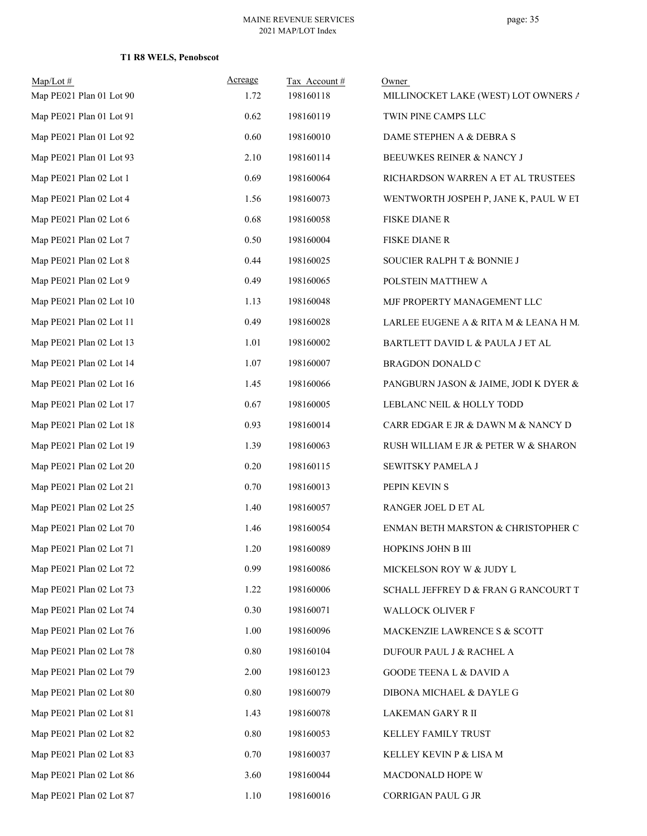| $Map/Lot \#$<br>Map PE021 Plan 01 Lot 90 | Acreage<br>1.72 | Tax Account#<br>198160118 | Owner<br>MILLINOCKET LAKE (WEST) LOT OWNERS A |
|------------------------------------------|-----------------|---------------------------|-----------------------------------------------|
| Map PE021 Plan 01 Lot 91                 | 0.62            | 198160119                 | TWIN PINE CAMPS LLC                           |
| Map PE021 Plan 01 Lot 92                 | 0.60            | 198160010                 | DAME STEPHEN A & DEBRA S                      |
| Map PE021 Plan 01 Lot 93                 | 2.10            | 198160114                 | BEEUWKES REINER & NANCY J                     |
| Map PE021 Plan 02 Lot 1                  | 0.69            | 198160064                 | RICHARDSON WARREN A ET AL TRUSTEES            |
| Map PE021 Plan 02 Lot 4                  | 1.56            | 198160073                 | WENTWORTH JOSPEH P, JANE K, PAUL W ET         |
| Map PE021 Plan 02 Lot 6                  | 0.68            | 198160058                 | <b>FISKE DIANE R</b>                          |
| Map PE021 Plan 02 Lot 7                  | 0.50            | 198160004                 | FISKE DIANE R                                 |
| Map PE021 Plan 02 Lot 8                  | 0.44            | 198160025                 | SOUCIER RALPH T & BONNIE J                    |
| Map PE021 Plan 02 Lot 9                  | 0.49            | 198160065                 | POLSTEIN MATTHEW A                            |
| Map PE021 Plan 02 Lot 10                 | 1.13            | 198160048                 | MJF PROPERTY MANAGEMENT LLC                   |
| Map PE021 Plan 02 Lot 11                 | 0.49            | 198160028                 | LARLEE EUGENE A & RITA M & LEANA H M.         |
| Map PE021 Plan 02 Lot 13                 | 1.01            | 198160002                 | BARTLETT DAVID L & PAULA J ET AL              |
| Map PE021 Plan 02 Lot 14                 | 1.07            | 198160007                 | <b>BRAGDON DONALD C</b>                       |
| Map PE021 Plan 02 Lot 16                 | 1.45            | 198160066                 | PANGBURN JASON & JAIME, JODI K DYER &         |
| Map PE021 Plan 02 Lot 17                 | 0.67            | 198160005                 | LEBLANC NEIL & HOLLY TODD                     |
| Map PE021 Plan 02 Lot 18                 | 0.93            | 198160014                 | CARR EDGAR E JR & DAWN M & NANCY D            |
| Map PE021 Plan 02 Lot 19                 | 1.39            | 198160063                 | RUSH WILLIAM E JR & PETER W & SHARON          |
| Map PE021 Plan 02 Lot 20                 | 0.20            | 198160115                 | SEWITSKY PAMELA J                             |
| Map PE021 Plan 02 Lot 21                 | 0.70            | 198160013                 | PEPIN KEVIN S                                 |
| Map PE021 Plan 02 Lot 25                 | 1.40            | 198160057                 | RANGER JOEL D ET AL                           |
| Map PE021 Plan 02 Lot 70                 | 1.46            | 198160054                 | ENMAN BETH MARSTON & CHRISTOPHER C            |
| Map PE021 Plan 02 Lot 71                 | 1.20            | 198160089                 | HOPKINS JOHN B III                            |
| Map PE021 Plan 02 Lot 72                 | 0.99            | 198160086                 | MICKELSON ROY W & JUDY L                      |
| Map PE021 Plan 02 Lot 73                 | 1.22            | 198160006                 | SCHALL JEFFREY D & FRAN G RANCOURT T          |
| Map PE021 Plan 02 Lot 74                 | 0.30            | 198160071                 | WALLOCK OLIVER F                              |
| Map PE021 Plan 02 Lot 76                 | 1.00            | 198160096                 | MACKENZIE LAWRENCE S & SCOTT                  |
| Map PE021 Plan 02 Lot 78                 | $0.80\,$        | 198160104                 | DUFOUR PAUL J & RACHEL A                      |
| Map PE021 Plan 02 Lot 79                 | 2.00            | 198160123                 | <b>GOODE TEENA L &amp; DAVID A</b>            |
| Map PE021 Plan 02 Lot 80                 | $0.80\,$        | 198160079                 | DIBONA MICHAEL & DAYLE G                      |
| Map PE021 Plan 02 Lot 81                 | 1.43            | 198160078                 | LAKEMAN GARY R II                             |
| Map PE021 Plan 02 Lot 82                 | $0.80\,$        | 198160053                 | KELLEY FAMILY TRUST                           |
| Map PE021 Plan 02 Lot 83                 | 0.70            | 198160037                 | KELLEY KEVIN P & LISA M                       |
| Map PE021 Plan 02 Lot 86                 | 3.60            | 198160044                 | MACDONALD HOPE W                              |
| Map PE021 Plan 02 Lot 87                 | 1.10            | 198160016                 | CORRIGAN PAUL G JR                            |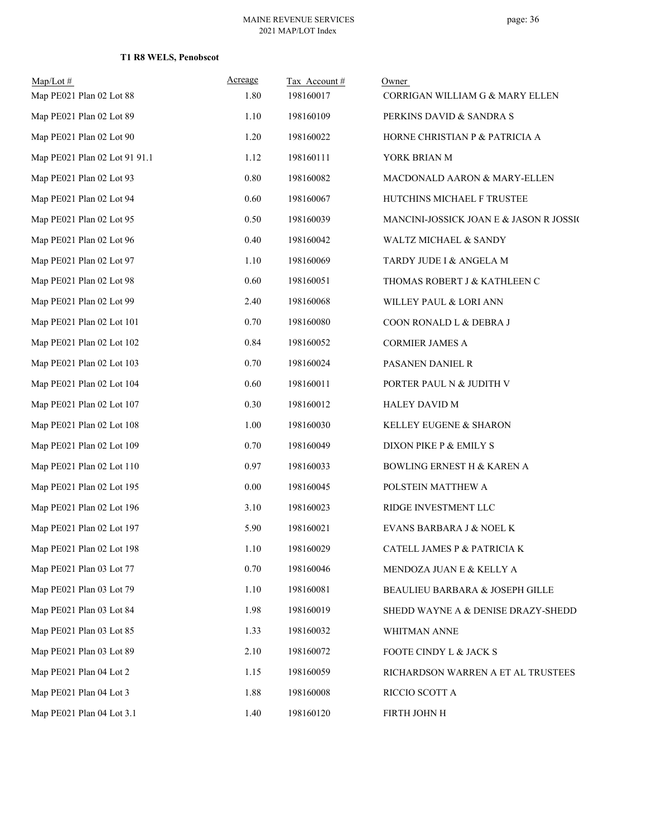## **T1 R8 WELS, Penobscot**

| $Map/Lot \#$<br>Map PE021 Plan 02 Lot 88 | Acreage<br>1.80 | Tax Account#<br>198160017 | Owner<br>CORRIGAN WILLIAM G & MARY ELLEN |
|------------------------------------------|-----------------|---------------------------|------------------------------------------|
| Map PE021 Plan 02 Lot 89                 | 1.10            | 198160109                 | PERKINS DAVID & SANDRA S                 |
| Map PE021 Plan 02 Lot 90                 | 1.20            | 198160022                 | HORNE CHRISTIAN P & PATRICIA A           |
| Map PE021 Plan 02 Lot 91 91.1            | 1.12            | 198160111                 | YORK BRIAN M                             |
| Map PE021 Plan 02 Lot 93                 | $0.80\,$        | 198160082                 | MACDONALD AARON & MARY-ELLEN             |
| Map PE021 Plan 02 Lot 94                 | 0.60            | 198160067                 | HUTCHINS MICHAEL F TRUSTEE               |
| Map PE021 Plan 02 Lot 95                 | 0.50            | 198160039                 | MANCINI-JOSSICK JOAN E & JASON R JOSSIC  |
| Map PE021 Plan 02 Lot 96                 | 0.40            | 198160042                 | WALTZ MICHAEL & SANDY                    |
| Map PE021 Plan 02 Lot 97                 | 1.10            | 198160069                 | TARDY JUDE I & ANGELA M                  |
| Map PE021 Plan 02 Lot 98                 | 0.60            | 198160051                 | THOMAS ROBERT J & KATHLEEN C             |
| Map PE021 Plan 02 Lot 99                 | 2.40            | 198160068                 | WILLEY PAUL & LORI ANN                   |
| Map PE021 Plan 02 Lot 101                | 0.70            | 198160080                 | COON RONALD L & DEBRA J                  |
| Map PE021 Plan 02 Lot 102                | 0.84            | 198160052                 | <b>CORMIER JAMES A</b>                   |
| Map PE021 Plan 02 Lot 103                | 0.70            | 198160024                 | PASANEN DANIEL R                         |
| Map PE021 Plan 02 Lot 104                | 0.60            | 198160011                 | PORTER PAUL N & JUDITH V                 |
| Map PE021 Plan 02 Lot 107                | 0.30            | 198160012                 | <b>HALEY DAVID M</b>                     |
| Map PE021 Plan 02 Lot 108                | 1.00            | 198160030                 | KELLEY EUGENE & SHARON                   |
| Map PE021 Plan 02 Lot 109                | 0.70            | 198160049                 | DIXON PIKE P & EMILY S                   |
| Map PE021 Plan 02 Lot 110                | 0.97            | 198160033                 | BOWLING ERNEST H & KAREN A               |
| Map PE021 Plan 02 Lot 195                | 0.00            | 198160045                 | POLSTEIN MATTHEW A                       |
| Map PE021 Plan 02 Lot 196                | 3.10            | 198160023                 | RIDGE INVESTMENT LLC                     |
| Map PE021 Plan 02 Lot 197                | 5.90            | 198160021                 | EVANS BARBARA J & NOEL K                 |
| Map PE021 Plan 02 Lot 198                | 1.10            | 198160029                 | CATELL JAMES P & PATRICIA K              |
| Map PE021 Plan 03 Lot 77                 | 0.70            | 198160046                 | MENDOZA JUAN E & KELLY A                 |
| Map PE021 Plan 03 Lot 79                 | 1.10            | 198160081                 | BEAULIEU BARBARA & JOSEPH GILLE          |
| Map PE021 Plan 03 Lot 84                 | 1.98            | 198160019                 | SHEDD WAYNE A & DENISE DRAZY-SHEDD       |
| Map PE021 Plan 03 Lot 85                 | 1.33            | 198160032                 | WHITMAN ANNE                             |
| Map PE021 Plan 03 Lot 89                 | 2.10            | 198160072                 | FOOTE CINDY L & JACK S                   |
| Map PE021 Plan 04 Lot 2                  | 1.15            | 198160059                 | RICHARDSON WARREN A ET AL TRUSTEES       |
| Map PE021 Plan 04 Lot 3                  | 1.88            | 198160008                 | RICCIO SCOTT A                           |
| Map PE021 Plan 04 Lot 3.1                | 1.40            | 198160120                 | FIRTH JOHN H                             |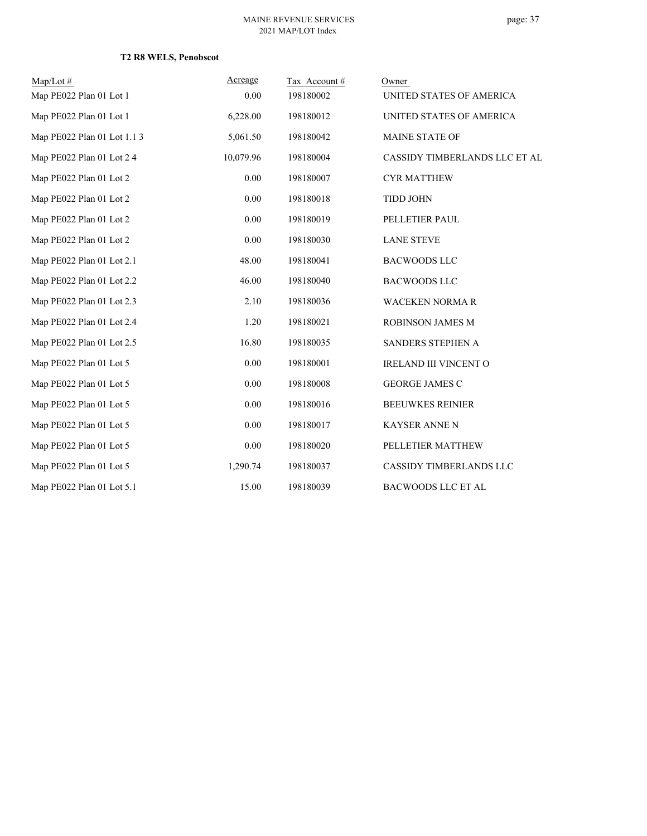## **T2 R8 WELS, Penobscot**

| $Map/Lot \#$                | Acreage   | Tax Account# | Owner                         |
|-----------------------------|-----------|--------------|-------------------------------|
| Map PE022 Plan 01 Lot 1     | 0.00      | 198180002    | UNITED STATES OF AMERICA      |
| Map PE022 Plan 01 Lot 1     | 6,228.00  | 198180012    | UNITED STATES OF AMERICA      |
| Map PE022 Plan 01 Lot 1.1 3 | 5,061.50  | 198180042    | <b>MAINE STATE OF</b>         |
| Map PE022 Plan 01 Lot 2 4   | 10,079.96 | 198180004    | CASSIDY TIMBERLANDS LLC ET AL |
| Map PE022 Plan 01 Lot 2     | 0.00      | 198180007    | <b>CYR MATTHEW</b>            |
| Map PE022 Plan 01 Lot 2     | 0.00      | 198180018    | <b>TIDD JOHN</b>              |
| Map PE022 Plan 01 Lot 2     | 0.00      | 198180019    | PELLETIER PAUL                |
| Map PE022 Plan 01 Lot 2     | $0.00\,$  | 198180030    | <b>LANE STEVE</b>             |
| Map PE022 Plan 01 Lot 2.1   | 48.00     | 198180041    | <b>BACWOODS LLC</b>           |
| Map PE022 Plan 01 Lot 2.2   | 46.00     | 198180040    | <b>BACWOODS LLC</b>           |
| Map PE022 Plan 01 Lot 2.3   | 2.10      | 198180036    | <b>WACEKEN NORMAR</b>         |
| Map PE022 Plan 01 Lot 2.4   | 1.20      | 198180021    | ROBINSON JAMES M              |
| Map PE022 Plan 01 Lot 2.5   | 16.80     | 198180035    | SANDERS STEPHEN A             |
| Map PE022 Plan 01 Lot 5     | 0.00      | 198180001    | <b>IRELAND III VINCENT O</b>  |
| Map PE022 Plan 01 Lot 5     | 0.00      | 198180008    | <b>GEORGE JAMES C</b>         |
| Map PE022 Plan 01 Lot 5     | 0.00      | 198180016    | <b>BEEUWKES REINIER</b>       |
| Map PE022 Plan 01 Lot 5     | 0.00      | 198180017    | <b>KAYSER ANNE N</b>          |
| Map PE022 Plan 01 Lot 5     | $0.00\,$  | 198180020    | PELLETIER MATTHEW             |
| Map PE022 Plan 01 Lot 5     | 1,290.74  | 198180037    | CASSIDY TIMBERLANDS LLC       |
| Map PE022 Plan 01 Lot 5.1   | 15.00     | 198180039    | <b>BACWOODS LLC ET AL</b>     |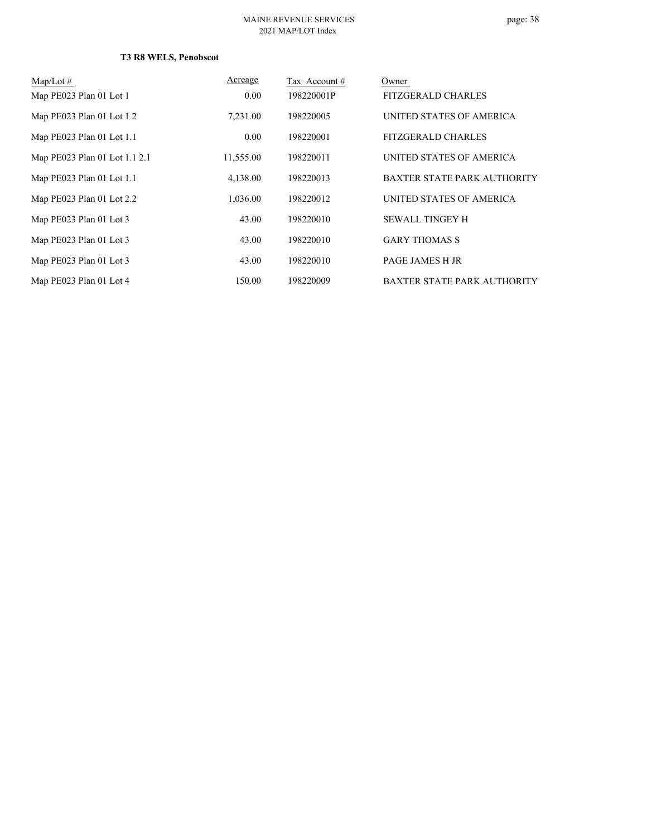## **T3 R8 WELS, Penobscot**

| $Map/Lot \#$                  | Acreage   | Tax Account# | Owner                              |
|-------------------------------|-----------|--------------|------------------------------------|
| Map PE023 Plan 01 Lot 1       | 0.00      | 198220001P   | <b>FITZGERALD CHARLES</b>          |
| Map PE023 Plan 01 Lot 1 2     | 7,231.00  | 198220005    | UNITED STATES OF AMERICA           |
| Map PE023 Plan 01 Lot 1.1     | 0.00      | 198220001    | <b>FITZGERALD CHARLES</b>          |
| Map PE023 Plan 01 Lot 1.1 2.1 | 11,555.00 | 198220011    | UNITED STATES OF AMERICA           |
| Map PE023 Plan 01 Lot 1.1     | 4,138.00  | 198220013    | BAXTER STATE PARK AUTHORITY        |
| Map PE023 Plan 01 Lot 2.2     | 1,036.00  | 198220012    | UNITED STATES OF AMERICA           |
| Map PE023 Plan 01 Lot 3       | 43.00     | 198220010    | <b>SEWALL TINGEY H</b>             |
| Map PE023 Plan 01 Lot 3       | 43.00     | 198220010    | <b>GARY THOMAS S</b>               |
| Map PE023 Plan 01 Lot 3       | 43.00     | 198220010    | PAGE JAMES H JR                    |
| Map PE023 Plan 01 Lot 4       | 150.00    | 198220009    | <b>BAXTER STATE PARK AUTHORITY</b> |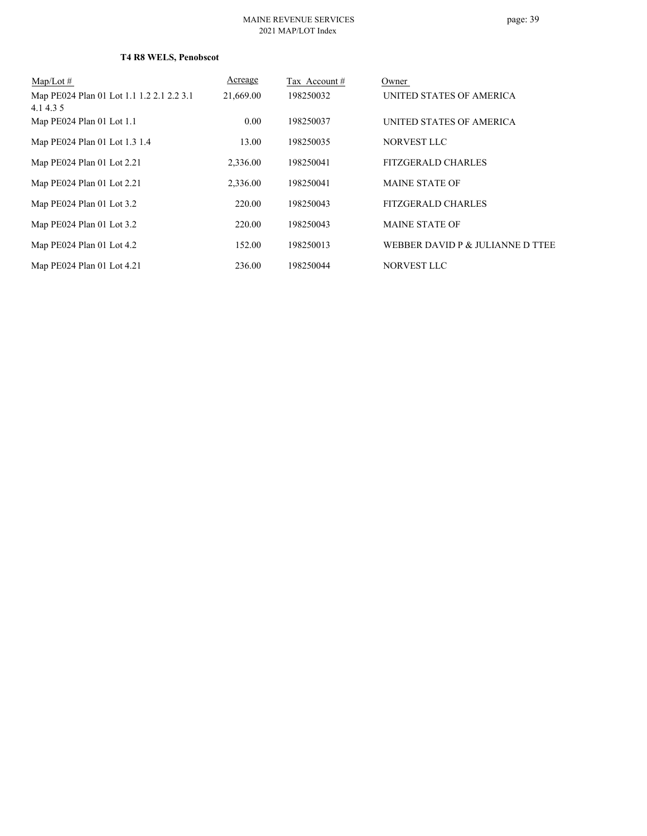## **T4 R8 WELS, Penobscot**

| $Map/Lot \#$                                           | Acreage   | Tax Account# | Owner                            |
|--------------------------------------------------------|-----------|--------------|----------------------------------|
| Map PE024 Plan 01 Lot 1.1 1.2 2.1 2.2 3.1<br>4.1 4.3 5 | 21,669.00 | 198250032    | UNITED STATES OF AMERICA         |
| Map PE024 Plan 01 Lot 1.1                              | 0.00      | 198250037    | UNITED STATES OF AMERICA         |
| Map PE024 Plan 01 Lot 1.3 1.4                          | 13.00     | 198250035    | NORVEST LLC                      |
| Map PE024 Plan 01 Lot 2.21                             | 2,336.00  | 198250041    | <b>FITZGERALD CHARLES</b>        |
| Map PE024 Plan 01 Lot 2.21                             | 2,336.00  | 198250041    | <b>MAINE STATE OF</b>            |
| Map PE024 Plan 01 Lot 3.2                              | 220.00    | 198250043    | <b>FITZGERALD CHARLES</b>        |
| Map PE024 Plan 01 Lot 3.2                              | 220.00    | 198250043    | <b>MAINE STATE OF</b>            |
| Map PE024 Plan 01 Lot 4.2                              | 152.00    | 198250013    | WEBBER DAVID P & JULIANNE D TTEE |
| Map PE024 Plan 01 Lot 4.21                             | 236.00    | 198250044    | <b>NORVEST LLC</b>               |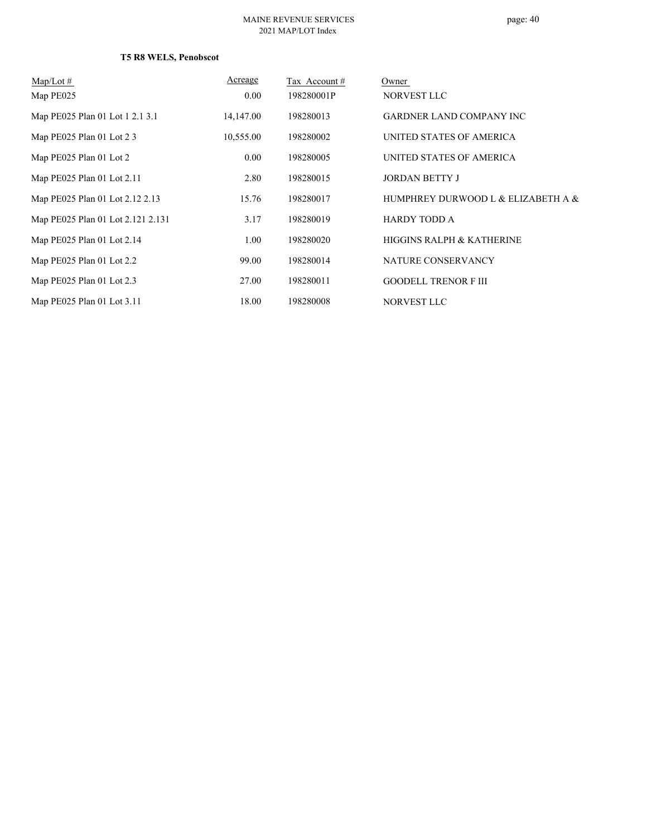## **T5 R8 WELS, Penobscot**

| $Map/Lot \#$                      | Acreage   | Tax Account # | Owner                                |
|-----------------------------------|-----------|---------------|--------------------------------------|
| Map PE025                         | 0.00      | 198280001P    | NORVEST LLC                          |
| Map PE025 Plan 01 Lot 1 2.1 3.1   | 14,147.00 | 198280013     | <b>GARDNER LAND COMPANY INC</b>      |
| Map PE025 Plan 01 Lot 2 3         | 10,555.00 | 198280002     | UNITED STATES OF AMERICA             |
| Map PE025 Plan 01 Lot 2           | 0.00      | 198280005     | UNITED STATES OF AMERICA             |
| Map PE025 Plan 01 Lot 2.11        | 2.80      | 198280015     | <b>JORDAN BETTY J</b>                |
| Map PE025 Plan 01 Lot 2.12 2.13   | 15.76     | 198280017     | HUMPHREY DURWOOD L & ELIZABETH A &   |
| Map PE025 Plan 01 Lot 2.121 2.131 | 3.17      | 198280019     | <b>HARDY TODD A</b>                  |
| Map PE025 Plan 01 Lot 2.14        | 1.00      | 198280020     | <b>HIGGINS RALPH &amp; KATHERINE</b> |
| Map PE025 Plan 01 Lot 2.2         | 99.00     | 198280014     | NATURE CONSERVANCY                   |
| Map PE025 Plan 01 Lot 2.3         | 27.00     | 198280011     | <b>GOODELL TRENOR F III</b>          |
| Map PE025 Plan 01 Lot 3.11        | 18.00     | 198280008     | NORVEST LLC                          |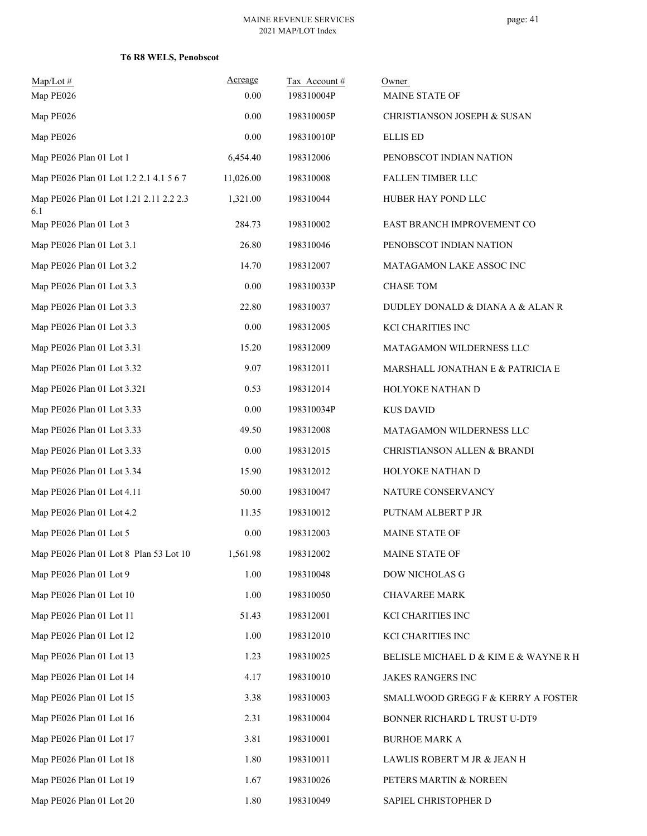## **T6 R8 WELS, Penobscot**

| $Map/Lot \#$<br>Map PE026                      | Acreage<br>0.00 | Tax Account#<br>198310004P | Owner<br>MAINE STATE OF               |
|------------------------------------------------|-----------------|----------------------------|---------------------------------------|
| Map PE026                                      | 0.00            | 198310005P                 | CHRISTIANSON JOSEPH & SUSAN           |
| Map PE026                                      | $0.00\,$        | 198310010P                 | <b>ELLIS ED</b>                       |
| Map PE026 Plan 01 Lot 1                        | 6,454.40        | 198312006                  | PENOBSCOT INDIAN NATION               |
| Map PE026 Plan 01 Lot 1.2 2.1 4.1 5 6 7        | 11,026.00       | 198310008                  | FALLEN TIMBER LLC                     |
| Map PE026 Plan 01 Lot 1.21 2.11 2.2 2.3<br>6.1 | 1,321.00        | 198310044                  | HUBER HAY POND LLC                    |
| Map PE026 Plan 01 Lot 3                        | 284.73          | 198310002                  | EAST BRANCH IMPROVEMENT CO            |
| Map PE026 Plan 01 Lot 3.1                      | 26.80           | 198310046                  | PENOBSCOT INDIAN NATION               |
| Map PE026 Plan 01 Lot 3.2                      | 14.70           | 198312007                  | MATAGAMON LAKE ASSOC INC              |
| Map PE026 Plan 01 Lot 3.3                      | 0.00            | 198310033P                 | <b>CHASE TOM</b>                      |
| Map PE026 Plan 01 Lot 3.3                      | 22.80           | 198310037                  | DUDLEY DONALD & DIANA A & ALAN R      |
| Map PE026 Plan 01 Lot 3.3                      | 0.00            | 198312005                  | KCI CHARITIES INC                     |
| Map PE026 Plan 01 Lot 3.31                     | 15.20           | 198312009                  | MATAGAMON WILDERNESS LLC              |
| Map PE026 Plan 01 Lot 3.32                     | 9.07            | 198312011                  | MARSHALL JONATHAN E & PATRICIA E      |
| Map PE026 Plan 01 Lot 3.321                    | 0.53            | 198312014                  | HOLYOKE NATHAN D                      |
| Map PE026 Plan 01 Lot 3.33                     | 0.00            | 198310034P                 | <b>KUS DAVID</b>                      |
| Map PE026 Plan 01 Lot 3.33                     | 49.50           | 198312008                  | MATAGAMON WILDERNESS LLC              |
| Map PE026 Plan 01 Lot 3.33                     | 0.00            | 198312015                  | CHRISTIANSON ALLEN & BRANDI           |
| Map PE026 Plan 01 Lot 3.34                     | 15.90           | 198312012                  | HOLYOKE NATHAN D                      |
| Map PE026 Plan 01 Lot 4.11                     | 50.00           | 198310047                  | NATURE CONSERVANCY                    |
| Map PE026 Plan 01 Lot 4.2                      | 11.35           | 198310012                  | PUTNAM ALBERT P JR                    |
| Map PE026 Plan 01 Lot 5                        | 0.00            | 198312003                  | <b>MAINE STATE OF</b>                 |
| Map PE026 Plan 01 Lot 8 Plan 53 Lot 10         | 1,561.98        | 198312002                  | MAINE STATE OF                        |
| Map PE026 Plan 01 Lot 9                        | 1.00            | 198310048                  | DOW NICHOLAS G                        |
| Map PE026 Plan 01 Lot 10                       | 1.00            | 198310050                  | CHAVAREE MARK                         |
| Map PE026 Plan 01 Lot 11                       | 51.43           | 198312001                  | KCI CHARITIES INC                     |
| Map PE026 Plan 01 Lot 12                       | 1.00            | 198312010                  | KCI CHARITIES INC                     |
| Map PE026 Plan 01 Lot 13                       | 1.23            | 198310025                  | BELISLE MICHAEL D & KIM E & WAYNE R H |
| Map PE026 Plan 01 Lot 14                       | 4.17            | 198310010                  | JAKES RANGERS INC                     |
| Map PE026 Plan 01 Lot 15                       | 3.38            | 198310003                  | SMALLWOOD GREGG F & KERRY A FOSTER    |
| Map PE026 Plan 01 Lot 16                       | 2.31            | 198310004                  | BONNER RICHARD L TRUST U-DT9          |
| Map PE026 Plan 01 Lot 17                       | 3.81            | 198310001                  | <b>BURHOE MARK A</b>                  |
| Map PE026 Plan 01 Lot 18                       | 1.80            | 198310011                  | LAWLIS ROBERT M JR & JEAN H           |
| Map PE026 Plan 01 Lot 19                       | 1.67            | 198310026                  | PETERS MARTIN & NOREEN                |
| Map PE026 Plan 01 Lot 20                       | 1.80            | 198310049                  | SAPIEL CHRISTOPHER D                  |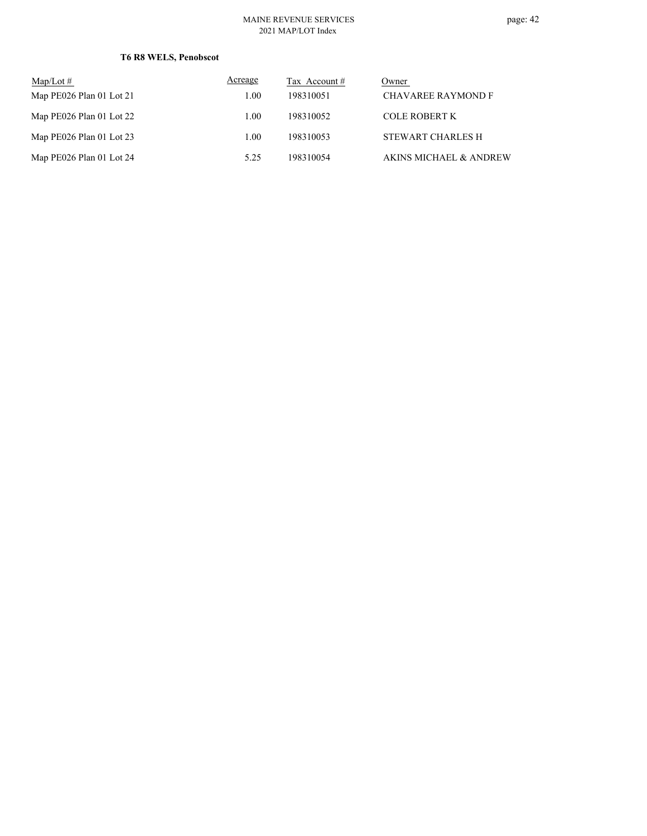## **T6 R8 WELS, Penobscot**

| $\text{Map/Lot} \#$      | Acreage | Tax Account # | Owner                             |
|--------------------------|---------|---------------|-----------------------------------|
| Map PE026 Plan 01 Lot 21 | 1.00    | 198310051     | <b>CHAVAREE RAYMOND F</b>         |
| Map PE026 Plan 01 Lot 22 | 1.00    | 198310052     | COLE ROBERT K                     |
| Map PE026 Plan 01 Lot 23 | 1.00    | 198310053     | <b>STEWART CHARLES H</b>          |
| Map PE026 Plan 01 Lot 24 | 5.25    | 198310054     | <b>AKINS MICHAEL &amp; ANDREW</b> |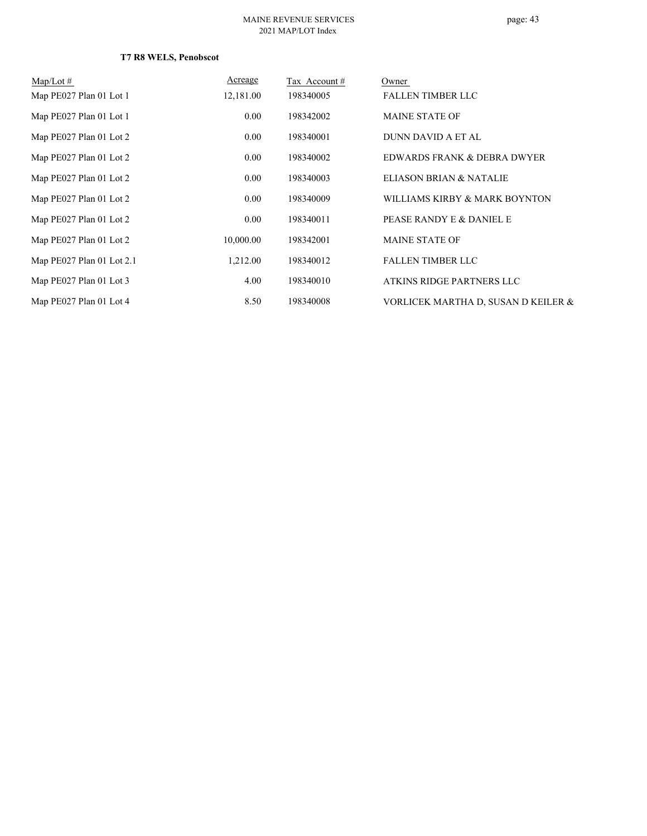## **T7 R8 WELS, Penobscot**

| $Map/Lot \#$              | Acreage   | Tax Account# | Owner                               |
|---------------------------|-----------|--------------|-------------------------------------|
| Map PE027 Plan 01 Lot 1   | 12,181.00 | 198340005    | <b>FALLEN TIMBER LLC</b>            |
| Map PE027 Plan 01 Lot 1   | 0.00      | 198342002    | <b>MAINE STATE OF</b>               |
| Map PE027 Plan 01 Lot 2   | 0.00      | 198340001    | DUNN DAVID A ET AL                  |
| Map PE027 Plan 01 Lot 2   | 0.00      | 198340002    | EDWARDS FRANK & DEBRA DWYER         |
| Map PE027 Plan 01 Lot 2   | 0.00      | 198340003    | ELIASON BRIAN & NATALIE             |
| Map PE027 Plan 01 Lot 2   | $0.00\,$  | 198340009    | WILLIAMS KIRBY & MARK BOYNTON       |
| Map PE027 Plan 01 Lot 2   | 0.00      | 198340011    | PEASE RANDY E & DANIEL E            |
| Map PE027 Plan 01 Lot 2   | 10,000.00 | 198342001    | <b>MAINE STATE OF</b>               |
| Map PE027 Plan 01 Lot 2.1 | 1,212.00  | 198340012    | <b>FALLEN TIMBER LLC</b>            |
| Map PE027 Plan 01 Lot 3   | 4.00      | 198340010    | ATKINS RIDGE PARTNERS LLC           |
| Map PE027 Plan 01 Lot 4   | 8.50      | 198340008    | VORLICEK MARTHA D, SUSAN D KEILER & |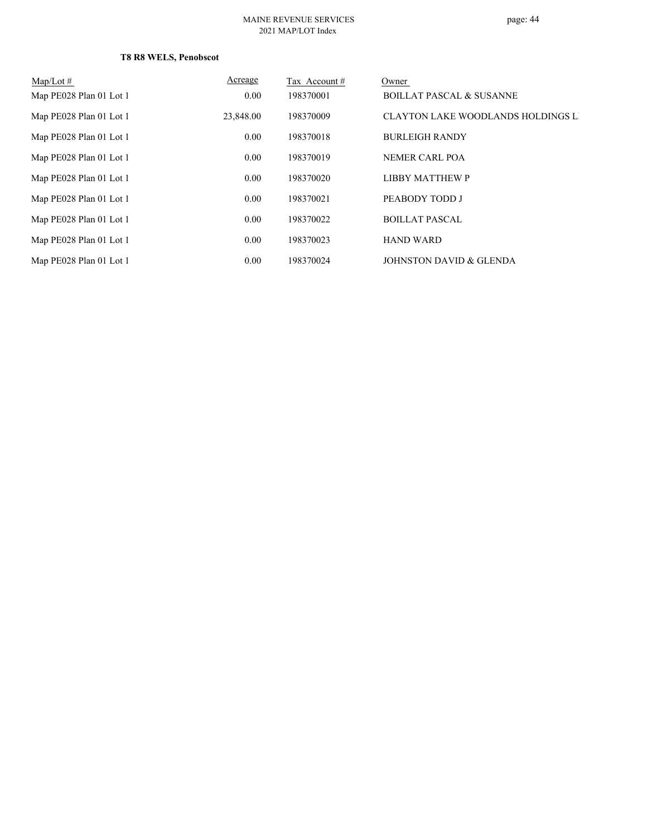## **T8 R8 WELS, Penobscot**

| $Map/Lot \#$            | Acreage   | Tax Account # | Owner                                     |
|-------------------------|-----------|---------------|-------------------------------------------|
| Map PE028 Plan 01 Lot 1 | 0.00      | 198370001     | <b>BOILLAT PASCAL &amp; SUSANNE</b>       |
| Map PE028 Plan 01 Lot 1 | 23,848.00 | 198370009     | <b>CLAYTON LAKE WOODLANDS HOLDINGS LI</b> |
| Map PE028 Plan 01 Lot 1 | 0.00      | 198370018     | <b>BURLEIGH RANDY</b>                     |
| Map PE028 Plan 01 Lot 1 | 0.00      | 198370019     | NEMER CARL POA                            |
| Map PE028 Plan 01 Lot 1 | 0.00      | 198370020     | <b>LIBBY MATTHEW P</b>                    |
| Map PE028 Plan 01 Lot 1 | 0.00      | 198370021     | PEABODY TODD J                            |
| Map PE028 Plan 01 Lot 1 | 0.00      | 198370022     | <b>BOILLAT PASCAL</b>                     |
| Map PE028 Plan 01 Lot 1 | 0.00      | 198370023     | <b>HAND WARD</b>                          |
| Map PE028 Plan 01 Lot 1 | 0.00      | 198370024     | JOHNSTON DAVID & GLENDA                   |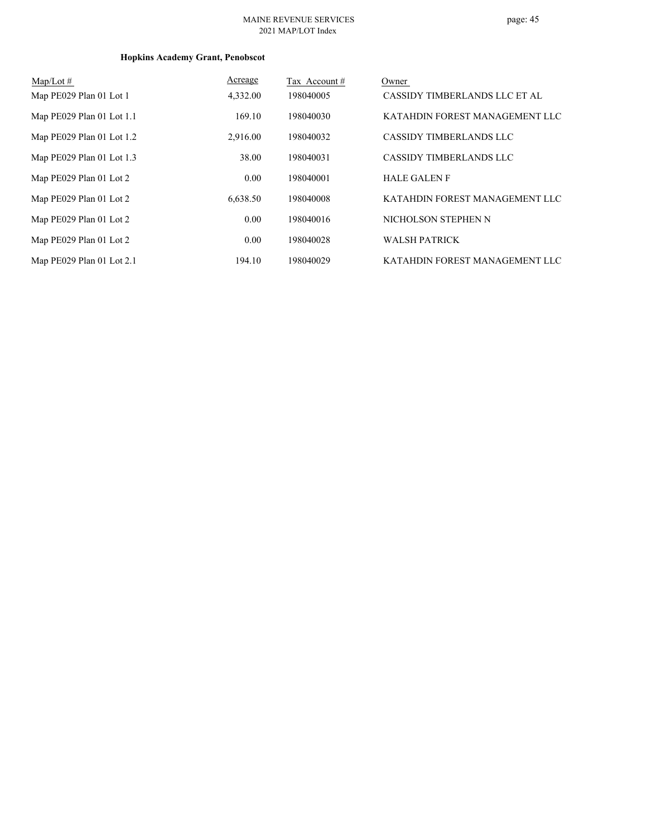# page: 45

# **Hopkins Academy Grant, Penobscot**

| $Map/Lot \#$                | Acreage  | Tax Account# | Owner                          |
|-----------------------------|----------|--------------|--------------------------------|
| Map PE029 Plan 01 Lot 1     | 4,332.00 | 198040005    | CASSIDY TIMBERLANDS LLC ET AL  |
| Map PE029 Plan 01 Lot 1.1   | 169.10   | 198040030    | KATAHDIN FOREST MANAGEMENT LLC |
| Map $PE029$ Plan 01 Lot 1.2 | 2,916.00 | 198040032    | <b>CASSIDY TIMBERLANDS LLC</b> |
| Map PE029 Plan 01 Lot 1.3   | 38.00    | 198040031    | <b>CASSIDY TIMBERLANDS LLC</b> |
| Map PE029 Plan 01 Lot 2     | 0.00     | 198040001    | <b>HALE GALEN F</b>            |
| Map PE029 Plan 01 Lot 2     | 6.638.50 | 198040008    | KATAHDIN FOREST MANAGEMENT LLC |
| Map PE029 Plan 01 Lot 2     | 0.00     | 198040016    | NICHOLSON STEPHEN N            |
| Map PE029 Plan 01 Lot 2     | 0.00     | 198040028    | <b>WALSH PATRICK</b>           |
| Map PE029 Plan 01 Lot 2.1   | 194.10   | 198040029    | KATAHDIN FOREST MANAGEMENT LLC |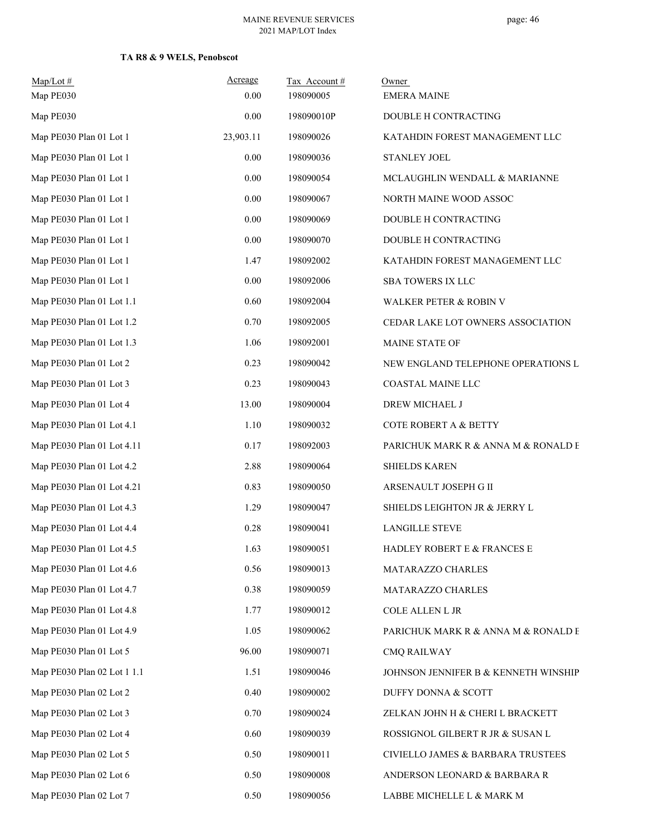## **TA R8 & 9 WELS, Penobscot**

| $Map/Lot \#$<br>Map PE030   | Acreage<br>0.00 | Tax Account#<br>198090005 | Owner<br><b>EMERA MAINE</b>          |
|-----------------------------|-----------------|---------------------------|--------------------------------------|
| Map PE030                   | 0.00            | 198090010P                | DOUBLE H CONTRACTING                 |
| Map PE030 Plan 01 Lot 1     | 23,903.11       | 198090026                 | KATAHDIN FOREST MANAGEMENT LLC       |
| Map PE030 Plan 01 Lot 1     | 0.00            | 198090036                 | STANLEY JOEL                         |
| Map PE030 Plan 01 Lot 1     | 0.00            | 198090054                 | MCLAUGHLIN WENDALL & MARIANNE        |
| Map PE030 Plan 01 Lot 1     | 0.00            | 198090067                 | NORTH MAINE WOOD ASSOC               |
| Map PE030 Plan 01 Lot 1     | 0.00            | 198090069                 | DOUBLE H CONTRACTING                 |
| Map PE030 Plan 01 Lot 1     | 0.00            | 198090070                 | DOUBLE H CONTRACTING                 |
| Map PE030 Plan 01 Lot 1     | 1.47            | 198092002                 | KATAHDIN FOREST MANAGEMENT LLC       |
| Map PE030 Plan 01 Lot 1     | 0.00            | 198092006                 | SBA TOWERS IX LLC                    |
| Map PE030 Plan 01 Lot 1.1   | 0.60            | 198092004                 | WALKER PETER & ROBIN V               |
| Map PE030 Plan 01 Lot 1.2   | 0.70            | 198092005                 | CEDAR LAKE LOT OWNERS ASSOCIATION    |
| Map PE030 Plan 01 Lot 1.3   | 1.06            | 198092001                 | MAINE STATE OF                       |
| Map PE030 Plan 01 Lot 2     | 0.23            | 198090042                 | NEW ENGLAND TELEPHONE OPERATIONS L   |
| Map PE030 Plan 01 Lot 3     | 0.23            | 198090043                 | COASTAL MAINE LLC                    |
| Map PE030 Plan 01 Lot 4     | 13.00           | 198090004                 | DREW MICHAEL J                       |
| Map PE030 Plan 01 Lot 4.1   | 1.10            | 198090032                 | COTE ROBERT A & BETTY                |
| Map PE030 Plan 01 Lot 4.11  | 0.17            | 198092003                 | PARICHUK MARK R & ANNA M & RONALD E  |
| Map PE030 Plan 01 Lot 4.2   | 2.88            | 198090064                 | <b>SHIELDS KAREN</b>                 |
| Map PE030 Plan 01 Lot 4.21  | 0.83            | 198090050                 | ARSENAULT JOSEPH G II                |
| Map PE030 Plan 01 Lot 4.3   | 1.29            | 198090047                 | SHIELDS LEIGHTON JR & JERRY L        |
| Map PE030 Plan 01 Lot 4.4   | 0.28            | 198090041                 | <b>LANGILLE STEVE</b>                |
| Map PE030 Plan 01 Lot 4.5   | 1.63            | 198090051                 | HADLEY ROBERT E & FRANCES E          |
| Map PE030 Plan 01 Lot 4.6   | 0.56            | 198090013                 | MATARAZZO CHARLES                    |
| Map PE030 Plan 01 Lot 4.7   | 0.38            | 198090059                 | MATARAZZO CHARLES                    |
| Map PE030 Plan 01 Lot 4.8   | 1.77            | 198090012                 | COLE ALLEN L JR                      |
| Map PE030 Plan 01 Lot 4.9   | 1.05            | 198090062                 | PARICHUK MARK R & ANNA M & RONALD E  |
| Map PE030 Plan 01 Lot 5     | 96.00           | 198090071                 | <b>CMQ RAILWAY</b>                   |
| Map PE030 Plan 02 Lot 1 1.1 | 1.51            | 198090046                 | JOHNSON JENNIFER B & KENNETH WINSHIP |
| Map PE030 Plan 02 Lot 2     | 0.40            | 198090002                 | DUFFY DONNA & SCOTT                  |
| Map PE030 Plan 02 Lot 3     | 0.70            | 198090024                 | ZELKAN JOHN H & CHERI L BRACKETT     |
| Map PE030 Plan 02 Lot 4     | 0.60            | 198090039                 | ROSSIGNOL GILBERT R JR & SUSAN L     |
| Map PE030 Plan 02 Lot 5     | 0.50            | 198090011                 | CIVIELLO JAMES & BARBARA TRUSTEES    |
| Map PE030 Plan 02 Lot 6     | 0.50            | 198090008                 | ANDERSON LEONARD & BARBARA R         |
| Map PE030 Plan 02 Lot 7     | 0.50            | 198090056                 | LABBE MICHELLE L $\&$ MARK M         |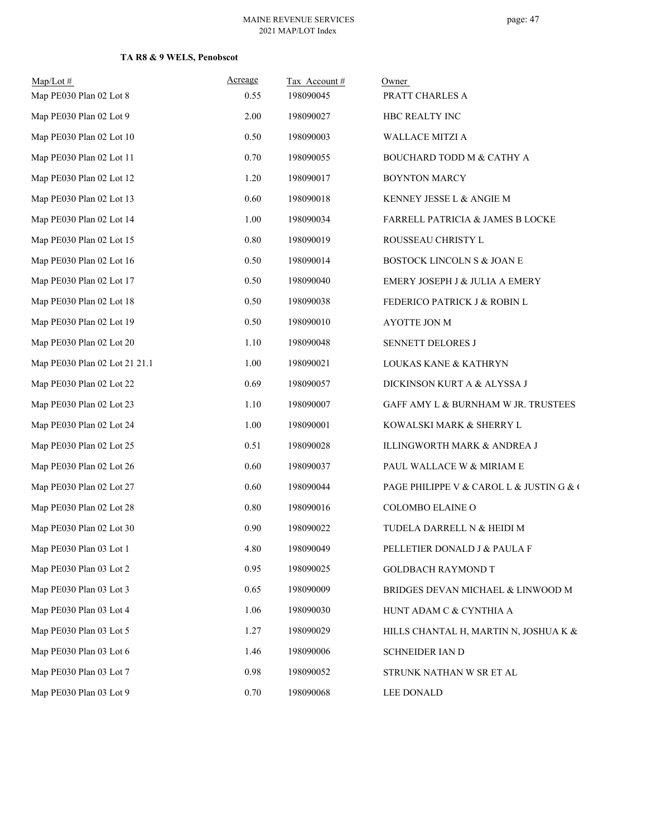# page: 47

## **TA R8 & 9 WELS, Penobscot**

| $Map/Lot \#$<br>Map PE030 Plan 02 Lot 8 | Acreage<br>0.55 | Tax Account#<br>198090045 | Owner<br>PRATT CHARLES A                 |
|-----------------------------------------|-----------------|---------------------------|------------------------------------------|
| Map PE030 Plan 02 Lot 9                 | 2.00            | 198090027                 | HBC REALTY INC                           |
| Map PE030 Plan 02 Lot 10                | 0.50            | 198090003                 | WALLACE MITZI A                          |
| Map PE030 Plan 02 Lot 11                | 0.70            | 198090055                 | BOUCHARD TODD M & CATHY A                |
| Map PE030 Plan 02 Lot 12                | 1.20            | 198090017                 | <b>BOYNTON MARCY</b>                     |
| Map PE030 Plan 02 Lot 13                | 0.60            | 198090018                 | KENNEY JESSE L & ANGIE M                 |
| Map PE030 Plan 02 Lot 14                | 1.00            | 198090034                 | FARRELL PATRICIA & JAMES B LOCKE         |
| Map PE030 Plan 02 Lot 15                | $0.80\,$        | 198090019                 | ROUSSEAU CHRISTY L                       |
| Map PE030 Plan 02 Lot 16                | 0.50            | 198090014                 | BOSTOCK LINCOLN S & JOAN E               |
| Map PE030 Plan 02 Lot 17                | 0.50            | 198090040                 | EMERY JOSEPH J & JULIA A EMERY           |
| Map PE030 Plan 02 Lot 18                | 0.50            | 198090038                 | FEDERICO PATRICK J & ROBIN L             |
| Map PE030 Plan 02 Lot 19                | 0.50            | 198090010                 | AYOTTE JON M                             |
| Map PE030 Plan 02 Lot 20                | 1.10            | 198090048                 | SENNETT DELORES J                        |
| Map PE030 Plan 02 Lot 21 21.1           | 1.00            | 198090021                 | LOUKAS KANE & KATHRYN                    |
| Map PE030 Plan 02 Lot 22                | 0.69            | 198090057                 | DICKINSON KURT A & ALYSSA J              |
| Map PE030 Plan 02 Lot 23                | 1.10            | 198090007                 | GAFF AMY L & BURNHAM W JR. TRUSTEES      |
| Map PE030 Plan 02 Lot 24                | 1.00            | 198090001                 | KOWALSKI MARK & SHERRY L                 |
| Map PE030 Plan 02 Lot 25                | 0.51            | 198090028                 | ILLINGWORTH MARK & ANDREA J              |
| Map PE030 Plan 02 Lot 26                | 0.60            | 198090037                 | PAUL WALLACE W & MIRIAM E                |
| Map PE030 Plan 02 Lot 27                | 0.60            | 198090044                 | PAGE PHILIPPE V & CAROL L & JUSTIN G & ( |
| Map PE030 Plan 02 Lot 28                | $0.80\,$        | 198090016                 | COLOMBO ELAINE O                         |
| Map PE030 Plan 02 Lot 30                | 0.90            | 198090022                 | TUDELA DARRELL N & HEIDI M               |
| Map PE030 Plan 03 Lot 1                 | 4.80            | 198090049                 | PELLETIER DONALD J & PAULA F             |
| Map PE030 Plan 03 Lot 2                 | 0.95            | 198090025                 | <b>GOLDBACH RAYMOND T</b>                |
| Map PE030 Plan 03 Lot 3                 | 0.65            | 198090009                 | BRIDGES DEVAN MICHAEL & LINWOOD M        |
| Map PE030 Plan 03 Lot 4                 | 1.06            | 198090030                 | HUNT ADAM C & CYNTHIA A                  |
| Map PE030 Plan 03 Lot 5                 | 1.27            | 198090029                 | HILLS CHANTAL H, MARTIN N, JOSHUA K &    |
| Map PE030 Plan 03 Lot 6                 | 1.46            | 198090006                 | SCHNEIDER IAN D                          |
| Map PE030 Plan 03 Lot 7                 | 0.98            | 198090052                 | STRUNK NATHAN W SR ET AL                 |
| Map PE030 Plan 03 Lot 9                 | 0.70            | 198090068                 | LEE DONALD                               |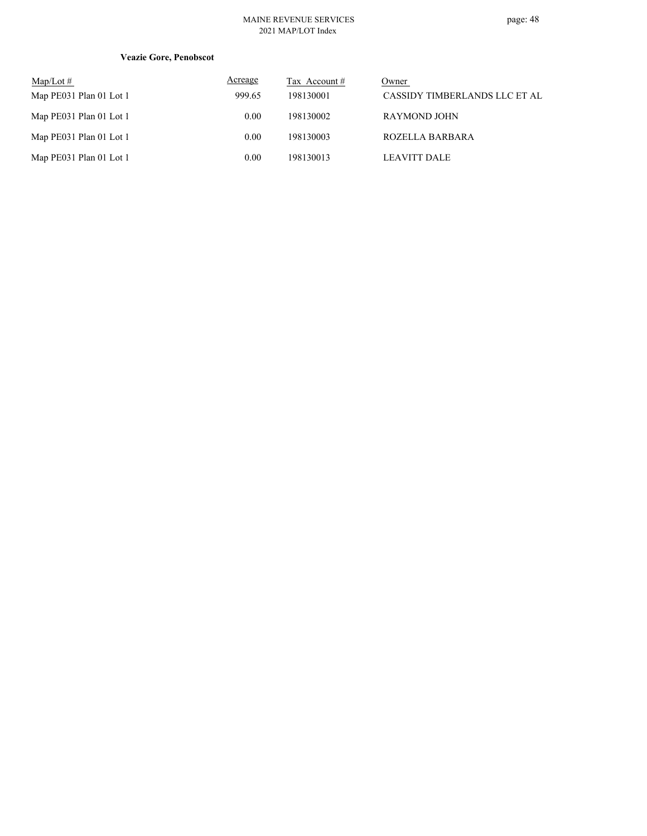## **Veazie Gore, Penobscot**

| Map/Lot $#$             | Acreage | Tax Account # | Owner                         |
|-------------------------|---------|---------------|-------------------------------|
| Map PE031 Plan 01 Lot 1 | 999.65  | 198130001     | CASSIDY TIMBERLANDS LLC ET AL |
| Map PE031 Plan 01 Lot 1 | 0.00    | 198130002     | RAYMOND JOHN                  |
| Map PE031 Plan 01 Lot 1 | 0.00    | 198130003     | ROZELLA BARBARA               |
| Map PE031 Plan 01 Lot 1 | 0.00    | 198130013     | <b>LEAVITT DALE</b>           |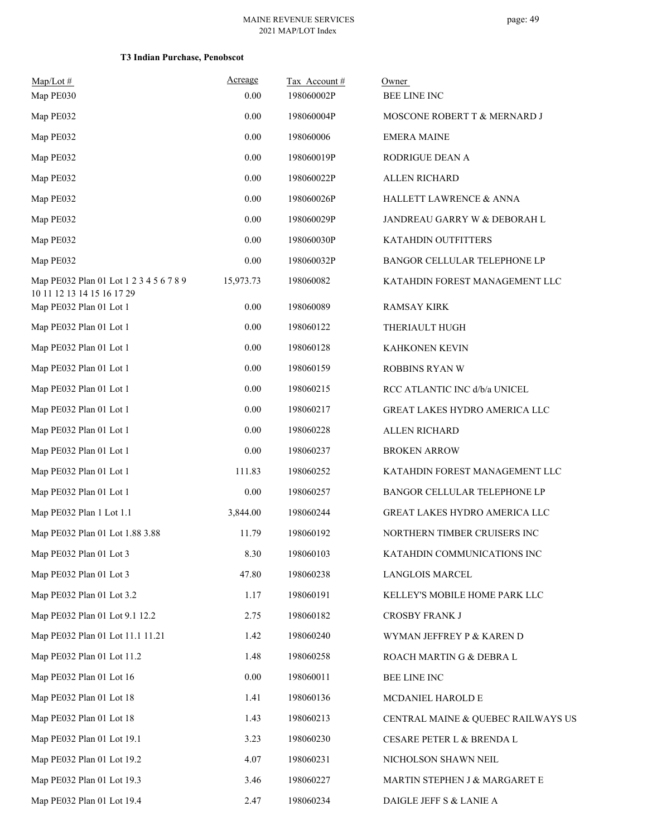| $Map/Lot \#$<br>Map PE030                                             | Acreage<br>0.00 | Tax Account#<br>198060002P | Owner<br><b>BEE LINE INC</b>       |
|-----------------------------------------------------------------------|-----------------|----------------------------|------------------------------------|
| Map PE032                                                             | 0.00            | 198060004P                 |                                    |
|                                                                       | 0.00            | 198060006                  | MOSCONE ROBERT T & MERNARD J       |
| Map PE032                                                             |                 |                            | <b>EMERA MAINE</b>                 |
| Map PE032                                                             | 0.00            | 198060019P                 | RODRIGUE DEAN A                    |
| Map PE032                                                             | 0.00            | 198060022P                 | ALLEN RICHARD                      |
| Map PE032                                                             | 0.00            | 198060026P                 | HALLETT LAWRENCE & ANNA            |
| Map PE032                                                             | 0.00            | 198060029P                 | JANDREAU GARRY W & DEBORAH L       |
| Map PE032                                                             | 0.00            | 198060030P                 | KATAHDIN OUTFITTERS                |
| Map PE032                                                             | 0.00            | 198060032P                 | BANGOR CELLULAR TELEPHONE LP       |
| Map PE032 Plan 01 Lot 1 2 3 4 5 6 7 8 9<br>10 11 12 13 14 15 16 17 29 | 15,973.73       | 198060082                  | KATAHDIN FOREST MANAGEMENT LLC     |
| Map PE032 Plan 01 Lot 1                                               | 0.00            | 198060089                  | <b>RAMSAY KIRK</b>                 |
| Map PE032 Plan 01 Lot 1                                               | 0.00            | 198060122                  | THERIAULT HUGH                     |
| Map PE032 Plan 01 Lot 1                                               | 0.00            | 198060128                  | <b>KAHKONEN KEVIN</b>              |
| Map PE032 Plan 01 Lot 1                                               | 0.00            | 198060159                  | <b>ROBBINS RYAN W</b>              |
| Map PE032 Plan 01 Lot 1                                               | 0.00            | 198060215                  | RCC ATLANTIC INC d/b/a UNICEL      |
| Map PE032 Plan 01 Lot 1                                               | 0.00            | 198060217                  | GREAT LAKES HYDRO AMERICA LLC      |
| Map PE032 Plan 01 Lot 1                                               | 0.00            | 198060228                  | ALLEN RICHARD                      |
| Map PE032 Plan 01 Lot 1                                               | 0.00            | 198060237                  | <b>BROKEN ARROW</b>                |
| Map PE032 Plan 01 Lot 1                                               | 111.83          | 198060252                  | KATAHDIN FOREST MANAGEMENT LLC     |
| Map PE032 Plan 01 Lot 1                                               | 0.00            | 198060257                  | BANGOR CELLULAR TELEPHONE LP       |
| Map PE032 Plan 1 Lot 1.1                                              | 3,844.00        | 198060244                  | GREAT LAKES HYDRO AMERICA LLC      |
| Map PE032 Plan 01 Lot 1.88 3.88                                       | 11.79           | 198060192                  | NORTHERN TIMBER CRUISERS INC       |
| Map PE032 Plan 01 Lot 3                                               | 8.30            | 198060103                  | KATAHDIN COMMUNICATIONS INC        |
| Map PE032 Plan 01 Lot 3                                               | 47.80           | 198060238                  | LANGLOIS MARCEL                    |
| Map PE032 Plan 01 Lot 3.2                                             | 1.17            | 198060191                  | KELLEY'S MOBILE HOME PARK LLC      |
| Map PE032 Plan 01 Lot 9.1 12.2                                        | 2.75            | 198060182                  | CROSBY FRANK J                     |
| Map PE032 Plan 01 Lot 11.1 11.21                                      | 1.42            | 198060240                  | WYMAN JEFFREY P & KAREN D          |
| Map PE032 Plan 01 Lot 11.2                                            | 1.48            | 198060258                  | ROACH MARTIN G & DEBRA L           |
| Map PE032 Plan 01 Lot 16                                              | 0.00            | 198060011                  | BEE LINE INC                       |
| Map PE032 Plan 01 Lot 18                                              | 1.41            | 198060136                  | MCDANIEL HAROLD E                  |
| Map PE032 Plan 01 Lot 18                                              | 1.43            | 198060213                  | CENTRAL MAINE & QUEBEC RAILWAYS US |
| Map PE032 Plan 01 Lot 19.1                                            | 3.23            | 198060230                  | CESARE PETER L & BRENDA L          |
| Map PE032 Plan 01 Lot 19.2                                            | 4.07            | 198060231                  | NICHOLSON SHAWN NEIL               |
| Map PE032 Plan 01 Lot 19.3                                            | 3.46            | 198060227                  | MARTIN STEPHEN J & MARGARET E      |
| Map PE032 Plan 01 Lot 19.4                                            | 2.47            | 198060234                  | DAIGLE JEFF S & LANIE A            |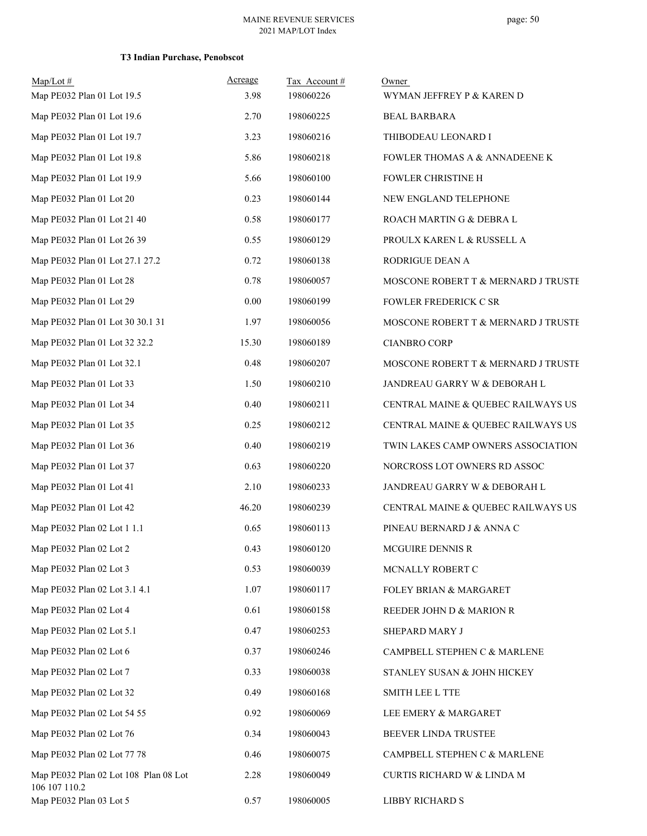| $Map/Lot \#$                                           | Acreage | Tax Account# | Owner                               |
|--------------------------------------------------------|---------|--------------|-------------------------------------|
| Map PE032 Plan 01 Lot 19.5                             | 3.98    | 198060226    | WYMAN JEFFREY P & KAREN D           |
| Map PE032 Plan 01 Lot 19.6                             | 2.70    | 198060225    | <b>BEAL BARBARA</b>                 |
| Map PE032 Plan 01 Lot 19.7                             | 3.23    | 198060216    | THIBODEAU LEONARD I                 |
| Map PE032 Plan 01 Lot 19.8                             | 5.86    | 198060218    | FOWLER THOMAS A & ANNADEENE K       |
| Map PE032 Plan 01 Lot 19.9                             | 5.66    | 198060100    | FOWLER CHRISTINE H                  |
| Map PE032 Plan 01 Lot 20                               | 0.23    | 198060144    | NEW ENGLAND TELEPHONE               |
| Map PE032 Plan 01 Lot 21 40                            | 0.58    | 198060177    | ROACH MARTIN G & DEBRA L            |
| Map PE032 Plan 01 Lot 26 39                            | 0.55    | 198060129    | PROULX KAREN L & RUSSELL A          |
| Map PE032 Plan 01 Lot 27.1 27.2                        | 0.72    | 198060138    | RODRIGUE DEAN A                     |
| Map PE032 Plan 01 Lot 28                               | 0.78    | 198060057    | MOSCONE ROBERT T & MERNARD J TRUSTE |
| Map PE032 Plan 01 Lot 29                               | 0.00    | 198060199    | <b>FOWLER FREDERICK C SR</b>        |
| Map PE032 Plan 01 Lot 30 30.1 31                       | 1.97    | 198060056    | MOSCONE ROBERT T & MERNARD J TRUSTE |
| Map PE032 Plan 01 Lot 32 32.2                          | 15.30   | 198060189    | <b>CIANBRO CORP</b>                 |
| Map PE032 Plan 01 Lot 32.1                             | 0.48    | 198060207    | MOSCONE ROBERT T & MERNARD J TRUSTE |
| Map PE032 Plan 01 Lot 33                               | 1.50    | 198060210    | JANDREAU GARRY W & DEBORAH L        |
| Map PE032 Plan 01 Lot 34                               | 0.40    | 198060211    | CENTRAL MAINE & QUEBEC RAILWAYS US  |
| Map PE032 Plan 01 Lot 35                               | 0.25    | 198060212    | CENTRAL MAINE & QUEBEC RAILWAYS US  |
| Map PE032 Plan 01 Lot 36                               | 0.40    | 198060219    | TWIN LAKES CAMP OWNERS ASSOCIATION  |
| Map PE032 Plan 01 Lot 37                               | 0.63    | 198060220    | NORCROSS LOT OWNERS RD ASSOC        |
| Map PE032 Plan 01 Lot 41                               | 2.10    | 198060233    | JANDREAU GARRY W & DEBORAH L        |
| Map PE032 Plan 01 Lot 42                               | 46.20   | 198060239    | CENTRAL MAINE & QUEBEC RAILWAYS US  |
| Map PE032 Plan 02 Lot 1 1.1                            | 0.65    | 198060113    | PINEAU BERNARD J & ANNA C           |
| Map PE032 Plan 02 Lot 2                                | 0.43    | 198060120    | MCGUIRE DENNIS R                    |
| Map PE032 Plan 02 Lot 3                                | 0.53    | 198060039    | MCNALLY ROBERT C                    |
| Map PE032 Plan 02 Lot 3.1 4.1                          | 1.07    | 198060117    | FOLEY BRIAN & MARGARET              |
| Map PE032 Plan 02 Lot 4                                | 0.61    | 198060158    | REEDER JOHN D & MARION R            |
| Map PE032 Plan 02 Lot 5.1                              | 0.47    | 198060253    | SHEPARD MARY J                      |
| Map PE032 Plan 02 Lot 6                                | 0.37    | 198060246    | CAMPBELL STEPHEN C & MARLENE        |
| Map PE032 Plan 02 Lot 7                                | 0.33    | 198060038    | STANLEY SUSAN & JOHN HICKEY         |
| Map PE032 Plan 02 Lot 32                               | 0.49    | 198060168    | SMITH LEE L TTE                     |
| Map PE032 Plan 02 Lot 54 55                            | 0.92    | 198060069    | LEE EMERY & MARGARET                |
| Map PE032 Plan 02 Lot 76                               | 0.34    | 198060043    | BEEVER LINDA TRUSTEE                |
| Map PE032 Plan 02 Lot 77 78                            | 0.46    | 198060075    | CAMPBELL STEPHEN C & MARLENE        |
| Map PE032 Plan 02 Lot 108 Plan 08 Lot<br>106 107 110.2 | 2.28    | 198060049    | CURTIS RICHARD W & LINDA M          |
| Map PE032 Plan 03 Lot 5                                | 0.57    | 198060005    | LIBBY RICHARD S                     |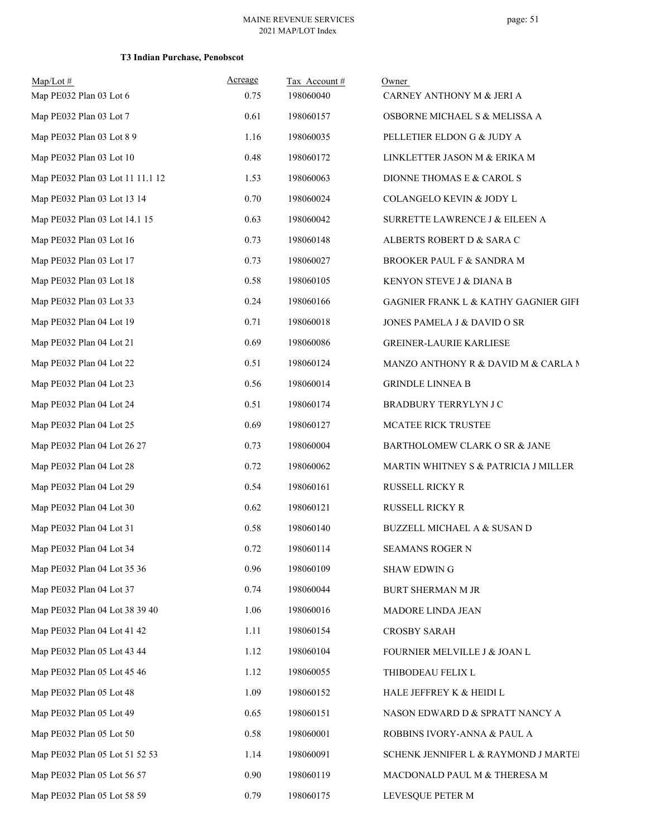# page: 51

|  |  |  | <b>T3 Indian Purchase, Penobscot</b> |
|--|--|--|--------------------------------------|
|--|--|--|--------------------------------------|

| $Map/Lot$ #<br>Map PE032 Plan 03 Lot 6 | Acreage<br>0.75 | Tax Account#<br>198060040 | Owner<br>CARNEY ANTHONY M & JERI A     |
|----------------------------------------|-----------------|---------------------------|----------------------------------------|
| Map PE032 Plan 03 Lot 7                | 0.61            | 198060157                 | OSBORNE MICHAEL S & MELISSA A          |
| Map PE032 Plan 03 Lot 8 9              | 1.16            | 198060035                 | PELLETIER ELDON G & JUDY A             |
| Map PE032 Plan 03 Lot 10               | 0.48            | 198060172                 | LINKLETTER JASON M & ERIKA M           |
| Map PE032 Plan 03 Lot 11 11.1 12       | 1.53            | 198060063                 | DIONNE THOMAS E & CAROL S              |
| Map PE032 Plan 03 Lot 13 14            | 0.70            | 198060024                 | COLANGELO KEVIN & JODY L               |
| Map PE032 Plan 03 Lot 14.1 15          | 0.63            | 198060042                 | SURRETTE LAWRENCE J & EILEEN A         |
| Map PE032 Plan 03 Lot 16               | 0.73            | 198060148                 | ALBERTS ROBERT D & SARA C              |
| Map PE032 Plan 03 Lot 17               | 0.73            | 198060027                 | BROOKER PAUL F & SANDRA M              |
| Map PE032 Plan 03 Lot 18               | 0.58            | 198060105                 | KENYON STEVE J & DIANA B               |
| Map PE032 Plan 03 Lot 33               | 0.24            | 198060166                 | GAGNIER FRANK L & KATHY GAGNIER GIFF   |
| Map PE032 Plan 04 Lot 19               | 0.71            | 198060018                 | JONES PAMELA J & DAVID O SR            |
| Map PE032 Plan 04 Lot 21               | 0.69            | 198060086                 | <b>GREINER-LAURIE KARLIESE</b>         |
| Map PE032 Plan 04 Lot 22               | 0.51            | 198060124                 | MANZO ANTHONY R & DAVID M & CARLA N    |
| Map PE032 Plan 04 Lot 23               | 0.56            | 198060014                 | <b>GRINDLE LINNEA B</b>                |
| Map PE032 Plan 04 Lot 24               | 0.51            | 198060174                 | BRADBURY TERRYLYN J C                  |
| Map PE032 Plan 04 Lot 25               | 0.69            | 198060127                 | MCATEE RICK TRUSTEE                    |
| Map PE032 Plan 04 Lot 26 27            | 0.73            | 198060004                 | BARTHOLOMEW CLARK O SR & JANE          |
| Map PE032 Plan 04 Lot 28               | 0.72            | 198060062                 | MARTIN WHITNEY S & PATRICIA J MILLER   |
| Map PE032 Plan 04 Lot 29               | 0.54            | 198060161                 | RUSSELL RICKY R                        |
| Map PE032 Plan 04 Lot 30               | 0.62            | 198060121                 | RUSSELL RICKY R                        |
| Map PE032 Plan 04 Lot 31               | 0.58            | 198060140                 | <b>BUZZELL MICHAEL A &amp; SUSAN D</b> |
| Map PE032 Plan 04 Lot 34               | 0.72            | 198060114                 | SEAMANS ROGER N                        |
| Map PE032 Plan 04 Lot 35 36            | 0.96            | 198060109                 | <b>SHAW EDWIN G</b>                    |
| Map PE032 Plan 04 Lot 37               | 0.74            | 198060044                 | <b>BURT SHERMAN M JR</b>               |
| Map PE032 Plan 04 Lot 38 39 40         | 1.06            | 198060016                 | MADORE LINDA JEAN                      |
| Map PE032 Plan 04 Lot 41 42            | 1.11            | 198060154                 | <b>CROSBY SARAH</b>                    |
| Map PE032 Plan 05 Lot 43 44            | 1.12            | 198060104                 | FOURNIER MELVILLE J & JOAN L           |
| Map PE032 Plan 05 Lot 45 46            | 1.12            | 198060055                 | THIBODEAU FELIX L                      |
| Map PE032 Plan 05 Lot 48               | 1.09            | 198060152                 | HALE JEFFREY K & HEIDI L               |
| Map PE032 Plan 05 Lot 49               | 0.65            | 198060151                 | NASON EDWARD D & SPRATT NANCY A        |
| Map PE032 Plan 05 Lot 50               | 0.58            | 198060001                 | ROBBINS IVORY-ANNA & PAUL A            |
| Map PE032 Plan 05 Lot 51 52 53         | 1.14            | 198060091                 | SCHENK JENNIFER L & RAYMOND J MARTEI   |
| Map PE032 Plan 05 Lot 56 57            | 0.90            | 198060119                 | MACDONALD PAUL M & THERESA M           |
| Map PE032 Plan 05 Lot 58 59            | 0.79            | 198060175                 | LEVESQUE PETER M                       |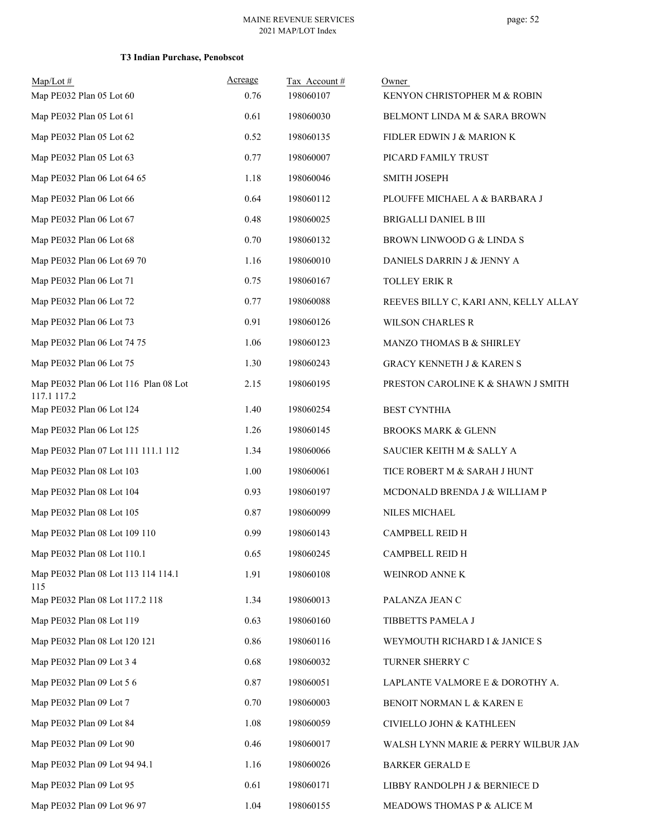| $Map/Lot$ #<br>Map PE032 Plan 05 Lot 60              | Acreage<br>0.76 | Tax Account#<br>198060107 | Owner<br>KENYON CHRISTOPHER M & ROBIN |
|------------------------------------------------------|-----------------|---------------------------|---------------------------------------|
| Map PE032 Plan 05 Lot 61                             | 0.61            | 198060030                 | BELMONT LINDA M & SARA BROWN          |
| Map PE032 Plan 05 Lot 62                             | 0.52            | 198060135                 | FIDLER EDWIN J & MARION K             |
| Map PE032 Plan 05 Lot 63                             | 0.77            | 198060007                 | PICARD FAMILY TRUST                   |
| Map PE032 Plan 06 Lot 64 65                          | 1.18            | 198060046                 | <b>SMITH JOSEPH</b>                   |
| Map PE032 Plan 06 Lot 66                             |                 | 198060112                 |                                       |
|                                                      | 0.64            |                           | PLOUFFE MICHAEL A & BARBARA J         |
| Map PE032 Plan 06 Lot 67                             | 0.48            | 198060025                 | <b>BRIGALLI DANIEL B III</b>          |
| Map PE032 Plan 06 Lot 68                             | 0.70            | 198060132                 | BROWN LINWOOD G & LINDA S             |
| Map PE032 Plan 06 Lot 69 70                          | 1.16            | 198060010                 | DANIELS DARRIN J & JENNY A            |
| Map PE032 Plan 06 Lot 71                             | 0.75            | 198060167                 | TOLLEY ERIK R                         |
| Map PE032 Plan 06 Lot 72                             | 0.77            | 198060088                 | REEVES BILLY C, KARI ANN, KELLY ALLAY |
| Map PE032 Plan 06 Lot 73                             | 0.91            | 198060126                 | <b>WILSON CHARLES R</b>               |
| Map PE032 Plan 06 Lot 74 75                          | 1.06            | 198060123                 | MANZO THOMAS B & SHIRLEY              |
| Map PE032 Plan 06 Lot 75                             | 1.30            | 198060243                 | <b>GRACY KENNETH J &amp; KAREN S</b>  |
| Map PE032 Plan 06 Lot 116 Plan 08 Lot<br>117.1 117.2 | 2.15            | 198060195                 | PRESTON CAROLINE K & SHAWN J SMITH    |
| Map PE032 Plan 06 Lot 124                            | 1.40            | 198060254                 | <b>BEST CYNTHIA</b>                   |
| Map PE032 Plan 06 Lot 125                            | 1.26            | 198060145                 | <b>BROOKS MARK &amp; GLENN</b>        |
| Map PE032 Plan 07 Lot 111 111.1 112                  | 1.34            | 198060066                 | SAUCIER KEITH M & SALLY A             |
| Map PE032 Plan 08 Lot 103                            | 1.00            | 198060061                 | TICE ROBERT M & SARAH J HUNT          |
| Map PE032 Plan 08 Lot 104                            | 0.93            | 198060197                 | MCDONALD BRENDA J & WILLIAM P         |
| Map PE032 Plan 08 Lot 105                            | 0.87            | 198060099                 | NILES MICHAEL                         |
| Map PE032 Plan 08 Lot 109 110                        | 0.99            | 198060143                 | CAMPBELL REID H                       |
| Map PE032 Plan 08 Lot 110.1                          | 0.65            | 198060245                 | CAMPBELL REID H                       |
| Map PE032 Plan 08 Lot 113 114 114.1<br>115           | 1.91            | 198060108                 | WEINROD ANNE K                        |
| Map PE032 Plan 08 Lot 117.2 118                      | 1.34            | 198060013                 | PALANZA JEAN C                        |
| Map PE032 Plan 08 Lot 119                            | 0.63            | 198060160                 | TIBBETTS PAMELA J                     |
| Map PE032 Plan 08 Lot 120 121                        | 0.86            | 198060116                 | WEYMOUTH RICHARD I & JANICE S         |
| Map PE032 Plan 09 Lot 3 4                            | 0.68            | 198060032                 | TURNER SHERRY C                       |
| Map PE032 Plan 09 Lot 5 6                            | 0.87            | 198060051                 | LAPLANTE VALMORE E & DOROTHY A.       |
| Map PE032 Plan 09 Lot 7                              | 0.70            | 198060003                 | BENOIT NORMAN L & KAREN E             |
| Map PE032 Plan 09 Lot 84                             | 1.08            | 198060059                 | CIVIELLO JOHN & KATHLEEN              |
| Map PE032 Plan 09 Lot 90                             | 0.46            | 198060017                 | WALSH LYNN MARIE & PERRY WILBUR JAM   |
| Map PE032 Plan 09 Lot 94 94.1                        | 1.16            | 198060026                 | <b>BARKER GERALD E</b>                |
| Map PE032 Plan 09 Lot 95                             | 0.61            | 198060171                 | LIBBY RANDOLPH J & BERNIECE D         |
| Map PE032 Plan 09 Lot 96 97                          | 1.04            | 198060155                 | MEADOWS THOMAS P & ALICE M            |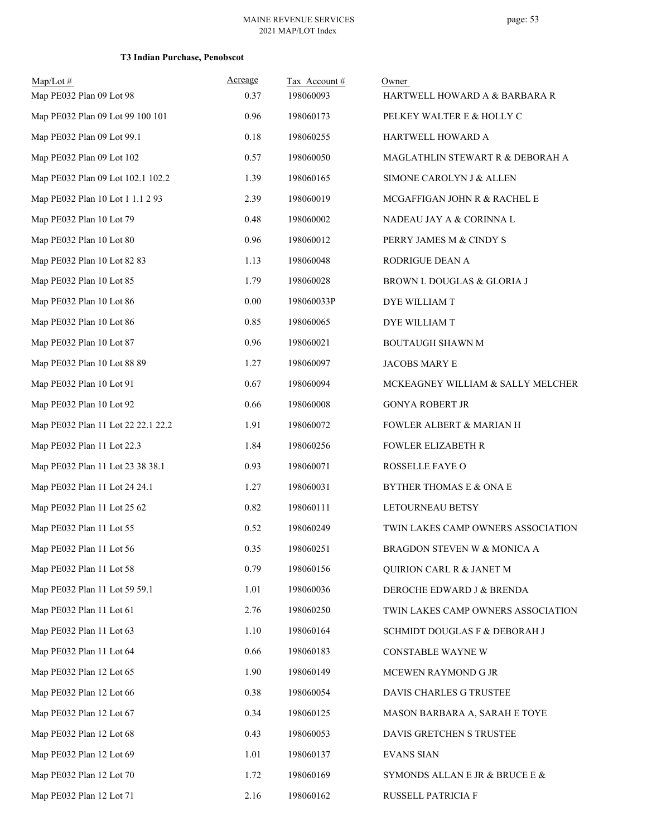| $Map/Lot \#$<br>Map PE032 Plan 09 Lot 98 | Acreage<br>0.37 | Tax Account#<br>198060093 | Owner<br>HARTWELL HOWARD A & BARBARA R |
|------------------------------------------|-----------------|---------------------------|----------------------------------------|
|                                          |                 |                           |                                        |
| Map PE032 Plan 09 Lot 99 100 101         | 0.96            | 198060173                 | PELKEY WALTER E & HOLLY C              |
| Map PE032 Plan 09 Lot 99.1               | $0.18\,$        | 198060255                 | HARTWELL HOWARD A                      |
| Map PE032 Plan 09 Lot 102                | 0.57            | 198060050                 | MAGLATHLIN STEWART R & DEBORAH A       |
| Map PE032 Plan 09 Lot 102.1 102.2        | 1.39            | 198060165                 | SIMONE CAROLYN J & ALLEN               |
| Map PE032 Plan 10 Lot 1 1.1 2 93         | 2.39            | 198060019                 | MCGAFFIGAN JOHN R & RACHEL E           |
| Map PE032 Plan 10 Lot 79                 | 0.48            | 198060002                 | NADEAU JAY A & CORINNA L               |
| Map PE032 Plan 10 Lot 80                 | 0.96            | 198060012                 | PERRY JAMES M & CINDY S                |
| Map PE032 Plan 10 Lot 82 83              | 1.13            | 198060048                 | RODRIGUE DEAN A                        |
| Map PE032 Plan 10 Lot 85                 | 1.79            | 198060028                 | BROWN L DOUGLAS & GLORIA J             |
| Map PE032 Plan 10 Lot 86                 | 0.00            | 198060033P                | DYE WILLIAM T                          |
| Map PE032 Plan 10 Lot 86                 | 0.85            | 198060065                 | DYE WILLIAM T                          |
| Map PE032 Plan 10 Lot 87                 | 0.96            | 198060021                 | <b>BOUTAUGH SHAWN M</b>                |
| Map PE032 Plan 10 Lot 88 89              | 1.27            | 198060097                 | JACOBS MARY E                          |
| Map PE032 Plan 10 Lot 91                 | 0.67            | 198060094                 | MCKEAGNEY WILLIAM & SALLY MELCHER      |
| Map PE032 Plan 10 Lot 92                 | 0.66            | 198060008                 | <b>GONYA ROBERT JR</b>                 |
| Map PE032 Plan 11 Lot 22 22.1 22.2       | 1.91            | 198060072                 | FOWLER ALBERT & MARIAN H               |
| Map PE032 Plan 11 Lot 22.3               | 1.84            | 198060256                 | <b>FOWLER ELIZABETH R</b>              |
| Map PE032 Plan 11 Lot 23 38 38.1         | 0.93            | 198060071                 | ROSSELLE FAYE O                        |
| Map PE032 Plan 11 Lot 24 24.1            | 1.27            | 198060031                 | BYTHER THOMAS E & ONA E                |
| Map PE032 Plan 11 Lot 25 62              | 0.82            | 198060111                 | LETOURNEAU BETSY                       |
| Map PE032 Plan 11 Lot 55                 | 0.52            | 198060249                 | TWIN LAKES CAMP OWNERS ASSOCIATION     |
| Map PE032 Plan 11 Lot 56                 | 0.35            | 198060251                 | BRAGDON STEVEN W & MONICA A            |
| Map PE032 Plan 11 Lot 58                 | 0.79            | 198060156                 | QUIRION CARL R & JANET M               |
| Map PE032 Plan 11 Lot 59 59.1            | 1.01            | 198060036                 | DEROCHE EDWARD J & BRENDA              |
| Map PE032 Plan 11 Lot 61                 | 2.76            | 198060250                 | TWIN LAKES CAMP OWNERS ASSOCIATION     |
| Map PE032 Plan 11 Lot 63                 | 1.10            | 198060164                 | SCHMIDT DOUGLAS F & DEBORAH J          |
| Map PE032 Plan 11 Lot 64                 | 0.66            | 198060183                 | CONSTABLE WAYNE W                      |
| Map PE032 Plan 12 Lot 65                 | 1.90            | 198060149                 | MCEWEN RAYMOND G JR                    |
| Map PE032 Plan 12 Lot 66                 | 0.38            | 198060054                 | DAVIS CHARLES G TRUSTEE                |
| Map PE032 Plan 12 Lot 67                 | 0.34            | 198060125                 | MASON BARBARA A, SARAH E TOYE          |
| Map PE032 Plan 12 Lot 68                 | 0.43            | 198060053                 | DAVIS GRETCHEN S TRUSTEE               |
| Map PE032 Plan 12 Lot 69                 | 1.01            | 198060137                 | <b>EVANS SIAN</b>                      |
| Map PE032 Plan 12 Lot 70                 | 1.72            | 198060169                 | SYMONDS ALLAN E JR & BRUCE E &         |
| Map PE032 Plan 12 Lot 71                 | 2.16            | 198060162                 | RUSSELL PATRICIA F                     |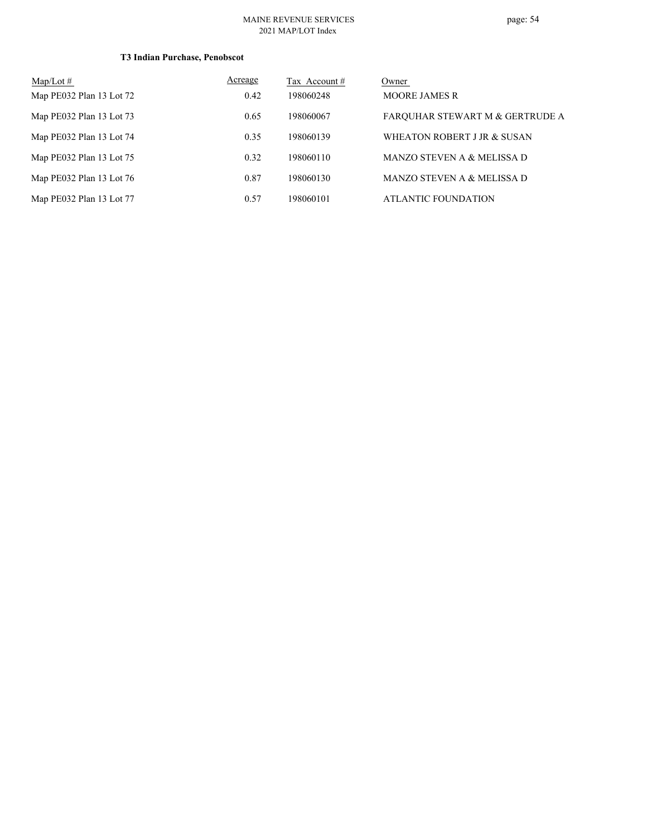| Map/Lot $#$              | Acreage | Tax Account # | Owner                           |
|--------------------------|---------|---------------|---------------------------------|
| Map PE032 Plan 13 Lot 72 | 0.42    | 198060248     | <b>MOORE JAMES R</b>            |
| Map PE032 Plan 13 Lot 73 | 0.65    | 198060067     | FARQUHAR STEWART M & GERTRUDE A |
| Map PE032 Plan 13 Lot 74 | 0.35    | 198060139     | WHEATON ROBERT J JR & SUSAN     |
| Map PE032 Plan 13 Lot 75 | 0.32    | 198060110     | MANZO STEVEN A & MELISSA D      |
| Map PE032 Plan 13 Lot 76 | 0.87    | 198060130     | MANZO STEVEN A & MELISSA D      |
| Map PE032 Plan 13 Lot 77 | 0.57    | 198060101     | ATLANTIC FOUNDATION             |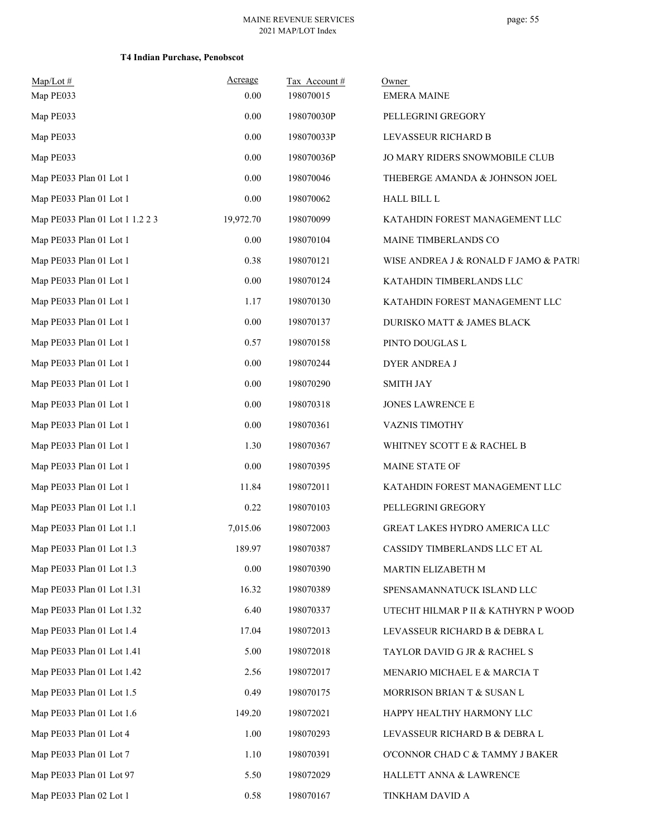| $Map/Lot \#$                    | Acreage   | Tax Account# | Owner                                 |
|---------------------------------|-----------|--------------|---------------------------------------|
| Map PE033                       | 0.00      | 198070015    | <b>EMERA MAINE</b>                    |
| Map PE033                       | 0.00      | 198070030P   | PELLEGRINI GREGORY                    |
| Map PE033                       | 0.00      | 198070033P   | LEVASSEUR RICHARD B                   |
| Map PE033                       | 0.00      | 198070036P   | JO MARY RIDERS SNOWMOBILE CLUB        |
| Map PE033 Plan 01 Lot 1         | 0.00      | 198070046    | THEBERGE AMANDA & JOHNSON JOEL        |
| Map PE033 Plan 01 Lot 1         | 0.00      | 198070062    | <b>HALL BILL L</b>                    |
| Map PE033 Plan 01 Lot 1 1.2 2 3 | 19,972.70 | 198070099    | KATAHDIN FOREST MANAGEMENT LLC        |
| Map PE033 Plan 01 Lot 1         | $0.00\,$  | 198070104    | MAINE TIMBERLANDS CO                  |
| Map PE033 Plan 01 Lot 1         | 0.38      | 198070121    | WISE ANDREA J & RONALD F JAMO & PATRI |
| Map PE033 Plan 01 Lot 1         | 0.00      | 198070124    | KATAHDIN TIMBERLANDS LLC              |
| Map PE033 Plan 01 Lot 1         | 1.17      | 198070130    | KATAHDIN FOREST MANAGEMENT LLC        |
| Map PE033 Plan 01 Lot 1         | 0.00      | 198070137    | DURISKO MATT & JAMES BLACK            |
| Map PE033 Plan 01 Lot 1         | 0.57      | 198070158    | PINTO DOUGLAS L                       |
| Map PE033 Plan 01 Lot 1         | 0.00      | 198070244    | <b>DYER ANDREA J</b>                  |
| Map PE033 Plan 01 Lot 1         | 0.00      | 198070290    | <b>SMITH JAY</b>                      |
| Map PE033 Plan 01 Lot 1         | 0.00      | 198070318    | JONES LAWRENCE E                      |
| Map PE033 Plan 01 Lot 1         | 0.00      | 198070361    | VAZNIS TIMOTHY                        |
| Map PE033 Plan 01 Lot 1         | 1.30      | 198070367    | WHITNEY SCOTT E & RACHEL B            |
| Map PE033 Plan 01 Lot 1         | 0.00      | 198070395    | MAINE STATE OF                        |
| Map PE033 Plan 01 Lot 1         | 11.84     | 198072011    | KATAHDIN FOREST MANAGEMENT LLC        |
| Map PE033 Plan 01 Lot 1.1       | 0.22      | 198070103    | PELLEGRINI GREGORY                    |
| Map PE033 Plan 01 Lot 1.1       | 7,015.06  | 198072003    | GREAT LAKES HYDRO AMERICA LLC         |
| Map PE033 Plan 01 Lot 1.3       | 189.97    | 198070387    | CASSIDY TIMBERLANDS LLC ET AL         |
| Map PE033 Plan 01 Lot 1.3       | 0.00      | 198070390    | MARTIN ELIZABETH M                    |
| Map PE033 Plan 01 Lot 1.31      | 16.32     | 198070389    | SPENSAMANNATUCK ISLAND LLC            |
| Map PE033 Plan 01 Lot 1.32      | 6.40      | 198070337    | UTECHT HILMAR P II & KATHYRN P WOOD   |
| Map PE033 Plan 01 Lot 1.4       | 17.04     | 198072013    | LEVASSEUR RICHARD B & DEBRA L         |
| Map PE033 Plan 01 Lot 1.41      | 5.00      | 198072018    | TAYLOR DAVID G JR & RACHEL S          |
| Map PE033 Plan 01 Lot 1.42      | 2.56      | 198072017    | MENARIO MICHAEL E & MARCIA T          |
| Map PE033 Plan 01 Lot 1.5       | 0.49      | 198070175    | MORRISON BRIAN T & SUSAN L            |
| Map PE033 Plan 01 Lot 1.6       | 149.20    | 198072021    | HAPPY HEALTHY HARMONY LLC             |
| Map PE033 Plan 01 Lot 4         | 1.00      | 198070293    | LEVASSEUR RICHARD B & DEBRA L         |
| Map PE033 Plan 01 Lot 7         | 1.10      | 198070391    | O'CONNOR CHAD C & TAMMY J BAKER       |
| Map PE033 Plan 01 Lot 97        | 5.50      | 198072029    | HALLETT ANNA & LAWRENCE               |
| Map PE033 Plan 02 Lot 1         | 0.58      | 198070167    | TINKHAM DAVID A                       |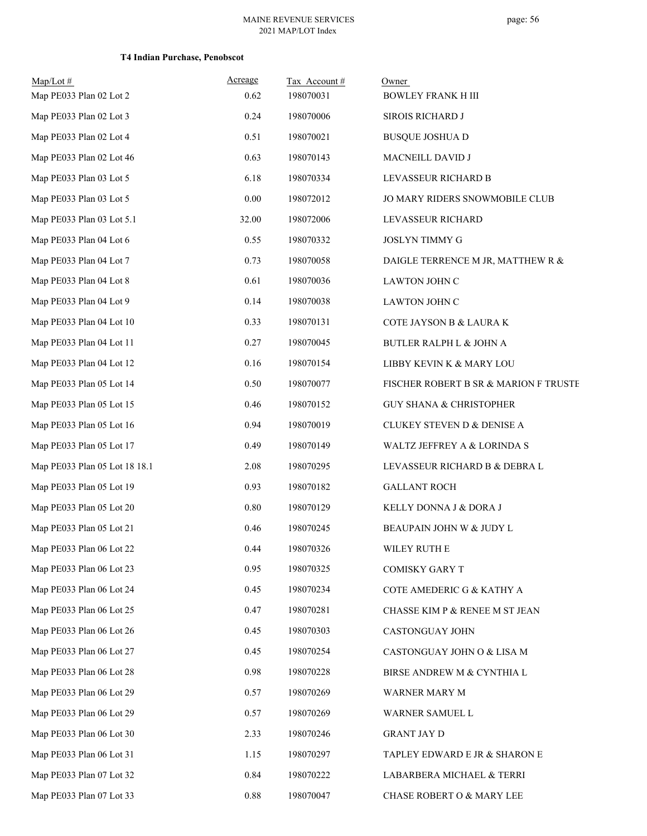| Map/Lot#<br>Map PE033 Plan 02 Lot 2 | Acreage<br>0.62 | Tax Account#<br>198070031 | Owner<br><b>BOWLEY FRANK H III</b>    |
|-------------------------------------|-----------------|---------------------------|---------------------------------------|
| Map PE033 Plan 02 Lot 3             | 0.24            | 198070006                 | SIROIS RICHARD J                      |
| Map PE033 Plan 02 Lot 4             | 0.51            | 198070021                 | <b>BUSQUE JOSHUA D</b>                |
| Map PE033 Plan 02 Lot 46            | 0.63            | 198070143                 | MACNEILL DAVID J                      |
| Map PE033 Plan 03 Lot 5             | 6.18            | 198070334                 | LEVASSEUR RICHARD B                   |
| Map PE033 Plan 03 Lot 5             | 0.00            | 198072012                 | JO MARY RIDERS SNOWMOBILE CLUB        |
| Map PE033 Plan 03 Lot 5.1           | 32.00           | 198072006                 | LEVASSEUR RICHARD                     |
| Map PE033 Plan 04 Lot 6             | 0.55            | 198070332                 | <b>JOSLYN TIMMY G</b>                 |
| Map PE033 Plan 04 Lot 7             | 0.73            | 198070058                 | DAIGLE TERRENCE M JR, MATTHEW R &     |
| Map PE033 Plan 04 Lot 8             | 0.61            | 198070036                 | LAWTON JOHN C                         |
| Map PE033 Plan 04 Lot 9             | 0.14            | 198070038                 | LAWTON JOHN C                         |
| Map PE033 Plan 04 Lot 10            | 0.33            | 198070131                 | COTE JAYSON B & LAURA K               |
| Map PE033 Plan 04 Lot 11            | 0.27            | 198070045                 | BUTLER RALPH L & JOHN A               |
| Map PE033 Plan 04 Lot 12            | 0.16            | 198070154                 | LIBBY KEVIN K & MARY LOU              |
| Map PE033 Plan 05 Lot 14            | 0.50            | 198070077                 | FISCHER ROBERT B SR & MARION F TRUSTE |
| Map PE033 Plan 05 Lot 15            | 0.46            | 198070152                 | <b>GUY SHANA &amp; CHRISTOPHER</b>    |
| Map PE033 Plan 05 Lot 16            | 0.94            | 198070019                 | CLUKEY STEVEN D & DENISE A            |
| Map PE033 Plan 05 Lot 17            | 0.49            | 198070149                 | WALTZ JEFFREY A & LORINDA S           |
| Map PE033 Plan 05 Lot 18 18.1       | 2.08            | 198070295                 | LEVASSEUR RICHARD B & DEBRA L         |
| Map PE033 Plan 05 Lot 19            | 0.93            | 198070182                 | <b>GALLANT ROCH</b>                   |
| Map PE033 Plan 05 Lot 20            | 0.80            | 198070129                 | KELLY DONNA J & DORA J                |
| Map PE033 Plan 05 Lot 21            | 0.46            | 198070245                 | BEAUPAIN JOHN W & JUDY L              |
| Map PE033 Plan 06 Lot 22            | 0.44            | 198070326                 | WILEY RUTH E                          |
| Map PE033 Plan 06 Lot 23            | 0.95            | 198070325                 | <b>COMISKY GARY T</b>                 |
| Map PE033 Plan 06 Lot 24            | 0.45            | 198070234                 | COTE AMEDERIC G & KATHY A             |
| Map PE033 Plan 06 Lot 25            | 0.47            | 198070281                 | CHASSE KIM P & RENEE M ST JEAN        |
| Map PE033 Plan 06 Lot 26            | 0.45            | 198070303                 | CASTONGUAY JOHN                       |
| Map PE033 Plan 06 Lot 27            | 0.45            | 198070254                 | CASTONGUAY JOHN O & LISA M            |
| Map PE033 Plan 06 Lot 28            | 0.98            | 198070228                 | BIRSE ANDREW M & CYNTHIA L            |
| Map PE033 Plan 06 Lot 29            | 0.57            | 198070269                 | WARNER MARY M                         |
| Map PE033 Plan 06 Lot 29            | 0.57            | 198070269                 | WARNER SAMUEL L                       |
| Map PE033 Plan 06 Lot 30            | 2.33            | 198070246                 | <b>GRANT JAY D</b>                    |
| Map PE033 Plan 06 Lot 31            | 1.15            | 198070297                 | TAPLEY EDWARD E JR & SHARON E         |
| Map PE033 Plan 07 Lot 32            | 0.84            | 198070222                 | LABARBERA MICHAEL & TERRI             |
| Map PE033 Plan 07 Lot 33            | $\rm 0.88$      | 198070047                 | CHASE ROBERT O & MARY LEE             |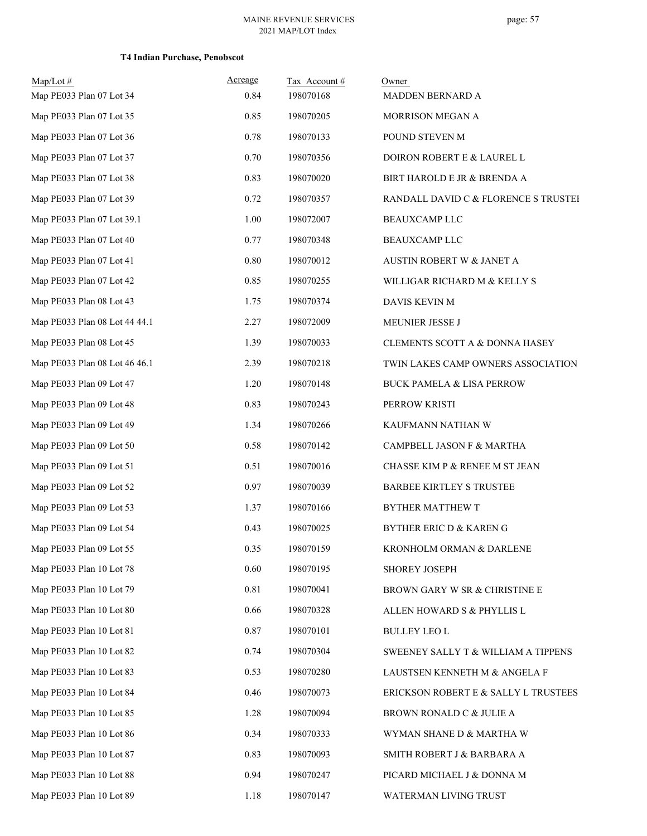| $Map/Lot \#$<br>Map PE033 Plan 07 Lot 34 | Acreage<br>0.84 | Tax Account#<br>198070168 | Owner<br>MADDEN BERNARD A                 |
|------------------------------------------|-----------------|---------------------------|-------------------------------------------|
|                                          |                 |                           |                                           |
| Map PE033 Plan 07 Lot 35                 | 0.85            | 198070205                 | MORRISON MEGAN A                          |
| Map PE033 Plan 07 Lot 36                 | 0.78            | 198070133                 | POUND STEVEN M                            |
| Map PE033 Plan 07 Lot 37                 | 0.70            | 198070356                 | DOIRON ROBERT E & LAUREL L                |
| Map PE033 Plan 07 Lot 38                 | 0.83            | 198070020                 | BIRT HAROLD E JR & BRENDA A               |
| Map PE033 Plan 07 Lot 39                 | 0.72            | 198070357                 | RANDALL DAVID C & FLORENCE S TRUSTEI      |
| Map PE033 Plan 07 Lot 39.1               | 1.00            | 198072007                 | <b>BEAUXCAMP LLC</b>                      |
| Map PE033 Plan 07 Lot 40                 | 0.77            | 198070348                 | <b>BEAUXCAMP LLC</b>                      |
| Map PE033 Plan 07 Lot 41                 | $0.80\,$        | 198070012                 | AUSTIN ROBERT W & JANET A                 |
| Map PE033 Plan 07 Lot 42                 | 0.85            | 198070255                 | WILLIGAR RICHARD M & KELLY S              |
| Map PE033 Plan 08 Lot 43                 | 1.75            | 198070374                 | <b>DAVIS KEVIN M</b>                      |
| Map PE033 Plan 08 Lot 44 44.1            | 2.27            | 198072009                 | MEUNIER JESSE J                           |
| Map PE033 Plan 08 Lot 45                 | 1.39            | 198070033                 | <b>CLEMENTS SCOTT A &amp; DONNA HASEY</b> |
| Map PE033 Plan 08 Lot 46 46.1            | 2.39            | 198070218                 | TWIN LAKES CAMP OWNERS ASSOCIATION        |
| Map PE033 Plan 09 Lot 47                 | 1.20            | 198070148                 | <b>BUCK PAMELA &amp; LISA PERROW</b>      |
| Map PE033 Plan 09 Lot 48                 | 0.83            | 198070243                 | PERROW KRISTI                             |
| Map PE033 Plan 09 Lot 49                 | 1.34            | 198070266                 | KAUFMANN NATHAN W                         |
| Map PE033 Plan 09 Lot 50                 | 0.58            | 198070142                 | CAMPBELL JASON F & MARTHA                 |
| Map PE033 Plan 09 Lot 51                 | 0.51            | 198070016                 | CHASSE KIM P & RENEE M ST JEAN            |
| Map PE033 Plan 09 Lot 52                 | 0.97            | 198070039                 | <b>BARBEE KIRTLEY S TRUSTEE</b>           |
| Map PE033 Plan 09 Lot 53                 | 1.37            | 198070166                 | BYTHER MATTHEW T                          |
| Map PE033 Plan 09 Lot 54                 | 0.43            | 198070025                 | <b>BYTHER ERIC D &amp; KAREN G</b>        |
| Map PE033 Plan 09 Lot 55                 | 0.35            | 198070159                 | KRONHOLM ORMAN & DARLENE                  |
| Map PE033 Plan 10 Lot 78                 | 0.60            | 198070195                 | SHOREY JOSEPH                             |
| Map PE033 Plan 10 Lot 79                 | 0.81            | 198070041                 | BROWN GARY W SR & CHRISTINE E             |
| Map PE033 Plan 10 Lot 80                 | 0.66            | 198070328                 | ALLEN HOWARD S & PHYLLIS L                |
| Map PE033 Plan 10 Lot 81                 | 0.87            | 198070101                 | <b>BULLEY LEO L</b>                       |
| Map PE033 Plan 10 Lot 82                 | 0.74            | 198070304                 | SWEENEY SALLY T & WILLIAM A TIPPENS       |
| Map PE033 Plan 10 Lot 83                 | 0.53            | 198070280                 | LAUSTSEN KENNETH M & ANGELA F             |
| Map PE033 Plan 10 Lot 84                 | 0.46            | 198070073                 | ERICKSON ROBERT E & SALLY L TRUSTEES      |
| Map PE033 Plan 10 Lot 85                 | 1.28            | 198070094                 | BROWN RONALD C & JULIE A                  |
| Map PE033 Plan 10 Lot 86                 | 0.34            | 198070333                 | WYMAN SHANE D & MARTHA W                  |
| Map PE033 Plan 10 Lot 87                 | 0.83            | 198070093                 | SMITH ROBERT J & BARBARA A                |
| Map PE033 Plan 10 Lot 88                 | 0.94            | 198070247                 | PICARD MICHAEL J & DONNA M                |
| Map PE033 Plan 10 Lot 89                 | 1.18            | 198070147                 | WATERMAN LIVING TRUST                     |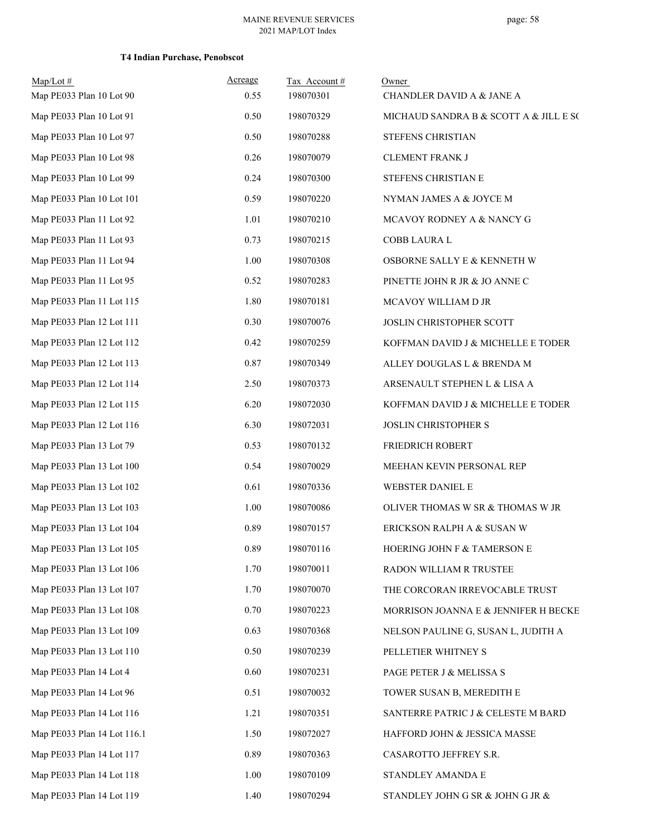| $Map/Lot \#$<br>Map PE033 Plan 10 Lot 90 | Acreage<br>0.55 | Tax Account#<br>198070301 | Owner<br>CHANDLER DAVID A & JANE A     |
|------------------------------------------|-----------------|---------------------------|----------------------------------------|
| Map PE033 Plan 10 Lot 91                 | 0.50            | 198070329                 | MICHAUD SANDRA B & SCOTT A & JILL E SC |
| Map PE033 Plan 10 Lot 97                 | 0.50            | 198070288                 | STEFENS CHRISTIAN                      |
| Map PE033 Plan 10 Lot 98                 | 0.26            | 198070079                 | <b>CLEMENT FRANK J</b>                 |
| Map PE033 Plan 10 Lot 99                 | 0.24            | 198070300                 | STEFENS CHRISTIAN E                    |
| Map PE033 Plan 10 Lot 101                | 0.59            | 198070220                 | NYMAN JAMES A & JOYCE M                |
| Map PE033 Plan 11 Lot 92                 | 1.01            | 198070210                 | MCAVOY RODNEY A & NANCY G              |
| Map PE033 Plan 11 Lot 93                 | 0.73            | 198070215                 | COBB LAURA L                           |
| Map PE033 Plan 11 Lot 94                 | 1.00            | 198070308                 | OSBORNE SALLY E & KENNETH W            |
| Map PE033 Plan 11 Lot 95                 | 0.52            | 198070283                 | PINETTE JOHN R JR & JO ANNE C          |
| Map PE033 Plan 11 Lot 115                | 1.80            | 198070181                 | MCAVOY WILLIAM D JR                    |
| Map PE033 Plan 12 Lot 111                | 0.30            | 198070076                 | JOSLIN CHRISTOPHER SCOTT               |
| Map PE033 Plan 12 Lot 112                | 0.42            | 198070259                 | KOFFMAN DAVID J & MICHELLE E TODER     |
| Map PE033 Plan 12 Lot 113                | 0.87            | 198070349                 | ALLEY DOUGLAS L & BRENDA M             |
| Map PE033 Plan 12 Lot 114                | 2.50            | 198070373                 | ARSENAULT STEPHEN L & LISA A           |
| Map PE033 Plan 12 Lot 115                | 6.20            | 198072030                 | KOFFMAN DAVID J & MICHELLE E TODER     |
| Map PE033 Plan 12 Lot 116                | 6.30            | 198072031                 | JOSLIN CHRISTOPHER S                   |
| Map PE033 Plan 13 Lot 79                 | 0.53            | 198070132                 | FRIEDRICH ROBERT                       |
| Map PE033 Plan 13 Lot 100                | 0.54            | 198070029                 | MEEHAN KEVIN PERSONAL REP              |
| Map PE033 Plan 13 Lot 102                | 0.61            | 198070336                 | WEBSTER DANIEL E                       |
| Map PE033 Plan 13 Lot 103                | 1.00            | 198070086                 | OLIVER THOMAS W SR & THOMAS W JR       |
| Map PE033 Plan 13 Lot 104                | 0.89            | 198070157                 | ERICKSON RALPH A & SUSAN W             |
| Map PE033 Plan 13 Lot 105                | 0.89            | 198070116                 | HOERING JOHN F & TAMERSON E            |
| Map PE033 Plan 13 Lot 106                | 1.70            | 198070011                 | RADON WILLIAM R TRUSTEE                |
| Map PE033 Plan 13 Lot 107                | 1.70            | 198070070                 | THE CORCORAN IRREVOCABLE TRUST         |
| Map PE033 Plan 13 Lot 108                | 0.70            | 198070223                 | MORRISON JOANNA E & JENNIFER H BECKE   |
| Map PE033 Plan 13 Lot 109                | 0.63            | 198070368                 | NELSON PAULINE G, SUSAN L, JUDITH A    |
| Map PE033 Plan 13 Lot 110                | 0.50            | 198070239                 | PELLETIER WHITNEY S                    |
| Map PE033 Plan 14 Lot 4                  | 0.60            | 198070231                 | PAGE PETER J & MELISSA S               |
| Map PE033 Plan 14 Lot 96                 | 0.51            | 198070032                 | TOWER SUSAN B, MEREDITH E              |
| Map PE033 Plan 14 Lot 116                | 1.21            | 198070351                 | SANTERRE PATRIC J & CELESTE M BARD     |
| Map PE033 Plan 14 Lot 116.1              | 1.50            | 198072027                 | HAFFORD JOHN & JESSICA MASSE           |
| Map PE033 Plan 14 Lot 117                | 0.89            | 198070363                 | CASAROTTO JEFFREY S.R.                 |
| Map PE033 Plan 14 Lot 118                | 1.00            | 198070109                 | STANDLEY AMANDA E                      |
| Map PE033 Plan 14 Lot 119                | 1.40            | 198070294                 | STANDLEY JOHN G SR & JOHN G JR &       |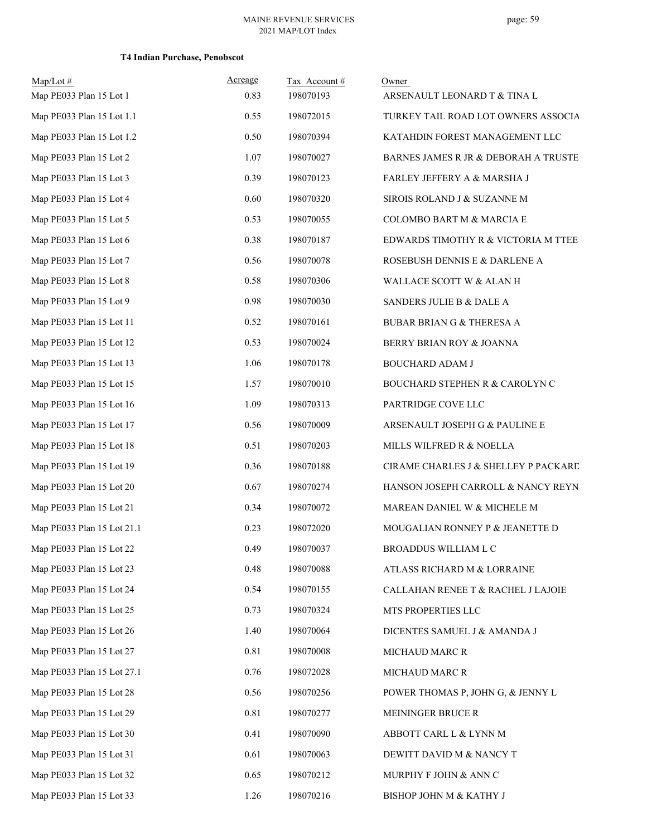| $Map/Lot$ #<br>Map PE033 Plan 15 Lot 1 | Acreage<br>0.83 | Tax Account#<br>198070193 | Owner<br>ARSENAULT LEONARD T & TINA L     |
|----------------------------------------|-----------------|---------------------------|-------------------------------------------|
| Map PE033 Plan 15 Lot 1.1              | 0.55            | 198072015                 | TURKEY TAIL ROAD LOT OWNERS ASSOCIA       |
| Map PE033 Plan 15 Lot 1.2              | 0.50            | 198070394                 | KATAHDIN FOREST MANAGEMENT LLC            |
| Map PE033 Plan 15 Lot 2                | 1.07            | 198070027                 | BARNES JAMES R JR & DEBORAH A TRUSTE      |
| Map PE033 Plan 15 Lot 3                | 0.39            | 198070123                 | FARLEY JEFFERY A & MARSHA J               |
| Map PE033 Plan 15 Lot 4                | 0.60            | 198070320                 | SIROIS ROLAND J & SUZANNE M               |
| Map PE033 Plan 15 Lot 5                | 0.53            | 198070055                 | COLOMBO BART M & MARCIA E                 |
| Map PE033 Plan 15 Lot 6                | 0.38            | 198070187                 | EDWARDS TIMOTHY R & VICTORIA M TTEE       |
| Map PE033 Plan 15 Lot 7                | 0.56            | 198070078                 | ROSEBUSH DENNIS E & DARLENE A             |
| Map PE033 Plan 15 Lot 8                | 0.58            | 198070306                 | WALLACE SCOTT W & ALAN H                  |
| Map PE033 Plan 15 Lot 9                | 0.98            | 198070030                 | SANDERS JULIE B & DALE A                  |
| Map PE033 Plan 15 Lot 11               | 0.52            | 198070161                 | <b>BUBAR BRIAN G &amp; THERESA A</b>      |
| Map PE033 Plan 15 Lot 12               | 0.53            | 198070024                 | BERRY BRIAN ROY & JOANNA                  |
| Map PE033 Plan 15 Lot 13               | 1.06            | 198070178                 | <b>BOUCHARD ADAM J</b>                    |
| Map PE033 Plan 15 Lot 15               | 1.57            | 198070010                 | <b>BOUCHARD STEPHEN R &amp; CAROLYN C</b> |
| Map PE033 Plan 15 Lot 16               | 1.09            | 198070313                 | PARTRIDGE COVE LLC                        |
| Map PE033 Plan 15 Lot 17               | 0.56            | 198070009                 | ARSENAULT JOSEPH G & PAULINE E            |
| Map PE033 Plan 15 Lot 18               | 0.51            | 198070203                 | MILLS WILFRED R & NOELLA                  |
| Map PE033 Plan 15 Lot 19               | 0.36            | 198070188                 | CIRAME CHARLES J & SHELLEY P PACKARD      |
| Map PE033 Plan 15 Lot 20               | 0.67            | 198070274                 | HANSON JOSEPH CARROLL & NANCY REYN        |
| Map PE033 Plan 15 Lot 21               | 0.34            | 198070072                 | MAREAN DANIEL W & MICHELE M               |
| Map PE033 Plan 15 Lot 21.1             | 0.23            | 198072020                 | MOUGALIAN RONNEY P & JEANETTE D           |
| Map PE033 Plan 15 Lot 22               | 0.49            | 198070037                 | BROADDUS WILLIAM L C                      |
| Map PE033 Plan 15 Lot 23               | 0.48            | 198070088                 | ATLASS RICHARD M & LORRAINE               |
| Map PE033 Plan 15 Lot 24               | 0.54            | 198070155                 | CALLAHAN RENEE T & RACHEL J LAJOIE        |
| Map PE033 Plan 15 Lot 25               | 0.73            | 198070324                 | MTS PROPERTIES LLC                        |
| Map PE033 Plan 15 Lot 26               | 1.40            | 198070064                 | DICENTES SAMUEL J & AMANDA J              |
| Map PE033 Plan 15 Lot 27               | 0.81            | 198070008                 | MICHAUD MARC R                            |
| Map PE033 Plan 15 Lot 27.1             | 0.76            | 198072028                 | MICHAUD MARC R                            |
| Map PE033 Plan 15 Lot 28               | 0.56            | 198070256                 | POWER THOMAS P, JOHN G, & JENNY L         |
| Map PE033 Plan 15 Lot 29               | 0.81            | 198070277                 | MEININGER BRUCE R                         |
| Map PE033 Plan 15 Lot 30               | 0.41            | 198070090                 | ABBOTT CARL L & LYNN M                    |
| Map PE033 Plan 15 Lot 31               | 0.61            | 198070063                 | DEWITT DAVID M & NANCY T                  |
| Map PE033 Plan 15 Lot 32               | 0.65            | 198070212                 | MURPHY F JOHN & ANN C                     |
| Map PE033 Plan 15 Lot 33               | 1.26            | 198070216                 | BISHOP JOHN M & KATHY J                   |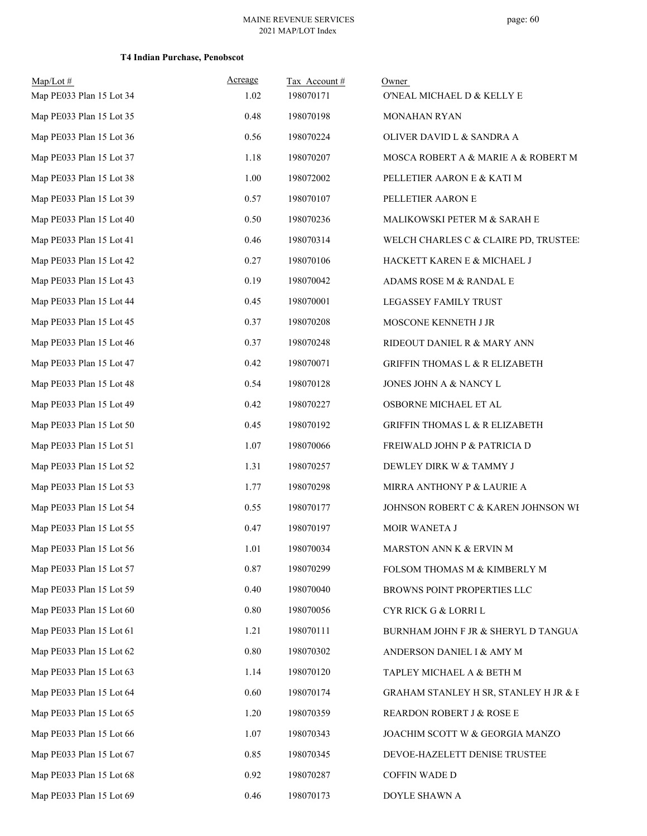| $Map/Lot \#$             | Acreage  | Tax Account#<br>198070171 | Owner                                     |
|--------------------------|----------|---------------------------|-------------------------------------------|
| Map PE033 Plan 15 Lot 34 | 1.02     |                           | O'NEAL MICHAEL D & KELLY E                |
| Map PE033 Plan 15 Lot 35 | 0.48     | 198070198                 | <b>MONAHAN RYAN</b>                       |
| Map PE033 Plan 15 Lot 36 | 0.56     | 198070224                 | OLIVER DAVID L & SANDRA A                 |
| Map PE033 Plan 15 Lot 37 | 1.18     | 198070207                 | MOSCA ROBERT A & MARIE A & ROBERT M       |
| Map PE033 Plan 15 Lot 38 | 1.00     | 198072002                 | PELLETIER AARON E & KATI M                |
| Map PE033 Plan 15 Lot 39 | 0.57     | 198070107                 | PELLETIER AARON E                         |
| Map PE033 Plan 15 Lot 40 | 0.50     | 198070236                 | MALIKOWSKI PETER M & SARAH E              |
| Map PE033 Plan 15 Lot 41 | 0.46     | 198070314                 | WELCH CHARLES C & CLAIRE PD, TRUSTEE:     |
| Map PE033 Plan 15 Lot 42 | 0.27     | 198070106                 | HACKETT KAREN E & MICHAEL J               |
| Map PE033 Plan 15 Lot 43 | 0.19     | 198070042                 | ADAMS ROSE M & RANDAL E                   |
| Map PE033 Plan 15 Lot 44 | 0.45     | 198070001                 | LEGASSEY FAMILY TRUST                     |
| Map PE033 Plan 15 Lot 45 | 0.37     | 198070208                 | MOSCONE KENNETH J JR                      |
| Map PE033 Plan 15 Lot 46 | 0.37     | 198070248                 | RIDEOUT DANIEL R & MARY ANN               |
| Map PE033 Plan 15 Lot 47 | 0.42     | 198070071                 | <b>GRIFFIN THOMAS L &amp; R ELIZABETH</b> |
| Map PE033 Plan 15 Lot 48 | 0.54     | 198070128                 | JONES JOHN A & NANCY L                    |
| Map PE033 Plan 15 Lot 49 | 0.42     | 198070227                 | OSBORNE MICHAEL ET AL                     |
| Map PE033 Plan 15 Lot 50 | 0.45     | 198070192                 | <b>GRIFFIN THOMAS L &amp; R ELIZABETH</b> |
| Map PE033 Plan 15 Lot 51 | 1.07     | 198070066                 | FREIWALD JOHN P & PATRICIA D              |
| Map PE033 Plan 15 Lot 52 | 1.31     | 198070257                 | DEWLEY DIRK W & TAMMY J                   |
| Map PE033 Plan 15 Lot 53 | 1.77     | 198070298                 | MIRRA ANTHONY P & LAURIE A                |
| Map PE033 Plan 15 Lot 54 | 0.55     | 198070177                 | JOHNSON ROBERT C & KAREN JOHNSON WI       |
| Map PE033 Plan 15 Lot 55 | 0.47     | 198070197                 | MOIR WANETA J                             |
| Map PE033 Plan 15 Lot 56 | 1.01     | 198070034                 | MARSTON ANN K & ERVIN M                   |
| Map PE033 Plan 15 Lot 57 | 0.87     | 198070299                 | FOLSOM THOMAS M & KIMBERLY M              |
| Map PE033 Plan 15 Lot 59 | 0.40     | 198070040                 | BROWNS POINT PROPERTIES LLC               |
| Map PE033 Plan 15 Lot 60 | $0.80\,$ | 198070056                 | CYR RICK G & LORRI L                      |
| Map PE033 Plan 15 Lot 61 | 1.21     | 198070111                 | BURNHAM JOHN F JR & SHERYL D TANGUA       |
| Map PE033 Plan 15 Lot 62 | $0.80\,$ | 198070302                 | ANDERSON DANIEL I & AMY M                 |
| Map PE033 Plan 15 Lot 63 | 1.14     | 198070120                 | TAPLEY MICHAEL A & BETH M                 |
| Map PE033 Plan 15 Lot 64 | 0.60     | 198070174                 | GRAHAM STANLEY H SR, STANLEY H JR & E     |
| Map PE033 Plan 15 Lot 65 | 1.20     | 198070359                 | REARDON ROBERT J & ROSE E                 |
| Map PE033 Plan 15 Lot 66 | 1.07     | 198070343                 | JOACHIM SCOTT W & GEORGIA MANZO           |
| Map PE033 Plan 15 Lot 67 | 0.85     | 198070345                 | DEVOE-HAZELETT DENISE TRUSTEE             |
| Map PE033 Plan 15 Lot 68 | 0.92     | 198070287                 | <b>COFFIN WADE D</b>                      |
| Map PE033 Plan 15 Lot 69 | 0.46     | 198070173                 | DOYLE SHAWN A                             |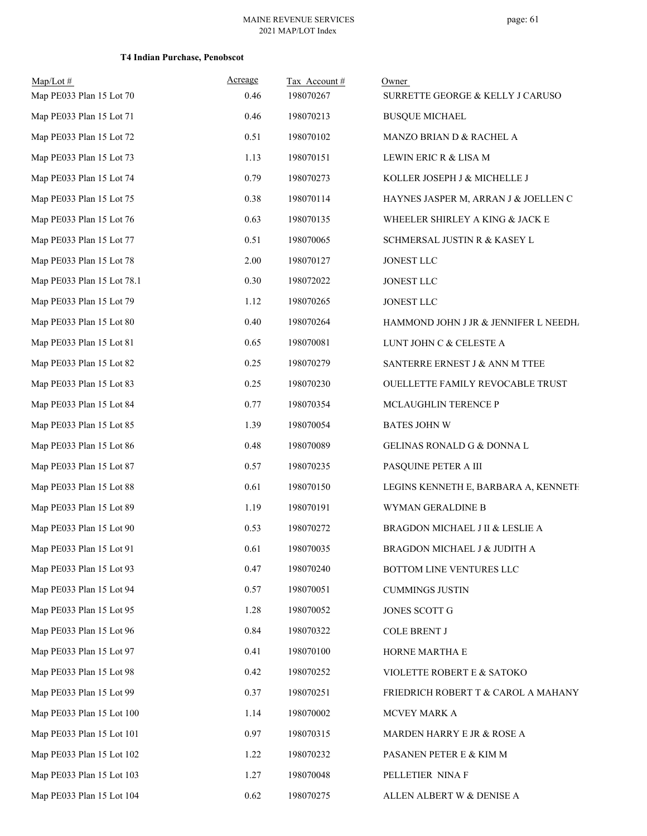| $Map/Lot \#$<br>Map PE033 Plan 15 Lot 70 | Acreage<br>0.46 | Tax Account#<br>198070267 | Owner<br>SURRETTE GEORGE & KELLY J CARUSO |
|------------------------------------------|-----------------|---------------------------|-------------------------------------------|
| Map PE033 Plan 15 Lot 71                 | 0.46            | 198070213                 | <b>BUSQUE MICHAEL</b>                     |
| Map PE033 Plan 15 Lot 72                 | 0.51            | 198070102                 | MANZO BRIAN D & RACHEL A                  |
| Map PE033 Plan 15 Lot 73                 | 1.13            | 198070151                 | LEWIN ERIC R & LISA M                     |
| Map PE033 Plan 15 Lot 74                 | 0.79            | 198070273                 | KOLLER JOSEPH J & MICHELLE J              |
| Map PE033 Plan 15 Lot 75                 | 0.38            | 198070114                 | HAYNES JASPER M, ARRAN J & JOELLEN C      |
| Map PE033 Plan 15 Lot 76                 | 0.63            | 198070135                 | WHEELER SHIRLEY A KING & JACK E           |
| Map PE033 Plan 15 Lot 77                 | 0.51            | 198070065                 | SCHMERSAL JUSTIN R & KASEY L              |
| Map PE033 Plan 15 Lot 78                 | 2.00            | 198070127                 | JONEST LLC                                |
| Map PE033 Plan 15 Lot 78.1               | 0.30            | 198072022                 | JONEST LLC                                |
| Map PE033 Plan 15 Lot 79                 | 1.12            | 198070265                 | JONEST LLC                                |
| Map PE033 Plan 15 Lot 80                 | 0.40            | 198070264                 | HAMMOND JOHN J JR & JENNIFER L NEEDH.     |
| Map PE033 Plan 15 Lot 81                 | 0.65            | 198070081                 | LUNT JOHN C & CELESTE A                   |
| Map PE033 Plan 15 Lot 82                 | 0.25            | 198070279                 | SANTERRE ERNEST J & ANN M TTEE            |
| Map PE033 Plan 15 Lot 83                 | 0.25            | 198070230                 | OUELLETTE FAMILY REVOCABLE TRUST          |
| Map PE033 Plan 15 Lot 84                 | 0.77            | 198070354                 | MCLAUGHLIN TERENCE P                      |
| Map PE033 Plan 15 Lot 85                 | 1.39            | 198070054                 | <b>BATES JOHN W</b>                       |
| Map PE033 Plan 15 Lot 86                 | 0.48            | 198070089                 | GELINAS RONALD G & DONNA L                |
| Map PE033 Plan 15 Lot 87                 | 0.57            | 198070235                 | PASQUINE PETER A III                      |
| Map PE033 Plan 15 Lot 88                 | 0.61            | 198070150                 | LEGINS KENNETH E, BARBARA A, KENNETH      |
| Map PE033 Plan 15 Lot 89                 | 1.19            | 198070191                 | WYMAN GERALDINE B                         |
| Map PE033 Plan 15 Lot 90                 | 0.53            | 198070272                 | BRAGDON MICHAEL J II & LESLIE A           |
| Map PE033 Plan 15 Lot 91                 | 0.61            | 198070035                 | BRAGDON MICHAEL J & JUDITH A              |
| Map PE033 Plan 15 Lot 93                 | 0.47            | 198070240                 | BOTTOM LINE VENTURES LLC                  |
| Map PE033 Plan 15 Lot 94                 | 0.57            | 198070051                 | <b>CUMMINGS JUSTIN</b>                    |
| Map PE033 Plan 15 Lot 95                 | 1.28            | 198070052                 | JONES SCOTT G                             |
| Map PE033 Plan 15 Lot 96                 | 0.84            | 198070322                 | <b>COLE BRENT J</b>                       |
| Map PE033 Plan 15 Lot 97                 | 0.41            | 198070100                 | HORNE MARTHA E                            |
| Map PE033 Plan 15 Lot 98                 | 0.42            | 198070252                 | VIOLETTE ROBERT E & SATOKO                |
| Map PE033 Plan 15 Lot 99                 | 0.37            | 198070251                 | FRIEDRICH ROBERT T & CAROL A MAHANY       |
| Map PE033 Plan 15 Lot 100                | 1.14            | 198070002                 | MCVEY MARK A                              |
| Map PE033 Plan 15 Lot 101                | 0.97            | 198070315                 | MARDEN HARRY E JR & ROSE A                |
| Map PE033 Plan 15 Lot 102                | 1.22            | 198070232                 | PASANEN PETER E & KIM M                   |
| Map PE033 Plan 15 Lot 103                | 1.27            | 198070048                 | PELLETIER NINA F                          |
| Map PE033 Plan 15 Lot 104                | 0.62            | 198070275                 | ALLEN ALBERT W & DENISE A                 |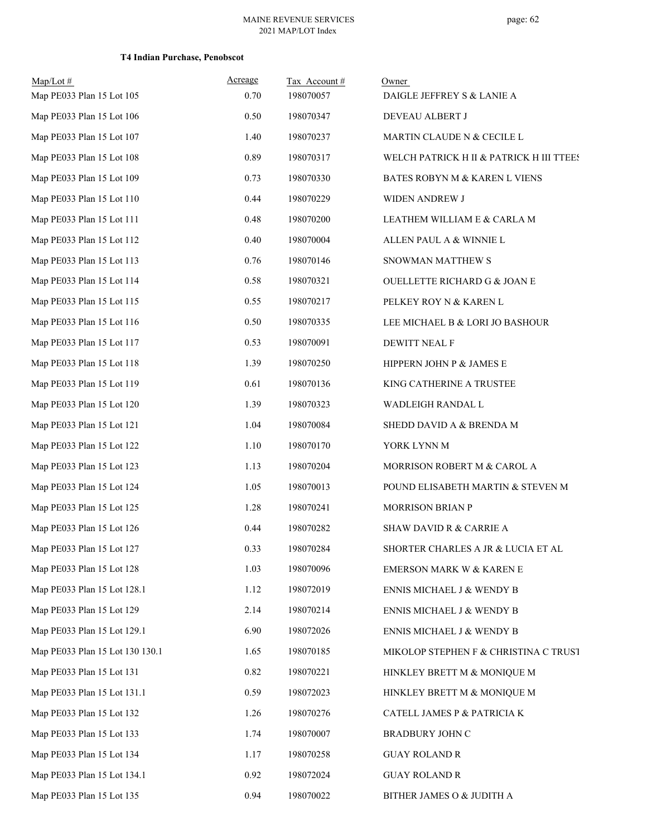| $Map/Lot$ #<br>Map PE033 Plan 15 Lot 105 | Acreage<br>0.70 | Tax Account#<br>198070057 | Owner<br>DAIGLE JEFFREY S & LANIE A      |
|------------------------------------------|-----------------|---------------------------|------------------------------------------|
| Map PE033 Plan 15 Lot 106                | 0.50            | 198070347                 | DEVEAU ALBERT J                          |
| Map PE033 Plan 15 Lot 107                | 1.40            | 198070237                 | MARTIN CLAUDE N & CECILE L               |
| Map PE033 Plan 15 Lot 108                | 0.89            | 198070317                 | WELCH PATRICK H II & PATRICK H III TTEES |
| Map PE033 Plan 15 Lot 109                | 0.73            | 198070330                 | BATES ROBYN M & KAREN L VIENS            |
| Map PE033 Plan 15 Lot 110                | 0.44            | 198070229                 | WIDEN ANDREW J                           |
| Map PE033 Plan 15 Lot 111                | 0.48            | 198070200                 | LEATHEM WILLIAM E & CARLA M              |
| Map PE033 Plan 15 Lot 112                | 0.40            | 198070004                 | ALLEN PAUL A & WINNIE L                  |
| Map PE033 Plan 15 Lot 113                | 0.76            | 198070146                 | SNOWMAN MATTHEW S                        |
| Map PE033 Plan 15 Lot 114                | 0.58            | 198070321                 | <b>OUELLETTE RICHARD G &amp; JOAN E</b>  |
| Map PE033 Plan 15 Lot 115                | 0.55            | 198070217                 | PELKEY ROY N & KAREN L                   |
| Map PE033 Plan 15 Lot 116                | 0.50            | 198070335                 | LEE MICHAEL B & LORI JO BASHOUR          |
| Map PE033 Plan 15 Lot 117                | 0.53            | 198070091                 | DEWITT NEAL F                            |
| Map PE033 Plan 15 Lot 118                | 1.39            | 198070250                 | HIPPERN JOHN P & JAMES E                 |
| Map PE033 Plan 15 Lot 119                | 0.61            | 198070136                 | KING CATHERINE A TRUSTEE                 |
| Map PE033 Plan 15 Lot 120                | 1.39            | 198070323                 | WADLEIGH RANDAL L                        |
| Map PE033 Plan 15 Lot 121                | 1.04            | 198070084                 | SHEDD DAVID A & BRENDA M                 |
| Map PE033 Plan 15 Lot 122                | 1.10            | 198070170                 | YORK LYNN M                              |
| Map PE033 Plan 15 Lot 123                | 1.13            | 198070204                 | MORRISON ROBERT M & CAROL A              |
| Map PE033 Plan 15 Lot 124                | 1.05            | 198070013                 | POUND ELISABETH MARTIN & STEVEN M        |
| Map PE033 Plan 15 Lot 125                | 1.28            | 198070241                 | <b>MORRISON BRIAN P</b>                  |
| Map PE033 Plan 15 Lot 126                | 0.44            | 198070282                 | <b>SHAW DAVID R &amp; CARRIE A</b>       |
| Map PE033 Plan 15 Lot 127                | 0.33            | 198070284                 | SHORTER CHARLES A JR & LUCIA ET AL       |
| Map PE033 Plan 15 Lot 128                | 1.03            | 198070096                 | <b>EMERSON MARK W &amp; KAREN E</b>      |
| Map PE033 Plan 15 Lot 128.1              | 1.12            | 198072019                 | ENNIS MICHAEL J & WENDY B                |
| Map PE033 Plan 15 Lot 129                | 2.14            | 198070214                 | ENNIS MICHAEL J & WENDY B                |
| Map PE033 Plan 15 Lot 129.1              | 6.90            | 198072026                 | ENNIS MICHAEL J & WENDY B                |
| Map PE033 Plan 15 Lot 130 130.1          | 1.65            | 198070185                 | MIKOLOP STEPHEN F & CHRISTINA C TRUST    |
| Map PE033 Plan 15 Lot 131                | 0.82            | 198070221                 | HINKLEY BRETT M & MONIQUE M              |
| Map PE033 Plan 15 Lot 131.1              | 0.59            | 198072023                 | HINKLEY BRETT M & MONIQUE M              |
| Map PE033 Plan 15 Lot 132                | 1.26            | 198070276                 | CATELL JAMES P & PATRICIA K              |
| Map PE033 Plan 15 Lot 133                | 1.74            | 198070007                 | BRADBURY JOHN C                          |
| Map PE033 Plan 15 Lot 134                | 1.17            | 198070258                 | <b>GUAY ROLAND R</b>                     |
| Map PE033 Plan 15 Lot 134.1              | 0.92            | 198072024                 | <b>GUAY ROLAND R</b>                     |
| Map PE033 Plan 15 Lot 135                | 0.94            | 198070022                 | BITHER JAMES O & JUDITH A                |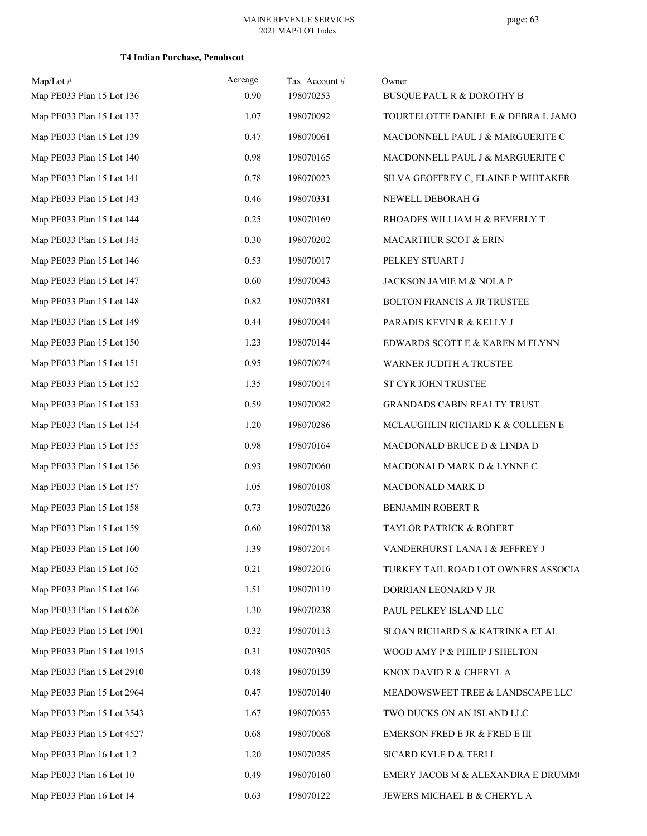| $Map/Lot \#$<br>Map PE033 Plan 15 Lot 136 | Acreage<br>0.90 | Tax Account#<br>198070253 | Owner<br><b>BUSQUE PAUL R &amp; DOROTHY B</b> |
|-------------------------------------------|-----------------|---------------------------|-----------------------------------------------|
| Map PE033 Plan 15 Lot 137                 | 1.07            | 198070092                 | TOURTELOTTE DANIEL E & DEBRA L JAMO           |
| Map PE033 Plan 15 Lot 139                 | 0.47            | 198070061                 | MACDONNELL PAUL J & MARGUERITE C              |
| Map PE033 Plan 15 Lot 140                 | 0.98            | 198070165                 | MACDONNELL PAUL J & MARGUERITE C              |
| Map PE033 Plan 15 Lot 141                 | 0.78            | 198070023                 | SILVA GEOFFREY C, ELAINE P WHITAKER           |
| Map PE033 Plan 15 Lot 143                 | 0.46            | 198070331                 | NEWELL DEBORAH G                              |
| Map PE033 Plan 15 Lot 144                 | 0.25            | 198070169                 | RHOADES WILLIAM H & BEVERLY T                 |
| Map PE033 Plan 15 Lot 145                 | 0.30            | 198070202                 | MACARTHUR SCOT & ERIN                         |
| Map PE033 Plan 15 Lot 146                 | 0.53            | 198070017                 | PELKEY STUART J                               |
| Map PE033 Plan 15 Lot 147                 | 0.60            | 198070043                 | JACKSON JAMIE M & NOLA P                      |
| Map PE033 Plan 15 Lot 148                 | 0.82            | 198070381                 | BOLTON FRANCIS A JR TRUSTEE                   |
| Map PE033 Plan 15 Lot 149                 | 0.44            | 198070044                 | PARADIS KEVIN R & KELLY J                     |
| Map PE033 Plan 15 Lot 150                 | 1.23            | 198070144                 | EDWARDS SCOTT E & KAREN M FLYNN               |
| Map PE033 Plan 15 Lot 151                 | 0.95            | 198070074                 | WARNER JUDITH A TRUSTEE                       |
| Map PE033 Plan 15 Lot 152                 | 1.35            | 198070014                 | ST CYR JOHN TRUSTEE                           |
| Map PE033 Plan 15 Lot 153                 | 0.59            | 198070082                 | GRANDADS CABIN REALTY TRUST                   |
| Map PE033 Plan 15 Lot 154                 | 1.20            | 198070286                 | MCLAUGHLIN RICHARD K & COLLEEN E              |
| Map PE033 Plan 15 Lot 155                 | 0.98            | 198070164                 | MACDONALD BRUCE D & LINDA D                   |
| Map PE033 Plan 15 Lot 156                 | 0.93            | 198070060                 | MACDONALD MARK D & LYNNE C                    |
| Map PE033 Plan 15 Lot 157                 | 1.05            | 198070108                 | MACDONALD MARK D                              |
| Map PE033 Plan 15 Lot 158                 | 0.73            | 198070226                 | BENJAMIN ROBERT R                             |
| Map PE033 Plan 15 Lot 159                 | 0.60            | 198070138                 | TAYLOR PATRICK & ROBERT                       |
| Map PE033 Plan 15 Lot 160                 | 1.39            | 198072014                 | VANDERHURST LANA I & JEFFREY J                |
| Map PE033 Plan 15 Lot 165                 | 0.21            | 198072016                 | TURKEY TAIL ROAD LOT OWNERS ASSOCIA           |
| Map PE033 Plan 15 Lot 166                 | 1.51            | 198070119                 | DORRIAN LEONARD V JR                          |
| Map PE033 Plan 15 Lot 626                 | 1.30            | 198070238                 | PAUL PELKEY ISLAND LLC                        |
| Map PE033 Plan 15 Lot 1901                | 0.32            | 198070113                 | SLOAN RICHARD S & KATRINKA ET AL              |
| Map PE033 Plan 15 Lot 1915                | 0.31            | 198070305                 | WOOD AMY P & PHILIP J SHELTON                 |
| Map PE033 Plan 15 Lot 2910                | 0.48            | 198070139                 | KNOX DAVID R & CHERYL A                       |
| Map PE033 Plan 15 Lot 2964                | 0.47            | 198070140                 | MEADOWSWEET TREE & LANDSCAPE LLC              |
| Map PE033 Plan 15 Lot 3543                | 1.67            | 198070053                 | TWO DUCKS ON AN ISLAND LLC                    |
| Map PE033 Plan 15 Lot 4527                | 0.68            | 198070068                 | EMERSON FRED E JR & FRED E III                |
| Map PE033 Plan 16 Lot 1.2                 | 1.20            | 198070285                 | SICARD KYLE D & TERI L                        |
| Map PE033 Plan 16 Lot 10                  | 0.49            | 198070160                 | EMERY JACOB M & ALEXANDRA E DRUMM             |
| Map PE033 Plan 16 Lot 14                  | 0.63            | 198070122                 | JEWERS MICHAEL B & CHERYL A                   |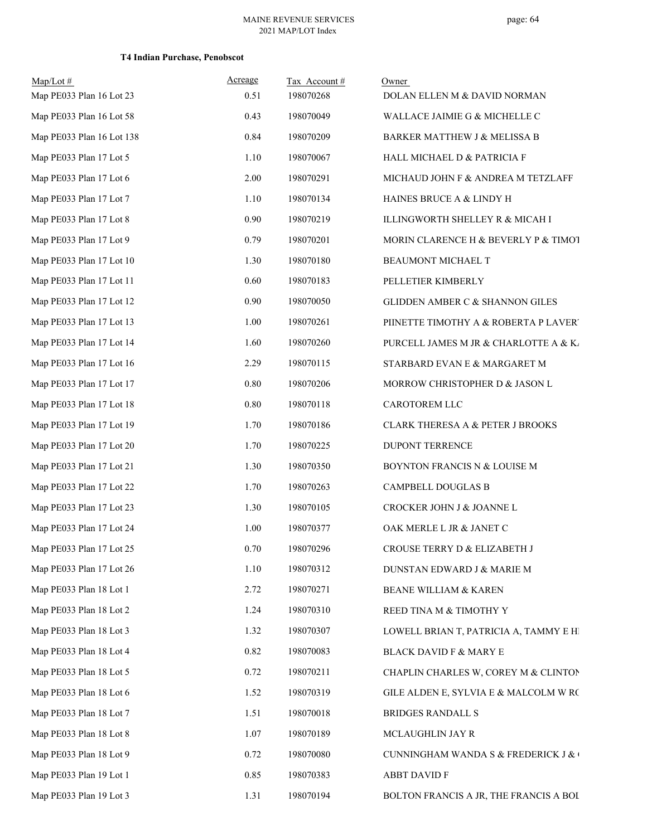| $Map/Lot$ #               | Acreage | Tax Account# | Owner                                  |
|---------------------------|---------|--------------|----------------------------------------|
| Map PE033 Plan 16 Lot 23  | 0.51    | 198070268    | DOLAN ELLEN M & DAVID NORMAN           |
| Map PE033 Plan 16 Lot 58  | 0.43    | 198070049    | WALLACE JAIMIE G & MICHELLE C          |
| Map PE033 Plan 16 Lot 138 | 0.84    | 198070209    | BARKER MATTHEW J & MELISSA B           |
| Map PE033 Plan 17 Lot 5   | 1.10    | 198070067    | HALL MICHAEL D & PATRICIA F            |
| Map PE033 Plan 17 Lot 6   | 2.00    | 198070291    | MICHAUD JOHN F & ANDREA M TETZLAFF     |
| Map PE033 Plan 17 Lot 7   | 1.10    | 198070134    | HAINES BRUCE A & LINDY H               |
| Map PE033 Plan 17 Lot 8   | 0.90    | 198070219    | ILLINGWORTH SHELLEY R & MICAH I        |
| Map PE033 Plan 17 Lot 9   | 0.79    | 198070201    | MORIN CLARENCE H & BEVERLY P & TIMOT   |
| Map PE033 Plan 17 Lot 10  | 1.30    | 198070180    | BEAUMONT MICHAEL T                     |
| Map PE033 Plan 17 Lot 11  | 0.60    | 198070183    | PELLETIER KIMBERLY                     |
| Map PE033 Plan 17 Lot 12  | 0.90    | 198070050    | GLIDDEN AMBER C & SHANNON GILES        |
| Map PE033 Plan 17 Lot 13  | 1.00    | 198070261    | PIINETTE TIMOTHY A & ROBERTA P LAVERT  |
| Map PE033 Plan 17 Lot 14  | 1.60    | 198070260    | PURCELL JAMES M JR & CHARLOTTE A & K   |
| Map PE033 Plan 17 Lot 16  | 2.29    | 198070115    | STARBARD EVAN E & MARGARET M           |
| Map PE033 Plan 17 Lot 17  | 0.80    | 198070206    | MORROW CHRISTOPHER D & JASON L         |
| Map PE033 Plan 17 Lot 18  | 0.80    | 198070118    | CAROTOREM LLC                          |
| Map PE033 Plan 17 Lot 19  | 1.70    | 198070186    | CLARK THERESA A & PETER J BROOKS       |
| Map PE033 Plan 17 Lot 20  | 1.70    | 198070225    | DUPONT TERRENCE                        |
| Map PE033 Plan 17 Lot 21  | 1.30    | 198070350    | BOYNTON FRANCIS N & LOUISE M           |
| Map PE033 Plan 17 Lot 22  | 1.70    | 198070263    | CAMPBELL DOUGLAS B                     |
| Map PE033 Plan 17 Lot 23  | 1.30    | 198070105    | CROCKER JOHN J & JOANNE L              |
| Map PE033 Plan 17 Lot 24  | 1.00    | 198070377    | OAK MERLE L JR & JANET C               |
| Map PE033 Plan 17 Lot 25  | 0.70    | 198070296    | CROUSE TERRY D & ELIZABETH J           |
| Map PE033 Plan 17 Lot 26  | 1.10    | 198070312    | DUNSTAN EDWARD J & MARIE M             |
| Map PE033 Plan 18 Lot 1   | 2.72    | 198070271    | BEANE WILLIAM & KAREN                  |
| Map PE033 Plan 18 Lot 2   | 1.24    | 198070310    | REED TINA M & TIMOTHY Y                |
| Map PE033 Plan 18 Lot 3   | 1.32    | 198070307    | LOWELL BRIAN T, PATRICIA A, TAMMY E HI |
| Map PE033 Plan 18 Lot 4   | 0.82    | 198070083    | BLACK DAVID F & MARY E                 |
| Map PE033 Plan 18 Lot 5   | 0.72    | 198070211    | CHAPLIN CHARLES W, COREY M & CLINTON   |
| Map PE033 Plan 18 Lot 6   | 1.52    | 198070319    | GILE ALDEN E, SYLVIA E & MALCOLM W RC  |
| Map PE033 Plan 18 Lot 7   | 1.51    | 198070018    | <b>BRIDGES RANDALL S</b>               |
| Map PE033 Plan 18 Lot 8   | 1.07    | 198070189    | MCLAUGHLIN JAY R                       |
| Map PE033 Plan 18 Lot 9   | 0.72    | 198070080    | CUNNINGHAM WANDA S & FREDERICK J & (   |
| Map PE033 Plan 19 Lot 1   | 0.85    | 198070383    | ABBT DAVID F                           |
| Map PE033 Plan 19 Lot 3   | 1.31    | 198070194    | BOLTON FRANCIS A JR, THE FRANCIS A BOL |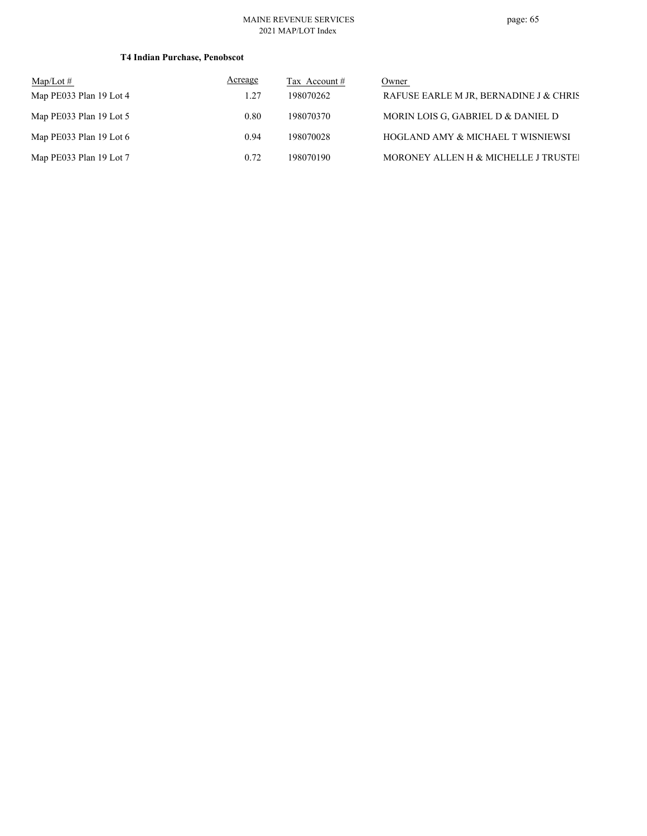| $\text{Map/Lot} \#$       | Acreage | Tax Account # | Owner                                  |
|---------------------------|---------|---------------|----------------------------------------|
| Map PE033 Plan 19 Lot 4   | 1.27    | 198070262     | RAFUSE EARLE M JR, BERNADINE J & CHRIS |
| Map $PE033$ Plan 19 Lot 5 | 0.80    | 198070370     | MORIN LOIS G, GABRIEL D & DANIEL D     |
| Map PE033 Plan 19 Lot $6$ | 0.94    | 198070028     | HOGLAND AMY & MICHAEL T WISNIEWSI      |
| Map PE033 Plan 19 Lot 7   | 0.72    | 198070190     | MORONEY ALLEN H & MICHELLE J TRUSTEL   |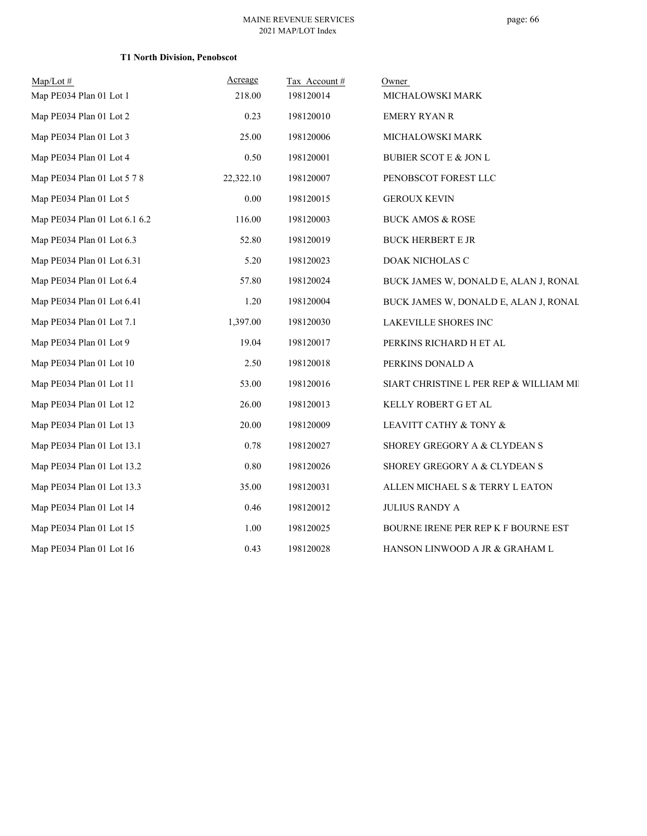## **T1 North Division, Penobscot**

| Map/Lot #                     | Acreage   | Tax Account# | Owner                                   |
|-------------------------------|-----------|--------------|-----------------------------------------|
| Map PE034 Plan 01 Lot 1       | 218.00    | 198120014    | MICHALOWSKI MARK                        |
| Map PE034 Plan 01 Lot 2       | 0.23      | 198120010    | <b>EMERY RYAN R</b>                     |
| Map PE034 Plan 01 Lot 3       | 25.00     | 198120006    | MICHALOWSKI MARK                        |
| Map PE034 Plan 01 Lot 4       | 0.50      | 198120001    | BUBIER SCOT E & JON L                   |
| Map PE034 Plan 01 Lot 5 7 8   | 22,322.10 | 198120007    | PENOBSCOT FOREST LLC                    |
| Map PE034 Plan 01 Lot 5       | 0.00      | 198120015    | <b>GEROUX KEVIN</b>                     |
| Map PE034 Plan 01 Lot 6.1 6.2 | 116.00    | 198120003    | <b>BUCK AMOS &amp; ROSE</b>             |
| Map PE034 Plan 01 Lot 6.3     | 52.80     | 198120019    | <b>BUCK HERBERT E JR</b>                |
| Map PE034 Plan 01 Lot 6.31    | 5.20      | 198120023    | DOAK NICHOLAS C                         |
| Map PE034 Plan 01 Lot 6.4     | 57.80     | 198120024    | BUCK JAMES W, DONALD E, ALAN J, RONAL   |
| Map PE034 Plan 01 Lot 6.41    | 1.20      | 198120004    | BUCK JAMES W, DONALD E, ALAN J, RONAL   |
| Map PE034 Plan 01 Lot 7.1     | 1,397.00  | 198120030    | LAKEVILLE SHORES INC                    |
| Map PE034 Plan 01 Lot 9       | 19.04     | 198120017    | PERKINS RICHARD H ET AL                 |
| Map PE034 Plan 01 Lot 10      | 2.50      | 198120018    | PERKINS DONALD A                        |
| Map PE034 Plan 01 Lot 11      | 53.00     | 198120016    | SIART CHRISTINE L PER REP & WILLIAM MII |
| Map PE034 Plan 01 Lot 12      | 26.00     | 198120013    | KELLY ROBERT G ET AL                    |
| Map PE034 Plan 01 Lot 13      | 20.00     | 198120009    | LEAVITT CATHY & TONY &                  |
| Map PE034 Plan 01 Lot 13.1    | 0.78      | 198120027    | SHOREY GREGORY A & CLYDEAN S            |
| Map PE034 Plan 01 Lot 13.2    | 0.80      | 198120026    | SHOREY GREGORY A & CLYDEAN S            |
| Map PE034 Plan 01 Lot 13.3    | 35.00     | 198120031    | ALLEN MICHAEL S & TERRY L EATON         |
| Map PE034 Plan 01 Lot 14      | 0.46      | 198120012    | <b>JULIUS RANDY A</b>                   |
| Map PE034 Plan 01 Lot 15      | 1.00      | 198120025    | BOURNE IRENE PER REP K F BOURNE EST     |
| Map PE034 Plan 01 Lot 16      | 0.43      | 198120028    | HANSON LINWOOD A JR & GRAHAM L          |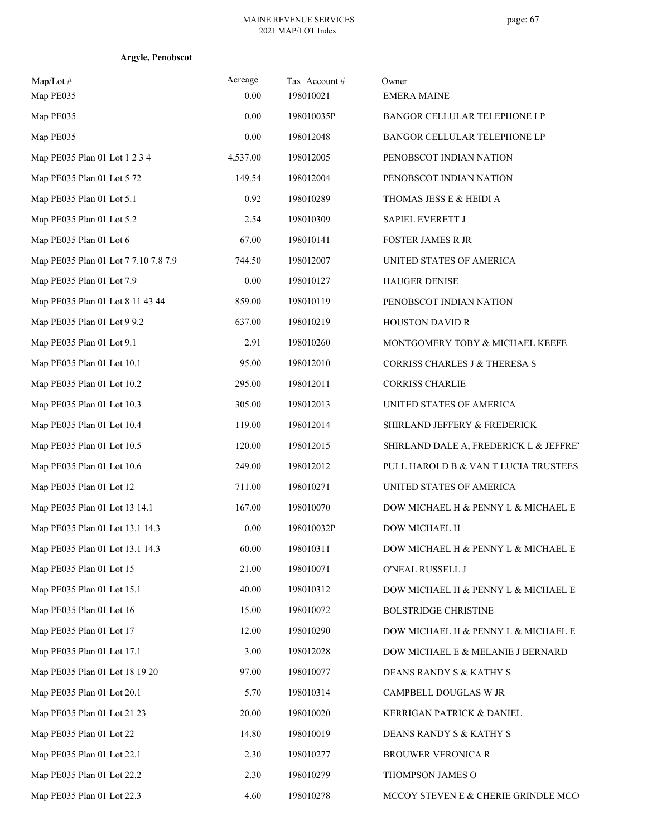| $Map/Lot \#$<br>Map PE035            | Acreage<br>0.00 | Tax Account#<br>198010021 | Owner<br><b>EMERA MAINE</b>              |
|--------------------------------------|-----------------|---------------------------|------------------------------------------|
| Map PE035                            | 0.00            | 198010035P                | BANGOR CELLULAR TELEPHONE LP             |
| Map PE035                            | 0.00            | 198012048                 | BANGOR CELLULAR TELEPHONE LP             |
| Map PE035 Plan 01 Lot 1 2 3 4        | 4,537.00        | 198012005                 | PENOBSCOT INDIAN NATION                  |
| Map PE035 Plan 01 Lot 5 72           | 149.54          | 198012004                 | PENOBSCOT INDIAN NATION                  |
| Map PE035 Plan 01 Lot 5.1            | 0.92            | 198010289                 | THOMAS JESS E & HEIDI A                  |
| Map PE035 Plan 01 Lot 5.2            | 2.54            | 198010309                 | SAPIEL EVERETT J                         |
| Map PE035 Plan 01 Lot 6              | 67.00           | 198010141                 | <b>FOSTER JAMES R JR</b>                 |
| Map PE035 Plan 01 Lot 7 7.10 7.8 7.9 | 744.50          | 198012007                 | UNITED STATES OF AMERICA                 |
| Map PE035 Plan 01 Lot 7.9            | 0.00            | 198010127                 | <b>HAUGER DENISE</b>                     |
| Map PE035 Plan 01 Lot 8 11 43 44     | 859.00          | 198010119                 | PENOBSCOT INDIAN NATION                  |
| Map PE035 Plan 01 Lot 9 9.2          | 637.00          | 198010219                 | <b>HOUSTON DAVID R</b>                   |
| Map PE035 Plan 01 Lot 9.1            | 2.91            | 198010260                 | MONTGOMERY TOBY & MICHAEL KEEFE          |
| Map PE035 Plan 01 Lot 10.1           | 95.00           | 198012010                 | <b>CORRISS CHARLES J &amp; THERESA S</b> |
| Map PE035 Plan 01 Lot 10.2           | 295.00          | 198012011                 | <b>CORRISS CHARLIE</b>                   |
| Map PE035 Plan 01 Lot 10.3           | 305.00          | 198012013                 | UNITED STATES OF AMERICA                 |
| Map PE035 Plan 01 Lot 10.4           | 119.00          | 198012014                 | SHIRLAND JEFFERY & FREDERICK             |
| Map PE035 Plan 01 Lot 10.5           | 120.00          | 198012015                 | SHIRLAND DALE A, FREDERICK L & JEFFRE'   |
| Map PE035 Plan 01 Lot 10.6           | 249.00          | 198012012                 | PULL HAROLD B & VAN T LUCIA TRUSTEES     |
| Map PE035 Plan 01 Lot 12             | 711.00          | 198010271                 | UNITED STATES OF AMERICA                 |
| Map PE035 Plan 01 Lot 13 14.1        | 167.00          | 198010070                 | DOW MICHAEL H & PENNY L & MICHAEL E      |
| Map PE035 Plan 01 Lot 13.1 14.3      | 0.00            | 198010032P                | DOW MICHAEL H                            |
| Map PE035 Plan 01 Lot 13.1 14.3      | 60.00           | 198010311                 | DOW MICHAEL H & PENNY L & MICHAEL E      |
| Map PE035 Plan 01 Lot 15             | 21.00           | 198010071                 | O'NEAL RUSSELL J                         |
| Map PE035 Plan 01 Lot 15.1           | 40.00           | 198010312                 | DOW MICHAEL H & PENNY L & MICHAEL E      |
| Map PE035 Plan 01 Lot 16             | 15.00           | 198010072                 | <b>BOLSTRIDGE CHRISTINE</b>              |
| Map PE035 Plan 01 Lot 17             | 12.00           | 198010290                 | DOW MICHAEL H & PENNY L & MICHAEL E      |
| Map PE035 Plan 01 Lot 17.1           | 3.00            | 198012028                 | DOW MICHAEL E & MELANIE J BERNARD        |
| Map PE035 Plan 01 Lot 18 19 20       | 97.00           | 198010077                 | DEANS RANDY S & KATHY S                  |
| Map PE035 Plan 01 Lot 20.1           | 5.70            | 198010314                 | CAMPBELL DOUGLAS W JR                    |
| Map PE035 Plan 01 Lot 21 23          | 20.00           | 198010020                 | KERRIGAN PATRICK & DANIEL                |
| Map PE035 Plan 01 Lot 22             | 14.80           | 198010019                 | DEANS RANDY S & KATHY S                  |
| Map PE035 Plan 01 Lot 22.1           | 2.30            | 198010277                 | <b>BROUWER VERONICA R</b>                |
| Map PE035 Plan 01 Lot 22.2           | 2.30            | 198010279                 | THOMPSON JAMES O                         |
| Map PE035 Plan 01 Lot 22.3           | 4.60            | 198010278                 | MCCOY STEVEN E & CHERIE GRINDLE MCC      |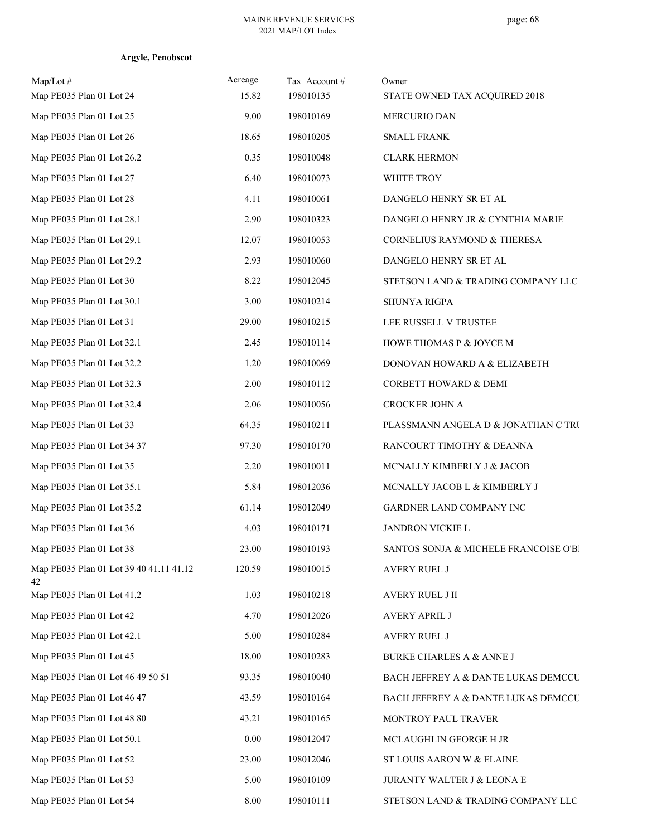| Map/Lot #<br>Map PE035 Plan 01 Lot 24         | Acreage<br>15.82 | Tax Account#<br>198010135 | Owner<br>STATE OWNED TAX ACQUIRED 2018 |
|-----------------------------------------------|------------------|---------------------------|----------------------------------------|
| Map PE035 Plan 01 Lot 25                      | 9.00             | 198010169                 | <b>MERCURIO DAN</b>                    |
| Map PE035 Plan 01 Lot 26                      | 18.65            | 198010205                 | <b>SMALL FRANK</b>                     |
| Map PE035 Plan 01 Lot 26.2                    | 0.35             | 198010048                 | <b>CLARK HERMON</b>                    |
| Map PE035 Plan 01 Lot 27                      | 6.40             | 198010073                 | WHITE TROY                             |
| Map PE035 Plan 01 Lot 28                      | 4.11             | 198010061                 | DANGELO HENRY SR ET AL                 |
| Map PE035 Plan 01 Lot 28.1                    | 2.90             | 198010323                 | DANGELO HENRY JR & CYNTHIA MARIE       |
| Map PE035 Plan 01 Lot 29.1                    | 12.07            | 198010053                 | CORNELIUS RAYMOND & THERESA            |
| Map PE035 Plan 01 Lot 29.2                    | 2.93             | 198010060                 | DANGELO HENRY SR ET AL                 |
| Map PE035 Plan 01 Lot 30                      | 8.22             | 198012045                 | STETSON LAND & TRADING COMPANY LLC     |
| Map PE035 Plan 01 Lot 30.1                    | 3.00             | 198010214                 | SHUNYA RIGPA                           |
| Map PE035 Plan 01 Lot 31                      | 29.00            | 198010215                 | LEE RUSSELL V TRUSTEE                  |
| Map PE035 Plan 01 Lot 32.1                    | 2.45             | 198010114                 | HOWE THOMAS P & JOYCE M                |
| Map PE035 Plan 01 Lot 32.2                    | 1.20             | 198010069                 | DONOVAN HOWARD A & ELIZABETH           |
| Map PE035 Plan 01 Lot 32.3                    | 2.00             | 198010112                 | CORBETT HOWARD & DEMI                  |
| Map PE035 Plan 01 Lot 32.4                    | 2.06             | 198010056                 | CROCKER JOHN A                         |
| Map PE035 Plan 01 Lot 33                      | 64.35            | 198010211                 | PLASSMANN ANGELA D & JONATHAN C TRU    |
| Map PE035 Plan 01 Lot 34 37                   | 97.30            | 198010170                 | RANCOURT TIMOTHY & DEANNA              |
| Map PE035 Plan 01 Lot 35                      | 2.20             | 198010011                 | MCNALLY KIMBERLY J & JACOB             |
| Map PE035 Plan 01 Lot 35.1                    | 5.84             | 198012036                 | MCNALLY JACOB L & KIMBERLY J           |
| Map PE035 Plan 01 Lot 35.2                    | 61.14            | 198012049                 | GARDNER LAND COMPANY INC               |
| Map PE035 Plan 01 Lot 36                      | 4.03             | 198010171                 | JANDRON VICKIE L                       |
| Map PE035 Plan 01 Lot 38                      | 23.00            | 198010193                 | SANTOS SONJA & MICHELE FRANCOISE O'BI  |
| Map PE035 Plan 01 Lot 39 40 41.11 41.12<br>42 | 120.59           | 198010015                 | <b>AVERY RUEL J</b>                    |
| Map PE035 Plan 01 Lot 41.2                    | 1.03             | 198010218                 | AVERY RUEL J II                        |
| Map PE035 Plan 01 Lot 42                      | 4.70             | 198012026                 | <b>AVERY APRIL J</b>                   |
| Map PE035 Plan 01 Lot 42.1                    | 5.00             | 198010284                 | <b>AVERY RUEL J</b>                    |
| Map PE035 Plan 01 Lot 45                      | 18.00            | 198010283                 | <b>BURKE CHARLES A &amp; ANNE J</b>    |
| Map PE035 Plan 01 Lot 46 49 50 51             | 93.35            | 198010040                 | BACH JEFFREY A & DANTE LUKAS DEMCCU    |
| Map PE035 Plan 01 Lot 46 47                   | 43.59            | 198010164                 | BACH JEFFREY A & DANTE LUKAS DEMCCU    |
| Map PE035 Plan 01 Lot 48 80                   | 43.21            | 198010165                 | MONTROY PAUL TRAVER                    |
| Map PE035 Plan 01 Lot 50.1                    | 0.00             | 198012047                 | MCLAUGHLIN GEORGE H JR                 |
| Map PE035 Plan 01 Lot 52                      | 23.00            | 198012046                 | ST LOUIS AARON W & ELAINE              |
| Map PE035 Plan 01 Lot 53                      | 5.00             | 198010109                 | <b>JURANTY WALTER J &amp; LEONA E</b>  |
| Map PE035 Plan 01 Lot 54                      | $8.00\,$         | 198010111                 | STETSON LAND & TRADING COMPANY LLC     |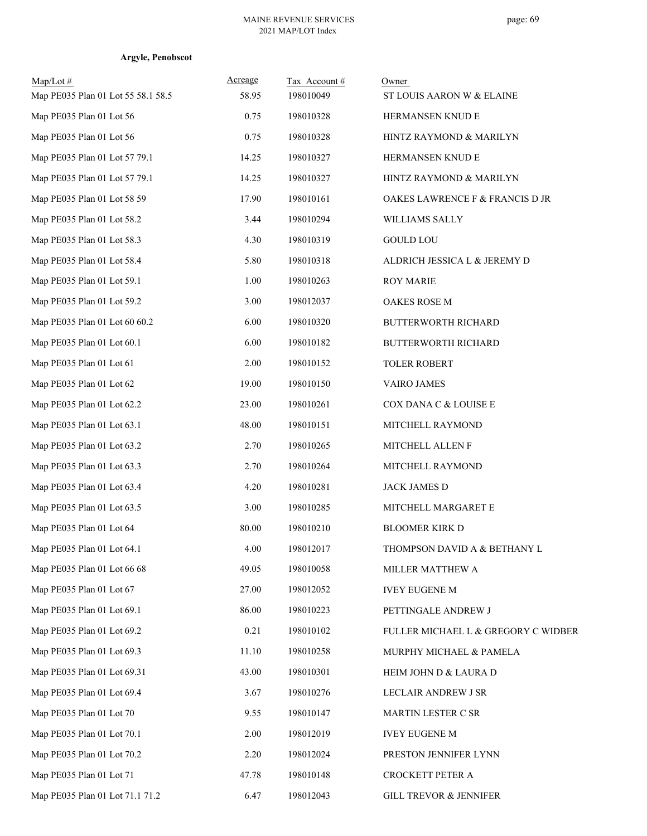| $Map/Lot \#$<br>Map PE035 Plan 01 Lot 55 58.1 58.5 | Acreage<br>58.95 | Tax Account #<br>198010049 | Owner<br>ST LOUIS AARON W & ELAINE  |
|----------------------------------------------------|------------------|----------------------------|-------------------------------------|
| Map PE035 Plan 01 Lot 56                           | 0.75             | 198010328                  | HERMANSEN KNUD E                    |
| Map PE035 Plan 01 Lot 56                           | 0.75             | 198010328                  | HINTZ RAYMOND & MARILYN             |
| Map PE035 Plan 01 Lot 57 79.1                      | 14.25            | 198010327                  | HERMANSEN KNUD E                    |
| Map PE035 Plan 01 Lot 57 79.1                      | 14.25            | 198010327                  | HINTZ RAYMOND & MARILYN             |
| Map PE035 Plan 01 Lot 58 59                        | 17.90            | 198010161                  | OAKES LAWRENCE F & FRANCIS D JR     |
| Map PE035 Plan 01 Lot 58.2                         | 3.44             | 198010294                  | WILLIAMS SALLY                      |
| Map PE035 Plan 01 Lot 58.3                         | 4.30             | 198010319                  | <b>GOULD LOU</b>                    |
| Map PE035 Plan 01 Lot 58.4                         | 5.80             | 198010318                  | ALDRICH JESSICA L & JEREMY D        |
| Map PE035 Plan 01 Lot 59.1                         | 1.00             | 198010263                  | <b>ROY MARIE</b>                    |
| Map PE035 Plan 01 Lot 59.2                         | 3.00             | 198012037                  | OAKES ROSE M                        |
| Map PE035 Plan 01 Lot 60 60.2                      | 6.00             | 198010320                  | <b>BUTTERWORTH RICHARD</b>          |
| Map PE035 Plan 01 Lot 60.1                         | 6.00             | 198010182                  | <b>BUTTERWORTH RICHARD</b>          |
| Map PE035 Plan 01 Lot 61                           | 2.00             | 198010152                  | <b>TOLER ROBERT</b>                 |
| Map PE035 Plan 01 Lot 62                           | 19.00            | 198010150                  | <b>VAIRO JAMES</b>                  |
| Map PE035 Plan 01 Lot 62.2                         | 23.00            | 198010261                  | COX DANA C & LOUISE E               |
| Map PE035 Plan 01 Lot 63.1                         | 48.00            | 198010151                  | MITCHELL RAYMOND                    |
| Map PE035 Plan 01 Lot 63.2                         | 2.70             | 198010265                  | MITCHELL ALLEN F                    |
| Map PE035 Plan 01 Lot 63.3                         | 2.70             | 198010264                  | MITCHELL RAYMOND                    |
| Map PE035 Plan 01 Lot 63.4                         | 4.20             | 198010281                  | JACK JAMES D                        |
| Map PE035 Plan 01 Lot 63.5                         | 3.00             | 198010285                  | MITCHELL MARGARET E                 |
| Map PE035 Plan 01 Lot 64                           | 80.00            | 198010210                  | <b>BLOOMER KIRK D</b>               |
| Map PE035 Plan 01 Lot 64.1                         | 4.00             | 198012017                  | THOMPSON DAVID A & BETHANY L        |
| Map PE035 Plan 01 Lot 66 68                        | 49.05            | 198010058                  | MILLER MATTHEW A                    |
| Map PE035 Plan 01 Lot 67                           | 27.00            | 198012052                  | <b>IVEY EUGENE M</b>                |
| Map PE035 Plan 01 Lot 69.1                         | 86.00            | 198010223                  | PETTINGALE ANDREW J                 |
| Map PE035 Plan 01 Lot 69.2                         | 0.21             | 198010102                  | FULLER MICHAEL L & GREGORY C WIDBER |
| Map PE035 Plan 01 Lot 69.3                         | 11.10            | 198010258                  | MURPHY MICHAEL & PAMELA             |
| Map PE035 Plan 01 Lot 69.31                        | 43.00            | 198010301                  | HEIM JOHN D & LAURA D               |
| Map PE035 Plan 01 Lot 69.4                         | 3.67             | 198010276                  | LECLAIR ANDREW J SR                 |
| Map PE035 Plan 01 Lot 70                           | 9.55             | 198010147                  | MARTIN LESTER C SR                  |
| Map PE035 Plan 01 Lot 70.1                         | 2.00             | 198012019                  | <b>IVEY EUGENE M</b>                |
| Map PE035 Plan 01 Lot 70.2                         | 2.20             | 198012024                  | PRESTON JENNIFER LYNN               |
| Map PE035 Plan 01 Lot 71                           | 47.78            | 198010148                  | CROCKETT PETER A                    |
| Map PE035 Plan 01 Lot 71.1 71.2                    | 6.47             | 198012043                  | <b>GILL TREVOR &amp; JENNIFER</b>   |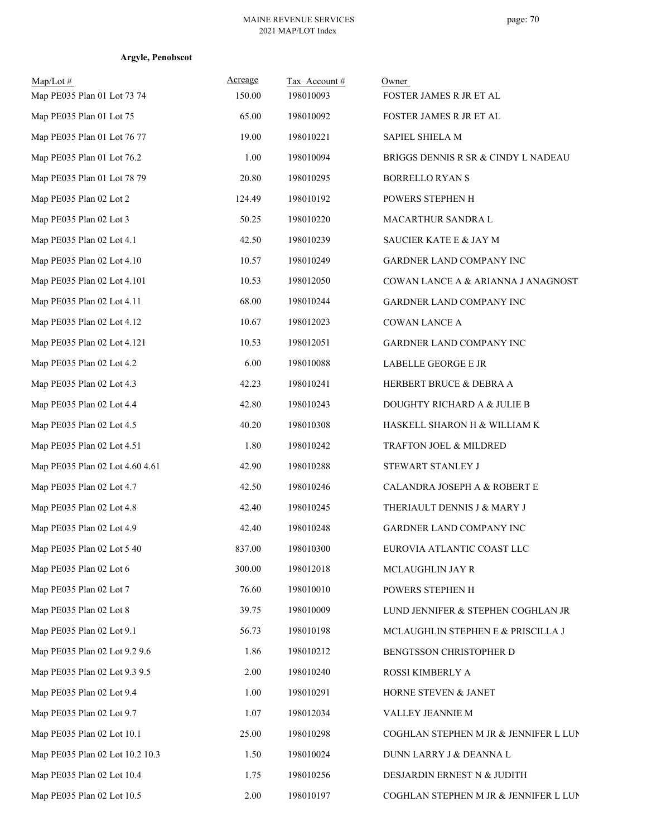| $Map/Lot \#$<br>Map PE035 Plan 01 Lot 73 74 | Acreage<br>150.00 | Tax Account#<br>198010093 | Owner<br>FOSTER JAMES R JR ET AL      |
|---------------------------------------------|-------------------|---------------------------|---------------------------------------|
| Map PE035 Plan 01 Lot 75                    | 65.00             | 198010092                 | FOSTER JAMES R JR ET AL               |
| Map PE035 Plan 01 Lot 76 77                 | 19.00             | 198010221                 | SAPIEL SHIELA M                       |
| Map PE035 Plan 01 Lot 76.2                  | 1.00              | 198010094                 | BRIGGS DENNIS R SR & CINDY L NADEAU   |
| Map PE035 Plan 01 Lot 78 79                 | 20.80             | 198010295                 | <b>BORRELLO RYAN S</b>                |
| Map PE035 Plan 02 Lot 2                     | 124.49            | 198010192                 | POWERS STEPHEN H                      |
| Map PE035 Plan 02 Lot 3                     | 50.25             | 198010220                 | MACARTHUR SANDRA L                    |
| Map PE035 Plan 02 Lot 4.1                   | 42.50             | 198010239                 | SAUCIER KATE E & JAY M                |
| Map PE035 Plan 02 Lot 4.10                  | 10.57             | 198010249                 | GARDNER LAND COMPANY INC              |
| Map PE035 Plan 02 Lot 4.101                 | 10.53             | 198012050                 | COWAN LANCE A & ARIANNA J ANAGNOSTI   |
| Map PE035 Plan 02 Lot 4.11                  | 68.00             | 198010244                 | GARDNER LAND COMPANY INC              |
| Map PE035 Plan 02 Lot 4.12                  | 10.67             | 198012023                 | COWAN LANCE A                         |
| Map PE035 Plan 02 Lot 4.121                 | 10.53             | 198012051                 | GARDNER LAND COMPANY INC              |
| Map PE035 Plan 02 Lot 4.2                   | 6.00              | 198010088                 | LABELLE GEORGE E JR                   |
| Map PE035 Plan 02 Lot 4.3                   | 42.23             | 198010241                 | HERBERT BRUCE & DEBRA A               |
| Map PE035 Plan 02 Lot 4.4                   | 42.80             | 198010243                 | DOUGHTY RICHARD A & JULIE B           |
| Map PE035 Plan 02 Lot 4.5                   | 40.20             | 198010308                 | HASKELL SHARON H & WILLIAM K          |
| Map PE035 Plan 02 Lot 4.51                  | 1.80              | 198010242                 | TRAFTON JOEL & MILDRED                |
| Map PE035 Plan 02 Lot 4.60 4.61             | 42.90             | 198010288                 | STEWART STANLEY J                     |
| Map PE035 Plan 02 Lot 4.7                   | 42.50             | 198010246                 | CALANDRA JOSEPH A & ROBERT E          |
| Map PE035 Plan 02 Lot 4.8                   | 42.40             | 198010245                 | THERIAULT DENNIS J & MARY J           |
| Map PE035 Plan 02 Lot 4.9                   | 42.40             | 198010248                 | GARDNER LAND COMPANY INC              |
| Map PE035 Plan 02 Lot 5 40                  | 837.00            | 198010300                 | EUROVIA ATLANTIC COAST LLC            |
| Map PE035 Plan 02 Lot 6                     | 300.00            | 198012018                 | MCLAUGHLIN JAY R                      |
| Map PE035 Plan 02 Lot 7                     | 76.60             | 198010010                 | POWERS STEPHEN H                      |
| Map PE035 Plan 02 Lot 8                     | 39.75             | 198010009                 | LUND JENNIFER & STEPHEN COGHLAN JR    |
| Map PE035 Plan 02 Lot 9.1                   | 56.73             | 198010198                 | MCLAUGHLIN STEPHEN E & PRISCILLA J    |
| Map PE035 Plan 02 Lot 9.2 9.6               | 1.86              | 198010212                 | BENGTSSON CHRISTOPHER D               |
| Map PE035 Plan 02 Lot 9.3 9.5               | 2.00              | 198010240                 | ROSSI KIMBERLY A                      |
| Map PE035 Plan 02 Lot 9.4                   | 1.00              | 198010291                 | HORNE STEVEN & JANET                  |
| Map PE035 Plan 02 Lot 9.7                   | 1.07              | 198012034                 | VALLEY JEANNIE M                      |
| Map PE035 Plan 02 Lot 10.1                  | 25.00             | 198010298                 | COGHLAN STEPHEN M JR & JENNIFER L LUN |
| Map PE035 Plan 02 Lot 10.2 10.3             | 1.50              | 198010024                 | DUNN LARRY J & DEANNA L               |
| Map PE035 Plan 02 Lot 10.4                  | 1.75              | 198010256                 | DESJARDIN ERNEST N & JUDITH           |
| Map PE035 Plan 02 Lot 10.5                  | 2.00              | 198010197                 | COGHLAN STEPHEN M JR & JENNIFER L LUN |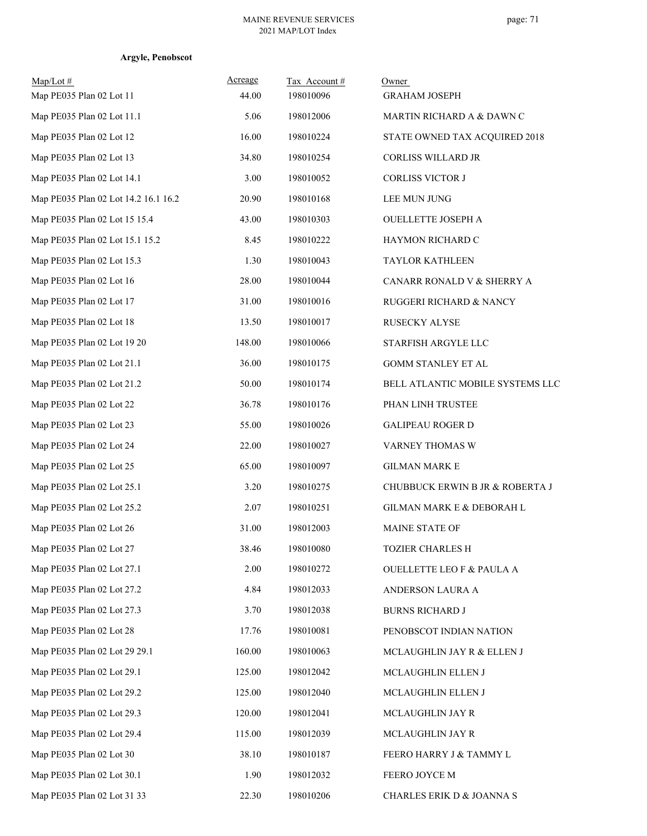| $Map/Lot \#$<br>Map PE035 Plan 02 Lot 11 | Acreage<br>44.00 | Tax Account#<br>198010096 | Owner<br><b>GRAHAM JOSEPH</b>        |
|------------------------------------------|------------------|---------------------------|--------------------------------------|
| Map PE035 Plan 02 Lot 11.1               | 5.06             | 198012006                 | MARTIN RICHARD A & DAWN C            |
| Map PE035 Plan 02 Lot 12                 | 16.00            | 198010224                 | STATE OWNED TAX ACQUIRED 2018        |
| Map PE035 Plan 02 Lot 13                 | 34.80            | 198010254                 | CORLISS WILLARD JR                   |
| Map PE035 Plan 02 Lot 14.1               | 3.00             | 198010052                 | CORLISS VICTOR J                     |
| Map PE035 Plan 02 Lot 14.2 16.1 16.2     | 20.90            | 198010168                 | LEE MUN JUNG                         |
| Map PE035 Plan 02 Lot 15 15.4            | 43.00            | 198010303                 | <b>OUELLETTE JOSEPH A</b>            |
| Map PE035 Plan 02 Lot 15.1 15.2          | 8.45             | 198010222                 | HAYMON RICHARD C                     |
| Map PE035 Plan 02 Lot 15.3               | 1.30             | 198010043                 | <b>TAYLOR KATHLEEN</b>               |
| Map PE035 Plan 02 Lot 16                 | 28.00            | 198010044                 | CANARR RONALD V & SHERRY A           |
| Map PE035 Plan 02 Lot 17                 | 31.00            | 198010016                 | RUGGERI RICHARD & NANCY              |
| Map PE035 Plan 02 Lot 18                 | 13.50            | 198010017                 | RUSECKY ALYSE                        |
| Map PE035 Plan 02 Lot 19 20              | 148.00           | 198010066                 | STARFISH ARGYLE LLC                  |
| Map PE035 Plan 02 Lot 21.1               | 36.00            | 198010175                 | <b>GOMM STANLEY ET AL</b>            |
| Map PE035 Plan 02 Lot 21.2               | 50.00            | 198010174                 | BELL ATLANTIC MOBILE SYSTEMS LLC     |
| Map PE035 Plan 02 Lot 22                 | 36.78            | 198010176                 | PHAN LINH TRUSTEE                    |
| Map PE035 Plan 02 Lot 23                 | 55.00            | 198010026                 | <b>GALIPEAU ROGER D</b>              |
| Map PE035 Plan 02 Lot 24                 | 22.00            | 198010027                 | VARNEY THOMAS W                      |
| Map PE035 Plan 02 Lot 25                 | 65.00            | 198010097                 | <b>GILMAN MARK E</b>                 |
| Map PE035 Plan 02 Lot 25.1               | 3.20             | 198010275                 | CHUBBUCK ERWIN B JR & ROBERTA J      |
| Map PE035 Plan 02 Lot 25.2               | 2.07             | 198010251                 | GILMAN MARK E & DEBORAH L            |
| Map PE035 Plan 02 Lot 26                 | 31.00            | 198012003                 | <b>MAINE STATE OF</b>                |
| Map PE035 Plan 02 Lot 27                 | 38.46            | 198010080                 | <b>TOZIER CHARLES H</b>              |
| Map PE035 Plan 02 Lot 27.1               | 2.00             | 198010272                 | <b>OUELLETTE LEO F &amp; PAULA A</b> |
| Map PE035 Plan 02 Lot 27.2               | 4.84             | 198012033                 | ANDERSON LAURA A                     |
| Map PE035 Plan 02 Lot 27.3               | 3.70             | 198012038                 | <b>BURNS RICHARD J</b>               |
| Map PE035 Plan 02 Lot 28                 | 17.76            | 198010081                 | PENOBSCOT INDIAN NATION              |
| Map PE035 Plan 02 Lot 29 29.1            | 160.00           | 198010063                 | MCLAUGHLIN JAY R & ELLEN J           |
| Map PE035 Plan 02 Lot 29.1               | 125.00           | 198012042                 | MCLAUGHLIN ELLEN J                   |
| Map PE035 Plan 02 Lot 29.2               | 125.00           | 198012040                 | MCLAUGHLIN ELLEN J                   |
| Map PE035 Plan 02 Lot 29.3               | 120.00           | 198012041                 | MCLAUGHLIN JAY R                     |
| Map PE035 Plan 02 Lot 29.4               | 115.00           | 198012039                 | MCLAUGHLIN JAY R                     |
| Map PE035 Plan 02 Lot 30                 | 38.10            | 198010187                 | FEERO HARRY J & TAMMY L              |
| Map PE035 Plan 02 Lot 30.1               | 1.90             | 198012032                 | FEERO JOYCE M                        |
| Map PE035 Plan 02 Lot 31 33              | 22.30            | 198010206                 | CHARLES ERIK D & JOANNA S            |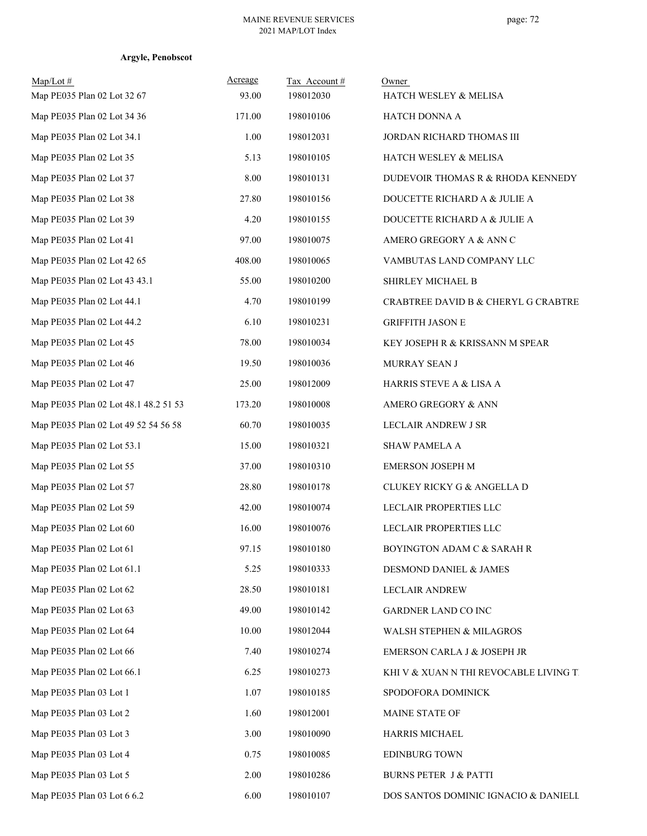# **Argyle, Penobscot**

| Map/Lot#<br>Map PE035 Plan 02 Lot 32 67 | Acreage<br>93.00 | Tax Account#<br>198012030 | Owner<br>HATCH WESLEY & MELISA         |
|-----------------------------------------|------------------|---------------------------|----------------------------------------|
| Map PE035 Plan 02 Lot 34 36             | 171.00           | 198010106                 | HATCH DONNA A                          |
| Map PE035 Plan 02 Lot 34.1              | 1.00             | 198012031                 | JORDAN RICHARD THOMAS III              |
| Map PE035 Plan 02 Lot 35                | 5.13             | 198010105                 | HATCH WESLEY & MELISA                  |
| Map PE035 Plan 02 Lot 37                | 8.00             | 198010131                 | DUDEVOIR THOMAS R & RHODA KENNEDY      |
| Map PE035 Plan 02 Lot 38                | 27.80            | 198010156                 | DOUCETTE RICHARD A & JULIE A           |
| Map PE035 Plan 02 Lot 39                | 4.20             | 198010155                 | DOUCETTE RICHARD A & JULIE A           |
| Map PE035 Plan 02 Lot 41                | 97.00            | 198010075                 | AMERO GREGORY A & ANN C                |
| Map PE035 Plan 02 Lot 42 65             | 408.00           | 198010065                 | VAMBUTAS LAND COMPANY LLC              |
| Map PE035 Plan 02 Lot 43 43.1           | 55.00            | 198010200                 | SHIRLEY MICHAEL B                      |
| Map PE035 Plan 02 Lot 44.1              | 4.70             | 198010199                 | CRABTREE DAVID B & CHERYL G CRABTRE    |
| Map PE035 Plan 02 Lot 44.2              | 6.10             | 198010231                 | <b>GRIFFITH JASON E</b>                |
| Map PE035 Plan 02 Lot 45                | 78.00            | 198010034                 | KEY JOSEPH R & KRISSANN M SPEAR        |
| Map PE035 Plan 02 Lot 46                | 19.50            | 198010036                 | MURRAY SEAN J                          |
| Map PE035 Plan 02 Lot 47                | 25.00            | 198012009                 | HARRIS STEVE A & LISA A                |
| Map PE035 Plan 02 Lot 48.1 48.2 51 53   | 173.20           | 198010008                 | AMERO GREGORY & ANN                    |
| Map PE035 Plan 02 Lot 49 52 54 56 58    | 60.70            | 198010035                 | LECLAIR ANDREW J SR                    |
| Map PE035 Plan 02 Lot 53.1              | 15.00            | 198010321                 | <b>SHAW PAMELA A</b>                   |
| Map PE035 Plan 02 Lot 55                | 37.00            | 198010310                 | <b>EMERSON JOSEPH M</b>                |
| Map PE035 Plan 02 Lot 57                | 28.80            | 198010178                 | <b>CLUKEY RICKY G &amp; ANGELLA D</b>  |
| Map PE035 Plan 02 Lot 59                | 42.00            | 198010074                 | LECLAIR PROPERTIES LLC                 |
| Map PE035 Plan 02 Lot 60                | 16.00            | 198010076                 | LECLAIR PROPERTIES LLC                 |
| Map PE035 Plan 02 Lot 61                | 97.15            | 198010180                 | BOYINGTON ADAM C & SARAH R             |
| Map PE035 Plan 02 Lot 61.1              | 5.25             | 198010333                 | DESMOND DANIEL & JAMES                 |
| Map PE035 Plan 02 Lot 62                | 28.50            | 198010181                 | LECLAIR ANDREW                         |
| Map PE035 Plan 02 Lot 63                | 49.00            | 198010142                 | <b>GARDNER LAND CO INC</b>             |
| Map PE035 Plan 02 Lot 64                | 10.00            | 198012044                 | WALSH STEPHEN & MILAGROS               |
| Map PE035 Plan 02 Lot 66                | 7.40             | 198010274                 | EMERSON CARLA J & JOSEPH JR            |
| Map PE035 Plan 02 Lot 66.1              | 6.25             | 198010273                 | KHI V & XUAN N THI REVOCABLE LIVING TI |
| Map PE035 Plan 03 Lot 1                 | 1.07             | 198010185                 | SPODOFORA DOMINICK                     |
| Map PE035 Plan 03 Lot 2                 | 1.60             | 198012001                 | MAINE STATE OF                         |
| Map PE035 Plan 03 Lot 3                 | 3.00             | 198010090                 | HARRIS MICHAEL                         |
| Map PE035 Plan 03 Lot 4                 | 0.75             | 198010085                 | <b>EDINBURG TOWN</b>                   |
| Map PE035 Plan 03 Lot 5                 | 2.00             | 198010286                 | <b>BURNS PETER J &amp; PATTI</b>       |
| Map PE035 Plan 03 Lot 6 6.2             | 6.00             | 198010107                 | DOS SANTOS DOMINIC IGNACIO & DANIELL   |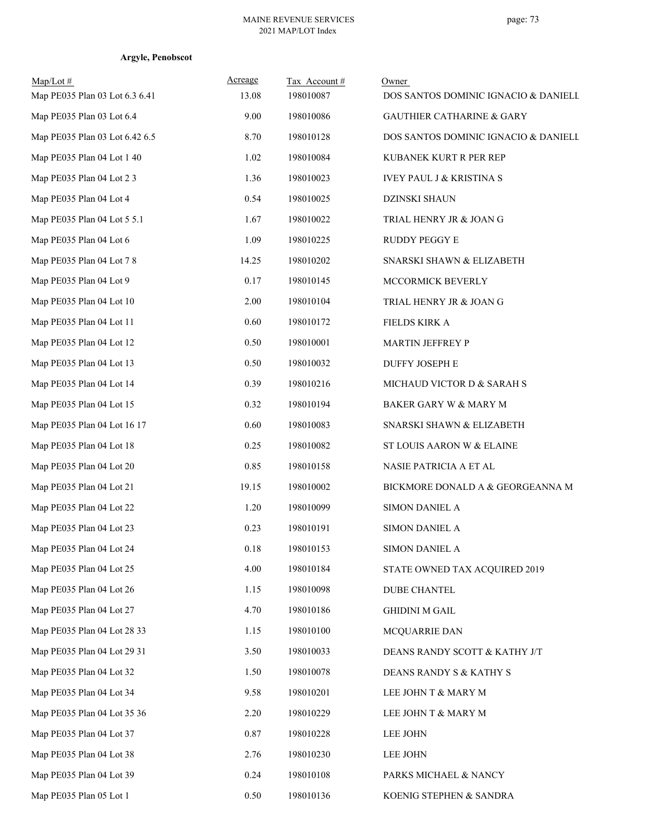# **Argyle, Penobscot**

| Map/Lot#<br>Map PE035 Plan 03 Lot 6.3 6.41 | Acreage<br>13.08 | Tax Account#<br>198010087 | Owner<br>DOS SANTOS DOMINIC IGNACIO & DANIELL |
|--------------------------------------------|------------------|---------------------------|-----------------------------------------------|
| Map PE035 Plan 03 Lot 6.4                  | 9.00             | 198010086                 | <b>GAUTHIER CATHARINE &amp; GARY</b>          |
| Map PE035 Plan 03 Lot 6.42 6.5             | 8.70             | 198010128                 | DOS SANTOS DOMINIC IGNACIO & DANIELL          |
| Map PE035 Plan 04 Lot 1 40                 | 1.02             | 198010084                 | KUBANEK KURT R PER REP                        |
| Map PE035 Plan 04 Lot 2 3                  | 1.36             | 198010023                 | <b>IVEY PAUL J &amp; KRISTINA S</b>           |
| Map PE035 Plan 04 Lot 4                    | 0.54             | 198010025                 | <b>DZINSKI SHAUN</b>                          |
| Map PE035 Plan 04 Lot 5 5.1                | 1.67             | 198010022                 | TRIAL HENRY JR & JOAN G                       |
| Map PE035 Plan 04 Lot 6                    | 1.09             | 198010225                 | RUDDY PEGGY E                                 |
| Map PE035 Plan 04 Lot 7 8                  | 14.25            | 198010202                 | SNARSKI SHAWN & ELIZABETH                     |
| Map PE035 Plan 04 Lot 9                    | 0.17             | 198010145                 | MCCORMICK BEVERLY                             |
| Map PE035 Plan 04 Lot 10                   | 2.00             | 198010104                 | TRIAL HENRY JR & JOAN G                       |
| Map PE035 Plan 04 Lot 11                   | 0.60             | 198010172                 | FIELDS KIRK A                                 |
| Map PE035 Plan 04 Lot 12                   | 0.50             | 198010001                 | <b>MARTIN JEFFREY P</b>                       |
| Map PE035 Plan 04 Lot 13                   | 0.50             | 198010032                 | <b>DUFFY JOSEPH E</b>                         |
| Map PE035 Plan 04 Lot 14                   | 0.39             | 198010216                 | MICHAUD VICTOR D & SARAH S                    |
| Map PE035 Plan 04 Lot 15                   | 0.32             | 198010194                 | BAKER GARY W & MARY M                         |
| Map PE035 Plan 04 Lot 16 17                | 0.60             | 198010083                 | SNARSKI SHAWN & ELIZABETH                     |
| Map PE035 Plan 04 Lot 18                   | 0.25             | 198010082                 | ST LOUIS AARON W & ELAINE                     |
| Map PE035 Plan 04 Lot 20                   | 0.85             | 198010158                 | NASIE PATRICIA A ET AL                        |
| Map PE035 Plan 04 Lot 21                   | 19.15            | 198010002                 | BICKMORE DONALD A $\&$ GEORGEANNA M           |
| Map PE035 Plan 04 Lot 22                   | 1.20             | 198010099                 | <b>SIMON DANIEL A</b>                         |
| Map PE035 Plan 04 Lot 23                   | 0.23             | 198010191                 | SIMON DANIEL A                                |
| Map PE035 Plan 04 Lot 24                   | $0.18\,$         | 198010153                 | <b>SIMON DANIEL A</b>                         |
| Map PE035 Plan 04 Lot 25                   | 4.00             | 198010184                 | STATE OWNED TAX ACQUIRED 2019                 |
| Map PE035 Plan 04 Lot 26                   | 1.15             | 198010098                 | <b>DUBE CHANTEL</b>                           |
| Map PE035 Plan 04 Lot 27                   | 4.70             | 198010186                 | <b>GHIDINI M GAIL</b>                         |
| Map PE035 Plan 04 Lot 28 33                | 1.15             | 198010100                 | MCQUARRIE DAN                                 |
| Map PE035 Plan 04 Lot 29 31                | 3.50             | 198010033                 | DEANS RANDY SCOTT & KATHY J/T                 |
| Map PE035 Plan 04 Lot 32                   | 1.50             | 198010078                 | DEANS RANDY S & KATHY S                       |
| Map PE035 Plan 04 Lot 34                   | 9.58             | 198010201                 | LEE JOHN T & MARY M                           |
| Map PE035 Plan 04 Lot 35 36                | 2.20             | 198010229                 | LEE JOHN T & MARY M                           |
| Map PE035 Plan 04 Lot 37                   | 0.87             | 198010228                 | LEE JOHN                                      |
| Map PE035 Plan 04 Lot 38                   | 2.76             | 198010230                 | <b>LEE JOHN</b>                               |
| Map PE035 Plan 04 Lot 39                   | 0.24             | 198010108                 | PARKS MICHAEL & NANCY                         |
| Map PE035 Plan 05 Lot 1                    | 0.50             | 198010136                 | KOENIG STEPHEN & SANDRA                       |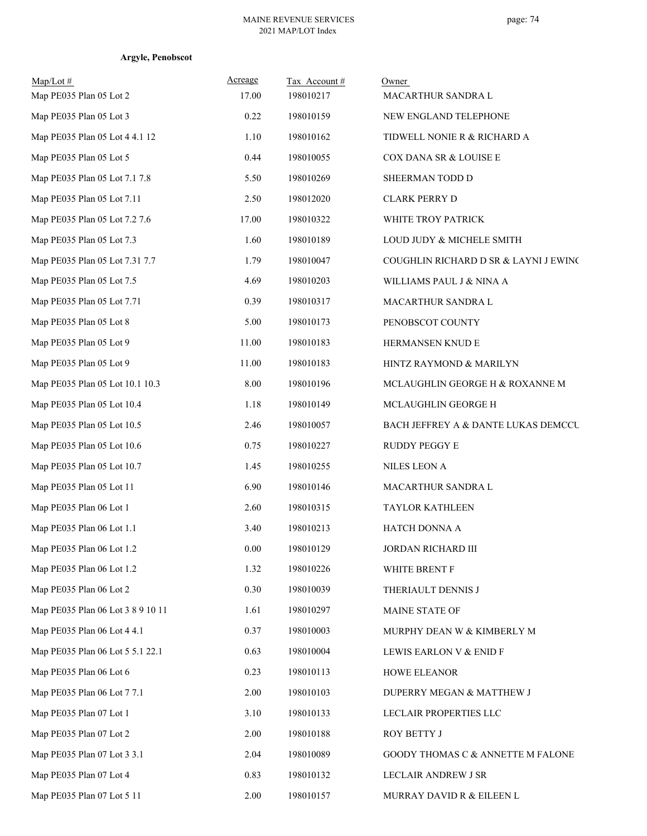| Argyle, Penobscot |
|-------------------|
|                   |

| $Map/Lot \#$<br>Map PE035 Plan 05 Lot 2 | Acreage<br>17.00 | Tax Account#<br>198010217 | Owner<br>MACARTHUR SANDRA L           |
|-----------------------------------------|------------------|---------------------------|---------------------------------------|
| Map PE035 Plan 05 Lot 3                 | 0.22             | 198010159                 | NEW ENGLAND TELEPHONE                 |
| Map PE035 Plan 05 Lot 4 4.1 12          | 1.10             | 198010162                 | TIDWELL NONIE R & RICHARD A           |
| Map PE035 Plan 05 Lot 5                 | 0.44             | 198010055                 | COX DANA SR & LOUISE E                |
| Map PE035 Plan 05 Lot 7.1 7.8           | 5.50             | 198010269                 | SHEERMAN TODD D                       |
| Map PE035 Plan 05 Lot 7.11              | 2.50             | 198012020                 | <b>CLARK PERRY D</b>                  |
| Map PE035 Plan 05 Lot 7.2 7.6           | 17.00            | 198010322                 | WHITE TROY PATRICK                    |
| Map PE035 Plan 05 Lot 7.3               | 1.60             | 198010189                 | LOUD JUDY & MICHELE SMITH             |
| Map PE035 Plan 05 Lot 7.31 7.7          | 1.79             | 198010047                 | COUGHLIN RICHARD D SR & LAYNI J EWINC |
| Map PE035 Plan 05 Lot 7.5               | 4.69             | 198010203                 | WILLIAMS PAUL J & NINA A              |
| Map PE035 Plan 05 Lot 7.71              | 0.39             | 198010317                 | MACARTHUR SANDRA L                    |
| Map PE035 Plan 05 Lot 8                 | 5.00             | 198010173                 | PENOBSCOT COUNTY                      |
| Map PE035 Plan 05 Lot 9                 | 11.00            | 198010183                 | HERMANSEN KNUD E                      |
| Map PE035 Plan 05 Lot 9                 | 11.00            | 198010183                 | HINTZ RAYMOND & MARILYN               |
| Map PE035 Plan 05 Lot 10.1 10.3         | 8.00             | 198010196                 | MCLAUGHLIN GEORGE H & ROXANNE M       |
| Map PE035 Plan 05 Lot 10.4              | 1.18             | 198010149                 | MCLAUGHLIN GEORGE H                   |
| Map PE035 Plan 05 Lot 10.5              | 2.46             | 198010057                 | BACH JEFFREY A & DANTE LUKAS DEMCCU   |
| Map PE035 Plan 05 Lot 10.6              | 0.75             | 198010227                 | RUDDY PEGGY E                         |
| Map PE035 Plan 05 Lot 10.7              | 1.45             | 198010255                 | NILES LEON A                          |
| Map PE035 Plan 05 Lot 11                | 6.90             | 198010146                 | MACARTHUR SANDRA L                    |
| Map PE035 Plan 06 Lot 1                 | 2.60             | 198010315                 | <b>TAYLOR KATHLEEN</b>                |
| Map PE035 Plan 06 Lot 1.1               | 3.40             | 198010213                 | HATCH DONNA A                         |
| Map PE035 Plan 06 Lot 1.2               | $0.00\,$         | 198010129                 | JORDAN RICHARD III                    |
| Map PE035 Plan 06 Lot 1.2               | 1.32             | 198010226                 | WHITE BRENT F                         |
| Map PE035 Plan 06 Lot 2                 | 0.30             | 198010039                 | THERIAULT DENNIS J                    |
| Map PE035 Plan 06 Lot 3 8 9 10 11       | 1.61             | 198010297                 | MAINE STATE OF                        |
| Map PE035 Plan 06 Lot 4 4.1             | 0.37             | 198010003                 | MURPHY DEAN W & KIMBERLY M            |
| Map PE035 Plan 06 Lot 5 5.1 22.1        | 0.63             | 198010004                 | LEWIS EARLON V & ENID F               |
| Map PE035 Plan 06 Lot 6                 | 0.23             | 198010113                 | HOWE ELEANOR                          |
| Map PE035 Plan 06 Lot 7 7.1             | 2.00             | 198010103                 | DUPERRY MEGAN & MATTHEW J             |
| Map PE035 Plan 07 Lot 1                 | 3.10             | 198010133                 | LECLAIR PROPERTIES LLC                |
| Map PE035 Plan 07 Lot 2                 | 2.00             | 198010188                 | ROY BETTY J                           |
| Map PE035 Plan 07 Lot 3 3.1             | 2.04             | 198010089                 | GOODY THOMAS C & ANNETTE M FALONE     |
| Map PE035 Plan 07 Lot 4                 | 0.83             | 198010132                 | LECLAIR ANDREW J SR                   |
| Map PE035 Plan 07 Lot 5 11              | 2.00             | 198010157                 | MURRAY DAVID R & EILEEN L             |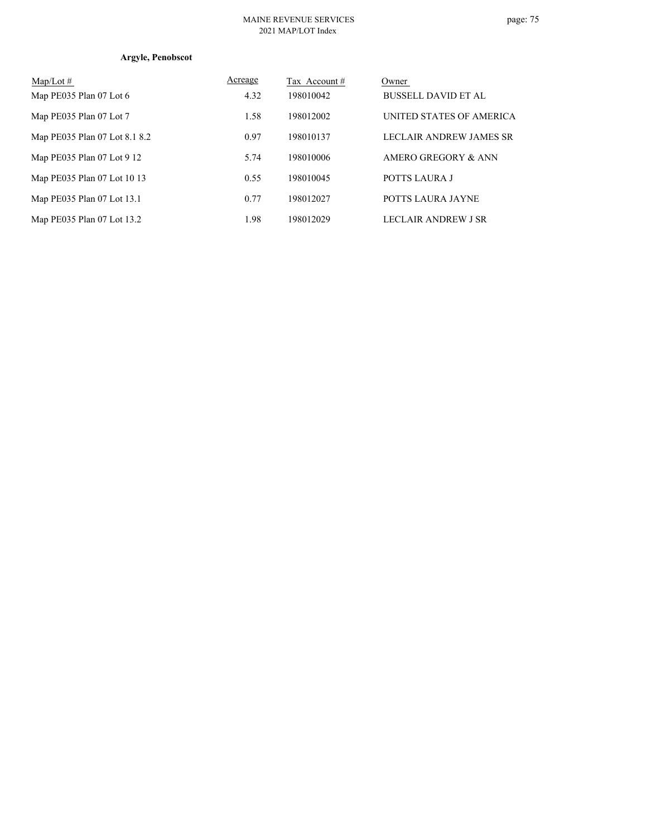#### MAINE REVENUE SERVICES 2021 MAP/LOT Index

# page: 75

# **Argyle, Penobscot**

| $Map/Lot \#$                  | Acreage | Tax Account # | Owner                          |
|-------------------------------|---------|---------------|--------------------------------|
| Map PE035 Plan 07 Lot 6       | 4.32    | 198010042     | <b>BUSSELL DAVID ET AL</b>     |
| Map PE035 Plan 07 Lot 7       | 1.58    | 198012002     | UNITED STATES OF AMERICA       |
| Map PE035 Plan 07 Lot 8.1 8.2 | 0.97    | 198010137     | <b>LECLAIR ANDREW JAMES SR</b> |
| Map PE035 Plan 07 Lot 9 12    | 5.74    | 198010006     | AMERO GREGORY & ANN            |
| Map PE035 Plan 07 Lot 10 13   | 0.55    | 198010045     | POTTS LAURA J                  |
| Map PE035 Plan 07 Lot 13.1    | 0.77    | 198012027     | POTTS LAURA JAYNE              |
| Map PE035 Plan 07 Lot 13.2    | 1.98    | 198012029     | LECLAIR ANDREW J SR            |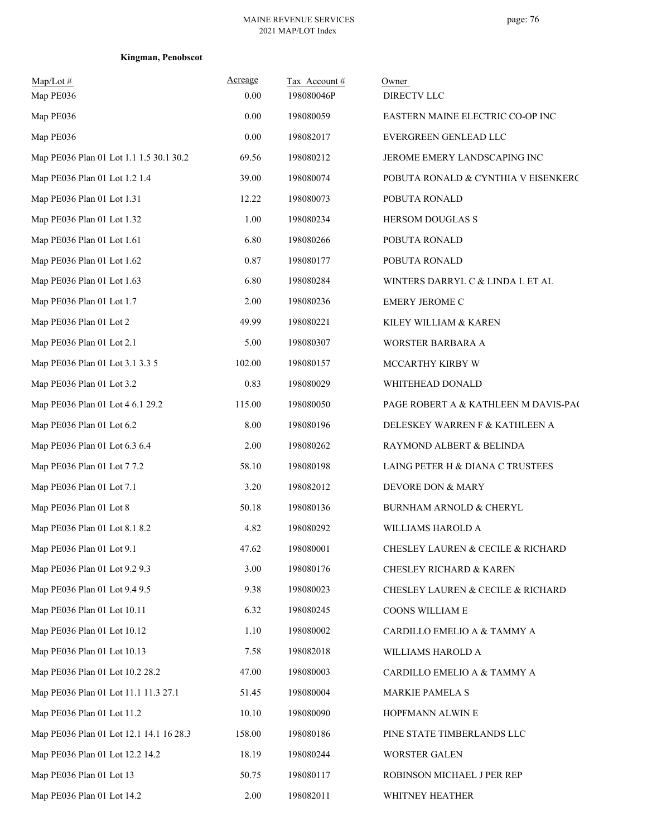| $Map/Lot$ #<br>Map PE036                | Acreage<br>0.00 | Tax Account#<br>198080046P | Owner<br>DIRECTV LLC                             |
|-----------------------------------------|-----------------|----------------------------|--------------------------------------------------|
| Map PE036                               | 0.00            | 198080059                  | EASTERN MAINE ELECTRIC CO-OP INC                 |
| Map PE036                               | $0.00\,$        | 198082017                  | EVERGREEN GENLEAD LLC                            |
| Map PE036 Plan 01 Lot 1.1 1.5 30.1 30.2 | 69.56           | 198080212                  | JEROME EMERY LANDSCAPING INC                     |
| Map PE036 Plan 01 Lot 1.2 1.4           | 39.00           | 198080074                  | POBUTA RONALD & CYNTHIA V EISENKERC              |
| Map PE036 Plan 01 Lot 1.31              | 12.22           | 198080073                  | POBUTA RONALD                                    |
| Map PE036 Plan 01 Lot 1.32              | 1.00            | 198080234                  | HERSOM DOUGLAS S                                 |
| Map PE036 Plan 01 Lot 1.61              | 6.80            | 198080266                  | POBUTA RONALD                                    |
| Map PE036 Plan 01 Lot 1.62              | 0.87            | 198080177                  | POBUTA RONALD                                    |
| Map PE036 Plan 01 Lot 1.63              | 6.80            | 198080284                  | WINTERS DARRYL C & LINDA L ET AL                 |
| Map PE036 Plan 01 Lot 1.7               | 2.00            | 198080236                  | <b>EMERY JEROME C</b>                            |
| Map PE036 Plan 01 Lot 2                 | 49.99           | 198080221                  | KILEY WILLIAM & KAREN                            |
| Map PE036 Plan 01 Lot 2.1               | 5.00            | 198080307                  | WORSTER BARBARA A                                |
| Map PE036 Plan 01 Lot 3.1 3.3 5         | 102.00          | 198080157                  | MCCARTHY KIRBY W                                 |
| Map PE036 Plan 01 Lot 3.2               | 0.83            | 198080029                  | WHITEHEAD DONALD                                 |
| Map PE036 Plan 01 Lot 4 6.1 29.2        | 115.00          | 198080050                  | PAGE ROBERT A & KATHLEEN M DAVIS-PAC             |
| Map PE036 Plan 01 Lot 6.2               | 8.00            | 198080196                  | DELESKEY WARREN F & KATHLEEN A                   |
| Map PE036 Plan 01 Lot 6.3 6.4           | 2.00            | 198080262                  | RAYMOND ALBERT & BELINDA                         |
| Map PE036 Plan 01 Lot 7 7.2             | 58.10           | 198080198                  | LAING PETER H & DIANA C TRUSTEES                 |
| Map PE036 Plan 01 Lot 7.1               | 3.20            | 198082012                  | DEVORE DON & MARY                                |
| Map PE036 Plan 01 Lot 8                 | 50.18           | 198080136                  | <b>BURNHAM ARNOLD &amp; CHERYL</b>               |
| Map PE036 Plan 01 Lot 8.1 8.2           | 4.82            | 198080292                  | WILLIAMS HAROLD A                                |
| Map PE036 Plan 01 Lot 9.1               | 47.62           | 198080001                  | <b>CHESLEY LAUREN &amp; CECILE &amp; RICHARD</b> |
| Map PE036 Plan 01 Lot 9.2 9.3           | 3.00            | 198080176                  | <b>CHESLEY RICHARD &amp; KAREN</b>               |
| Map PE036 Plan 01 Lot 9.4 9.5           | 9.38            | 198080023                  | CHESLEY LAUREN & CECILE & RICHARD                |
| Map PE036 Plan 01 Lot 10.11             | 6.32            | 198080245                  | COONS WILLIAM E                                  |
| Map PE036 Plan 01 Lot 10.12             | 1.10            | 198080002                  | CARDILLO EMELIO A & TAMMY A                      |
| Map PE036 Plan 01 Lot 10.13             | 7.58            | 198082018                  | WILLIAMS HAROLD A                                |
| Map PE036 Plan 01 Lot 10.2 28.2         | 47.00           | 198080003                  | CARDILLO EMELIO A & TAMMY A                      |
| Map PE036 Plan 01 Lot 11.1 11.3 27.1    | 51.45           | 198080004                  | MARKIE PAMELA S                                  |
| Map PE036 Plan 01 Lot 11.2              | 10.10           | 198080090                  | HOPFMANN ALWIN E                                 |
| Map PE036 Plan 01 Lot 12.1 14.1 16 28.3 | 158.00          | 198080186                  | PINE STATE TIMBERLANDS LLC                       |
| Map PE036 Plan 01 Lot 12.2 14.2         | 18.19           | 198080244                  | <b>WORSTER GALEN</b>                             |
| Map PE036 Plan 01 Lot 13                | 50.75           | 198080117                  | ROBINSON MICHAEL J PER REP                       |
| Map PE036 Plan 01 Lot 14.2              | 2.00            | 198082011                  | WHITNEY HEATHER                                  |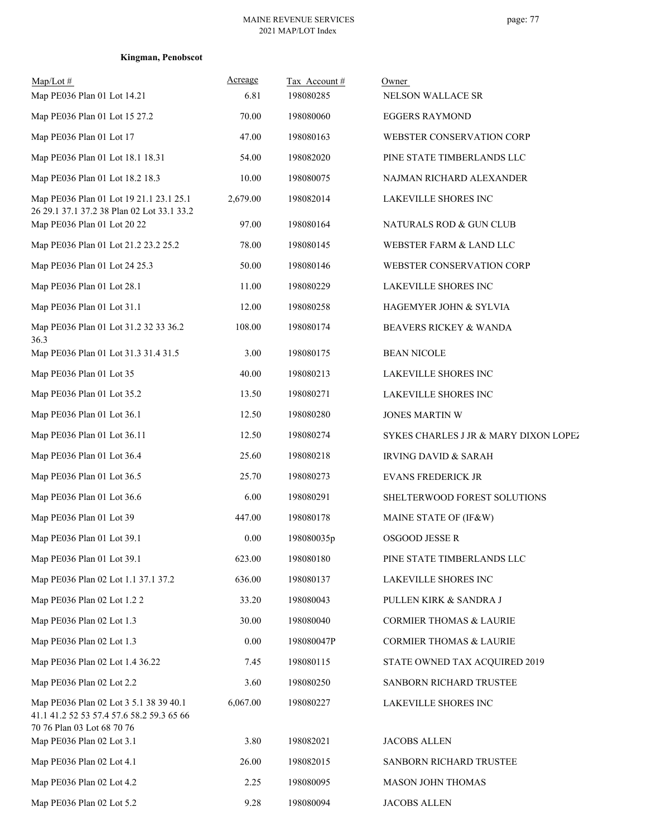| $Map/Lot \#$<br>Map PE036 Plan 01 Lot 14.21                                                                       | Acreage<br>6.81 | Tax Account#<br>198080285 | Owner<br>NELSON WALLACE SR            |
|-------------------------------------------------------------------------------------------------------------------|-----------------|---------------------------|---------------------------------------|
| Map PE036 Plan 01 Lot 15 27.2                                                                                     | 70.00           | 198080060                 | <b>EGGERS RAYMOND</b>                 |
| Map PE036 Plan 01 Lot 17                                                                                          | 47.00           | 198080163                 | WEBSTER CONSERVATION CORP             |
| Map PE036 Plan 01 Lot 18.1 18.31                                                                                  | 54.00           | 198082020                 | PINE STATE TIMBERLANDS LLC            |
| Map PE036 Plan 01 Lot 18.2 18.3                                                                                   | 10.00           | 198080075                 | NAJMAN RICHARD ALEXANDER              |
| Map PE036 Plan 01 Lot 19 21.1 23.1 25.1<br>26 29.1 37.1 37.2 38 Plan 02 Lot 33.1 33.2                             | 2,679.00        | 198082014                 | LAKEVILLE SHORES INC                  |
| Map PE036 Plan 01 Lot 20 22                                                                                       | 97.00           | 198080164                 | NATURALS ROD & GUN CLUB               |
| Map PE036 Plan 01 Lot 21.2 23.2 25.2                                                                              | 78.00           | 198080145                 | WEBSTER FARM & LAND LLC               |
| Map PE036 Plan 01 Lot 24 25.3                                                                                     | 50.00           | 198080146                 | WEBSTER CONSERVATION CORP             |
| Map PE036 Plan 01 Lot 28.1                                                                                        | 11.00           | 198080229                 | LAKEVILLE SHORES INC                  |
| Map PE036 Plan 01 Lot 31.1                                                                                        | 12.00           | 198080258                 | HAGEMYER JOHN & SYLVIA                |
| Map PE036 Plan 01 Lot 31.2 32 33 36.2<br>36.3                                                                     | 108.00          | 198080174                 | BEAVERS RICKEY & WANDA                |
| Map PE036 Plan 01 Lot 31.3 31.4 31.5                                                                              | 3.00            | 198080175                 | <b>BEAN NICOLE</b>                    |
| Map PE036 Plan 01 Lot 35                                                                                          | 40.00           | 198080213                 | <b>LAKEVILLE SHORES INC</b>           |
| Map PE036 Plan 01 Lot 35.2                                                                                        | 13.50           | 198080271                 | LAKEVILLE SHORES INC                  |
| Map PE036 Plan 01 Lot 36.1                                                                                        | 12.50           | 198080280                 | <b>JONES MARTIN W</b>                 |
| Map PE036 Plan 01 Lot 36.11                                                                                       | 12.50           | 198080274                 | SYKES CHARLES J JR & MARY DIXON LOPEZ |
| Map PE036 Plan 01 Lot 36.4                                                                                        | 25.60           | 198080218                 | <b>IRVING DAVID &amp; SARAH</b>       |
| Map PE036 Plan 01 Lot 36.5                                                                                        | 25.70           | 198080273                 | EVANS FREDERICK JR                    |
| Map PE036 Plan 01 Lot 36.6                                                                                        | 6.00            | 198080291                 | SHELTERWOOD FOREST SOLUTIONS          |
| Map PE036 Plan 01 Lot 39                                                                                          | 447.00          | 198080178                 | MAINE STATE OF (IF&W)                 |
| Map PE036 Plan 01 Lot 39.1                                                                                        | 0.00            | 198080035p                | <b>OSGOOD JESSE R</b>                 |
| Map PE036 Plan 01 Lot 39.1                                                                                        | 623.00          | 198080180                 | PINE STATE TIMBERLANDS LLC            |
| Map PE036 Plan 02 Lot 1.1 37.1 37.2                                                                               | 636.00          | 198080137                 | LAKEVILLE SHORES INC                  |
| Map PE036 Plan 02 Lot 1.2 2                                                                                       | 33.20           | 198080043                 | PULLEN KIRK & SANDRA J                |
| Map PE036 Plan 02 Lot 1.3                                                                                         | 30.00           | 198080040                 | <b>CORMIER THOMAS &amp; LAURIE</b>    |
| Map PE036 Plan 02 Lot 1.3                                                                                         | 0.00            | 198080047P                | <b>CORMIER THOMAS &amp; LAURIE</b>    |
| Map PE036 Plan 02 Lot 1.4 36.22                                                                                   | 7.45            | 198080115                 | STATE OWNED TAX ACQUIRED 2019         |
| Map PE036 Plan 02 Lot 2.2                                                                                         | 3.60            | 198080250                 | SANBORN RICHARD TRUSTEE               |
| Map PE036 Plan 02 Lot 3 5.1 38 39 40.1<br>41.1 41.2 52 53 57.4 57.6 58.2 59.3 65 66<br>70 76 Plan 03 Lot 68 70 76 | 6,067.00        | 198080227                 | LAKEVILLE SHORES INC                  |
| Map PE036 Plan 02 Lot 3.1                                                                                         | 3.80            | 198082021                 | <b>JACOBS ALLEN</b>                   |
| Map PE036 Plan 02 Lot 4.1                                                                                         | 26.00           | 198082015                 | SANBORN RICHARD TRUSTEE               |
| Map PE036 Plan 02 Lot 4.2                                                                                         | 2.25            | 198080095                 | MASON JOHN THOMAS                     |
| Map PE036 Plan 02 Lot 5.2                                                                                         | 9.28            | 198080094                 | <b>JACOBS ALLEN</b>                   |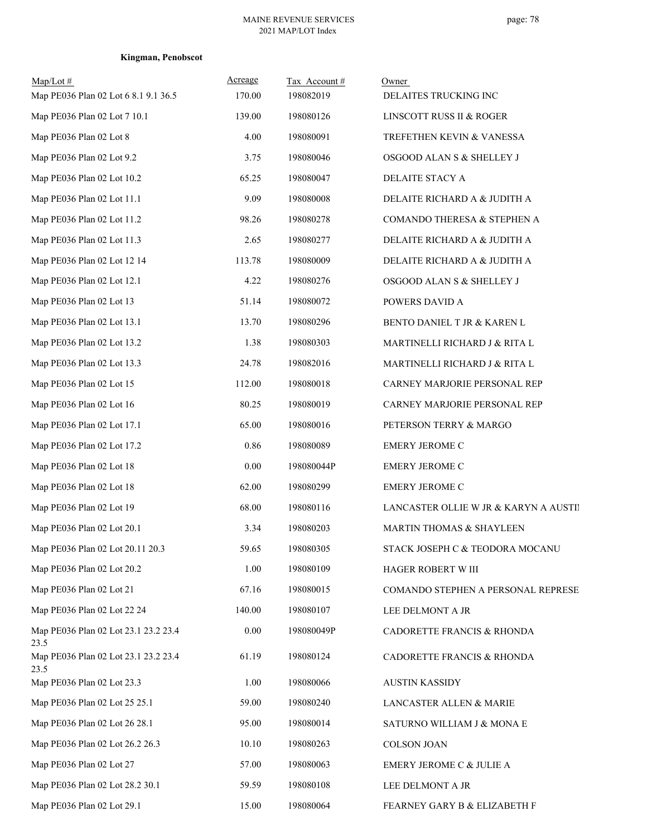| $Map/Lot \#$<br>Map PE036 Plan 02 Lot 6 8.1 9.1 36.5 | Acreage<br>170.00 | Tax Account#<br>198082019 | Owner<br>DELAITES TRUCKING INC        |
|------------------------------------------------------|-------------------|---------------------------|---------------------------------------|
| Map PE036 Plan 02 Lot 7 10.1                         | 139.00            | 198080126                 | LINSCOTT RUSS II & ROGER              |
| Map PE036 Plan 02 Lot 8                              | 4.00              | 198080091                 | TREFETHEN KEVIN & VANESSA             |
| Map PE036 Plan 02 Lot 9.2                            | 3.75              | 198080046                 | OSGOOD ALAN S & SHELLEY J             |
| Map PE036 Plan 02 Lot 10.2                           | 65.25             | 198080047                 | DELAITE STACY A                       |
| Map PE036 Plan 02 Lot 11.1                           | 9.09              | 198080008                 | DELAITE RICHARD A & JUDITH A          |
| Map PE036 Plan 02 Lot 11.2                           | 98.26             | 198080278                 | COMANDO THERESA & STEPHEN A           |
| Map PE036 Plan 02 Lot 11.3                           | 2.65              | 198080277                 | DELAITE RICHARD A & JUDITH A          |
| Map PE036 Plan 02 Lot 12 14                          | 113.78            | 198080009                 | DELAITE RICHARD A & JUDITH A          |
| Map PE036 Plan 02 Lot 12.1                           | 4.22              | 198080276                 | OSGOOD ALAN S & SHELLEY J             |
| Map PE036 Plan 02 Lot 13                             | 51.14             | 198080072                 | POWERS DAVID A                        |
| Map PE036 Plan 02 Lot 13.1                           | 13.70             | 198080296                 | BENTO DANIEL T JR & KAREN L           |
| Map PE036 Plan 02 Lot 13.2                           | 1.38              | 198080303                 | MARTINELLI RICHARD J & RITA L         |
| Map PE036 Plan 02 Lot 13.3                           | 24.78             | 198082016                 | MARTINELLI RICHARD J & RITA L         |
| Map PE036 Plan 02 Lot 15                             | 112.00            | 198080018                 | CARNEY MARJORIE PERSONAL REP          |
| Map PE036 Plan 02 Lot 16                             | 80.25             | 198080019                 | CARNEY MARJORIE PERSONAL REP          |
| Map PE036 Plan 02 Lot 17.1                           | 65.00             | 198080016                 | PETERSON TERRY & MARGO                |
| Map PE036 Plan 02 Lot 17.2                           | 0.86              | 198080089                 | EMERY JEROME C                        |
| Map PE036 Plan 02 Lot 18                             | 0.00              | 198080044P                | <b>EMERY JEROME C</b>                 |
| Map PE036 Plan 02 Lot 18                             | 62.00             | 198080299                 | <b>EMERY JEROME C</b>                 |
| Map PE036 Plan 02 Lot 19                             | 68.00             | 198080116                 | LANCASTER OLLIE W JR & KARYN A AUSTII |
| Map PE036 Plan 02 Lot 20.1                           | 3.34              | 198080203                 | MARTIN THOMAS & SHAYLEEN              |
| Map PE036 Plan 02 Lot 20.11 20.3                     | 59.65             | 198080305                 | STACK JOSEPH C & TEODORA MOCANU       |
| Map PE036 Plan 02 Lot 20.2                           | 1.00              | 198080109                 | HAGER ROBERT W III                    |
| Map PE036 Plan 02 Lot 21                             | 67.16             | 198080015                 | COMANDO STEPHEN A PERSONAL REPRESE    |
| Map PE036 Plan 02 Lot 22 24                          | 140.00            | 198080107                 | LEE DELMONT A JR                      |
| Map PE036 Plan 02 Lot 23.1 23.2 23.4<br>23.5         | $0.00\,$          | 198080049P                | CADORETTE FRANCIS & RHONDA            |
| Map PE036 Plan 02 Lot 23.1 23.2 23.4<br>23.5         | 61.19             | 198080124                 | CADORETTE FRANCIS & RHONDA            |
| Map PE036 Plan 02 Lot 23.3                           | 1.00              | 198080066                 | <b>AUSTIN KASSIDY</b>                 |
| Map PE036 Plan 02 Lot 25 25.1                        | 59.00             | 198080240                 | LANCASTER ALLEN & MARIE               |
| Map PE036 Plan 02 Lot 26 28.1                        | 95.00             | 198080014                 | SATURNO WILLIAM J & MONA E            |
| Map PE036 Plan 02 Lot 26.2 26.3                      | 10.10             | 198080263                 | <b>COLSON JOAN</b>                    |
| Map PE036 Plan 02 Lot 27                             | 57.00             | 198080063                 | EMERY JEROME C & JULIE A              |
| Map PE036 Plan 02 Lot 28.2 30.1                      | 59.59             | 198080108                 | LEE DELMONT A JR                      |
| Map PE036 Plan 02 Lot 29.1                           | 15.00             | 198080064                 | FEARNEY GARY B & ELIZABETH F          |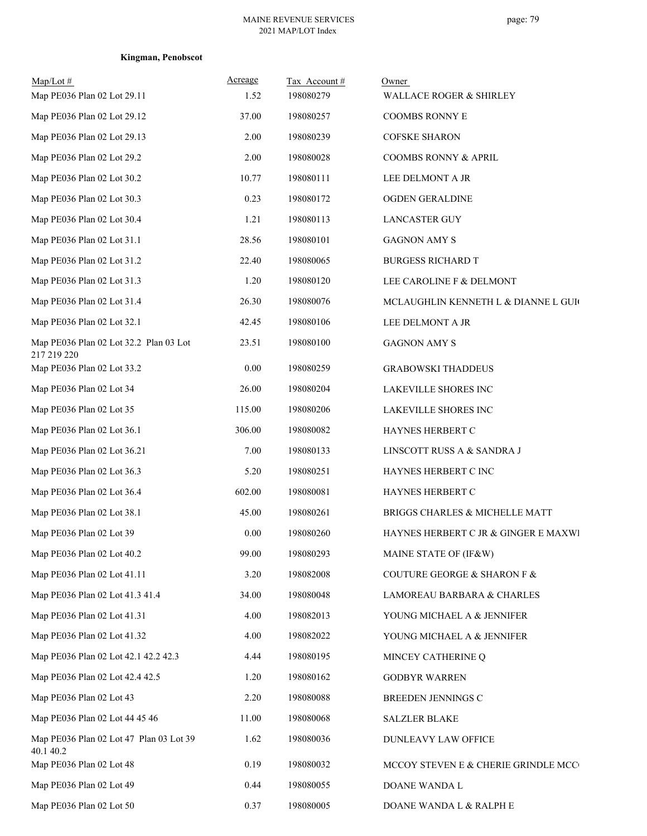| $Map/Lot \#$<br>Map PE036 Plan 02 Lot 29.11           | Acreage<br>1.52 | Tax Account #<br>198080279 | Owner<br>WALLACE ROGER & SHIRLEY     |
|-------------------------------------------------------|-----------------|----------------------------|--------------------------------------|
| Map PE036 Plan 02 Lot 29.12                           | 37.00           | 198080257                  | <b>COOMBS RONNY E</b>                |
| Map PE036 Plan 02 Lot 29.13                           | 2.00            | 198080239                  | <b>COFSKE SHARON</b>                 |
| Map PE036 Plan 02 Lot 29.2                            | 2.00            | 198080028                  | <b>COOMBS RONNY &amp; APRIL</b>      |
| Map PE036 Plan 02 Lot 30.2                            | 10.77           | 198080111                  | LEE DELMONT A JR                     |
| Map PE036 Plan 02 Lot 30.3                            | 0.23            | 198080172                  | OGDEN GERALDINE                      |
| Map PE036 Plan 02 Lot 30.4                            | 1.21            | 198080113                  | <b>LANCASTER GUY</b>                 |
| Map PE036 Plan 02 Lot 31.1                            | 28.56           | 198080101                  | <b>GAGNON AMY S</b>                  |
| Map PE036 Plan 02 Lot 31.2                            | 22.40           | 198080065                  | <b>BURGESS RICHARD T</b>             |
| Map PE036 Plan 02 Lot 31.3                            | 1.20            | 198080120                  | LEE CAROLINE F & DELMONT             |
| Map PE036 Plan 02 Lot 31.4                            | 26.30           | 198080076                  | MCLAUGHLIN KENNETH L & DIANNE L GUIO |
| Map PE036 Plan 02 Lot 32.1                            | 42.45           | 198080106                  | LEE DELMONT A JR                     |
| Map PE036 Plan 02 Lot 32.2 Plan 03 Lot<br>217 219 220 | 23.51           | 198080100                  | <b>GAGNON AMY S</b>                  |
| Map PE036 Plan 02 Lot 33.2                            | 0.00            | 198080259                  | <b>GRABOWSKI THADDEUS</b>            |
| Map PE036 Plan 02 Lot 34                              | 26.00           | 198080204                  | LAKEVILLE SHORES INC                 |
| Map PE036 Plan 02 Lot 35                              | 115.00          | 198080206                  | LAKEVILLE SHORES INC                 |
| Map PE036 Plan 02 Lot 36.1                            | 306.00          | 198080082                  | HAYNES HERBERT C                     |
| Map PE036 Plan 02 Lot 36.21                           | 7.00            | 198080133                  | LINSCOTT RUSS A & SANDRA J           |
| Map PE036 Plan 02 Lot 36.3                            | 5.20            | 198080251                  | HAYNES HERBERT C INC                 |
| Map PE036 Plan 02 Lot 36.4                            | 602.00          | 198080081                  | HAYNES HERBERT C                     |
| Map PE036 Plan 02 Lot 38.1                            | 45.00           | 198080261                  | BRIGGS CHARLES & MICHELLE MATT       |
| Map PE036 Plan 02 Lot 39                              | 0.00            | 198080260                  | HAYNES HERBERT C JR & GINGER E MAXWI |
| Map PE036 Plan 02 Lot 40.2                            | 99.00           | 198080293                  | MAINE STATE OF (IF&W)                |
| Map PE036 Plan 02 Lot 41.11                           | 3.20            | 198082008                  | COUTURE GEORGE & SHARON F &          |
| Map PE036 Plan 02 Lot 41.3 41.4                       | 34.00           | 198080048                  | LAMOREAU BARBARA & CHARLES           |
| Map PE036 Plan 02 Lot 41.31                           | 4.00            | 198082013                  | YOUNG MICHAEL A & JENNIFER           |
| Map PE036 Plan 02 Lot 41.32                           | 4.00            | 198082022                  | YOUNG MICHAEL A & JENNIFER           |
| Map PE036 Plan 02 Lot 42.1 42.2 42.3                  | 4.44            | 198080195                  | MINCEY CATHERINE Q                   |
| Map PE036 Plan 02 Lot 42.4 42.5                       | 1.20            | 198080162                  | <b>GODBYR WARREN</b>                 |
| Map PE036 Plan 02 Lot 43                              | 2.20            | 198080088                  | BREEDEN JENNINGS C                   |
| Map PE036 Plan 02 Lot 44 45 46                        | 11.00           | 198080068                  | <b>SALZLER BLAKE</b>                 |
| Map PE036 Plan 02 Lot 47 Plan 03 Lot 39<br>40.1 40.2  | 1.62            | 198080036                  | DUNLEAVY LAW OFFICE                  |
| Map PE036 Plan 02 Lot 48                              | 0.19            | 198080032                  | MCCOY STEVEN E & CHERIE GRINDLE MCC  |
| Map PE036 Plan 02 Lot 49                              | 0.44            | 198080055                  | DOANE WANDA L                        |
| Map PE036 Plan 02 Lot 50                              | 0.37            | 198080005                  | DOANE WANDA L & RALPH E              |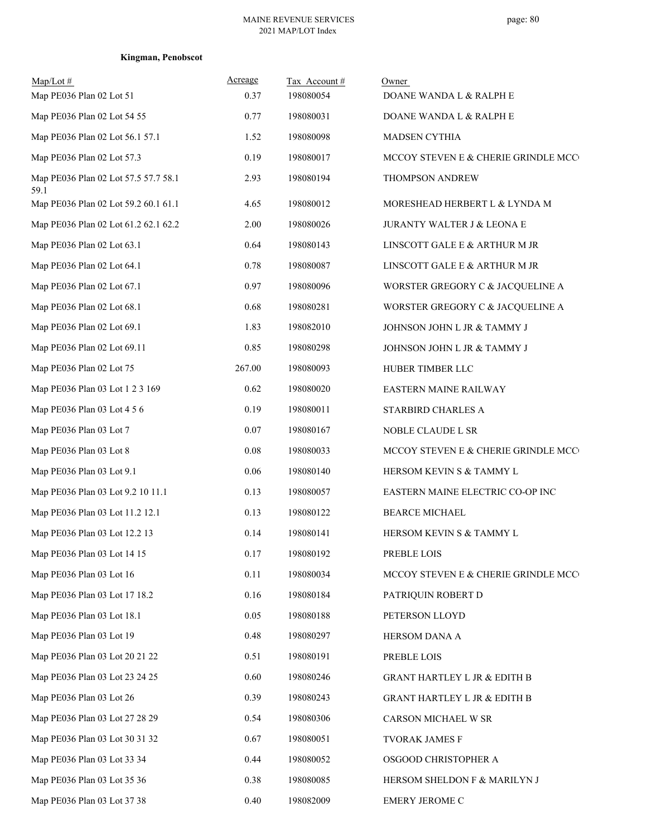| $Map/Lot$ #<br>Map PE036 Plan 02 Lot 51      | Acreage<br>0.37 | Tax Account #<br>198080054 | Owner<br>DOANE WANDA L & RALPH E        |
|----------------------------------------------|-----------------|----------------------------|-----------------------------------------|
| Map PE036 Plan 02 Lot 54 55                  | 0.77            | 198080031                  | DOANE WANDA L & RALPH E                 |
| Map PE036 Plan 02 Lot 56.1 57.1              | 1.52            | 198080098                  | MADSEN CYTHIA                           |
| Map PE036 Plan 02 Lot 57.3                   | 0.19            | 198080017                  | MCCOY STEVEN E & CHERIE GRINDLE MCC     |
| Map PE036 Plan 02 Lot 57.5 57.7 58.1<br>59.1 | 2.93            | 198080194                  | THOMPSON ANDREW                         |
| Map PE036 Plan 02 Lot 59.2 60.1 61.1         | 4.65            | 198080012                  | MORESHEAD HERBERT L & LYNDA M           |
| Map PE036 Plan 02 Lot 61.2 62.1 62.2         | 2.00            | 198080026                  | JURANTY WALTER J & LEONA E              |
| Map PE036 Plan 02 Lot 63.1                   | 0.64            | 198080143                  | LINSCOTT GALE E & ARTHUR M JR           |
| Map PE036 Plan 02 Lot 64.1                   | 0.78            | 198080087                  | LINSCOTT GALE E & ARTHUR M JR           |
| Map PE036 Plan 02 Lot 67.1                   | 0.97            | 198080096                  | WORSTER GREGORY C & JACQUELINE A        |
| Map PE036 Plan 02 Lot 68.1                   | $0.68\,$        | 198080281                  | WORSTER GREGORY C & JACQUELINE A        |
| Map PE036 Plan 02 Lot 69.1                   | 1.83            | 198082010                  | JOHNSON JOHN L JR & TAMMY J             |
| Map PE036 Plan 02 Lot 69.11                  | 0.85            | 198080298                  | JOHNSON JOHN L JR & TAMMY J             |
| Map PE036 Plan 02 Lot 75                     | 267.00          | 198080093                  | HUBER TIMBER LLC                        |
| Map PE036 Plan 03 Lot 1 2 3 169              | 0.62            | 198080020                  | EASTERN MAINE RAILWAY                   |
| Map PE036 Plan 03 Lot 4 5 6                  | 0.19            | 198080011                  | STARBIRD CHARLES A                      |
| Map PE036 Plan 03 Lot 7                      | 0.07            | 198080167                  | NOBLE CLAUDE L SR                       |
| Map PE036 Plan 03 Lot 8                      | 0.08            | 198080033                  | MCCOY STEVEN E & CHERIE GRINDLE MCC     |
| Map PE036 Plan 03 Lot 9.1                    | 0.06            | 198080140                  | HERSOM KEVIN S & TAMMY L                |
| Map PE036 Plan 03 Lot 9.2 10 11.1            | 0.13            | 198080057                  | EASTERN MAINE ELECTRIC CO-OP INC        |
| Map PE036 Plan 03 Lot 11.2 12.1              | 0.13            | 198080122                  | <b>BEARCE MICHAEL</b>                   |
| Map PE036 Plan 03 Lot 12.2 13                | 0.14            | 198080141                  | HERSOM KEVIN S & TAMMY L                |
| Map PE036 Plan 03 Lot 14 15                  | 0.17            | 198080192                  | PREBLE LOIS                             |
| Map PE036 Plan 03 Lot 16                     | 0.11            | 198080034                  | MCCOY STEVEN E & CHERIE GRINDLE MCC     |
| Map PE036 Plan 03 Lot 17 18.2                | 0.16            | 198080184                  | PATRIQUIN ROBERT D                      |
| Map PE036 Plan 03 Lot 18.1                   | 0.05            | 198080188                  | PETERSON LLOYD                          |
| Map PE036 Plan 03 Lot 19                     | 0.48            | 198080297                  | HERSOM DANA A                           |
| Map PE036 Plan 03 Lot 20 21 22               | 0.51            | 198080191                  | PREBLE LOIS                             |
| Map PE036 Plan 03 Lot 23 24 25               | 0.60            | 198080246                  | <b>GRANT HARTLEY L JR &amp; EDITH B</b> |
| Map PE036 Plan 03 Lot 26                     | 0.39            | 198080243                  | <b>GRANT HARTLEY L JR &amp; EDITH B</b> |
| Map PE036 Plan 03 Lot 27 28 29               | 0.54            | 198080306                  | CARSON MICHAEL W SR                     |
| Map PE036 Plan 03 Lot 30 31 32               | 0.67            | 198080051                  | TVORAK JAMES F                          |
| Map PE036 Plan 03 Lot 33 34                  | 0.44            | 198080052                  | OSGOOD CHRISTOPHER A                    |
| Map PE036 Plan 03 Lot 35 36                  | 0.38            | 198080085                  | HERSOM SHELDON F & MARILYN J            |
| Map PE036 Plan 03 Lot 37 38                  | 0.40            | 198082009                  | EMERY JEROME C                          |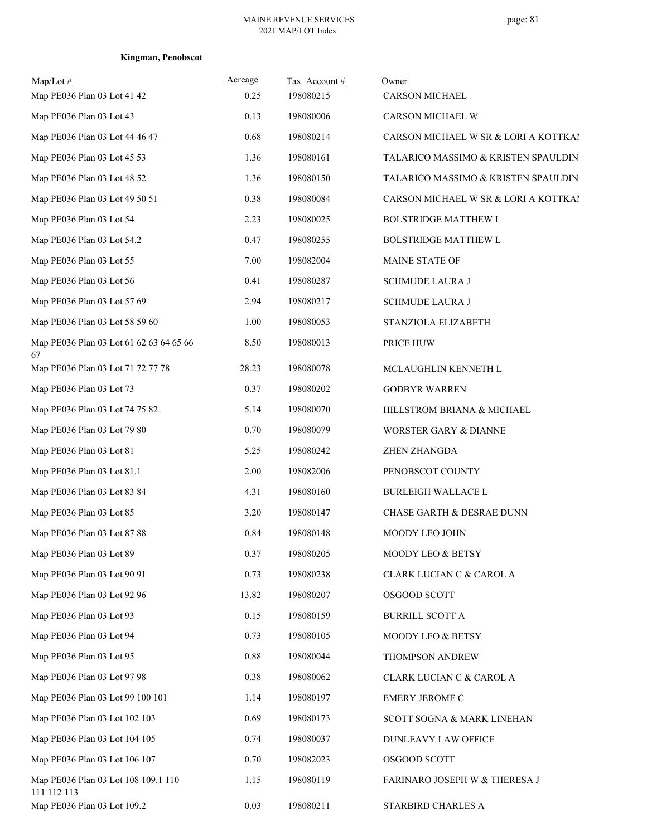| $Map/Lot \#$<br>Map PE036 Plan 03 Lot 41 42        | Acreage<br>0.25 | Tax Account#<br>198080215 | Owner<br><b>CARSON MICHAEL</b>       |
|----------------------------------------------------|-----------------|---------------------------|--------------------------------------|
| Map PE036 Plan 03 Lot 43                           | 0.13            | 198080006                 | CARSON MICHAEL W                     |
| Map PE036 Plan 03 Lot 44 46 47                     | 0.68            | 198080214                 | CARSON MICHAEL W SR & LORI A KOTTKA! |
| Map PE036 Plan 03 Lot 45 53                        | 1.36            | 198080161                 | TALARICO MASSIMO & KRISTEN SPAULDIN  |
| Map PE036 Plan 03 Lot 48 52                        | 1.36            | 198080150                 | TALARICO MASSIMO & KRISTEN SPAULDIN  |
| Map PE036 Plan 03 Lot 49 50 51                     | 0.38            | 198080084                 | CARSON MICHAEL W SR & LORI A KOTTKA! |
| Map PE036 Plan 03 Lot 54                           | 2.23            | 198080025                 | <b>BOLSTRIDGE MATTHEW L</b>          |
| Map PE036 Plan 03 Lot 54.2                         | 0.47            | 198080255                 | <b>BOLSTRIDGE MATTHEW L</b>          |
| Map PE036 Plan 03 Lot 55                           | 7.00            | 198082004                 | MAINE STATE OF                       |
| Map PE036 Plan 03 Lot 56                           | 0.41            | 198080287                 | <b>SCHMUDE LAURA J</b>               |
| Map PE036 Plan 03 Lot 57 69                        | 2.94            | 198080217                 | <b>SCHMUDE LAURA J</b>               |
| Map PE036 Plan 03 Lot 58 59 60                     | 1.00            | 198080053                 | STANZIOLA ELIZABETH                  |
| Map PE036 Plan 03 Lot 61 62 63 64 65 66            | 8.50            | 198080013                 | PRICE HUW                            |
| 67<br>Map PE036 Plan 03 Lot 71 72 77 78            | 28.23           | 198080078                 | MCLAUGHLIN KENNETH L                 |
| Map PE036 Plan 03 Lot 73                           | 0.37            | 198080202                 | <b>GODBYR WARREN</b>                 |
| Map PE036 Plan 03 Lot 74 75 82                     | 5.14            | 198080070                 | HILLSTROM BRIANA & MICHAEL           |
| Map PE036 Plan 03 Lot 79 80                        | 0.70            | 198080079                 | WORSTER GARY & DIANNE                |
| Map PE036 Plan 03 Lot 81                           | 5.25            | 198080242                 | ZHEN ZHANGDA                         |
| Map PE036 Plan 03 Lot 81.1                         | 2.00            | 198082006                 | PENOBSCOT COUNTY                     |
| Map PE036 Plan 03 Lot 83 84                        | 4.31            | 198080160                 | <b>BURLEIGH WALLACE L</b>            |
| Map PE036 Plan 03 Lot 85                           | 3.20            | 198080147                 | <b>CHASE GARTH &amp; DESRAE DUNN</b> |
| Map PE036 Plan 03 Lot 87 88                        | 0.84            | 198080148                 | MOODY LEO JOHN                       |
| Map PE036 Plan 03 Lot 89                           | 0.37            | 198080205                 | MOODY LEO & BETSY                    |
| Map PE036 Plan 03 Lot 90 91                        | 0.73            | 198080238                 | CLARK LUCIAN C & CAROL A             |
| Map PE036 Plan 03 Lot 92 96                        | 13.82           | 198080207                 | OSGOOD SCOTT                         |
| Map PE036 Plan 03 Lot 93                           | 0.15            | 198080159                 | <b>BURRILL SCOTT A</b>               |
| Map PE036 Plan 03 Lot 94                           | 0.73            | 198080105                 | MOODY LEO & BETSY                    |
| Map PE036 Plan 03 Lot 95                           | 0.88            | 198080044                 | THOMPSON ANDREW                      |
| Map PE036 Plan 03 Lot 97 98                        | 0.38            | 198080062                 | CLARK LUCIAN C & CAROL A             |
| Map PE036 Plan 03 Lot 99 100 101                   | 1.14            | 198080197                 | EMERY JEROME C                       |
| Map PE036 Plan 03 Lot 102 103                      | 0.69            | 198080173                 | SCOTT SOGNA & MARK LINEHAN           |
| Map PE036 Plan 03 Lot 104 105                      | 0.74            | 198080037                 | DUNLEAVY LAW OFFICE                  |
| Map PE036 Plan 03 Lot 106 107                      | 0.70            | 198082023                 | OSGOOD SCOTT                         |
| Map PE036 Plan 03 Lot 108 109.1 110<br>111 112 113 | 1.15            | 198080119                 | FARINARO JOSEPH W & THERESA J        |
| Map PE036 Plan 03 Lot 109.2                        | 0.03            | 198080211                 | STARBIRD CHARLES A                   |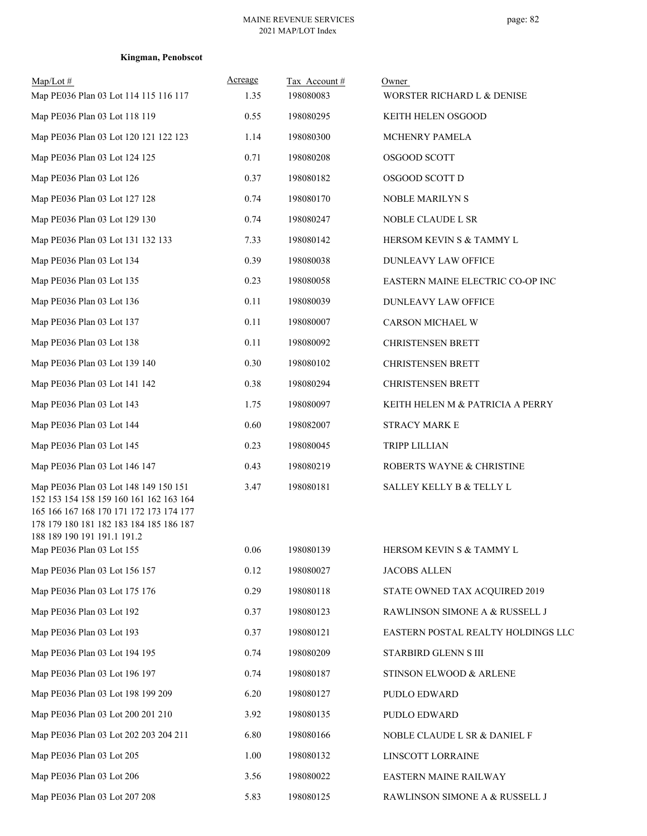| $Map/Lot \#$                                                                                                                                                                                          | Acreage | Tax Account# | Owner                              |
|-------------------------------------------------------------------------------------------------------------------------------------------------------------------------------------------------------|---------|--------------|------------------------------------|
| Map PE036 Plan 03 Lot 114 115 116 117                                                                                                                                                                 | 1.35    | 198080083    | WORSTER RICHARD L & DENISE         |
| Map PE036 Plan 03 Lot 118 119                                                                                                                                                                         | 0.55    | 198080295    | KEITH HELEN OSGOOD                 |
| Map PE036 Plan 03 Lot 120 121 122 123                                                                                                                                                                 | 1.14    | 198080300    | MCHENRY PAMELA                     |
| Map PE036 Plan 03 Lot 124 125                                                                                                                                                                         | 0.71    | 198080208    | OSGOOD SCOTT                       |
| Map PE036 Plan 03 Lot 126                                                                                                                                                                             | 0.37    | 198080182    | OSGOOD SCOTT D                     |
| Map PE036 Plan 03 Lot 127 128                                                                                                                                                                         | 0.74    | 198080170    | NOBLE MARILYN S                    |
| Map PE036 Plan 03 Lot 129 130                                                                                                                                                                         | 0.74    | 198080247    | NOBLE CLAUDE L SR                  |
| Map PE036 Plan 03 Lot 131 132 133                                                                                                                                                                     | 7.33    | 198080142    | HERSOM KEVIN S & TAMMY L           |
| Map PE036 Plan 03 Lot 134                                                                                                                                                                             | 0.39    | 198080038    | DUNLEAVY LAW OFFICE                |
| Map PE036 Plan 03 Lot 135                                                                                                                                                                             | 0.23    | 198080058    | EASTERN MAINE ELECTRIC CO-OP INC   |
| Map PE036 Plan 03 Lot 136                                                                                                                                                                             | 0.11    | 198080039    | DUNLEAVY LAW OFFICE                |
| Map PE036 Plan 03 Lot 137                                                                                                                                                                             | 0.11    | 198080007    | CARSON MICHAEL W                   |
| Map PE036 Plan 03 Lot 138                                                                                                                                                                             | 0.11    | 198080092    | <b>CHRISTENSEN BRETT</b>           |
| Map PE036 Plan 03 Lot 139 140                                                                                                                                                                         | 0.30    | 198080102    | <b>CHRISTENSEN BRETT</b>           |
| Map PE036 Plan 03 Lot 141 142                                                                                                                                                                         | 0.38    | 198080294    | <b>CHRISTENSEN BRETT</b>           |
| Map PE036 Plan 03 Lot 143                                                                                                                                                                             | 1.75    | 198080097    | KEITH HELEN M & PATRICIA A PERRY   |
| Map PE036 Plan 03 Lot 144                                                                                                                                                                             | 0.60    | 198082007    | <b>STRACY MARK E</b>               |
| Map PE036 Plan 03 Lot 145                                                                                                                                                                             | 0.23    | 198080045    | <b>TRIPP LILLIAN</b>               |
| Map PE036 Plan 03 Lot 146 147                                                                                                                                                                         | 0.43    | 198080219    | ROBERTS WAYNE & CHRISTINE          |
| Map PE036 Plan 03 Lot 148 149 150 151<br>152 153 154 158 159 160 161 162 163 164<br>165 166 167 168 170 171 172 173 174 177<br>178 179 180 181 182 183 184 185 186 187<br>188 189 190 191 191.1 191.2 | 3.47    | 198080181    | SALLEY KELLY B & TELLY L           |
| Map PE036 Plan 03 Lot 155                                                                                                                                                                             | 0.06    | 198080139    | HERSOM KEVIN S & TAMMY L           |
| Map PE036 Plan 03 Lot 156 157                                                                                                                                                                         | 0.12    | 198080027    | <b>JACOBS ALLEN</b>                |
| Map PE036 Plan 03 Lot 175 176                                                                                                                                                                         | 0.29    | 198080118    | STATE OWNED TAX ACQUIRED 2019      |
| Map PE036 Plan 03 Lot 192                                                                                                                                                                             | 0.37    | 198080123    | RAWLINSON SIMONE A & RUSSELL J     |
| Map PE036 Plan 03 Lot 193                                                                                                                                                                             | 0.37    | 198080121    | EASTERN POSTAL REALTY HOLDINGS LLC |
| Map PE036 Plan 03 Lot 194 195                                                                                                                                                                         | 0.74    | 198080209    | STARBIRD GLENN S III               |
| Map PE036 Plan 03 Lot 196 197                                                                                                                                                                         | 0.74    | 198080187    | STINSON ELWOOD & ARLENE            |
| Map PE036 Plan 03 Lot 198 199 209                                                                                                                                                                     | 6.20    | 198080127    | PUDLO EDWARD                       |
| Map PE036 Plan 03 Lot 200 201 210                                                                                                                                                                     | 3.92    | 198080135    | PUDLO EDWARD                       |
| Map PE036 Plan 03 Lot 202 203 204 211                                                                                                                                                                 | 6.80    | 198080166    | NOBLE CLAUDE L SR & DANIEL F       |
| Map PE036 Plan 03 Lot 205                                                                                                                                                                             | 1.00    | 198080132    | LINSCOTT LORRAINE                  |
| Map PE036 Plan 03 Lot 206                                                                                                                                                                             | 3.56    | 198080022    | EASTERN MAINE RAILWAY              |
| Map PE036 Plan 03 Lot 207 208                                                                                                                                                                         | 5.83    | 198080125    | RAWLINSON SIMONE A & RUSSELL J     |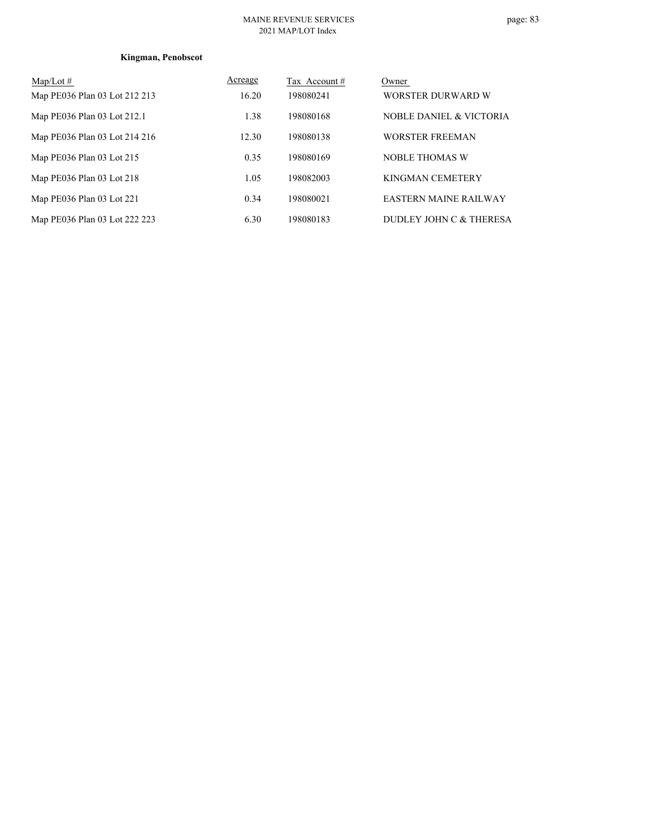#### MAINE REVENUE SERVICES 2021 MAP/LOT Index

| $Map/Lot \#$                  | Acreage | Tax Account# | Owner                        |
|-------------------------------|---------|--------------|------------------------------|
| Map PE036 Plan 03 Lot 212 213 | 16.20   | 198080241    | WORSTER DURWARD W            |
| Map PE036 Plan 03 Lot 212.1   | 1.38    | 198080168    | NOBLE DANIEL & VICTORIA      |
| Map PE036 Plan 03 Lot 214 216 | 12.30   | 198080138    | <b>WORSTER FREEMAN</b>       |
| Map PE036 Plan 03 Lot 215     | 0.35    | 198080169    | <b>NOBLE THOMAS W</b>        |
| Map PE036 Plan 03 Lot 218     | 1.05    | 198082003    | KINGMAN CEMETERY             |
| Map PE036 Plan 03 Lot 221     | 0.34    | 198080021    | <b>EASTERN MAINE RAILWAY</b> |
| Map PE036 Plan 03 Lot 222 223 | 6.30    | 198080183    | DUDLEY JOHN C & THERESA      |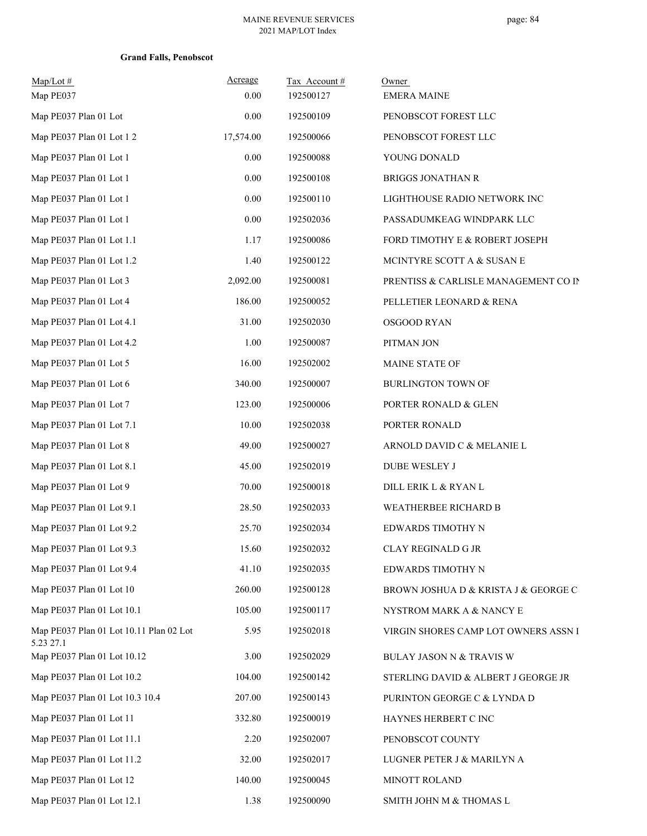| $Map/Lot \#$<br>Map PE037                            | Acreage<br>0.00 | Tax Account#<br>192500127 | Owner<br><b>EMERA MAINE</b>          |
|------------------------------------------------------|-----------------|---------------------------|--------------------------------------|
| Map PE037 Plan 01 Lot                                | 0.00            | 192500109                 | PENOBSCOT FOREST LLC                 |
| Map PE037 Plan 01 Lot 12                             | 17,574.00       | 192500066                 | PENOBSCOT FOREST LLC                 |
| Map PE037 Plan 01 Lot 1                              | $0.00\,$        | 192500088                 | YOUNG DONALD                         |
| Map PE037 Plan 01 Lot 1                              | 0.00            | 192500108                 | <b>BRIGGS JONATHAN R</b>             |
| Map PE037 Plan 01 Lot 1                              | 0.00            | 192500110                 | LIGHTHOUSE RADIO NETWORK INC         |
| Map PE037 Plan 01 Lot 1                              | 0.00            | 192502036                 | PASSADUMKEAG WINDPARK LLC            |
| Map PE037 Plan 01 Lot 1.1                            | 1.17            | 192500086                 | FORD TIMOTHY E & ROBERT JOSEPH       |
| Map PE037 Plan 01 Lot 1.2                            | 1.40            | 192500122                 | MCINTYRE SCOTT A & SUSAN E           |
| Map PE037 Plan 01 Lot 3                              | 2,092.00        | 192500081                 | PRENTISS & CARLISLE MANAGEMENT CO IN |
| Map PE037 Plan 01 Lot 4                              | 186.00          | 192500052                 | PELLETIER LEONARD & RENA             |
| Map PE037 Plan 01 Lot 4.1                            | 31.00           | 192502030                 | OSGOOD RYAN                          |
| Map PE037 Plan 01 Lot 4.2                            | 1.00            | 192500087                 | PITMAN JON                           |
| Map PE037 Plan 01 Lot 5                              | 16.00           | 192502002                 | MAINE STATE OF                       |
| Map PE037 Plan 01 Lot 6                              | 340.00          | 192500007                 | <b>BURLINGTON TOWN OF</b>            |
| Map PE037 Plan 01 Lot 7                              | 123.00          | 192500006                 | PORTER RONALD & GLEN                 |
| Map PE037 Plan 01 Lot 7.1                            | 10.00           | 192502038                 | PORTER RONALD                        |
| Map PE037 Plan 01 Lot 8                              | 49.00           | 192500027                 | ARNOLD DAVID C & MELANIE L           |
| Map PE037 Plan 01 Lot 8.1                            | 45.00           | 192502019                 | DUBE WESLEY J                        |
| Map PE037 Plan 01 Lot 9                              | 70.00           | 192500018                 | DILL ERIK L & RYAN L                 |
| Map PE037 Plan 01 Lot 9.1                            | 28.50           | 192502033                 | WEATHERBEE RICHARD B                 |
| Map PE037 Plan 01 Lot 9.2                            | 25.70           | 192502034                 | EDWARDS TIMOTHY N                    |
| Map PE037 Plan 01 Lot 9.3                            | 15.60           | 192502032                 | <b>CLAY REGINALD G JR</b>            |
| Map PE037 Plan 01 Lot 9.4                            | 41.10           | 192502035                 | EDWARDS TIMOTHY N                    |
| Map PE037 Plan 01 Lot 10                             | 260.00          | 192500128                 | BROWN JOSHUA D & KRISTA J & GEORGE C |
| Map PE037 Plan 01 Lot 10.1                           | 105.00          | 192500117                 | NYSTROM MARK A & NANCY E             |
| Map PE037 Plan 01 Lot 10.11 Plan 02 Lot<br>5.23 27.1 | 5.95            | 192502018                 | VIRGIN SHORES CAMP LOT OWNERS ASSN I |
| Map PE037 Plan 01 Lot 10.12                          | 3.00            | 192502029                 | BULAY JASON N & TRAVIS W             |
| Map PE037 Plan 01 Lot 10.2                           | 104.00          | 192500142                 | STERLING DAVID & ALBERT J GEORGE JR  |
| Map PE037 Plan 01 Lot 10.3 10.4                      | 207.00          | 192500143                 | PURINTON GEORGE C & LYNDA D          |
| Map PE037 Plan 01 Lot 11                             | 332.80          | 192500019                 | HAYNES HERBERT C INC                 |
| Map PE037 Plan 01 Lot 11.1                           | 2.20            | 192502007                 | PENOBSCOT COUNTY                     |
| Map PE037 Plan 01 Lot 11.2                           | 32.00           | 192502017                 | LUGNER PETER J & MARILYN A           |
| Map PE037 Plan 01 Lot 12                             | 140.00          | 192500045                 | MINOTT ROLAND                        |
| Map PE037 Plan 01 Lot 12.1                           | 1.38            | 192500090                 | SMITH JOHN M & THOMAS L              |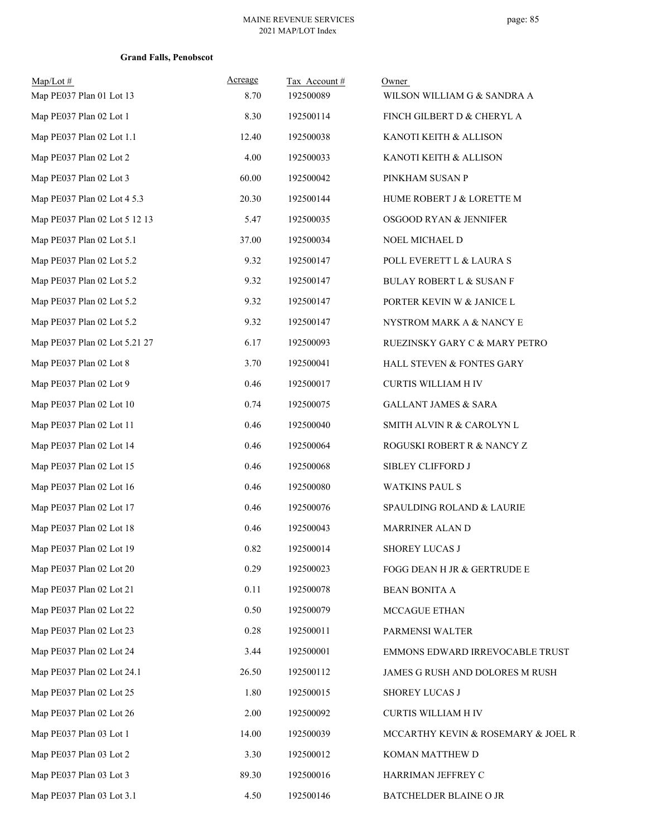| $Map/Lot \#$<br>Map PE037 Plan 01 Lot 13 | Acreage<br>8.70 | Tax Account#<br>192500089 | Owner<br>WILSON WILLIAM G & SANDRA A |
|------------------------------------------|-----------------|---------------------------|--------------------------------------|
| Map PE037 Plan 02 Lot 1                  | 8.30            | 192500114                 | FINCH GILBERT D & CHERYL A           |
| Map PE037 Plan 02 Lot 1.1                | 12.40           | 192500038                 | KANOTI KEITH & ALLISON               |
| Map PE037 Plan 02 Lot 2                  | 4.00            | 192500033                 | KANOTI KEITH & ALLISON               |
| Map PE037 Plan 02 Lot 3                  | 60.00           | 192500042                 | PINKHAM SUSAN P                      |
| Map PE037 Plan 02 Lot 4 5.3              | 20.30           | 192500144                 | HUME ROBERT J & LORETTE M            |
| Map PE037 Plan 02 Lot 5 12 13            | 5.47            | 192500035                 | OSGOOD RYAN & JENNIFER               |
| Map PE037 Plan 02 Lot 5.1                | 37.00           | 192500034                 | NOEL MICHAEL D                       |
| Map PE037 Plan 02 Lot 5.2                | 9.32            | 192500147                 | POLL EVERETT L & LAURA S             |
| Map PE037 Plan 02 Lot 5.2                | 9.32            | 192500147                 | <b>BULAY ROBERT L &amp; SUSAN F</b>  |
| Map PE037 Plan 02 Lot 5.2                | 9.32            | 192500147                 | PORTER KEVIN W & JANICE L            |
| Map PE037 Plan 02 Lot 5.2                | 9.32            | 192500147                 | NYSTROM MARK A & NANCY E             |
| Map PE037 Plan 02 Lot 5.21 27            | 6.17            | 192500093                 | RUEZINSKY GARY C & MARY PETRO        |
| Map PE037 Plan 02 Lot 8                  | 3.70            | 192500041                 | HALL STEVEN & FONTES GARY            |
| Map PE037 Plan 02 Lot 9                  | 0.46            | 192500017                 | CURTIS WILLIAM H IV                  |
| Map PE037 Plan 02 Lot 10                 | 0.74            | 192500075                 | <b>GALLANT JAMES &amp; SARA</b>      |
| Map PE037 Plan 02 Lot 11                 | 0.46            | 192500040                 | SMITH ALVIN R & CAROLYN L            |
| Map PE037 Plan 02 Lot 14                 | 0.46            | 192500064                 | ROGUSKI ROBERT R & NANCY Z           |
| Map PE037 Plan 02 Lot 15                 | 0.46            | 192500068                 | SIBLEY CLIFFORD J                    |
| Map PE037 Plan 02 Lot 16                 | 0.46            | 192500080                 | <b>WATKINS PAUL S</b>                |
| Map PE037 Plan 02 Lot 17                 | 0.46            | 192500076                 | SPAULDING ROLAND & LAURIE            |
| Map PE037 Plan 02 Lot 18                 | 0.46            | 192500043                 | MARRINER ALAN D                      |
| Map PE037 Plan 02 Lot 19                 | 0.82            | 192500014                 | <b>SHOREY LUCAS J</b>                |
| Map PE037 Plan 02 Lot 20                 | 0.29            | 192500023                 | FOGG DEAN H JR & GERTRUDE E          |
| Map PE037 Plan 02 Lot 21                 | 0.11            | 192500078                 | BEAN BONITA A                        |
| Map PE037 Plan 02 Lot 22                 | 0.50            | 192500079                 | MCCAGUE ETHAN                        |
| Map PE037 Plan 02 Lot 23                 | 0.28            | 192500011                 | PARMENSI WALTER                      |
| Map PE037 Plan 02 Lot 24                 | 3.44            | 192500001                 | EMMONS EDWARD IRREVOCABLE TRUST      |
| Map PE037 Plan 02 Lot 24.1               | 26.50           | 192500112                 | JAMES G RUSH AND DOLORES M RUSH      |
| Map PE037 Plan 02 Lot 25                 | 1.80            | 192500015                 | SHOREY LUCAS J                       |
| Map PE037 Plan 02 Lot 26                 | 2.00            | 192500092                 | <b>CURTIS WILLIAM H IV</b>           |
| Map PE037 Plan 03 Lot 1                  | 14.00           | 192500039                 | MCCARTHY KEVIN & ROSEMARY & JOEL R . |
| Map PE037 Plan 03 Lot 2                  | 3.30            | 192500012                 | KOMAN MATTHEW D                      |
| Map PE037 Plan 03 Lot 3                  | 89.30           | 192500016                 | HARRIMAN JEFFREY C                   |
| Map PE037 Plan 03 Lot 3.1                | 4.50            | 192500146                 | BATCHELDER BLAINE O JR               |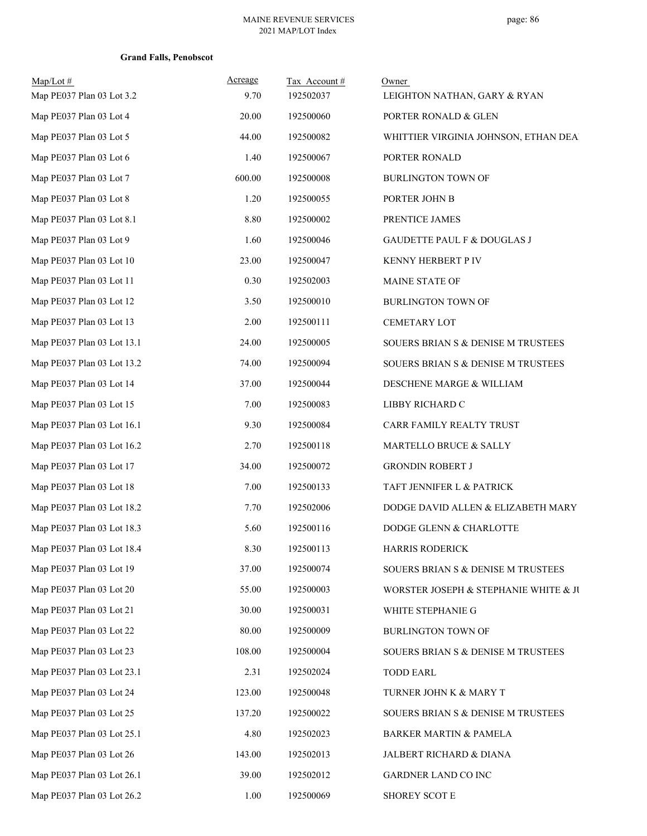| $Map/Lot$ #<br>Map PE037 Plan 03 Lot 3.2 | Acreage<br>9.70 | Tax Account#<br>192502037 | Owner<br>LEIGHTON NATHAN, GARY & RYAN  |
|------------------------------------------|-----------------|---------------------------|----------------------------------------|
| Map PE037 Plan 03 Lot 4                  | 20.00           | 192500060                 | PORTER RONALD & GLEN                   |
| Map PE037 Plan 03 Lot 5                  | 44.00           | 192500082                 | WHITTIER VIRGINIA JOHNSON, ETHAN DEA.  |
| Map PE037 Plan 03 Lot 6                  | 1.40            | 192500067                 | PORTER RONALD                          |
| Map PE037 Plan 03 Lot 7                  | 600.00          | 192500008                 | <b>BURLINGTON TOWN OF</b>              |
| Map PE037 Plan 03 Lot 8                  | 1.20            | 192500055                 | PORTER JOHN B                          |
| Map PE037 Plan 03 Lot 8.1                | 8.80            | 192500002                 | PRENTICE JAMES                         |
| Map PE037 Plan 03 Lot 9                  | 1.60            | 192500046                 | <b>GAUDETTE PAUL F &amp; DOUGLAS J</b> |
| Map PE037 Plan 03 Lot 10                 | 23.00           | 192500047                 | KENNY HERBERT P IV                     |
| Map PE037 Plan 03 Lot 11                 | 0.30            | 192502003                 | <b>MAINE STATE OF</b>                  |
| Map PE037 Plan 03 Lot 12                 | 3.50            | 192500010                 | <b>BURLINGTON TOWN OF</b>              |
| Map PE037 Plan 03 Lot 13                 | 2.00            | 192500111                 | <b>CEMETARY LOT</b>                    |
| Map PE037 Plan 03 Lot 13.1               | 24.00           | 192500005                 | SOUERS BRIAN S & DENISE M TRUSTEES     |
| Map PE037 Plan 03 Lot 13.2               | 74.00           | 192500094                 | SOUERS BRIAN S & DENISE M TRUSTEES     |
| Map PE037 Plan 03 Lot 14                 | 37.00           | 192500044                 | DESCHENE MARGE & WILLIAM               |
| Map PE037 Plan 03 Lot 15                 | 7.00            | 192500083                 | LIBBY RICHARD C                        |
| Map PE037 Plan 03 Lot 16.1               | 9.30            | 192500084                 | CARR FAMILY REALTY TRUST               |
| Map PE037 Plan 03 Lot 16.2               | 2.70            | 192500118                 | MARTELLO BRUCE & SALLY                 |
| Map PE037 Plan 03 Lot 17                 | 34.00           | 192500072                 | <b>GRONDIN ROBERT J</b>                |
| Map PE037 Plan 03 Lot 18                 | 7.00            | 192500133                 | TAFT JENNIFER L & PATRICK              |
| Map PE037 Plan 03 Lot 18.2               | 7.70            | 192502006                 | DODGE DAVID ALLEN & ELIZABETH MARY     |
| Map PE037 Plan 03 Lot 18.3               | 5.60            | 192500116                 | DODGE GLENN & CHARLOTTE                |
| Map PE037 Plan 03 Lot 18.4               | 8.30            | 192500113                 | <b>HARRIS RODERICK</b>                 |
| Map PE037 Plan 03 Lot 19                 | 37.00           | 192500074                 | SOUERS BRIAN S & DENISE M TRUSTEES     |
| Map PE037 Plan 03 Lot 20                 | 55.00           | 192500003                 | WORSTER JOSEPH & STEPHANIE WHITE & JU  |
| Map PE037 Plan 03 Lot 21                 | 30.00           | 192500031                 | WHITE STEPHANIE G                      |
| Map PE037 Plan 03 Lot 22                 | 80.00           | 192500009                 | BURLINGTON TOWN OF                     |
| Map PE037 Plan 03 Lot 23                 | 108.00          | 192500004                 | SOUERS BRIAN S & DENISE M TRUSTEES     |
| Map PE037 Plan 03 Lot 23.1               | 2.31            | 192502024                 | <b>TODD EARL</b>                       |
| Map PE037 Plan 03 Lot 24                 | 123.00          | 192500048                 | TURNER JOHN K & MARY T                 |
| Map PE037 Plan 03 Lot 25                 | 137.20          | 192500022                 | SOUERS BRIAN S & DENISE M TRUSTEES     |
| Map PE037 Plan 03 Lot 25.1               | 4.80            | 192502023                 | <b>BARKER MARTIN &amp; PAMELA</b>      |
| Map PE037 Plan 03 Lot 26                 | 143.00          | 192502013                 | JALBERT RICHARD & DIANA                |
| Map PE037 Plan 03 Lot 26.1               | 39.00           | 192502012                 | GARDNER LAND CO INC                    |
| Map PE037 Plan 03 Lot 26.2               | 1.00            | 192500069                 | SHOREY SCOT E                          |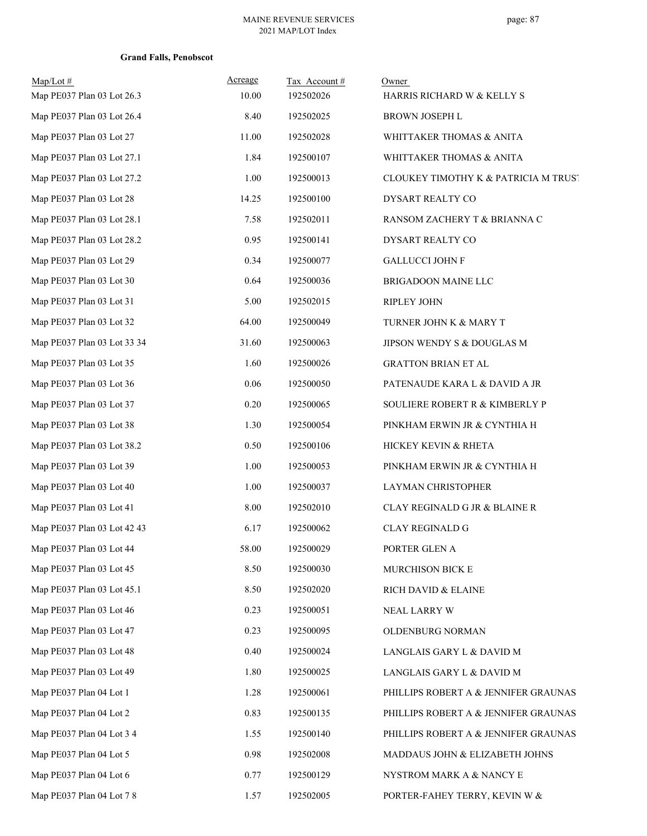| $Map/Lot \#$<br>Map PE037 Plan 03 Lot 26.3 | Acreage<br>10.00 | Tax Account#<br>192502026 | Owner<br>HARRIS RICHARD W & KELLY S  |
|--------------------------------------------|------------------|---------------------------|--------------------------------------|
| Map PE037 Plan 03 Lot 26.4                 | 8.40             | 192502025                 | BROWN JOSEPH L                       |
| Map PE037 Plan 03 Lot 27                   | 11.00            | 192502028                 | WHITTAKER THOMAS & ANITA             |
| Map PE037 Plan 03 Lot 27.1                 | 1.84             | 192500107                 | WHITTAKER THOMAS & ANITA             |
| Map PE037 Plan 03 Lot 27.2                 | 1.00             | 192500013                 | CLOUKEY TIMOTHY K & PATRICIA M TRUST |
| Map PE037 Plan 03 Lot 28                   | 14.25            | 192500100                 | DYSART REALTY CO                     |
| Map PE037 Plan 03 Lot 28.1                 | 7.58             | 192502011                 | RANSOM ZACHERY T & BRIANNA C         |
| Map PE037 Plan 03 Lot 28.2                 | 0.95             | 192500141                 | DYSART REALTY CO                     |
| Map PE037 Plan 03 Lot 29                   | 0.34             | 192500077                 | <b>GALLUCCI JOHN F</b>               |
| Map PE037 Plan 03 Lot 30                   | 0.64             | 192500036                 | BRIGADOON MAINE LLC                  |
| Map PE037 Plan 03 Lot 31                   | 5.00             | 192502015                 | <b>RIPLEY JOHN</b>                   |
| Map PE037 Plan 03 Lot 32                   | 64.00            | 192500049                 | TURNER JOHN K & MARY T               |
| Map PE037 Plan 03 Lot 33 34                | 31.60            | 192500063                 | JIPSON WENDY S $\&$ DOUGLAS M        |
| Map PE037 Plan 03 Lot 35                   | 1.60             | 192500026                 | <b>GRATTON BRIAN ET AL</b>           |
| Map PE037 Plan 03 Lot 36                   | 0.06             | 192500050                 | PATENAUDE KARA L & DAVID A JR        |
| Map PE037 Plan 03 Lot 37                   | 0.20             | 192500065                 | SOULIERE ROBERT R & KIMBERLY P       |
| Map PE037 Plan 03 Lot 38                   | 1.30             | 192500054                 | PINKHAM ERWIN JR & CYNTHIA H         |
| Map PE037 Plan 03 Lot 38.2                 | 0.50             | 192500106                 | HICKEY KEVIN & RHETA                 |
| Map PE037 Plan 03 Lot 39                   | 1.00             | 192500053                 | PINKHAM ERWIN JR & CYNTHIA H         |
| Map PE037 Plan 03 Lot 40                   | 1.00             | 192500037                 | LAYMAN CHRISTOPHER                   |
| Map PE037 Plan 03 Lot 41                   | 8.00             | 192502010                 | CLAY REGINALD G JR & BLAINE R        |
| Map PE037 Plan 03 Lot 42 43                | 6.17             | 192500062                 | <b>CLAY REGINALD G</b>               |
| Map PE037 Plan 03 Lot 44                   | 58.00            | 192500029                 | PORTER GLEN A                        |
| Map PE037 Plan 03 Lot 45                   | 8.50             | 192500030                 | MURCHISON BICK E                     |
| Map PE037 Plan 03 Lot 45.1                 | 8.50             | 192502020                 | RICH DAVID & ELAINE                  |
| Map PE037 Plan 03 Lot 46                   | 0.23             | 192500051                 | NEAL LARRY W                         |
| Map PE037 Plan 03 Lot 47                   | 0.23             | 192500095                 | OLDENBURG NORMAN                     |
| Map PE037 Plan 03 Lot 48                   | 0.40             | 192500024                 | LANGLAIS GARY L & DAVID M            |
| Map PE037 Plan 03 Lot 49                   | 1.80             | 192500025                 | LANGLAIS GARY L & DAVID M            |
| Map PE037 Plan 04 Lot 1                    | 1.28             | 192500061                 | PHILLIPS ROBERT A & JENNIFER GRAUNAS |
| Map PE037 Plan 04 Lot 2                    | 0.83             | 192500135                 | PHILLIPS ROBERT A & JENNIFER GRAUNAS |
| Map PE037 Plan 04 Lot 3 4                  | 1.55             | 192500140                 | PHILLIPS ROBERT A & JENNIFER GRAUNAS |
| Map PE037 Plan 04 Lot 5                    | 0.98             | 192502008                 | MADDAUS JOHN & ELIZABETH JOHNS       |
| Map PE037 Plan 04 Lot 6                    | 0.77             | 192500129                 | NYSTROM MARK A & NANCY E             |
| Map PE037 Plan 04 Lot 7 8                  | 1.57             | 192502005                 | PORTER-FAHEY TERRY, KEVIN W &        |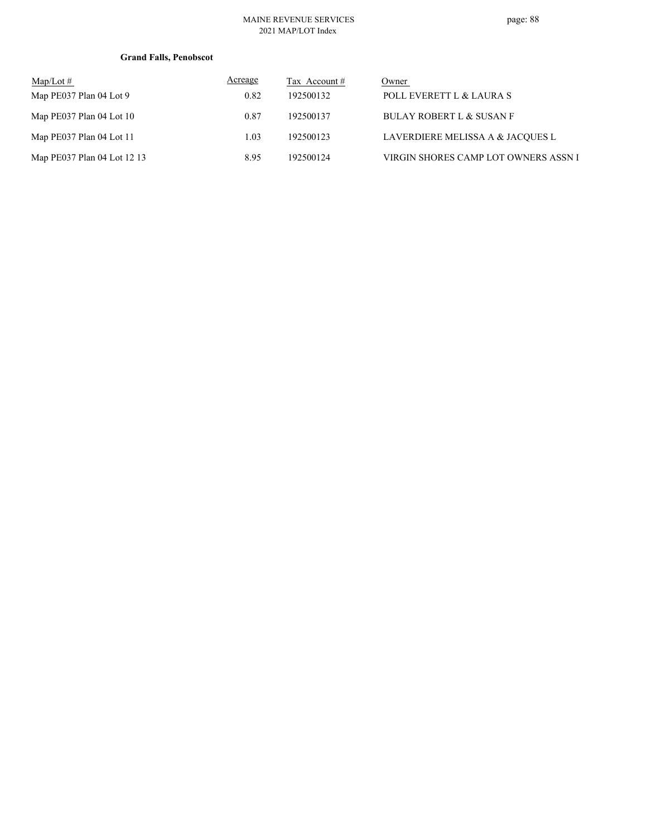#### MAINE REVENUE SERVICES 2021 MAP/LOT Index

| $\text{Map/Lot} \#$         | <b>Acreage</b> | Tax Account # | Owner                                |
|-----------------------------|----------------|---------------|--------------------------------------|
| Map PE037 Plan 04 Lot 9     | 0.82           | 192500132     | POLL EVERETT L & LAURA S             |
| Map PE037 Plan 04 Lot 10    | 0.87           | 192500137     | <b>BULAY ROBERT L &amp; SUSAN F</b>  |
| Map PE037 Plan 04 Lot 11    | 1.03           | 192500123     | LAVERDIERE MELISSA A & JACQUES L     |
| Map PE037 Plan 04 Lot 12 13 | 8.95           | 192500124     | VIRGIN SHORES CAMP LOT OWNERS ASSN I |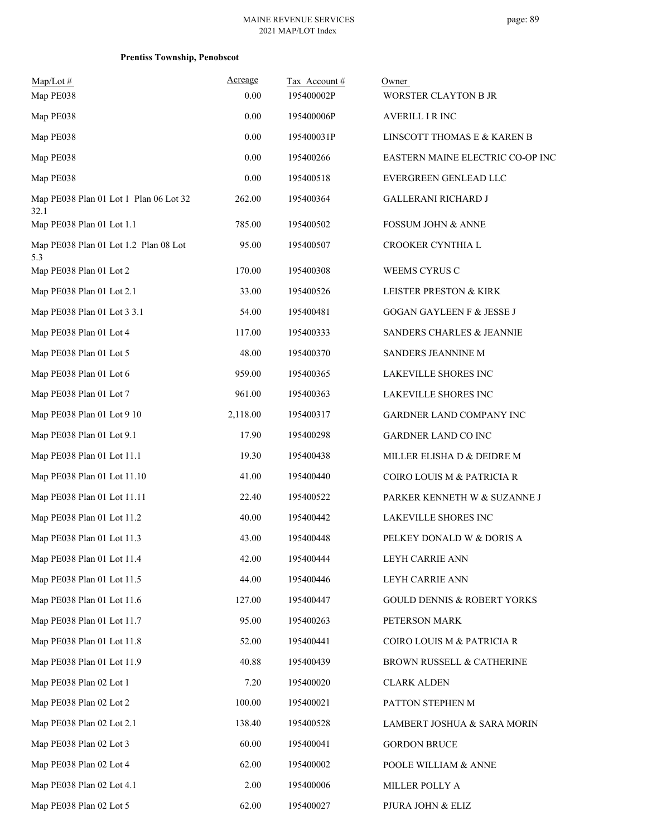| $Map/Lot \#$<br>Map PE038                      | Acreage<br>0.00 | Tax Account #<br>195400002P | Owner<br>WORSTER CLAYTON B JR          |
|------------------------------------------------|-----------------|-----------------------------|----------------------------------------|
| Map PE038                                      | 0.00            | 195400006P                  | <b>AVERILL I R INC</b>                 |
| Map PE038                                      | 0.00            | 195400031P                  | LINSCOTT THOMAS E & KAREN B            |
| Map PE038                                      | 0.00            | 195400266                   | EASTERN MAINE ELECTRIC CO-OP INC       |
| Map PE038                                      | 0.00            | 195400518                   | EVERGREEN GENLEAD LLC                  |
| Map PE038 Plan 01 Lot 1 Plan 06 Lot 32<br>32.1 | 262.00          | 195400364                   | <b>GALLERANI RICHARD J</b>             |
| Map PE038 Plan 01 Lot 1.1                      | 785.00          | 195400502                   | <b>FOSSUM JOHN &amp; ANNE</b>          |
| Map PE038 Plan 01 Lot 1.2 Plan 08 Lot<br>5.3   | 95.00           | 195400507                   | CROOKER CYNTHIA L                      |
| Map PE038 Plan 01 Lot 2                        | 170.00          | 195400308                   | WEEMS CYRUS C                          |
| Map PE038 Plan 01 Lot 2.1                      | 33.00           | 195400526                   | LEISTER PRESTON & KIRK                 |
| Map PE038 Plan 01 Lot 3 3.1                    | 54.00           | 195400481                   | <b>GOGAN GAYLEEN F &amp; JESSE J</b>   |
| Map PE038 Plan 01 Lot 4                        | 117.00          | 195400333                   | SANDERS CHARLES & JEANNIE              |
| Map PE038 Plan 01 Lot 5                        | 48.00           | 195400370                   | SANDERS JEANNINE M                     |
| Map PE038 Plan 01 Lot 6                        | 959.00          | 195400365                   | LAKEVILLE SHORES INC                   |
| Map PE038 Plan 01 Lot 7                        | 961.00          | 195400363                   | LAKEVILLE SHORES INC                   |
| Map PE038 Plan 01 Lot 9 10                     | 2,118.00        | 195400317                   | GARDNER LAND COMPANY INC               |
| Map PE038 Plan 01 Lot 9.1                      | 17.90           | 195400298                   | GARDNER LAND CO INC                    |
| Map PE038 Plan 01 Lot 11.1                     | 19.30           | 195400438                   | MILLER ELISHA D & DEIDRE M             |
| Map PE038 Plan 01 Lot 11.10                    | 41.00           | 195400440                   | COIRO LOUIS M & PATRICIA R             |
| Map PE038 Plan 01 Lot 11.11                    | 22.40           | 195400522                   | PARKER KENNETH W & SUZANNE J           |
| Map PE038 Plan 01 Lot 11.2                     | 40.00           | 195400442                   | LAKEVILLE SHORES INC                   |
| Map PE038 Plan 01 Lot 11.3                     | 43.00           | 195400448                   | PELKEY DONALD W & DORIS A              |
| Map PE038 Plan 01 Lot 11.4                     | 42.00           | 195400444                   | LEYH CARRIE ANN                        |
| Map PE038 Plan 01 Lot 11.5                     | 44.00           | 195400446                   | LEYH CARRIE ANN                        |
| Map PE038 Plan 01 Lot 11.6                     | 127.00          | 195400447                   | <b>GOULD DENNIS &amp; ROBERT YORKS</b> |
| Map PE038 Plan 01 Lot 11.7                     | 95.00           | 195400263                   | PETERSON MARK                          |
| Map PE038 Plan 01 Lot 11.8                     | 52.00           | 195400441                   | COIRO LOUIS M & PATRICIA R             |
| Map PE038 Plan 01 Lot 11.9                     | 40.88           | 195400439                   | BROWN RUSSELL & CATHERINE              |
| Map PE038 Plan 02 Lot 1                        | 7.20            | 195400020                   | <b>CLARK ALDEN</b>                     |
| Map PE038 Plan 02 Lot 2                        | 100.00          | 195400021                   | PATTON STEPHEN M                       |
| Map PE038 Plan 02 Lot 2.1                      | 138.40          | 195400528                   | LAMBERT JOSHUA & SARA MORIN            |
| Map PE038 Plan 02 Lot 3                        | 60.00           | 195400041                   | <b>GORDON BRUCE</b>                    |
| Map PE038 Plan 02 Lot 4                        | 62.00           | 195400002                   | POOLE WILLIAM & ANNE                   |
| Map PE038 Plan 02 Lot 4.1                      | 2.00            | 195400006                   | MILLER POLLY A                         |
| Map PE038 Plan 02 Lot 5                        | 62.00           | 195400027                   | PJURA JOHN & ELIZ                      |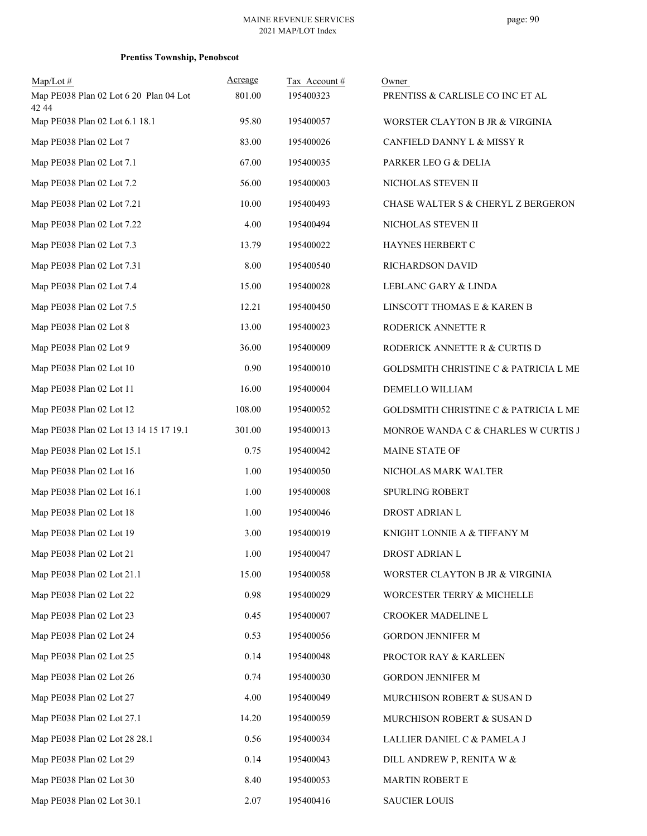| $Map/Lot \#$                                    | Acreage | Tax Account# | Owner                                         |
|-------------------------------------------------|---------|--------------|-----------------------------------------------|
| Map PE038 Plan 02 Lot 6 20 Plan 04 Lot<br>42 44 | 801.00  | 195400323    | PRENTISS & CARLISLE CO INC ET AL              |
| Map PE038 Plan 02 Lot 6.1 18.1                  | 95.80   | 195400057    | WORSTER CLAYTON B JR & VIRGINIA               |
| Map PE038 Plan 02 Lot 7                         | 83.00   | 195400026    | CANFIELD DANNY L & MISSY R                    |
| Map PE038 Plan 02 Lot 7.1                       | 67.00   | 195400035    | PARKER LEO G & DELIA                          |
| Map PE038 Plan 02 Lot 7.2                       | 56.00   | 195400003    | NICHOLAS STEVEN II                            |
| Map PE038 Plan 02 Lot 7.21                      | 10.00   | 195400493    | <b>CHASE WALTER S &amp; CHERYL Z BERGERON</b> |
| Map PE038 Plan 02 Lot 7.22                      | 4.00    | 195400494    | NICHOLAS STEVEN II                            |
| Map PE038 Plan 02 Lot 7.3                       | 13.79   | 195400022    | HAYNES HERBERT C                              |
| Map PE038 Plan 02 Lot 7.31                      | 8.00    | 195400540    | RICHARDSON DAVID                              |
| Map PE038 Plan 02 Lot 7.4                       | 15.00   | 195400028    | LEBLANC GARY & LINDA                          |
| Map PE038 Plan 02 Lot 7.5                       | 12.21   | 195400450    | LINSCOTT THOMAS E & KAREN B                   |
| Map PE038 Plan 02 Lot 8                         | 13.00   | 195400023    | RODERICK ANNETTE R                            |
| Map PE038 Plan 02 Lot 9                         | 36.00   | 195400009    | RODERICK ANNETTE R & CURTIS D                 |
| Map PE038 Plan 02 Lot 10                        | 0.90    | 195400010    | GOLDSMITH CHRISTINE C & PATRICIA L ME         |
| Map PE038 Plan 02 Lot 11                        | 16.00   | 195400004    | DEMELLO WILLIAM                               |
| Map PE038 Plan 02 Lot 12                        | 108.00  | 195400052    | GOLDSMITH CHRISTINE C & PATRICIA L ME         |
| Map PE038 Plan 02 Lot 13 14 15 17 19.1          | 301.00  | 195400013    | MONROE WANDA C & CHARLES W CURTIS J           |
| Map PE038 Plan 02 Lot 15.1                      | 0.75    | 195400042    | MAINE STATE OF                                |
| Map PE038 Plan 02 Lot 16                        | 1.00    | 195400050    | NICHOLAS MARK WALTER                          |
| Map PE038 Plan 02 Lot 16.1                      | 1.00    | 195400008    | SPURLING ROBERT                               |
| Map PE038 Plan 02 Lot 18                        | 1.00    | 195400046    | DROST ADRIAN L                                |
| Map PE038 Plan 02 Lot 19                        | 3.00    | 195400019    | KNIGHT LONNIE A & TIFFANY M                   |
| Map PE038 Plan 02 Lot 21                        | 1.00    | 195400047    | DROST ADRIAN L                                |
| Map PE038 Plan 02 Lot 21.1                      | 15.00   | 195400058    | WORSTER CLAYTON B JR & VIRGINIA               |
| Map PE038 Plan 02 Lot 22                        | 0.98    | 195400029    | WORCESTER TERRY & MICHELLE                    |
| Map PE038 Plan 02 Lot 23                        | 0.45    | 195400007    | CROOKER MADELINE L                            |
| Map PE038 Plan 02 Lot 24                        | 0.53    | 195400056    | GORDON JENNIFER M                             |
| Map PE038 Plan 02 Lot 25                        | 0.14    | 195400048    | PROCTOR RAY & KARLEEN                         |
| Map PE038 Plan 02 Lot 26                        | 0.74    | 195400030    | <b>GORDON JENNIFER M</b>                      |
| Map PE038 Plan 02 Lot 27                        | 4.00    | 195400049    | MURCHISON ROBERT & SUSAN D                    |
| Map PE038 Plan 02 Lot 27.1                      | 14.20   | 195400059    | MURCHISON ROBERT & SUSAN D                    |
| Map PE038 Plan 02 Lot 28 28.1                   | 0.56    | 195400034    | LALLIER DANIEL C & PAMELA J                   |
| Map PE038 Plan 02 Lot 29                        | 0.14    | 195400043    | DILL ANDREW P, RENITA W &                     |
| Map PE038 Plan 02 Lot 30                        | 8.40    | 195400053    | MARTIN ROBERT E                               |
| Map PE038 Plan 02 Lot 30.1                      | 2.07    | 195400416    | <b>SAUCIER LOUIS</b>                          |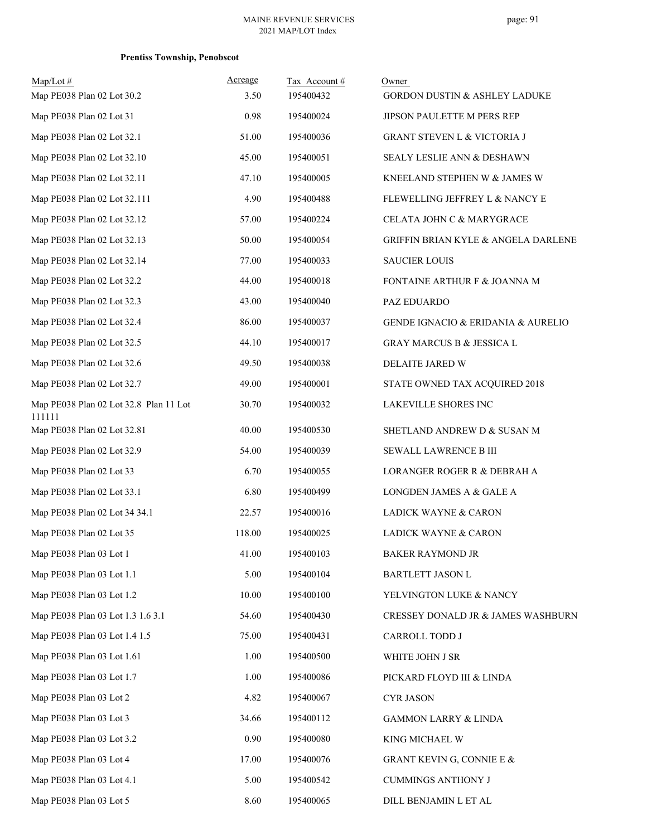| $Map/Lot$ #                                      | Acreage | Tax Account# | Owner                                    |
|--------------------------------------------------|---------|--------------|------------------------------------------|
| Map PE038 Plan 02 Lot 30.2                       | 3.50    | 195400432    | <b>GORDON DUSTIN &amp; ASHLEY LADUKE</b> |
| Map PE038 Plan 02 Lot 31                         | 0.98    | 195400024    | JIPSON PAULETTE M PERS REP               |
| Map PE038 Plan 02 Lot 32.1                       | 51.00   | 195400036    | <b>GRANT STEVEN L &amp; VICTORIA J</b>   |
| Map PE038 Plan 02 Lot 32.10                      | 45.00   | 195400051    | SEALY LESLIE ANN & DESHAWN               |
| Map PE038 Plan 02 Lot 32.11                      | 47.10   | 195400005    | KNEELAND STEPHEN W & JAMES W             |
| Map PE038 Plan 02 Lot 32.111                     | 4.90    | 195400488    | FLEWELLING JEFFREY L & NANCY E           |
| Map PE038 Plan 02 Lot 32.12                      | 57.00   | 195400224    | CELATA JOHN C & MARYGRACE                |
| Map PE038 Plan 02 Lot 32.13                      | 50.00   | 195400054    | GRIFFIN BRIAN KYLE & ANGELA DARLENE      |
| Map PE038 Plan 02 Lot 32.14                      | 77.00   | 195400033    | <b>SAUCIER LOUIS</b>                     |
| Map PE038 Plan 02 Lot 32.2                       | 44.00   | 195400018    | FONTAINE ARTHUR F & JOANNA M             |
| Map PE038 Plan 02 Lot 32.3                       | 43.00   | 195400040    | PAZ EDUARDO                              |
| Map PE038 Plan 02 Lot 32.4                       | 86.00   | 195400037    | GENDE IGNACIO & ERIDANIA & AURELIO       |
| Map PE038 Plan 02 Lot 32.5                       | 44.10   | 195400017    | <b>GRAY MARCUS B &amp; JESSICA L</b>     |
| Map PE038 Plan 02 Lot 32.6                       | 49.50   | 195400038    | DELAITE JARED W                          |
| Map PE038 Plan 02 Lot 32.7                       | 49.00   | 195400001    | STATE OWNED TAX ACQUIRED 2018            |
| Map PE038 Plan 02 Lot 32.8 Plan 11 Lot<br>111111 | 30.70   | 195400032    | LAKEVILLE SHORES INC                     |
| Map PE038 Plan 02 Lot 32.81                      | 40.00   | 195400530    | SHETLAND ANDREW D & SUSAN M              |
| Map PE038 Plan 02 Lot 32.9                       | 54.00   | 195400039    | SEWALL LAWRENCE B III                    |
| Map PE038 Plan 02 Lot 33                         | 6.70    | 195400055    | LORANGER ROGER R & DEBRAH A              |
| Map PE038 Plan 02 Lot 33.1                       | 6.80    | 195400499    | LONGDEN JAMES A & GALE A                 |
| Map PE038 Plan 02 Lot 34 34.1                    | 22.57   | 195400016    | LADICK WAYNE & CARON                     |
| Map PE038 Plan 02 Lot 35                         | 118.00  | 195400025    | LADICK WAYNE & CARON                     |
| Map PE038 Plan 03 Lot 1                          | 41.00   | 195400103    | <b>BAKER RAYMOND JR</b>                  |
| Map PE038 Plan 03 Lot 1.1                        | 5.00    | 195400104    | BARTLETT JASON L                         |
| Map PE038 Plan 03 Lot 1.2                        | 10.00   | 195400100    | YELVINGTON LUKE & NANCY                  |
| Map PE038 Plan 03 Lot 1.3 1.6 3.1                | 54.60   | 195400430    | CRESSEY DONALD JR & JAMES WASHBURN       |
| Map PE038 Plan 03 Lot 1.4 1.5                    | 75.00   | 195400431    | CARROLL TODD J                           |
| Map PE038 Plan 03 Lot 1.61                       | 1.00    | 195400500    | WHITE JOHN J SR                          |
| Map PE038 Plan 03 Lot 1.7                        | 1.00    | 195400086    | PICKARD FLOYD III & LINDA                |
| Map PE038 Plan 03 Lot 2                          | 4.82    | 195400067    | <b>CYR JASON</b>                         |
| Map PE038 Plan 03 Lot 3                          | 34.66   | 195400112    | <b>GAMMON LARRY &amp; LINDA</b>          |
| Map PE038 Plan 03 Lot 3.2                        | 0.90    | 195400080    | KING MICHAEL W                           |
| Map PE038 Plan 03 Lot 4                          | 17.00   | 195400076    | GRANT KEVIN G, CONNIE E &                |
| Map PE038 Plan 03 Lot 4.1                        | 5.00    | 195400542    | <b>CUMMINGS ANTHONY J</b>                |
| Map PE038 Plan 03 Lot 5                          | 8.60    | 195400065    | DILL BENJAMIN L ET AL                    |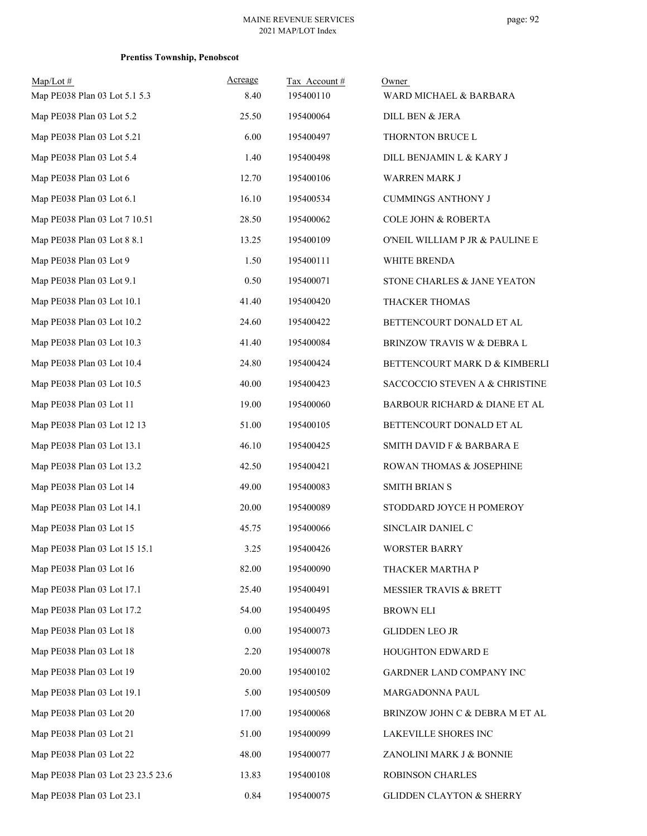| $Map/Lot \#$<br>Map PE038 Plan 03 Lot 5.1 5.3 | Acreage<br>8.40 | Tax Account#<br>195400110 | Owner<br>WARD MICHAEL & BARBARA      |
|-----------------------------------------------|-----------------|---------------------------|--------------------------------------|
| Map PE038 Plan 03 Lot 5.2                     | 25.50           | 195400064                 | DILL BEN & JERA                      |
| Map PE038 Plan 03 Lot 5.21                    | 6.00            | 195400497                 | THORNTON BRUCE L                     |
| Map PE038 Plan 03 Lot 5.4                     | 1.40            | 195400498                 | DILL BENJAMIN L & KARY J             |
| Map PE038 Plan 03 Lot 6                       | 12.70           | 195400106                 | <b>WARREN MARK J</b>                 |
| Map PE038 Plan 03 Lot 6.1                     | 16.10           | 195400534                 | <b>CUMMINGS ANTHONY J</b>            |
| Map PE038 Plan 03 Lot 7 10.51                 | 28.50           | 195400062                 | <b>COLE JOHN &amp; ROBERTA</b>       |
| Map PE038 Plan 03 Lot 8 8.1                   | 13.25           | 195400109                 | O'NEIL WILLIAM P JR & PAULINE E      |
| Map PE038 Plan 03 Lot 9                       | 1.50            | 195400111                 | WHITE BRENDA                         |
| Map PE038 Plan 03 Lot 9.1                     | 0.50            | 195400071                 | STONE CHARLES & JANE YEATON          |
| Map PE038 Plan 03 Lot 10.1                    | 41.40           | 195400420                 | THACKER THOMAS                       |
| Map PE038 Plan 03 Lot 10.2                    | 24.60           | 195400422                 | BETTENCOURT DONALD ET AL             |
| Map PE038 Plan 03 Lot 10.3                    | 41.40           | 195400084                 | BRINZOW TRAVIS W & DEBRA L           |
| Map PE038 Plan 03 Lot 10.4                    | 24.80           | 195400424                 | BETTENCOURT MARK D & KIMBERLI        |
| Map PE038 Plan 03 Lot 10.5                    | 40.00           | 195400423                 | SACCOCCIO STEVEN A & CHRISTINE       |
| Map PE038 Plan 03 Lot 11                      | 19.00           | 195400060                 | BARBOUR RICHARD & DIANE ET AL        |
| Map PE038 Plan 03 Lot 12 13                   | 51.00           | 195400105                 | BETTENCOURT DONALD ET AL             |
| Map PE038 Plan 03 Lot 13.1                    | 46.10           | 195400425                 | <b>SMITH DAVID F &amp; BARBARA E</b> |
| Map PE038 Plan 03 Lot 13.2                    | 42.50           | 195400421                 | ROWAN THOMAS & JOSEPHINE             |
| Map PE038 Plan 03 Lot 14                      | 49.00           | 195400083                 | <b>SMITH BRIAN S</b>                 |
| Map PE038 Plan 03 Lot 14.1                    | 20.00           | 195400089                 | STODDARD JOYCE H POMEROY             |
| Map PE038 Plan 03 Lot 15                      | 45.75           | 195400066                 | SINCLAIR DANIEL C                    |
| Map PE038 Plan 03 Lot 15 15.1                 | 3.25            | 195400426                 | <b>WORSTER BARRY</b>                 |
| Map PE038 Plan 03 Lot 16                      | 82.00           | 195400090                 | THACKER MARTHA P                     |
| Map PE038 Plan 03 Lot 17.1                    | 25.40           | 195400491                 | MESSIER TRAVIS & BRETT               |
| Map PE038 Plan 03 Lot 17.2                    | 54.00           | 195400495                 | BROWN ELI                            |
| Map PE038 Plan 03 Lot 18                      | 0.00            | 195400073                 | <b>GLIDDEN LEO JR</b>                |
| Map PE038 Plan 03 Lot 18                      | 2.20            | 195400078                 | HOUGHTON EDWARD E                    |
| Map PE038 Plan 03 Lot 19                      | 20.00           | 195400102                 | GARDNER LAND COMPANY INC             |
| Map PE038 Plan 03 Lot 19.1                    | 5.00            | 195400509                 | MARGADONNA PAUL                      |
| Map PE038 Plan 03 Lot 20                      | 17.00           | 195400068                 | BRINZOW JOHN C & DEBRA M ET AL       |
| Map PE038 Plan 03 Lot 21                      | 51.00           | 195400099                 | LAKEVILLE SHORES INC                 |
| Map PE038 Plan 03 Lot 22                      | 48.00           | 195400077                 | ZANOLINI MARK J & BONNIE             |
| Map PE038 Plan 03 Lot 23 23.5 23.6            | 13.83           | 195400108                 | ROBINSON CHARLES                     |
| Map PE038 Plan 03 Lot 23.1                    | 0.84            | 195400075                 | <b>GLIDDEN CLAYTON &amp; SHERRY</b>  |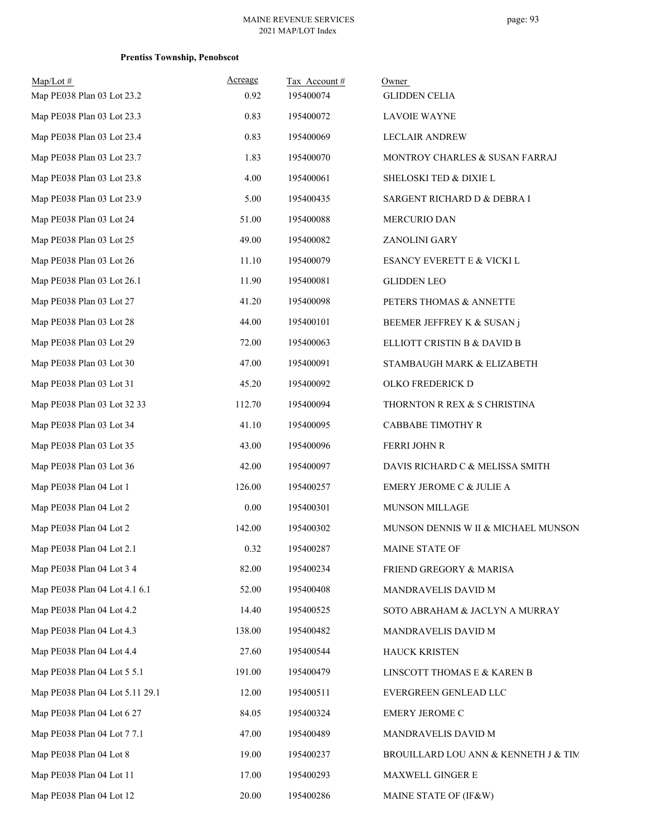| $Map/Lot \#$<br>Map PE038 Plan 03 Lot 23.2 | Acreage<br>0.92 | Tax Account#<br>195400074 | Owner<br><b>GLIDDEN CELIA</b>        |
|--------------------------------------------|-----------------|---------------------------|--------------------------------------|
| Map PE038 Plan 03 Lot 23.3                 | 0.83            | 195400072                 | <b>LAVOIE WAYNE</b>                  |
| Map PE038 Plan 03 Lot 23.4                 | 0.83            | 195400069                 | <b>LECLAIR ANDREW</b>                |
| Map PE038 Plan 03 Lot 23.7                 | 1.83            | 195400070                 | MONTROY CHARLES & SUSAN FARRAJ       |
| Map PE038 Plan 03 Lot 23.8                 | 4.00            | 195400061                 | SHELOSKI TED & DIXIE L               |
| Map PE038 Plan 03 Lot 23.9                 | 5.00            | 195400435                 | SARGENT RICHARD D & DEBRA I          |
| Map PE038 Plan 03 Lot 24                   | 51.00           | 195400088                 | MERCURIO DAN                         |
| Map PE038 Plan 03 Lot 25                   | 49.00           | 195400082                 | ZANOLINI GARY                        |
| Map PE038 Plan 03 Lot 26                   | 11.10           | 195400079                 | ESANCY EVERETT E & VICKI L           |
| Map PE038 Plan 03 Lot 26.1                 | 11.90           | 195400081                 | <b>GLIDDEN LEO</b>                   |
| Map PE038 Plan 03 Lot 27                   | 41.20           | 195400098                 | PETERS THOMAS & ANNETTE              |
| Map PE038 Plan 03 Lot 28                   | 44.00           | 195400101                 | BEEMER JEFFREY K & SUSAN j           |
| Map PE038 Plan 03 Lot 29                   | 72.00           | 195400063                 | ELLIOTT CRISTIN B & DAVID B          |
| Map PE038 Plan 03 Lot 30                   | 47.00           | 195400091                 | STAMBAUGH MARK & ELIZABETH           |
| Map PE038 Plan 03 Lot 31                   | 45.20           | 195400092                 | OLKO FREDERICK D                     |
| Map PE038 Plan 03 Lot 32 33                | 112.70          | 195400094                 | THORNTON R REX & S CHRISTINA         |
| Map PE038 Plan 03 Lot 34                   | 41.10           | 195400095                 | CABBABE TIMOTHY R                    |
| Map PE038 Plan 03 Lot 35                   | 43.00           | 195400096                 | <b>FERRI JOHN R</b>                  |
| Map PE038 Plan 03 Lot 36                   | 42.00           | 195400097                 | DAVIS RICHARD C & MELISSA SMITH      |
| Map PE038 Plan 04 Lot 1                    | 126.00          | 195400257                 | EMERY JEROME C & JULIE A             |
| Map PE038 Plan 04 Lot 2                    | 0.00            | 195400301                 | MUNSON MILLAGE                       |
| Map PE038 Plan 04 Lot 2                    | 142.00          | 195400302                 | MUNSON DENNIS W II & MICHAEL MUNSON  |
| Map PE038 Plan 04 Lot 2.1                  | 0.32            | 195400287                 | MAINE STATE OF                       |
| Map PE038 Plan 04 Lot 3 4                  | 82.00           | 195400234                 | FRIEND GREGORY & MARISA              |
| Map PE038 Plan 04 Lot 4.1 6.1              | 52.00           | 195400408                 | MANDRAVELIS DAVID M                  |
| Map PE038 Plan 04 Lot 4.2                  | 14.40           | 195400525                 | SOTO ABRAHAM & JACLYN A MURRAY       |
| Map PE038 Plan 04 Lot 4.3                  | 138.00          | 195400482                 | MANDRAVELIS DAVID M                  |
| Map PE038 Plan 04 Lot 4.4                  | 27.60           | 195400544                 | <b>HAUCK KRISTEN</b>                 |
| Map PE038 Plan 04 Lot 5 5.1                | 191.00          | 195400479                 | LINSCOTT THOMAS E & KAREN B          |
| Map PE038 Plan 04 Lot 5.11 29.1            | 12.00           | 195400511                 | EVERGREEN GENLEAD LLC                |
| Map PE038 Plan 04 Lot 6 27                 | 84.05           | 195400324                 | EMERY JEROME C                       |
| Map PE038 Plan 04 Lot 7 7.1                | 47.00           | 195400489                 | MANDRAVELIS DAVID M                  |
| Map PE038 Plan 04 Lot 8                    | 19.00           | 195400237                 | BROUILLARD LOU ANN & KENNETH J & TIM |
| Map PE038 Plan 04 Lot 11                   | 17.00           | 195400293                 | MAXWELL GINGER E                     |
| Map PE038 Plan 04 Lot 12                   | 20.00           | 195400286                 | MAINE STATE OF (IF&W)                |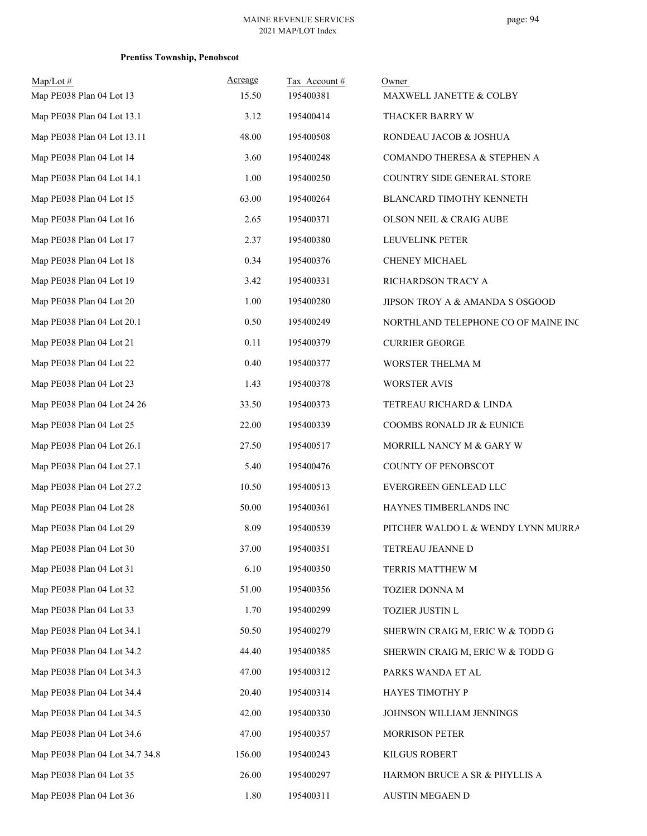| Map/Lot #<br>Map PE038 Plan 04 Lot 13 | Acreage<br>15.50 | Tax Account#<br>195400381 | Owner<br>MAXWELL JANETTE & COLBY    |
|---------------------------------------|------------------|---------------------------|-------------------------------------|
| Map PE038 Plan 04 Lot 13.1            | 3.12             | 195400414                 |                                     |
| Map PE038 Plan 04 Lot 13.11           |                  |                           | THACKER BARRY W                     |
|                                       | 48.00            | 195400508                 | RONDEAU JACOB & JOSHUA              |
| Map PE038 Plan 04 Lot 14              | 3.60             | 195400248                 | COMANDO THERESA & STEPHEN A         |
| Map PE038 Plan 04 Lot 14.1            | 1.00             | 195400250                 | COUNTRY SIDE GENERAL STORE          |
| Map PE038 Plan 04 Lot 15              | 63.00            | 195400264                 | BLANCARD TIMOTHY KENNETH            |
| Map PE038 Plan 04 Lot 16              | 2.65             | 195400371                 | OLSON NEIL & CRAIG AUBE             |
| Map PE038 Plan 04 Lot 17              | 2.37             | 195400380                 | LEUVELINK PETER                     |
| Map PE038 Plan 04 Lot 18              | 0.34             | 195400376                 | CHENEY MICHAEL                      |
| Map PE038 Plan 04 Lot 19              | 3.42             | 195400331                 | RICHARDSON TRACY A                  |
| Map PE038 Plan 04 Lot 20              | 1.00             | 195400280                 | JIPSON TROY A & AMANDA S OSGOOD     |
| Map PE038 Plan 04 Lot 20.1            | 0.50             | 195400249                 | NORTHLAND TELEPHONE CO OF MAINE INC |
| Map PE038 Plan 04 Lot 21              | 0.11             | 195400379                 | <b>CURRIER GEORGE</b>               |
| Map PE038 Plan 04 Lot 22              | 0.40             | 195400377                 | WORSTER THELMA M                    |
| Map PE038 Plan 04 Lot 23              | 1.43             | 195400378                 | <b>WORSTER AVIS</b>                 |
| Map PE038 Plan 04 Lot 24 26           | 33.50            | 195400373                 | TETREAU RICHARD & LINDA             |
| Map PE038 Plan 04 Lot 25              | 22.00            | 195400339                 | COOMBS RONALD JR & EUNICE           |
| Map PE038 Plan 04 Lot 26.1            | 27.50            | 195400517                 | MORRILL NANCY M & GARY W            |
| Map PE038 Plan 04 Lot 27.1            | 5.40             | 195400476                 | COUNTY OF PENOBSCOT                 |
| Map PE038 Plan 04 Lot 27.2            | 10.50            | 195400513                 | EVERGREEN GENLEAD LLC               |
| Map PE038 Plan 04 Lot 28              | 50.00            | 195400361                 | HAYNES TIMBERLANDS INC              |
| Map PE038 Plan 04 Lot 29              | 8.09             | 195400539                 | PITCHER WALDO L & WENDY LYNN MURRA  |
| Map PE038 Plan 04 Lot 30              | 37.00            | 195400351                 | TETREAU JEANNE D                    |
| Map PE038 Plan 04 Lot 31              | 6.10             | 195400350                 | TERRIS MATTHEW M                    |
| Map PE038 Plan 04 Lot 32              | 51.00            | 195400356                 | TOZIER DONNA M                      |
| Map PE038 Plan 04 Lot 33              | 1.70             | 195400299                 | TOZIER JUSTIN L                     |
| Map PE038 Plan 04 Lot 34.1            | 50.50            | 195400279                 | SHERWIN CRAIG M, ERIC W & TODD G    |
| Map PE038 Plan 04 Lot 34.2            | 44.40            | 195400385                 | SHERWIN CRAIG M, ERIC W & TODD G    |
| Map PE038 Plan 04 Lot 34.3            | 47.00            | 195400312                 | PARKS WANDA ET AL                   |
| Map PE038 Plan 04 Lot 34.4            | 20.40            | 195400314                 | HAYES TIMOTHY P                     |
| Map PE038 Plan 04 Lot 34.5            | 42.00            | 195400330                 | JOHNSON WILLIAM JENNINGS            |
| Map PE038 Plan 04 Lot 34.6            | 47.00            | 195400357                 | <b>MORRISON PETER</b>               |
| Map PE038 Plan 04 Lot 34.7 34.8       | 156.00           | 195400243                 | KILGUS ROBERT                       |
| Map PE038 Plan 04 Lot 35              | 26.00            | 195400297                 | HARMON BRUCE A SR & PHYLLIS A       |
| Map PE038 Plan 04 Lot 36              | 1.80             | 195400311                 | AUSTIN MEGAEN D                     |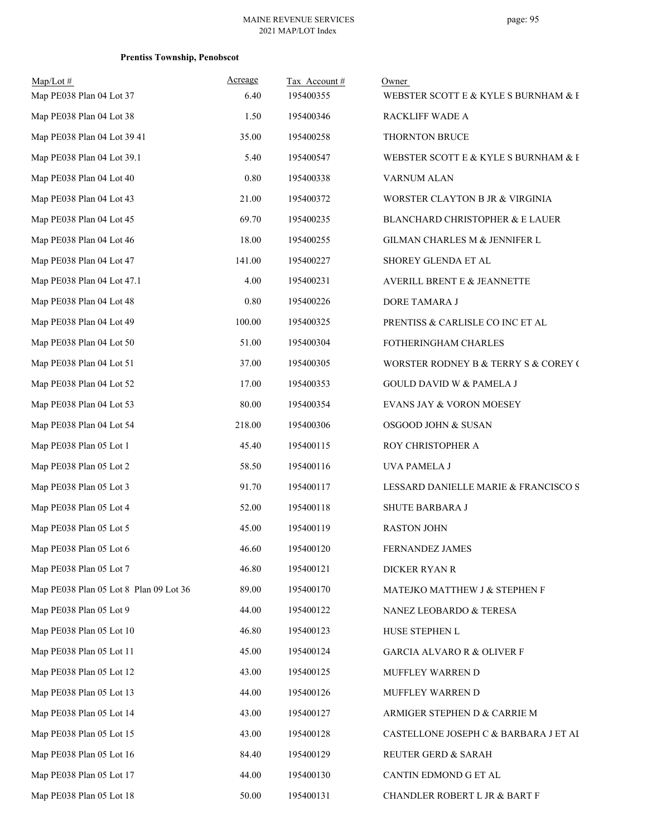| $Map/Lot$ #<br>Map PE038 Plan 04 Lot 37 | Acreage<br>6.40 | Tax Account#<br>195400355 | Owner<br>WEBSTER SCOTT E & KYLE S BURNHAM & E |
|-----------------------------------------|-----------------|---------------------------|-----------------------------------------------|
| Map PE038 Plan 04 Lot 38                | 1.50            | 195400346                 | RACKLIFF WADE A                               |
| Map PE038 Plan 04 Lot 39 41             | 35.00           | 195400258                 | THORNTON BRUCE                                |
| Map PE038 Plan 04 Lot 39.1              | 5.40            | 195400547                 | WEBSTER SCOTT E & KYLE S BURNHAM & E          |
| Map PE038 Plan 04 Lot 40                | 0.80            | 195400338                 | VARNUM ALAN                                   |
| Map PE038 Plan 04 Lot 43                | 21.00           | 195400372                 | WORSTER CLAYTON B JR & VIRGINIA               |
| Map PE038 Plan 04 Lot 45                | 69.70           | 195400235                 | BLANCHARD CHRISTOPHER & E LAUER               |
| Map PE038 Plan 04 Lot 46                | 18.00           | 195400255                 | GILMAN CHARLES M & JENNIFER L                 |
| Map PE038 Plan 04 Lot 47                | 141.00          | 195400227                 | SHOREY GLENDA ET AL                           |
| Map PE038 Plan 04 Lot 47.1              | 4.00            | 195400231                 | AVERILL BRENT E & JEANNETTE                   |
| Map PE038 Plan 04 Lot 48                | 0.80            | 195400226                 | DORE TAMARA J                                 |
| Map PE038 Plan 04 Lot 49                | 100.00          | 195400325                 | PRENTISS & CARLISLE CO INC ET AL              |
| Map PE038 Plan 04 Lot 50                | 51.00           | 195400304                 | FOTHERINGHAM CHARLES                          |
| Map PE038 Plan 04 Lot 51                | 37.00           | 195400305                 | WORSTER RODNEY B & TERRY S & COREY (          |
| Map PE038 Plan 04 Lot 52                | 17.00           | 195400353                 | <b>GOULD DAVID W &amp; PAMELA J</b>           |
| Map PE038 Plan 04 Lot 53                | 80.00           | 195400354                 | EVANS JAY & VORON MOESEY                      |
| Map PE038 Plan 04 Lot 54                | 218.00          | 195400306                 | OSGOOD JOHN & SUSAN                           |
| Map PE038 Plan 05 Lot 1                 | 45.40           | 195400115                 | ROY CHRISTOPHER A                             |
| Map PE038 Plan 05 Lot 2                 | 58.50           | 195400116                 | UVA PAMELA J                                  |
| Map PE038 Plan 05 Lot 3                 | 91.70           | 195400117                 | LESSARD DANIELLE MARIE & FRANCISCO S          |
| Map PE038 Plan 05 Lot 4                 | 52.00           | 195400118                 | SHUTE BARBARA J                               |
| Map PE038 Plan 05 Lot 5                 | 45.00           | 195400119                 | <b>RASTON JOHN</b>                            |
| Map PE038 Plan 05 Lot 6                 | 46.60           | 195400120                 | FERNANDEZ JAMES                               |
| Map PE038 Plan 05 Lot 7                 | 46.80           | 195400121                 | DICKER RYAN R                                 |
| Map PE038 Plan 05 Lot 8 Plan 09 Lot 36  | 89.00           | 195400170                 | MATEJKO MATTHEW J & STEPHEN F                 |
| Map PE038 Plan 05 Lot 9                 | 44.00           | 195400122                 | NANEZ LEOBARDO & TERESA                       |
| Map PE038 Plan 05 Lot 10                | 46.80           | 195400123                 | HUSE STEPHEN L                                |
| Map PE038 Plan 05 Lot 11                | 45.00           | 195400124                 | <b>GARCIA ALVARO R &amp; OLIVER F</b>         |
| Map PE038 Plan 05 Lot 12                | 43.00           | 195400125                 | MUFFLEY WARREN D                              |
| Map PE038 Plan 05 Lot 13                | 44.00           | 195400126                 | MUFFLEY WARREN D                              |
| Map PE038 Plan 05 Lot 14                | 43.00           | 195400127                 | ARMIGER STEPHEN D & CARRIE M                  |
| Map PE038 Plan 05 Lot 15                | 43.00           | 195400128                 | CASTELLONE JOSEPH C & BARBARA J ET AI         |
| Map PE038 Plan 05 Lot 16                | 84.40           | 195400129                 | REUTER GERD & SARAH                           |
| Map PE038 Plan 05 Lot 17                | 44.00           | 195400130                 | CANTIN EDMOND G ET AL                         |
| Map PE038 Plan 05 Lot 18                | 50.00           | 195400131                 | CHANDLER ROBERT L JR & BART F                 |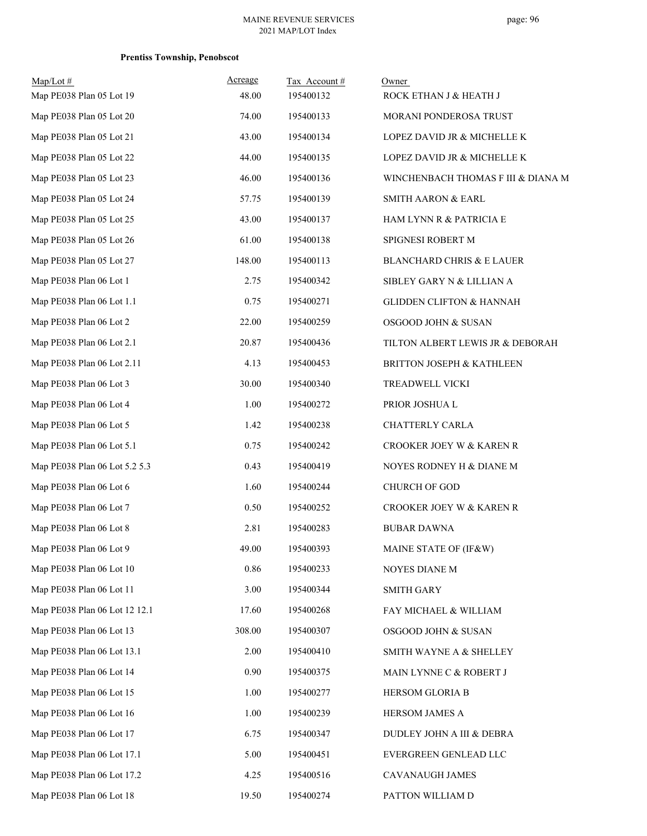| $Map/Lot \#$                  | Acreage | Tax Account# | Owner                                |
|-------------------------------|---------|--------------|--------------------------------------|
| Map PE038 Plan 05 Lot 19      | 48.00   | 195400132    | ROCK ETHAN J & HEATH J               |
| Map PE038 Plan 05 Lot 20      | 74.00   | 195400133    | MORANI PONDEROSA TRUST               |
| Map PE038 Plan 05 Lot 21      | 43.00   | 195400134    | LOPEZ DAVID JR & MICHELLE K          |
| Map PE038 Plan 05 Lot 22      | 44.00   | 195400135    | LOPEZ DAVID JR & MICHELLE K          |
| Map PE038 Plan 05 Lot 23      | 46.00   | 195400136    | WINCHENBACH THOMAS F III & DIANA M   |
| Map PE038 Plan 05 Lot 24      | 57.75   | 195400139    | <b>SMITH AARON &amp; EARL</b>        |
| Map PE038 Plan 05 Lot 25      | 43.00   | 195400137    | HAM LYNN R & PATRICIA E              |
| Map PE038 Plan 05 Lot 26      | 61.00   | 195400138    | SPIGNESI ROBERT M                    |
| Map PE038 Plan 05 Lot 27      | 148.00  | 195400113    | <b>BLANCHARD CHRIS &amp; E LAUER</b> |
| Map PE038 Plan 06 Lot 1       | 2.75    | 195400342    | SIBLEY GARY N & LILLIAN A            |
| Map PE038 Plan 06 Lot 1.1     | 0.75    | 195400271    | <b>GLIDDEN CLIFTON &amp; HANNAH</b>  |
| Map PE038 Plan 06 Lot 2       | 22.00   | 195400259    | OSGOOD JOHN & SUSAN                  |
| Map PE038 Plan 06 Lot 2.1     | 20.87   | 195400436    | TILTON ALBERT LEWIS JR & DEBORAH     |
| Map PE038 Plan 06 Lot 2.11    | 4.13    | 195400453    | <b>BRITTON JOSEPH &amp; KATHLEEN</b> |
| Map PE038 Plan 06 Lot 3       | 30.00   | 195400340    | TREADWELL VICKI                      |
| Map PE038 Plan 06 Lot 4       | 1.00    | 195400272    | PRIOR JOSHUA L                       |
| Map PE038 Plan 06 Lot 5       | 1.42    | 195400238    | CHATTERLY CARLA                      |
| Map PE038 Plan 06 Lot 5.1     | 0.75    | 195400242    | CROOKER JOEY W & KAREN R             |
| Map PE038 Plan 06 Lot 5.2 5.3 | 0.43    | 195400419    | NOYES RODNEY H & DIANE M             |
| Map PE038 Plan 06 Lot 6       | 1.60    | 195400244    | CHURCH OF GOD                        |
| Map PE038 Plan 06 Lot 7       | 0.50    | 195400252    | CROOKER JOEY W & KAREN R             |
| Map PE038 Plan 06 Lot 8       | 2.81    | 195400283    | <b>BUBAR DAWNA</b>                   |
| Map PE038 Plan 06 Lot 9       | 49.00   | 195400393    | MAINE STATE OF (IF&W)                |
| Map PE038 Plan 06 Lot 10      | 0.86    | 195400233    | NOYES DIANE M                        |
| Map PE038 Plan 06 Lot 11      | 3.00    | 195400344    | <b>SMITH GARY</b>                    |
| Map PE038 Plan 06 Lot 12 12.1 | 17.60   | 195400268    | FAY MICHAEL & WILLIAM                |
| Map PE038 Plan 06 Lot 13      | 308.00  | 195400307    | OSGOOD JOHN & SUSAN                  |
| Map PE038 Plan 06 Lot 13.1    | 2.00    | 195400410    | SMITH WAYNE A & SHELLEY              |
| Map PE038 Plan 06 Lot 14      | 0.90    | 195400375    | MAIN LYNNE C & ROBERT J              |
| Map PE038 Plan 06 Lot 15      | 1.00    | 195400277    | HERSOM GLORIA B                      |
| Map PE038 Plan 06 Lot 16      | 1.00    | 195400239    | HERSOM JAMES A                       |
| Map PE038 Plan 06 Lot 17      | 6.75    | 195400347    | DUDLEY JOHN A III & DEBRA            |
| Map PE038 Plan 06 Lot 17.1    | 5.00    | 195400451    | EVERGREEN GENLEAD LLC                |
| Map PE038 Plan 06 Lot 17.2    | 4.25    | 195400516    | CAVANAUGH JAMES                      |
| Map PE038 Plan 06 Lot 18      | 19.50   | 195400274    | PATTON WILLIAM D                     |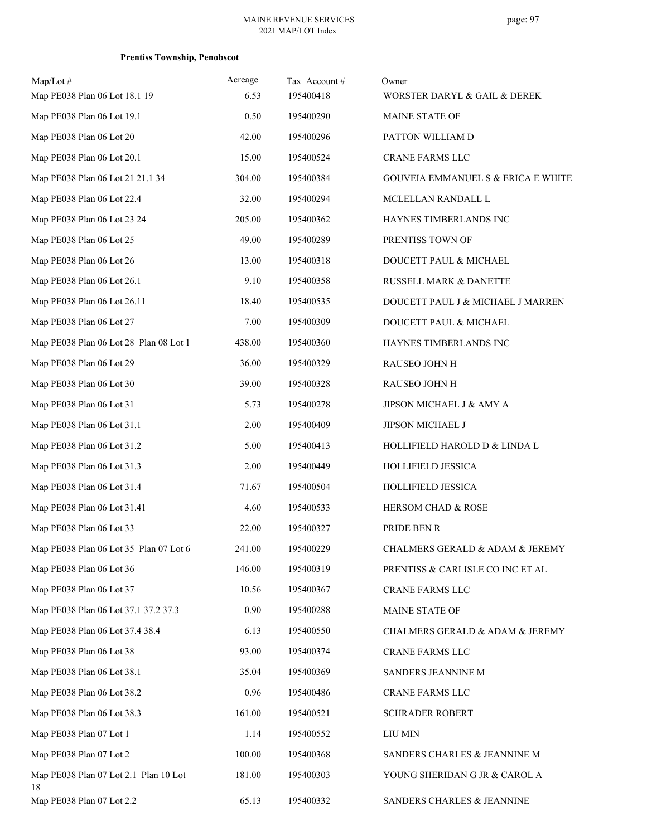| $Map/Lot \#$                                | Acreage | Tax Account# | Owner                                         |
|---------------------------------------------|---------|--------------|-----------------------------------------------|
| Map PE038 Plan 06 Lot 18.1 19               | 6.53    | 195400418    | WORSTER DARYL & GAIL & DEREK                  |
| Map PE038 Plan 06 Lot 19.1                  | 0.50    | 195400290    | MAINE STATE OF                                |
| Map PE038 Plan 06 Lot 20                    | 42.00   | 195400296    | PATTON WILLIAM D                              |
| Map PE038 Plan 06 Lot 20.1                  | 15.00   | 195400524    | CRANE FARMS LLC                               |
| Map PE038 Plan 06 Lot 21 21.1 34            | 304.00  | 195400384    | <b>GOUVEIA EMMANUEL S &amp; ERICA E WHITE</b> |
| Map PE038 Plan 06 Lot 22.4                  | 32.00   | 195400294    | MCLELLAN RANDALL L                            |
| Map PE038 Plan 06 Lot 23 24                 | 205.00  | 195400362    | HAYNES TIMBERLANDS INC                        |
| Map PE038 Plan 06 Lot 25                    | 49.00   | 195400289    | PRENTISS TOWN OF                              |
| Map PE038 Plan 06 Lot 26                    | 13.00   | 195400318    | DOUCETT PAUL & MICHAEL                        |
| Map PE038 Plan 06 Lot 26.1                  | 9.10    | 195400358    | RUSSELL MARK & DANETTE                        |
| Map PE038 Plan 06 Lot 26.11                 | 18.40   | 195400535    | DOUCETT PAUL J & MICHAEL J MARREN             |
| Map PE038 Plan 06 Lot 27                    | 7.00    | 195400309    | DOUCETT PAUL & MICHAEL                        |
| Map PE038 Plan 06 Lot 28 Plan 08 Lot 1      | 438.00  | 195400360    | HAYNES TIMBERLANDS INC                        |
| Map PE038 Plan 06 Lot 29                    | 36.00   | 195400329    | RAUSEO JOHN H                                 |
| Map PE038 Plan 06 Lot 30                    | 39.00   | 195400328    | RAUSEO JOHN H                                 |
| Map PE038 Plan 06 Lot 31                    | 5.73    | 195400278    | JIPSON MICHAEL J & AMY A                      |
| Map PE038 Plan 06 Lot 31.1                  | 2.00    | 195400409    | JIPSON MICHAEL J                              |
| Map PE038 Plan 06 Lot 31.2                  | 5.00    | 195400413    | HOLLIFIELD HAROLD D & LINDA L                 |
| Map PE038 Plan 06 Lot 31.3                  | 2.00    | 195400449    | HOLLIFIELD JESSICA                            |
| Map PE038 Plan 06 Lot 31.4                  | 71.67   | 195400504    | <b>HOLLIFIELD JESSICA</b>                     |
| Map PE038 Plan 06 Lot 31.41                 | 4.60    | 195400533    | HERSOM CHAD & ROSE                            |
| Map PE038 Plan 06 Lot 33                    | 22.00   | 195400327    | PRIDE BEN R                                   |
| Map PE038 Plan 06 Lot 35 Plan 07 Lot 6      | 241.00  | 195400229    | CHALMERS GERALD & ADAM & JEREMY               |
| Map PE038 Plan 06 Lot 36                    | 146.00  | 195400319    | PRENTISS & CARLISLE CO INC ET AL              |
| Map PE038 Plan 06 Lot 37                    | 10.56   | 195400367    | CRANE FARMS LLC                               |
| Map PE038 Plan 06 Lot 37.1 37.2 37.3        | 0.90    | 195400288    | MAINE STATE OF                                |
| Map PE038 Plan 06 Lot 37.4 38.4             | 6.13    | 195400550    | CHALMERS GERALD & ADAM & JEREMY               |
| Map PE038 Plan 06 Lot 38                    | 93.00   | 195400374    | CRANE FARMS LLC                               |
| Map PE038 Plan 06 Lot 38.1                  | 35.04   | 195400369    | SANDERS JEANNINE M                            |
| Map PE038 Plan 06 Lot 38.2                  | 0.96    | 195400486    | CRANE FARMS LLC                               |
| Map PE038 Plan 06 Lot 38.3                  | 161.00  | 195400521    | <b>SCHRADER ROBERT</b>                        |
| Map PE038 Plan 07 Lot 1                     | 1.14    | 195400552    | LIU MIN                                       |
| Map PE038 Plan 07 Lot 2                     | 100.00  | 195400368    | SANDERS CHARLES & JEANNINE M                  |
| Map PE038 Plan 07 Lot 2.1 Plan 10 Lot<br>18 | 181.00  | 195400303    | YOUNG SHERIDAN G JR & CAROL A                 |
| Map PE038 Plan 07 Lot 2.2                   | 65.13   | 195400332    | SANDERS CHARLES & JEANNINE                    |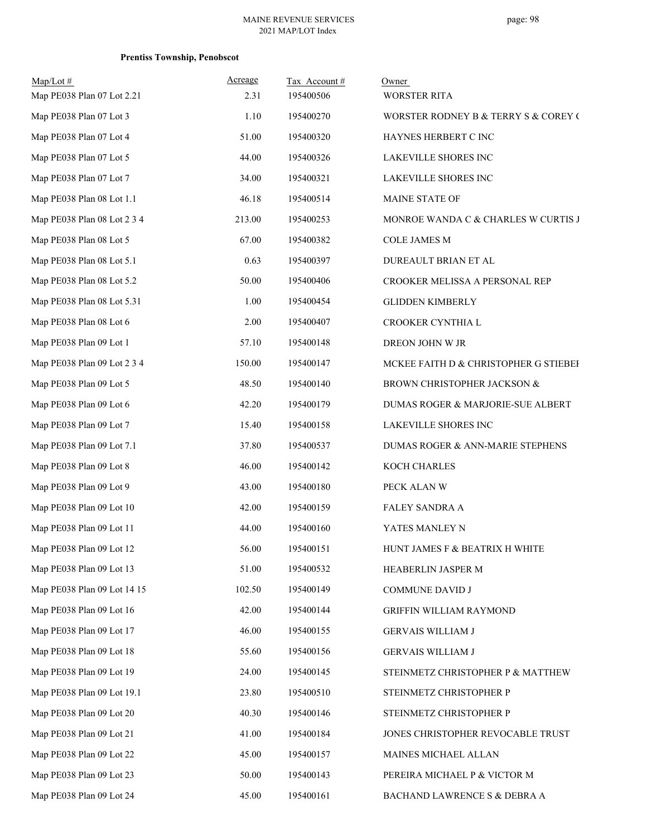| $Map/Lot$ #<br>Map PE038 Plan 07 Lot 2.21 | Acreage<br>2.31 | Tax Account#<br>195400506 | Owner<br><b>WORSTER RITA</b>          |
|-------------------------------------------|-----------------|---------------------------|---------------------------------------|
| Map PE038 Plan 07 Lot 3                   | 1.10            | 195400270                 | WORSTER RODNEY B & TERRY S & COREY (  |
| Map PE038 Plan 07 Lot 4                   | 51.00           | 195400320                 | HAYNES HERBERT C INC                  |
| Map PE038 Plan 07 Lot 5                   | 44.00           | 195400326                 | LAKEVILLE SHORES INC                  |
| Map PE038 Plan 07 Lot 7                   | 34.00           | 195400321                 | LAKEVILLE SHORES INC                  |
| Map PE038 Plan 08 Lot 1.1                 | 46.18           | 195400514                 | MAINE STATE OF                        |
| Map PE038 Plan 08 Lot 2 3 4               | 213.00          | 195400253                 | MONROE WANDA C & CHARLES W CURTIS J   |
| Map PE038 Plan 08 Lot 5                   | 67.00           | 195400382                 | <b>COLE JAMES M</b>                   |
| Map PE038 Plan 08 Lot 5.1                 | 0.63            | 195400397                 | DUREAULT BRIAN ET AL                  |
| Map PE038 Plan 08 Lot 5.2                 | 50.00           | 195400406                 | CROOKER MELISSA A PERSONAL REP        |
| Map PE038 Plan 08 Lot 5.31                | 1.00            | 195400454                 | <b>GLIDDEN KIMBERLY</b>               |
| Map PE038 Plan 08 Lot 6                   | 2.00            | 195400407                 | CROOKER CYNTHIA L                     |
| Map PE038 Plan 09 Lot 1                   | 57.10           | 195400148                 | DREON JOHN W JR                       |
| Map PE038 Plan 09 Lot 2 3 4               | 150.00          | 195400147                 | MCKEE FAITH D & CHRISTOPHER G STIEBEF |
| Map PE038 Plan 09 Lot 5                   | 48.50           | 195400140                 | BROWN CHRISTOPHER JACKSON &           |
| Map PE038 Plan 09 Lot 6                   | 42.20           | 195400179                 | DUMAS ROGER & MARJORIE-SUE ALBERT     |
| Map PE038 Plan 09 Lot 7                   | 15.40           | 195400158                 | LAKEVILLE SHORES INC                  |
| Map PE038 Plan 09 Lot 7.1                 | 37.80           | 195400537                 | DUMAS ROGER & ANN-MARIE STEPHENS      |
| Map PE038 Plan 09 Lot 8                   | 46.00           | 195400142                 | KOCH CHARLES                          |
| Map PE038 Plan 09 Lot 9                   | 43.00           | 195400180                 | PECK ALAN W                           |
| Map PE038 Plan 09 Lot 10                  | 42.00           | 195400159                 | FALEY SANDRA A                        |
| Map PE038 Plan 09 Lot 11                  | 44.00           | 195400160                 | YATES MANLEY N                        |
| Map PE038 Plan 09 Lot 12                  | 56.00           | 195400151                 | HUNT JAMES F & BEATRIX H WHITE        |
| Map PE038 Plan 09 Lot 13                  | 51.00           | 195400532                 | HEABERLIN JASPER M                    |
| Map PE038 Plan 09 Lot 14 15               | 102.50          | 195400149                 | COMMUNE DAVID J                       |
| Map PE038 Plan 09 Lot 16                  | 42.00           | 195400144                 | GRIFFIN WILLIAM RAYMOND               |
| Map PE038 Plan 09 Lot 17                  | 46.00           | 195400155                 | <b>GERVAIS WILLIAM J</b>              |
| Map PE038 Plan 09 Lot 18                  | 55.60           | 195400156                 | GERVAIS WILLIAM J                     |
| Map PE038 Plan 09 Lot 19                  | 24.00           | 195400145                 | STEINMETZ CHRISTOPHER P & MATTHEW     |
| Map PE038 Plan 09 Lot 19.1                | 23.80           | 195400510                 | STEINMETZ CHRISTOPHER P               |
| Map PE038 Plan 09 Lot 20                  | 40.30           | 195400146                 | STEINMETZ CHRISTOPHER P               |
| Map PE038 Plan 09 Lot 21                  | 41.00           | 195400184                 | JONES CHRISTOPHER REVOCABLE TRUST     |
| Map PE038 Plan 09 Lot 22                  | 45.00           | 195400157                 | MAINES MICHAEL ALLAN                  |
| Map PE038 Plan 09 Lot 23                  | 50.00           | 195400143                 | PEREIRA MICHAEL P & VICTOR M          |
| Map PE038 Plan 09 Lot 24                  | 45.00           | 195400161                 | BACHAND LAWRENCE S & DEBRA A          |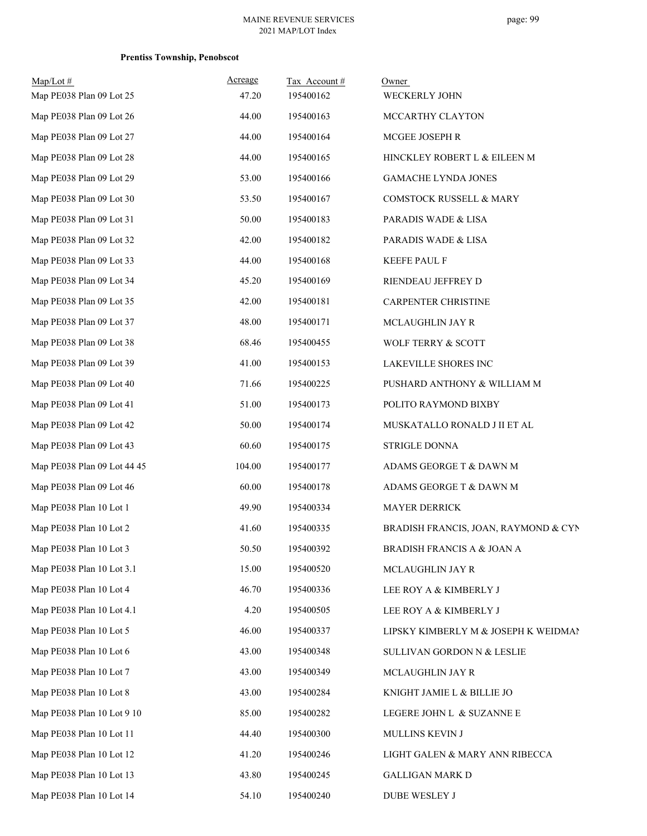| $Map/Lot$ #                 | Acreage<br>47.20 | Tax Account#<br>195400162 | Owner                                |
|-----------------------------|------------------|---------------------------|--------------------------------------|
| Map PE038 Plan 09 Lot 25    |                  |                           | WECKERLY JOHN                        |
| Map PE038 Plan 09 Lot 26    | 44.00            | 195400163                 | MCCARTHY CLAYTON                     |
| Map PE038 Plan 09 Lot 27    | 44.00            | 195400164                 | MCGEE JOSEPH R                       |
| Map PE038 Plan 09 Lot 28    | 44.00            | 195400165                 | HINCKLEY ROBERT L & EILEEN M         |
| Map PE038 Plan 09 Lot 29    | 53.00            | 195400166                 | <b>GAMACHE LYNDA JONES</b>           |
| Map PE038 Plan 09 Lot 30    | 53.50            | 195400167                 | COMSTOCK RUSSELL & MARY              |
| Map PE038 Plan 09 Lot 31    | 50.00            | 195400183                 | PARADIS WADE & LISA                  |
| Map PE038 Plan 09 Lot 32    | 42.00            | 195400182                 | PARADIS WADE & LISA                  |
| Map PE038 Plan 09 Lot 33    | 44.00            | 195400168                 | <b>KEEFE PAUL F</b>                  |
| Map PE038 Plan 09 Lot 34    | 45.20            | 195400169                 | RIENDEAU JEFFREY D                   |
| Map PE038 Plan 09 Lot 35    | 42.00            | 195400181                 | CARPENTER CHRISTINE                  |
| Map PE038 Plan 09 Lot 37    | 48.00            | 195400171                 | MCLAUGHLIN JAY R                     |
| Map PE038 Plan 09 Lot 38    | 68.46            | 195400455                 | WOLF TERRY & SCOTT                   |
| Map PE038 Plan 09 Lot 39    | 41.00            | 195400153                 | LAKEVILLE SHORES INC                 |
| Map PE038 Plan 09 Lot 40    | 71.66            | 195400225                 | PUSHARD ANTHONY & WILLIAM M          |
| Map PE038 Plan 09 Lot 41    | 51.00            | 195400173                 | POLITO RAYMOND BIXBY                 |
| Map PE038 Plan 09 Lot 42    | 50.00            | 195400174                 | MUSKATALLO RONALD J II ET AL         |
| Map PE038 Plan 09 Lot 43    | 60.60            | 195400175                 | STRIGLE DONNA                        |
| Map PE038 Plan 09 Lot 44 45 | 104.00           | 195400177                 | ADAMS GEORGE T & DAWN M              |
| Map PE038 Plan 09 Lot 46    | 60.00            | 195400178                 | ADAMS GEORGE T & DAWN M              |
| Map PE038 Plan 10 Lot 1     | 49.90            | 195400334                 | <b>MAYER DERRICK</b>                 |
| Map PE038 Plan 10 Lot 2     | 41.60            | 195400335                 | BRADISH FRANCIS, JOAN, RAYMOND & CYN |
| Map PE038 Plan 10 Lot 3     | 50.50            | 195400392                 | BRADISH FRANCIS A & JOAN A           |
| Map PE038 Plan 10 Lot 3.1   | 15.00            | 195400520                 | MCLAUGHLIN JAY R                     |
| Map PE038 Plan 10 Lot 4     | 46.70            | 195400336                 | LEE ROY A & KIMBERLY J               |
| Map PE038 Plan 10 Lot 4.1   | 4.20             | 195400505                 | LEE ROY A & KIMBERLY J               |
| Map PE038 Plan 10 Lot 5     | 46.00            | 195400337                 | LIPSKY KIMBERLY M & JOSEPH K WEIDMAN |
| Map PE038 Plan 10 Lot 6     | 43.00            | 195400348                 | SULLIVAN GORDON N & LESLIE           |
| Map PE038 Plan 10 Lot 7     | 43.00            | 195400349                 | MCLAUGHLIN JAY R                     |
| Map PE038 Plan 10 Lot 8     | 43.00            | 195400284                 | KNIGHT JAMIE L & BILLIE JO           |
| Map PE038 Plan 10 Lot 9 10  | 85.00            | 195400282                 | LEGERE JOHN L & SUZANNE E            |
| Map PE038 Plan 10 Lot 11    | 44.40            | 195400300                 | MULLINS KEVIN J                      |
| Map PE038 Plan 10 Lot 12    | 41.20            | 195400246                 | LIGHT GALEN & MARY ANN RIBECCA       |
| Map PE038 Plan 10 Lot 13    | 43.80            | 195400245                 | <b>GALLIGAN MARK D</b>               |
| Map PE038 Plan 10 Lot 14    | 54.10            | 195400240                 | DUBE WESLEY J                        |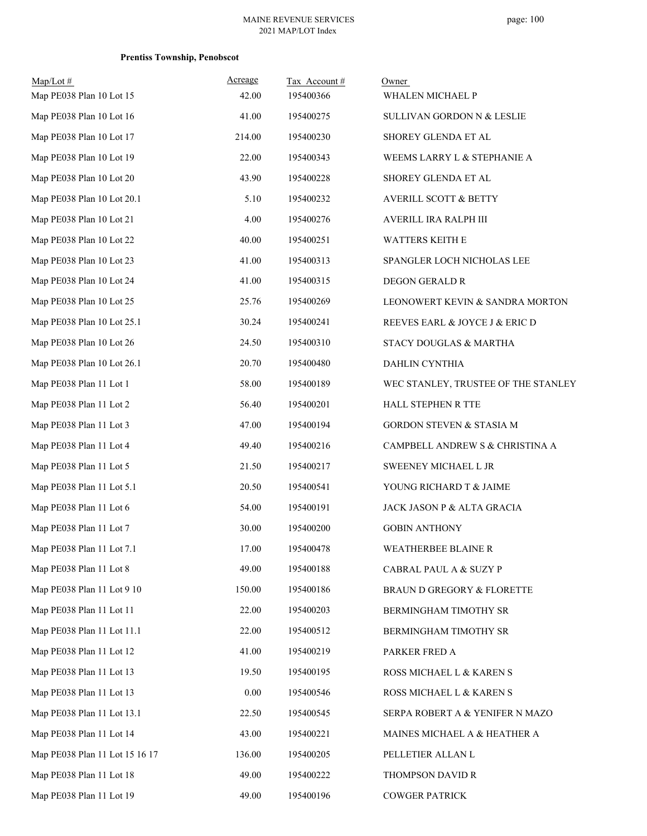| $Map/Lot \#$<br>Map PE038 Plan 10 Lot 15 | Acreage<br>42.00 | Tax Account#<br>195400366 | Owner<br>WHALEN MICHAEL P           |
|------------------------------------------|------------------|---------------------------|-------------------------------------|
| Map PE038 Plan 10 Lot 16                 | 41.00            | 195400275                 | SULLIVAN GORDON N & LESLIE          |
| Map PE038 Plan 10 Lot 17                 | 214.00           | 195400230                 | SHOREY GLENDA ET AL                 |
| Map PE038 Plan 10 Lot 19                 | 22.00            | 195400343                 | WEEMS LARRY L & STEPHANIE A         |
| Map PE038 Plan 10 Lot 20                 | 43.90            | 195400228                 | SHOREY GLENDA ET AL                 |
| Map PE038 Plan 10 Lot 20.1               | 5.10             | 195400232                 | <b>AVERILL SCOTT &amp; BETTY</b>    |
| Map PE038 Plan 10 Lot 21                 | 4.00             | 195400276                 | AVERILL IRA RALPH III               |
| Map PE038 Plan 10 Lot 22                 | 40.00            | 195400251                 | <b>WATTERS KEITH E</b>              |
| Map PE038 Plan 10 Lot 23                 | 41.00            | 195400313                 | SPANGLER LOCH NICHOLAS LEE          |
| Map PE038 Plan 10 Lot 24                 | 41.00            | 195400315                 | <b>DEGON GERALD R</b>               |
| Map PE038 Plan 10 Lot 25                 | 25.76            | 195400269                 | LEONOWERT KEVIN & SANDRA MORTON     |
| Map PE038 Plan 10 Lot 25.1               | 30.24            | 195400241                 | REEVES EARL & JOYCE J & ERIC D      |
| Map PE038 Plan 10 Lot 26                 | 24.50            | 195400310                 | STACY DOUGLAS & MARTHA              |
| Map PE038 Plan 10 Lot 26.1               | 20.70            | 195400480                 | DAHLIN CYNTHIA                      |
| Map PE038 Plan 11 Lot 1                  | 58.00            | 195400189                 | WEC STANLEY, TRUSTEE OF THE STANLEY |
| Map PE038 Plan 11 Lot 2                  | 56.40            | 195400201                 | HALL STEPHEN R TTE                  |
| Map PE038 Plan 11 Lot 3                  | 47.00            | 195400194                 | GORDON STEVEN & STASIA M            |
| Map PE038 Plan 11 Lot 4                  | 49.40            | 195400216                 | CAMPBELL ANDREW S & CHRISTINA A     |
| Map PE038 Plan 11 Lot 5                  | 21.50            | 195400217                 | SWEENEY MICHAEL L JR                |
| Map PE038 Plan 11 Lot 5.1                | 20.50            | 195400541                 | YOUNG RICHARD T & JAIME             |
| Map PE038 Plan 11 Lot 6                  | 54.00            | 195400191                 | JACK JASON P & ALTA GRACIA          |
| Map PE038 Plan 11 Lot 7                  | 30.00            | 195400200                 | <b>GOBIN ANTHONY</b>                |
| Map PE038 Plan 11 Lot 7.1                | 17.00            | 195400478                 | WEATHERBEE BLAINE R                 |
| Map PE038 Plan 11 Lot 8                  | 49.00            | 195400188                 | CABRAL PAUL A & SUZY P              |
| Map PE038 Plan 11 Lot 9 10               | 150.00           | 195400186                 | BRAUN D GREGORY & FLORETTE          |
| Map PE038 Plan 11 Lot 11                 | 22.00            | 195400203                 | BERMINGHAM TIMOTHY SR               |
| Map PE038 Plan 11 Lot 11.1               | 22.00            | 195400512                 | BERMINGHAM TIMOTHY SR               |
| Map PE038 Plan 11 Lot 12                 | 41.00            | 195400219                 | PARKER FRED A                       |
| Map PE038 Plan 11 Lot 13                 | 19.50            | 195400195                 | ROSS MICHAEL L & KAREN S            |
| Map PE038 Plan 11 Lot 13                 | 0.00             | 195400546                 | ROSS MICHAEL L & KAREN S            |
| Map PE038 Plan 11 Lot 13.1               | 22.50            | 195400545                 | SERPA ROBERT A & YENIFER N MAZO     |
| Map PE038 Plan 11 Lot 14                 | 43.00            | 195400221                 | MAINES MICHAEL A & HEATHER A        |
| Map PE038 Plan 11 Lot 15 16 17           | 136.00           | 195400205                 | PELLETIER ALLAN L                   |
| Map PE038 Plan 11 Lot 18                 | 49.00            | 195400222                 | THOMPSON DAVID R                    |
| Map PE038 Plan 11 Lot 19                 | 49.00            | 195400196                 | <b>COWGER PATRICK</b>               |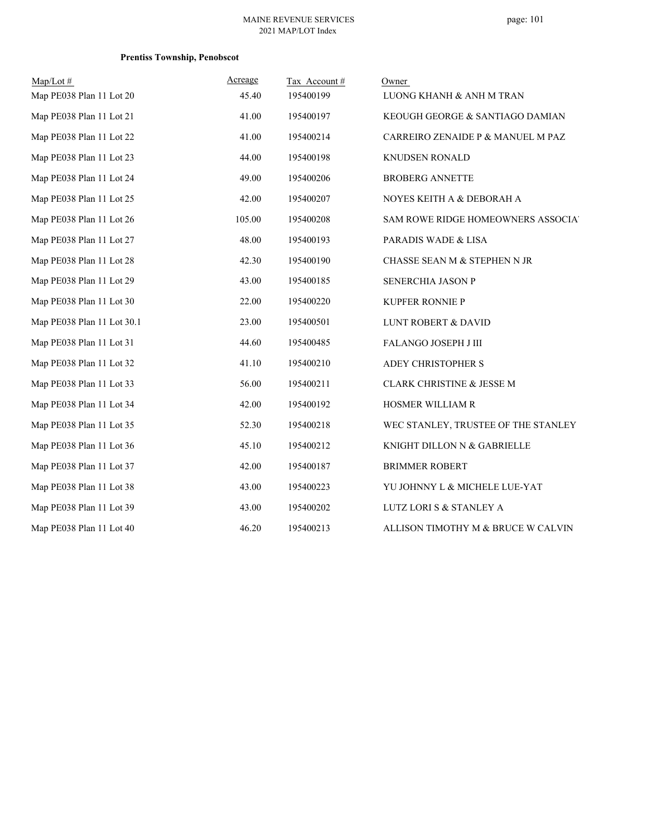| $Map/Lot \#$               | Acreage | Tax Account# | Owner                               |
|----------------------------|---------|--------------|-------------------------------------|
| Map PE038 Plan 11 Lot 20   | 45.40   | 195400199    | LUONG KHANH & ANH M TRAN            |
| Map PE038 Plan 11 Lot 21   | 41.00   | 195400197    | KEOUGH GEORGE & SANTIAGO DAMIAN     |
| Map PE038 Plan 11 Lot 22   | 41.00   | 195400214    | CARREIRO ZENAIDE P & MANUEL M PAZ   |
| Map PE038 Plan 11 Lot 23   | 44.00   | 195400198    | <b>KNUDSEN RONALD</b>               |
| Map PE038 Plan 11 Lot 24   | 49.00   | 195400206    | <b>BROBERG ANNETTE</b>              |
| Map PE038 Plan 11 Lot 25   | 42.00   | 195400207    | NOYES KEITH A & DEBORAH A           |
| Map PE038 Plan 11 Lot 26   | 105.00  | 195400208    | SAM ROWE RIDGE HOMEOWNERS ASSOCIA'  |
| Map PE038 Plan 11 Lot 27   | 48.00   | 195400193    | PARADIS WADE & LISA                 |
| Map PE038 Plan 11 Lot 28   | 42.30   | 195400190    | CHASSE SEAN M & STEPHEN N JR        |
| Map PE038 Plan 11 Lot 29   | 43.00   | 195400185    | SENERCHIA JASON P                   |
| Map PE038 Plan 11 Lot 30   | 22.00   | 195400220    | KUPFER RONNIE P                     |
| Map PE038 Plan 11 Lot 30.1 | 23.00   | 195400501    | <b>LUNT ROBERT &amp; DAVID</b>      |
| Map PE038 Plan 11 Lot 31   | 44.60   | 195400485    | FALANGO JOSEPH J III                |
| Map PE038 Plan 11 Lot 32   | 41.10   | 195400210    | ADEY CHRISTOPHER S                  |
| Map PE038 Plan 11 Lot 33   | 56.00   | 195400211    | CLARK CHRISTINE & JESSE M           |
| Map PE038 Plan 11 Lot 34   | 42.00   | 195400192    | HOSMER WILLIAM R                    |
| Map PE038 Plan 11 Lot 35   | 52.30   | 195400218    | WEC STANLEY, TRUSTEE OF THE STANLEY |
| Map PE038 Plan 11 Lot 36   | 45.10   | 195400212    | KNIGHT DILLON N & GABRIELLE         |
| Map PE038 Plan 11 Lot 37   | 42.00   | 195400187    | <b>BRIMMER ROBERT</b>               |
| Map PE038 Plan 11 Lot 38   | 43.00   | 195400223    | YU JOHNNY L & MICHELE LUE-YAT       |
| Map PE038 Plan 11 Lot 39   | 43.00   | 195400202    | LUTZ LORI S & STANLEY A             |
| Map PE038 Plan 11 Lot 40   | 46.20   | 195400213    | ALLISON TIMOTHY M & BRUCE W CALVIN  |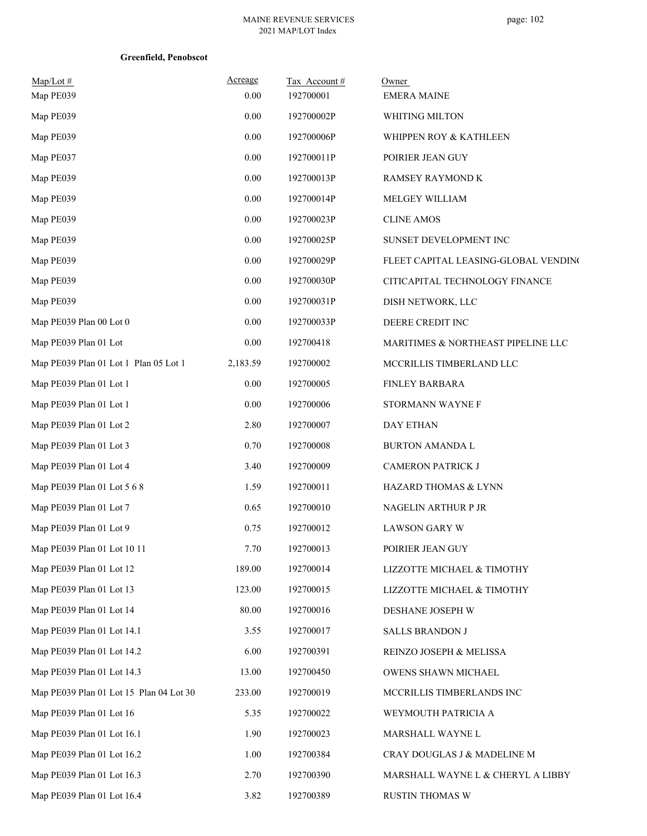| $Map/Lot \#$<br>Map PE039               | Acreage<br>0.00 | Tax Account#<br>192700001 | Owner<br><b>EMERA MAINE</b>          |
|-----------------------------------------|-----------------|---------------------------|--------------------------------------|
| Map PE039                               | 0.00            | 192700002P                | WHITING MILTON                       |
| Map PE039                               | $0.00\,$        | 192700006P                | WHIPPEN ROY & KATHLEEN               |
| Map PE037                               | $0.00\,$        | 192700011P                | POIRIER JEAN GUY                     |
| Map PE039                               | 0.00            | 192700013P                | RAMSEY RAYMOND K                     |
| Map PE039                               | 0.00            | 192700014P                | MELGEY WILLIAM                       |
| Map PE039                               | 0.00            | 192700023P                | <b>CLINE AMOS</b>                    |
| Map PE039                               | $0.00\,$        | 192700025P                | SUNSET DEVELOPMENT INC               |
| Map PE039                               | $0.00\,$        | 192700029P                | FLEET CAPITAL LEASING-GLOBAL VENDING |
| Map PE039                               | 0.00            | 192700030P                | CITICAPITAL TECHNOLOGY FINANCE       |
| Map PE039                               | 0.00            | 192700031P                | DISH NETWORK, LLC                    |
| Map PE039 Plan 00 Lot 0                 | $0.00\,$        | 192700033P                | DEERE CREDIT INC                     |
| Map PE039 Plan 01 Lot                   | 0.00            | 192700418                 | MARITIMES & NORTHEAST PIPELINE LLC   |
| Map PE039 Plan 01 Lot 1 Plan 05 Lot 1   | 2,183.59        | 192700002                 | MCCRILLIS TIMBERLAND LLC             |
| Map PE039 Plan 01 Lot 1                 | 0.00            | 192700005                 | FINLEY BARBARA                       |
| Map PE039 Plan 01 Lot 1                 | 0.00            | 192700006                 | STORMANN WAYNE F                     |
| Map PE039 Plan 01 Lot 2                 | 2.80            | 192700007                 | <b>DAY ETHAN</b>                     |
| Map PE039 Plan 01 Lot 3                 | 0.70            | 192700008                 | <b>BURTON AMANDA L</b>               |
| Map PE039 Plan 01 Lot 4                 | 3.40            | 192700009                 | CAMERON PATRICK J                    |
| Map PE039 Plan 01 Lot 5 6 8             | 1.59            | 192700011                 | HAZARD THOMAS & LYNN                 |
| Map PE039 Plan 01 Lot 7                 | 0.65            | 192700010                 | NAGELIN ARTHUR P JR                  |
| Map PE039 Plan 01 Lot 9                 | 0.75            | 192700012                 | <b>LAWSON GARY W</b>                 |
| Map PE039 Plan 01 Lot 10 11             | 7.70            | 192700013                 | POIRIER JEAN GUY                     |
| Map PE039 Plan 01 Lot 12                | 189.00          | 192700014                 | LIZZOTTE MICHAEL & TIMOTHY           |
| Map PE039 Plan 01 Lot 13                | 123.00          | 192700015                 | LIZZOTTE MICHAEL & TIMOTHY           |
| Map PE039 Plan 01 Lot 14                | 80.00           | 192700016                 | DESHANE JOSEPH W                     |
| Map PE039 Plan 01 Lot 14.1              | 3.55            | 192700017                 | <b>SALLS BRANDON J</b>               |
| Map PE039 Plan 01 Lot 14.2              | 6.00            | 192700391                 | REINZO JOSEPH & MELISSA              |
| Map PE039 Plan 01 Lot 14.3              | 13.00           | 192700450                 | OWENS SHAWN MICHAEL                  |
| Map PE039 Plan 01 Lot 15 Plan 04 Lot 30 | 233.00          | 192700019                 | MCCRILLIS TIMBERLANDS INC            |
| Map PE039 Plan 01 Lot 16                | 5.35            | 192700022                 | WEYMOUTH PATRICIA A                  |
| Map PE039 Plan 01 Lot 16.1              | 1.90            | 192700023                 | MARSHALL WAYNE L                     |
| Map PE039 Plan 01 Lot 16.2              | 1.00            | 192700384                 | CRAY DOUGLAS J & MADELINE M          |
| Map PE039 Plan 01 Lot 16.3              | 2.70            | 192700390                 | MARSHALL WAYNE L & CHERYL A LIBBY    |
| Map PE039 Plan 01 Lot 16.4              | 3.82            | 192700389                 | RUSTIN THOMAS W                      |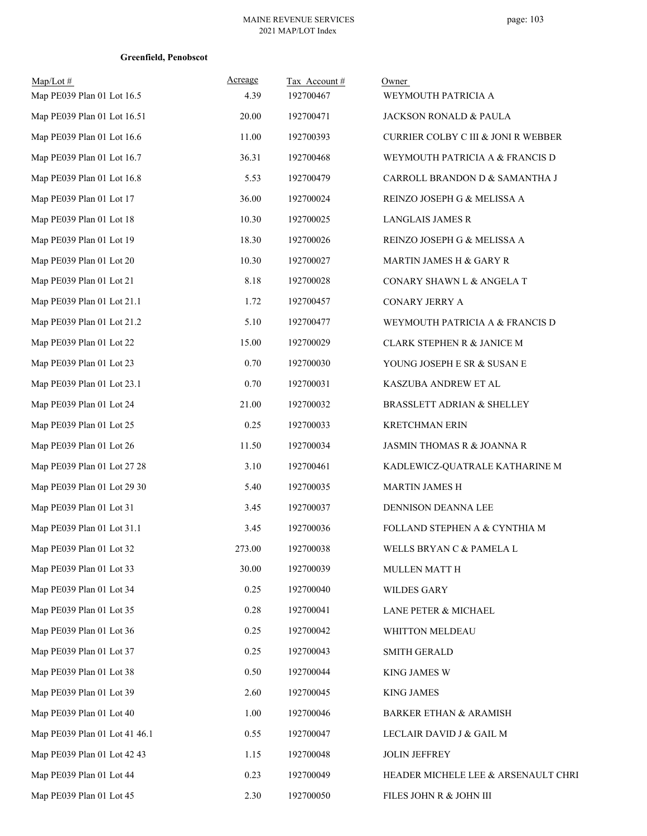| $Map/Lot \#$<br>Map PE039 Plan 01 Lot 16.5 | Acreage<br>4.39 | Tax Account#<br>192700467 | Owner<br>WEYMOUTH PATRICIA A        |
|--------------------------------------------|-----------------|---------------------------|-------------------------------------|
| Map PE039 Plan 01 Lot 16.51                | 20.00           | 192700471                 | JACKSON RONALD & PAULA              |
| Map PE039 Plan 01 Lot 16.6                 | 11.00           | 192700393                 | CURRIER COLBY C III & JONI R WEBBER |
| Map PE039 Plan 01 Lot 16.7                 | 36.31           | 192700468                 | WEYMOUTH PATRICIA A & FRANCIS D     |
| Map PE039 Plan 01 Lot 16.8                 | 5.53            | 192700479                 | CARROLL BRANDON D & SAMANTHA J      |
| Map PE039 Plan 01 Lot 17                   | 36.00           | 192700024                 | REINZO JOSEPH G & MELISSA A         |
| Map PE039 Plan 01 Lot 18                   | 10.30           | 192700025                 | <b>LANGLAIS JAMES R</b>             |
| Map PE039 Plan 01 Lot 19                   | 18.30           | 192700026                 | REINZO JOSEPH G & MELISSA A         |
| Map PE039 Plan 01 Lot 20                   | 10.30           | 192700027                 | MARTIN JAMES H & GARY R             |
| Map PE039 Plan 01 Lot 21                   | 8.18            | 192700028                 | CONARY SHAWN L & ANGELA T           |
| Map PE039 Plan 01 Lot 21.1                 | 1.72            | 192700457                 | CONARY JERRY A                      |
| Map PE039 Plan 01 Lot 21.2                 | 5.10            | 192700477                 | WEYMOUTH PATRICIA A & FRANCIS D     |
| Map PE039 Plan 01 Lot 22                   | 15.00           | 192700029                 | CLARK STEPHEN R & JANICE M          |
| Map PE039 Plan 01 Lot 23                   | 0.70            | 192700030                 | YOUNG JOSEPH E SR & SUSAN E         |
| Map PE039 Plan 01 Lot 23.1                 | 0.70            | 192700031                 | KASZUBA ANDREW ET AL                |
| Map PE039 Plan 01 Lot 24                   | 21.00           | 192700032                 | BRASSLETT ADRIAN & SHELLEY          |
| Map PE039 Plan 01 Lot 25                   | 0.25            | 192700033                 | <b>KRETCHMAN ERIN</b>               |
| Map PE039 Plan 01 Lot 26                   | 11.50           | 192700034                 | JASMIN THOMAS R & JOANNA R          |
| Map PE039 Plan 01 Lot 27 28                | 3.10            | 192700461                 | KADLEWICZ-QUATRALE KATHARINE M      |
| Map PE039 Plan 01 Lot 29 30                | 5.40            | 192700035                 | <b>MARTIN JAMES H</b>               |
| Map PE039 Plan 01 Lot 31                   | 3.45            | 192700037                 | DENNISON DEANNA LEE                 |
| Map PE039 Plan 01 Lot 31.1                 | 3.45            | 192700036                 | FOLLAND STEPHEN A & CYNTHIA M       |
| Map PE039 Plan 01 Lot 32                   | 273.00          | 192700038                 | WELLS BRYAN C & PAMELA L            |
| Map PE039 Plan 01 Lot 33                   | 30.00           | 192700039                 | MULLEN MATT H                       |
| Map PE039 Plan 01 Lot 34                   | 0.25            | 192700040                 | <b>WILDES GARY</b>                  |
| Map PE039 Plan 01 Lot 35                   | 0.28            | 192700041                 | LANE PETER & MICHAEL                |
| Map PE039 Plan 01 Lot 36                   | 0.25            | 192700042                 | WHITTON MELDEAU                     |
| Map PE039 Plan 01 Lot 37                   | 0.25            | 192700043                 | <b>SMITH GERALD</b>                 |
| Map PE039 Plan 01 Lot 38                   | 0.50            | 192700044                 | <b>KING JAMES W</b>                 |
| Map PE039 Plan 01 Lot 39                   | 2.60            | 192700045                 | <b>KING JAMES</b>                   |
| Map PE039 Plan 01 Lot 40                   | 1.00            | 192700046                 | <b>BARKER ETHAN &amp; ARAMISH</b>   |
| Map PE039 Plan 01 Lot 41 46.1              | 0.55            | 192700047                 | LECLAIR DAVID J & GAIL M            |
| Map PE039 Plan 01 Lot 42 43                | 1.15            | 192700048                 | <b>JOLIN JEFFREY</b>                |
| Map PE039 Plan 01 Lot 44                   | 0.23            | 192700049                 | HEADER MICHELE LEE & ARSENAULT CHRI |
| Map PE039 Plan 01 Lot 45                   | 2.30            | 192700050                 | FILES JOHN R & JOHN III             |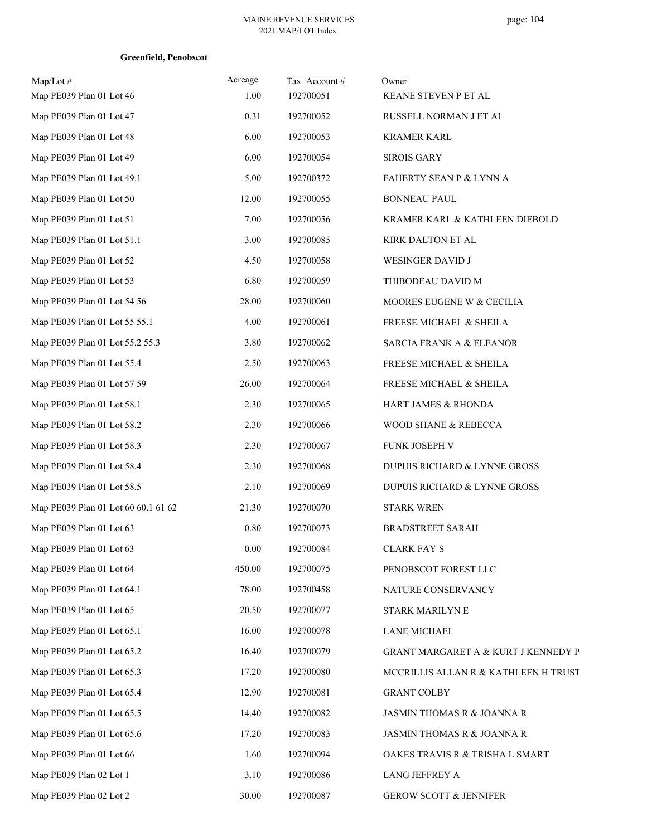| Map/Lot#                            | Acreage | Tax Account# | Owner                                |
|-------------------------------------|---------|--------------|--------------------------------------|
| Map PE039 Plan 01 Lot 46            | 1.00    | 192700051    | KEANE STEVEN P ET AL                 |
| Map PE039 Plan 01 Lot 47            | 0.31    | 192700052    | RUSSELL NORMAN J ET AL               |
| Map PE039 Plan 01 Lot 48            | 6.00    | 192700053    | <b>KRAMER KARL</b>                   |
| Map PE039 Plan 01 Lot 49            | 6.00    | 192700054    | <b>SIROIS GARY</b>                   |
| Map PE039 Plan 01 Lot 49.1          | 5.00    | 192700372    | FAHERTY SEAN P & LYNN A              |
| Map PE039 Plan 01 Lot 50            | 12.00   | 192700055    | <b>BONNEAU PAUL</b>                  |
| Map PE039 Plan 01 Lot 51            | 7.00    | 192700056    | KRAMER KARL & KATHLEEN DIEBOLD       |
| Map PE039 Plan 01 Lot 51.1          | 3.00    | 192700085    | KIRK DALTON ET AL                    |
| Map PE039 Plan 01 Lot 52            | 4.50    | 192700058    | WESINGER DAVID J                     |
| Map PE039 Plan 01 Lot 53            | 6.80    | 192700059    | THIBODEAU DAVID M                    |
| Map PE039 Plan 01 Lot 54 56         | 28.00   | 192700060    | MOORES EUGENE W & CECILIA            |
| Map PE039 Plan 01 Lot 55 55.1       | 4.00    | 192700061    | FREESE MICHAEL & SHEILA              |
| Map PE039 Plan 01 Lot 55.2 55.3     | 3.80    | 192700062    | <b>SARCIA FRANK A &amp; ELEANOR</b>  |
| Map PE039 Plan 01 Lot 55.4          | 2.50    | 192700063    | FREESE MICHAEL & SHEILA              |
| Map PE039 Plan 01 Lot 57 59         | 26.00   | 192700064    | <b>FREESE MICHAEL &amp; SHEILA</b>   |
| Map PE039 Plan 01 Lot 58.1          | 2.30    | 192700065    | HART JAMES & RHONDA                  |
| Map PE039 Plan 01 Lot 58.2          | 2.30    | 192700066    | WOOD SHANE & REBECCA                 |
| Map PE039 Plan 01 Lot 58.3          | 2.30    | 192700067    | FUNK JOSEPH V                        |
| Map PE039 Plan 01 Lot 58.4          | 2.30    | 192700068    | DUPUIS RICHARD & LYNNE GROSS         |
| Map PE039 Plan 01 Lot 58.5          | 2.10    | 192700069    | DUPUIS RICHARD & LYNNE GROSS         |
| Map PE039 Plan 01 Lot 60 60.1 61 62 | 21.30   | 192700070    | <b>STARK WREN</b>                    |
| Map PE039 Plan 01 Lot 63            | 0.80    | 192700073    | <b>BRADSTREET SARAH</b>              |
| Map PE039 Plan 01 Lot 63            | 0.00    | 192700084    | <b>CLARK FAY S</b>                   |
| Map PE039 Plan 01 Lot 64            | 450.00  | 192700075    | PENOBSCOT FOREST LLC                 |
| Map PE039 Plan 01 Lot 64.1          | 78.00   | 192700458    | NATURE CONSERVANCY                   |
| Map PE039 Plan 01 Lot 65            | 20.50   | 192700077    | <b>STARK MARILYN E</b>               |
| Map PE039 Plan 01 Lot 65.1          | 16.00   | 192700078    | <b>LANE MICHAEL</b>                  |
| Map PE039 Plan 01 Lot 65.2          | 16.40   | 192700079    | GRANT MARGARET A & KURT J KENNEDY P  |
| Map PE039 Plan 01 Lot 65.3          | 17.20   | 192700080    | MCCRILLIS ALLAN R & KATHLEEN H TRUST |
| Map PE039 Plan 01 Lot 65.4          | 12.90   | 192700081    | GRANT COLBY                          |
| Map PE039 Plan 01 Lot 65.5          | 14.40   | 192700082    | JASMIN THOMAS R & JOANNA R           |
| Map PE039 Plan 01 Lot 65.6          | 17.20   | 192700083    | JASMIN THOMAS R & JOANNA R           |
| Map PE039 Plan 01 Lot 66            | 1.60    | 192700094    | OAKES TRAVIS R & TRISHA L SMART      |
| Map PE039 Plan 02 Lot 1             | 3.10    | 192700086    | LANG JEFFREY A                       |
| Map PE039 Plan 02 Lot 2             | 30.00   | 192700087    | <b>GEROW SCOTT &amp; JENNIFER</b>    |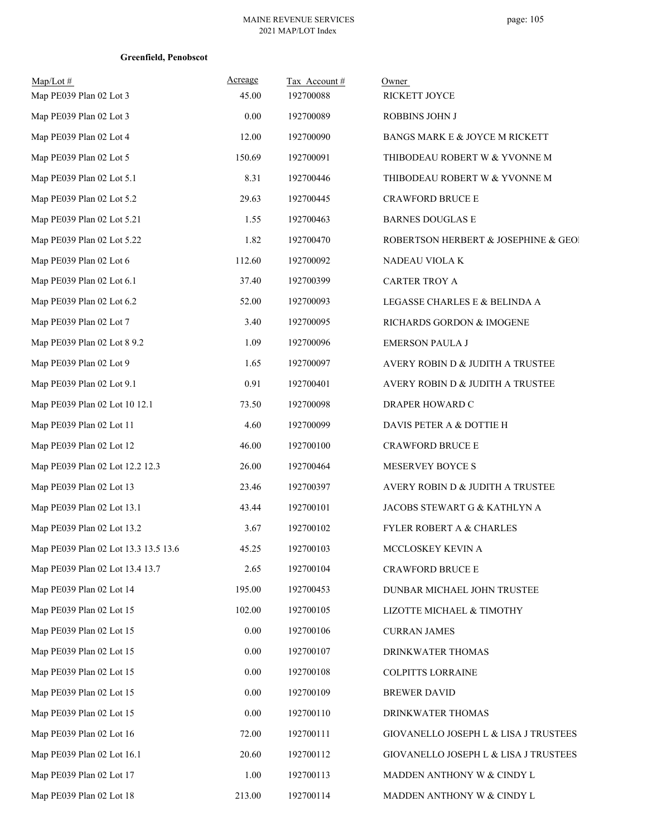| Map/Lot#                             | Acreage  | Tax Account# | Owner                                 |
|--------------------------------------|----------|--------------|---------------------------------------|
| Map PE039 Plan 02 Lot 3              | 45.00    | 192700088    | RICKETT JOYCE                         |
| Map PE039 Plan 02 Lot 3              | 0.00     | 192700089    | <b>ROBBINS JOHN J</b>                 |
| Map PE039 Plan 02 Lot 4              | 12.00    | 192700090    | BANGS MARK E & JOYCE M RICKETT        |
| Map PE039 Plan 02 Lot 5              | 150.69   | 192700091    | THIBODEAU ROBERT W & YVONNE M         |
| Map PE039 Plan 02 Lot 5.1            | 8.31     | 192700446    | THIBODEAU ROBERT W & YVONNE M         |
| Map PE039 Plan 02 Lot 5.2            | 29.63    | 192700445    | <b>CRAWFORD BRUCE E</b>               |
| Map PE039 Plan 02 Lot 5.21           | 1.55     | 192700463    | <b>BARNES DOUGLAS E</b>               |
| Map PE039 Plan 02 Lot 5.22           | 1.82     | 192700470    | ROBERTSON HERBERT & JOSEPHINE & GEOI  |
| Map PE039 Plan 02 Lot 6              | 112.60   | 192700092    | NADEAU VIOLAK                         |
| Map PE039 Plan 02 Lot 6.1            | 37.40    | 192700399    | <b>CARTER TROY A</b>                  |
| Map PE039 Plan 02 Lot 6.2            | 52.00    | 192700093    | LEGASSE CHARLES E & BELINDA A         |
| Map PE039 Plan 02 Lot 7              | 3.40     | 192700095    | RICHARDS GORDON & IMOGENE             |
| Map PE039 Plan 02 Lot 8 9.2          | 1.09     | 192700096    | <b>EMERSON PAULA J</b>                |
| Map PE039 Plan 02 Lot 9              | 1.65     | 192700097    | AVERY ROBIN D & JUDITH A TRUSTEE      |
| Map PE039 Plan 02 Lot 9.1            | 0.91     | 192700401    | AVERY ROBIN D & JUDITH A TRUSTEE      |
| Map PE039 Plan 02 Lot 10 12.1        | 73.50    | 192700098    | DRAPER HOWARD C                       |
| Map PE039 Plan 02 Lot 11             | 4.60     | 192700099    | DAVIS PETER A & DOTTIE H              |
| Map PE039 Plan 02 Lot 12             | 46.00    | 192700100    | CRAWFORD BRUCE E                      |
| Map PE039 Plan 02 Lot 12.2 12.3      | 26.00    | 192700464    | MESERVEY BOYCE S                      |
| Map PE039 Plan 02 Lot 13             | 23.46    | 192700397    | AVERY ROBIN D & JUDITH A TRUSTEE      |
| Map PE039 Plan 02 Lot 13.1           | 43.44    | 192700101    | JACOBS STEWART G & KATHLYN A          |
| Map PE039 Plan 02 Lot 13.2           | 3.67     | 192700102    | <b>FYLER ROBERT A &amp; CHARLES</b>   |
| Map PE039 Plan 02 Lot 13.3 13.5 13.6 | 45.25    | 192700103    | MCCLOSKEY KEVIN A                     |
| Map PE039 Plan 02 Lot 13.4 13.7      | 2.65     | 192700104    | CRAWFORD BRUCE E                      |
| Map PE039 Plan 02 Lot 14             | 195.00   | 192700453    | DUNBAR MICHAEL JOHN TRUSTEE           |
| Map PE039 Plan 02 Lot 15             | 102.00   | 192700105    | LIZOTTE MICHAEL & TIMOTHY             |
| Map PE039 Plan 02 Lot 15             | $0.00\,$ | 192700106    | <b>CURRAN JAMES</b>                   |
| Map PE039 Plan 02 Lot 15             | $0.00\,$ | 192700107    | DRINKWATER THOMAS                     |
| Map PE039 Plan 02 Lot 15             | $0.00\,$ | 192700108    | <b>COLPITTS LORRAINE</b>              |
| Map PE039 Plan 02 Lot 15             | 0.00     | 192700109    | <b>BREWER DAVID</b>                   |
| Map PE039 Plan 02 Lot 15             | 0.00     | 192700110    | DRINKWATER THOMAS                     |
| Map PE039 Plan 02 Lot 16             | 72.00    | 192700111    | GIOVANELLO JOSEPH L & LISA J TRUSTEES |
| Map PE039 Plan 02 Lot 16.1           | 20.60    | 192700112    | GIOVANELLO JOSEPH L & LISA J TRUSTEES |
| Map PE039 Plan 02 Lot 17             | 1.00     | 192700113    | MADDEN ANTHONY W & CINDY L            |
| Map PE039 Plan 02 Lot 18             | 213.00   | 192700114    | MADDEN ANTHONY W & CINDY L            |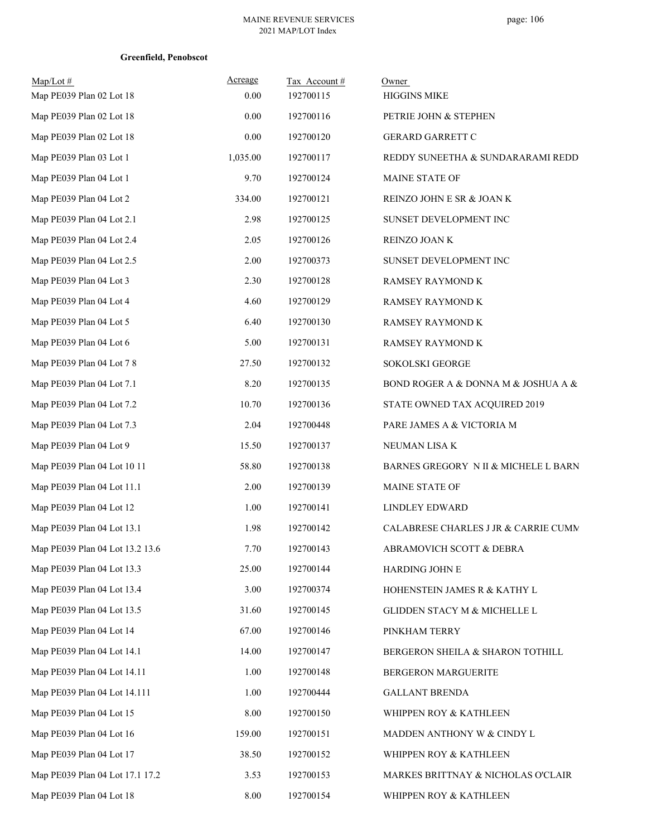| Map/Lot#<br>Map PE039 Plan 02 Lot 18 | Acreage<br>0.00 | Tax Account #<br>192700115 | Owner<br><b>HIGGINS MIKE</b>         |
|--------------------------------------|-----------------|----------------------------|--------------------------------------|
| Map PE039 Plan 02 Lot 18             | 0.00            | 192700116                  | PETRIE JOHN & STEPHEN                |
| Map PE039 Plan 02 Lot 18             | 0.00            | 192700120                  | <b>GERARD GARRETT C</b>              |
| Map PE039 Plan 03 Lot 1              | 1,035.00        | 192700117                  | REDDY SUNEETHA & SUNDARARAMI REDD    |
| Map PE039 Plan 04 Lot 1              | 9.70            | 192700124                  | MAINE STATE OF                       |
| Map PE039 Plan 04 Lot 2              | 334.00          | 192700121                  | REINZO JOHN E SR & JOAN K            |
| Map PE039 Plan 04 Lot 2.1            | 2.98            | 192700125                  | SUNSET DEVELOPMENT INC               |
| Map PE039 Plan 04 Lot 2.4            | 2.05            | 192700126                  | REINZO JOAN K                        |
| Map PE039 Plan 04 Lot 2.5            | 2.00            | 192700373                  | SUNSET DEVELOPMENT INC               |
| Map PE039 Plan 04 Lot 3              | 2.30            | 192700128                  | RAMSEY RAYMOND K                     |
| Map PE039 Plan 04 Lot 4              | 4.60            | 192700129                  | RAMSEY RAYMOND K                     |
| Map PE039 Plan 04 Lot 5              | 6.40            | 192700130                  | RAMSEY RAYMOND K                     |
| Map PE039 Plan 04 Lot 6              | 5.00            | 192700131                  | RAMSEY RAYMOND K                     |
| Map PE039 Plan 04 Lot 7 8            | 27.50           | 192700132                  | SOKOLSKI GEORGE                      |
| Map PE039 Plan 04 Lot 7.1            | 8.20            | 192700135                  | BOND ROGER A & DONNA M & JOSHUA A &  |
| Map PE039 Plan 04 Lot 7.2            | 10.70           | 192700136                  | STATE OWNED TAX ACQUIRED 2019        |
| Map PE039 Plan 04 Lot 7.3            | 2.04            | 192700448                  | PARE JAMES A & VICTORIA M            |
| Map PE039 Plan 04 Lot 9              | 15.50           | 192700137                  | NEUMAN LISA K                        |
| Map PE039 Plan 04 Lot 10 11          | 58.80           | 192700138                  | BARNES GREGORY N II & MICHELE L BARN |
| Map PE039 Plan 04 Lot 11.1           | 2.00            | 192700139                  | MAINE STATE OF                       |
| Map PE039 Plan 04 Lot 12             | 1.00            | 192700141                  | <b>LINDLEY EDWARD</b>                |
| Map PE039 Plan 04 Lot 13.1           | 1.98            | 192700142                  | CALABRESE CHARLES J JR & CARRIE CUMM |
| Map PE039 Plan 04 Lot 13.2 13.6      | 7.70            | 192700143                  | ABRAMOVICH SCOTT & DEBRA             |
| Map PE039 Plan 04 Lot 13.3           | 25.00           | 192700144                  | HARDING JOHN E                       |
| Map PE039 Plan 04 Lot 13.4           | 3.00            | 192700374                  | HOHENSTEIN JAMES R & KATHY L         |
| Map PE039 Plan 04 Lot 13.5           | 31.60           | 192700145                  | GLIDDEN STACY M & MICHELLE L         |
| Map PE039 Plan 04 Lot 14             | 67.00           | 192700146                  | PINKHAM TERRY                        |
| Map PE039 Plan 04 Lot 14.1           | 14.00           | 192700147                  | BERGERON SHEILA & SHARON TOTHILL     |
| Map PE039 Plan 04 Lot 14.11          | 1.00            | 192700148                  | BERGERON MARGUERITE                  |
| Map PE039 Plan 04 Lot 14.111         | 1.00            | 192700444                  | <b>GALLANT BRENDA</b>                |
| Map PE039 Plan 04 Lot 15             | 8.00            | 192700150                  | WHIPPEN ROY & KATHLEEN               |
| Map PE039 Plan 04 Lot 16             | 159.00          | 192700151                  | MADDEN ANTHONY W & CINDY L           |
| Map PE039 Plan 04 Lot 17             | 38.50           | 192700152                  | WHIPPEN ROY & KATHLEEN               |
| Map PE039 Plan 04 Lot 17.1 17.2      | 3.53            | 192700153                  | MARKES BRITTNAY & NICHOLAS O'CLAIR   |
| Map PE039 Plan 04 Lot 18             | 8.00            | 192700154                  | WHIPPEN ROY & KATHLEEN               |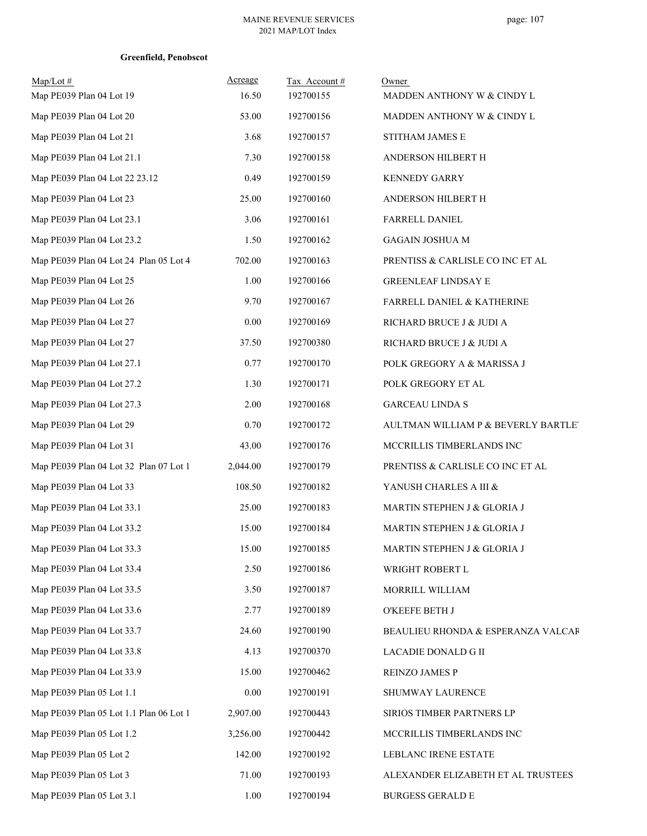| $Map/Lot \#$<br>Map PE039 Plan 04 Lot 19 | Acreage<br>16.50 | Tax Account#<br>192700155 | Owner<br>MADDEN ANTHONY W & CINDY L |
|------------------------------------------|------------------|---------------------------|-------------------------------------|
| Map PE039 Plan 04 Lot 20                 | 53.00            | 192700156                 | MADDEN ANTHONY W & CINDY L          |
| Map PE039 Plan 04 Lot 21                 | 3.68             | 192700157                 | STITHAM JAMES E                     |
| Map PE039 Plan 04 Lot 21.1               | 7.30             | 192700158                 | ANDERSON HILBERT H                  |
| Map PE039 Plan 04 Lot 22 23.12           | 0.49             | 192700159                 | <b>KENNEDY GARRY</b>                |
| Map PE039 Plan 04 Lot 23                 | 25.00            | 192700160                 | ANDERSON HILBERT H                  |
| Map PE039 Plan 04 Lot 23.1               | 3.06             | 192700161                 | FARRELL DANIEL                      |
| Map PE039 Plan 04 Lot 23.2               | 1.50             | 192700162                 | <b>GAGAIN JOSHUA M</b>              |
| Map PE039 Plan 04 Lot 24 Plan 05 Lot 4   | 702.00           | 192700163                 | PRENTISS & CARLISLE CO INC ET AL    |
| Map PE039 Plan 04 Lot 25                 | 1.00             | 192700166                 | <b>GREENLEAF LINDSAY E</b>          |
| Map PE039 Plan 04 Lot 26                 | 9.70             | 192700167                 | FARRELL DANIEL & KATHERINE          |
| Map PE039 Plan 04 Lot 27                 | 0.00             | 192700169                 | RICHARD BRUCE J & JUDI A            |
| Map PE039 Plan 04 Lot 27                 | 37.50            | 192700380                 | RICHARD BRUCE J & JUDI A            |
| Map PE039 Plan 04 Lot 27.1               | 0.77             | 192700170                 | POLK GREGORY A & MARISSA J          |
| Map PE039 Plan 04 Lot 27.2               | 1.30             | 192700171                 | POLK GREGORY ET AL                  |
| Map PE039 Plan 04 Lot 27.3               | 2.00             | 192700168                 | <b>GARCEAU LINDA S</b>              |
| Map PE039 Plan 04 Lot 29                 | 0.70             | 192700172                 | AULTMAN WILLIAM P & BEVERLY BARTLET |
| Map PE039 Plan 04 Lot 31                 | 43.00            | 192700176                 | MCCRILLIS TIMBERLANDS INC           |
| Map PE039 Plan 04 Lot 32 Plan 07 Lot 1   | 2,044.00         | 192700179                 | PRENTISS & CARLISLE CO INC ET AL    |
| Map PE039 Plan 04 Lot 33                 | 108.50           | 192700182                 | YANUSH CHARLES A III &              |
| Map PE039 Plan 04 Lot 33.1               | 25.00            | 192700183                 | MARTIN STEPHEN J & GLORIA J         |
| Map PE039 Plan 04 Lot 33.2               | 15.00            | 192700184                 | MARTIN STEPHEN J & GLORIA J         |
| Map PE039 Plan 04 Lot 33.3               | 15.00            | 192700185                 | MARTIN STEPHEN J & GLORIA J         |
| Map PE039 Plan 04 Lot 33.4               | 2.50             | 192700186                 | WRIGHT ROBERT L                     |
| Map PE039 Plan 04 Lot 33.5               | 3.50             | 192700187                 | MORRILL WILLIAM                     |
| Map PE039 Plan 04 Lot 33.6               | 2.77             | 192700189                 | O'KEEFE BETH J                      |
| Map PE039 Plan 04 Lot 33.7               | 24.60            | 192700190                 | BEAULIEU RHONDA & ESPERANZA VALCAR  |
| Map PE039 Plan 04 Lot 33.8               | 4.13             | 192700370                 | LACADIE DONALD G II                 |
| Map PE039 Plan 04 Lot 33.9               | 15.00            | 192700462                 | REINZO JAMES P                      |
| Map PE039 Plan 05 Lot 1.1                | 0.00             | 192700191                 | SHUMWAY LAURENCE                    |
| Map PE039 Plan 05 Lot 1.1 Plan 06 Lot 1  | 2,907.00         | 192700443                 | SIRIOS TIMBER PARTNERS LP           |
| Map PE039 Plan 05 Lot 1.2                | 3,256.00         | 192700442                 | MCCRILLIS TIMBERLANDS INC           |
| Map PE039 Plan 05 Lot 2                  | 142.00           | 192700192                 | LEBLANC IRENE ESTATE                |
| Map PE039 Plan 05 Lot 3                  | 71.00            | 192700193                 | ALEXANDER ELIZABETH ET AL TRUSTEES  |
| Map PE039 Plan 05 Lot 3.1                | 1.00             | 192700194                 | <b>BURGESS GERALD E</b>             |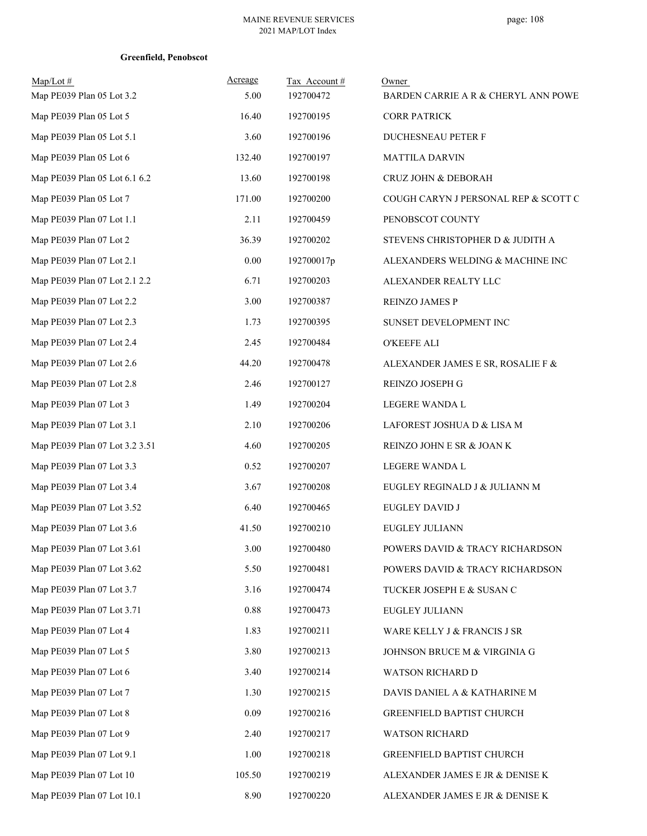| $Map/Lot \#$<br>Map PE039 Plan 05 Lot 3.2 | Acreage<br>5.00 | Tax Account#<br>192700472 | Owner<br>BARDEN CARRIE A R & CHERYL ANN POWE |
|-------------------------------------------|-----------------|---------------------------|----------------------------------------------|
| Map PE039 Plan 05 Lot 5                   | 16.40           | 192700195                 | <b>CORR PATRICK</b>                          |
| Map PE039 Plan 05 Lot 5.1                 | 3.60            | 192700196                 | DUCHESNEAU PETER F                           |
| Map PE039 Plan 05 Lot 6                   | 132.40          | 192700197                 | <b>MATTILA DARVIN</b>                        |
| Map PE039 Plan 05 Lot 6.1 6.2             | 13.60           | 192700198                 | CRUZ JOHN & DEBORAH                          |
| Map PE039 Plan 05 Lot 7                   | 171.00          | 192700200                 | COUGH CARYN J PERSONAL REP & SCOTT C         |
| Map PE039 Plan 07 Lot 1.1                 | 2.11            | 192700459                 | PENOBSCOT COUNTY                             |
| Map PE039 Plan 07 Lot 2                   | 36.39           | 192700202                 | STEVENS CHRISTOPHER D & JUDITH A             |
| Map PE039 Plan 07 Lot 2.1                 | $0.00\,$        | 192700017p                | ALEXANDERS WELDING & MACHINE INC             |
| Map PE039 Plan 07 Lot 2.1 2.2             | 6.71            | 192700203                 | ALEXANDER REALTY LLC                         |
| Map PE039 Plan 07 Lot 2.2                 | 3.00            | 192700387                 | REINZO JAMES P                               |
| Map PE039 Plan 07 Lot 2.3                 | 1.73            | 192700395                 | SUNSET DEVELOPMENT INC                       |
| Map PE039 Plan 07 Lot 2.4                 | 2.45            | 192700484                 | O'KEEFE ALI                                  |
| Map PE039 Plan 07 Lot 2.6                 | 44.20           | 192700478                 | ALEXANDER JAMES E SR, ROSALIE F &            |
| Map PE039 Plan 07 Lot 2.8                 | 2.46            | 192700127                 | REINZO JOSEPH G                              |
| Map PE039 Plan 07 Lot 3                   | 1.49            | 192700204                 | LEGERE WANDA L                               |
| Map PE039 Plan 07 Lot 3.1                 | 2.10            | 192700206                 | LAFOREST JOSHUA D & LISA M                   |
| Map PE039 Plan 07 Lot 3.2 3.51            | 4.60            | 192700205                 | REINZO JOHN E SR & JOAN K                    |
| Map PE039 Plan 07 Lot 3.3                 | 0.52            | 192700207                 | LEGERE WANDA L                               |
| Map PE039 Plan 07 Lot 3.4                 | 3.67            | 192700208                 | EUGLEY REGINALD J & JULIANN M                |
| Map PE039 Plan 07 Lot 3.52                | 6.40            | 192700465                 | EUGLEY DAVID J                               |
| Map PE039 Plan 07 Lot 3.6                 | 41.50           | 192700210                 | <b>EUGLEY JULIANN</b>                        |
| Map PE039 Plan 07 Lot 3.61                | 3.00            | 192700480                 | POWERS DAVID & TRACY RICHARDSON              |
| Map PE039 Plan 07 Lot 3.62                | 5.50            | 192700481                 | POWERS DAVID & TRACY RICHARDSON              |
| Map PE039 Plan 07 Lot 3.7                 | 3.16            | 192700474                 | TUCKER JOSEPH E & SUSAN C                    |
| Map PE039 Plan 07 Lot 3.71                | 0.88            | 192700473                 | <b>EUGLEY JULIANN</b>                        |
| Map PE039 Plan 07 Lot 4                   | 1.83            | 192700211                 | WARE KELLY J & FRANCIS J SR                  |
| Map PE039 Plan 07 Lot 5                   | 3.80            | 192700213                 | JOHNSON BRUCE M & VIRGINIA G                 |
| Map PE039 Plan 07 Lot 6                   | 3.40            | 192700214                 | <b>WATSON RICHARD D</b>                      |
| Map PE039 Plan 07 Lot 7                   | 1.30            | 192700215                 | DAVIS DANIEL A & KATHARINE M                 |
| Map PE039 Plan 07 Lot 8                   | 0.09            | 192700216                 | GREENFIELD BAPTIST CHURCH                    |
| Map PE039 Plan 07 Lot 9                   | 2.40            | 192700217                 | <b>WATSON RICHARD</b>                        |
| Map PE039 Plan 07 Lot 9.1                 | 1.00            | 192700218                 | GREENFIELD BAPTIST CHURCH                    |
| Map PE039 Plan 07 Lot 10                  | 105.50          | 192700219                 | ALEXANDER JAMES E JR & DENISE K              |
| Map PE039 Plan 07 Lot 10.1                | 8.90            | 192700220                 | ALEXANDER JAMES E JR & DENISE K              |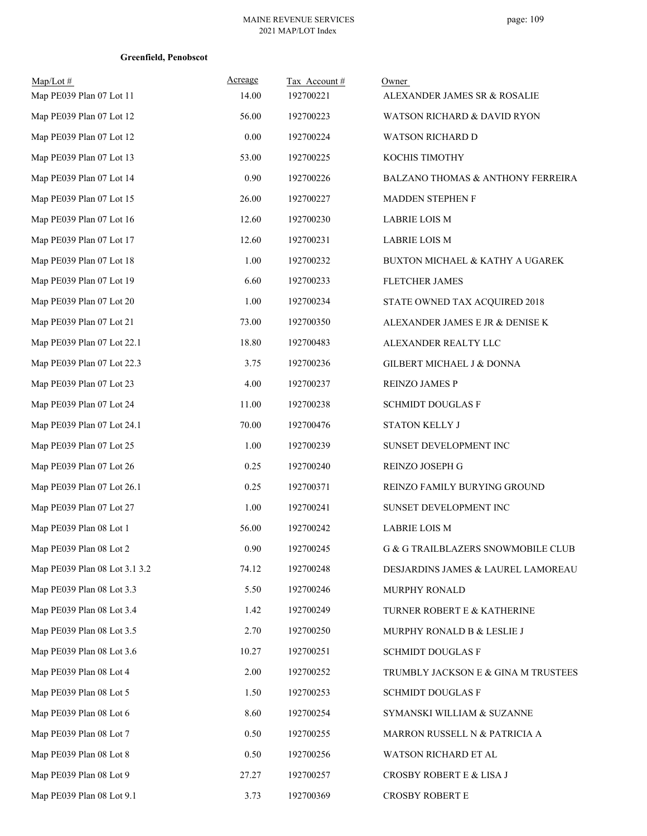| $Map/Lot$ #<br>Map PE039 Plan 07 Lot 11 | Acreage<br>14.00 | Tax Account#<br>192700221 | Owner<br>ALEXANDER JAMES SR & ROSALIE |
|-----------------------------------------|------------------|---------------------------|---------------------------------------|
| Map PE039 Plan 07 Lot 12                | 56.00            | 192700223                 | WATSON RICHARD & DAVID RYON           |
| Map PE039 Plan 07 Lot 12                | $0.00\,$         | 192700224                 | WATSON RICHARD D                      |
| Map PE039 Plan 07 Lot 13                | 53.00            | 192700225                 | KOCHIS TIMOTHY                        |
| Map PE039 Plan 07 Lot 14                | 0.90             | 192700226                 | BALZANO THOMAS & ANTHONY FERREIRA     |
| Map PE039 Plan 07 Lot 15                | 26.00            | 192700227                 | MADDEN STEPHEN F                      |
| Map PE039 Plan 07 Lot 16                | 12.60            | 192700230                 | <b>LABRIE LOIS M</b>                  |
| Map PE039 Plan 07 Lot 17                | 12.60            | 192700231                 | <b>LABRIE LOIS M</b>                  |
| Map PE039 Plan 07 Lot 18                | 1.00             | 192700232                 | BUXTON MICHAEL & KATHY A UGAREK       |
| Map PE039 Plan 07 Lot 19                | 6.60             | 192700233                 | FLETCHER JAMES                        |
| Map PE039 Plan 07 Lot 20                | 1.00             | 192700234                 | STATE OWNED TAX ACQUIRED 2018         |
| Map PE039 Plan 07 Lot 21                | 73.00            | 192700350                 | ALEXANDER JAMES E JR & DENISE K       |
| Map PE039 Plan 07 Lot 22.1              | 18.80            | 192700483                 | ALEXANDER REALTY LLC                  |
| Map PE039 Plan 07 Lot 22.3              | 3.75             | 192700236                 | GILBERT MICHAEL J & DONNA             |
| Map PE039 Plan 07 Lot 23                | 4.00             | 192700237                 | REINZO JAMES P                        |
| Map PE039 Plan 07 Lot 24                | 11.00            | 192700238                 | <b>SCHMIDT DOUGLAS F</b>              |
| Map PE039 Plan 07 Lot 24.1              | 70.00            | 192700476                 | <b>STATON KELLY J</b>                 |
| Map PE039 Plan 07 Lot 25                | 1.00             | 192700239                 | SUNSET DEVELOPMENT INC                |
| Map PE039 Plan 07 Lot 26                | 0.25             | 192700240                 | REINZO JOSEPH G                       |
| Map PE039 Plan 07 Lot 26.1              | 0.25             | 192700371                 | REINZO FAMILY BURYING GROUND          |
| Map PE039 Plan 07 Lot 27                | 1.00             | 192700241                 | SUNSET DEVELOPMENT INC                |
| Map PE039 Plan 08 Lot 1                 | 56.00            | 192700242                 | <b>LABRIE LOIS M</b>                  |
| Map PE039 Plan 08 Lot 2                 | 0.90             | 192700245                 | G & G TRAILBLAZERS SNOWMOBILE CLUB    |
| Map PE039 Plan 08 Lot 3.1 3.2           | 74.12            | 192700248                 | DESJARDINS JAMES & LAUREL LAMOREAU    |
| Map PE039 Plan 08 Lot 3.3               | 5.50             | 192700246                 | MURPHY RONALD                         |
| Map PE039 Plan 08 Lot 3.4               | 1.42             | 192700249                 | TURNER ROBERT E & KATHERINE           |
| Map PE039 Plan 08 Lot 3.5               | 2.70             | 192700250                 | MURPHY RONALD B & LESLIE J            |
| Map PE039 Plan 08 Lot 3.6               | 10.27            | 192700251                 | <b>SCHMIDT DOUGLAS F</b>              |
| Map PE039 Plan 08 Lot 4                 | 2.00             | 192700252                 | TRUMBLY JACKSON E & GINA M TRUSTEES   |
| Map PE039 Plan 08 Lot 5                 | 1.50             | 192700253                 | <b>SCHMIDT DOUGLAS F</b>              |
| Map PE039 Plan 08 Lot 6                 | 8.60             | 192700254                 | SYMANSKI WILLIAM & SUZANNE            |
| Map PE039 Plan 08 Lot 7                 | 0.50             | 192700255                 | MARRON RUSSELL N & PATRICIA A         |
| Map PE039 Plan 08 Lot 8                 | 0.50             | 192700256                 | WATSON RICHARD ET AL                  |
| Map PE039 Plan 08 Lot 9                 | 27.27            | 192700257                 | CROSBY ROBERT E & LISA J              |
| Map PE039 Plan 08 Lot 9.1               | 3.73             | 192700369                 | CROSBY ROBERT E                       |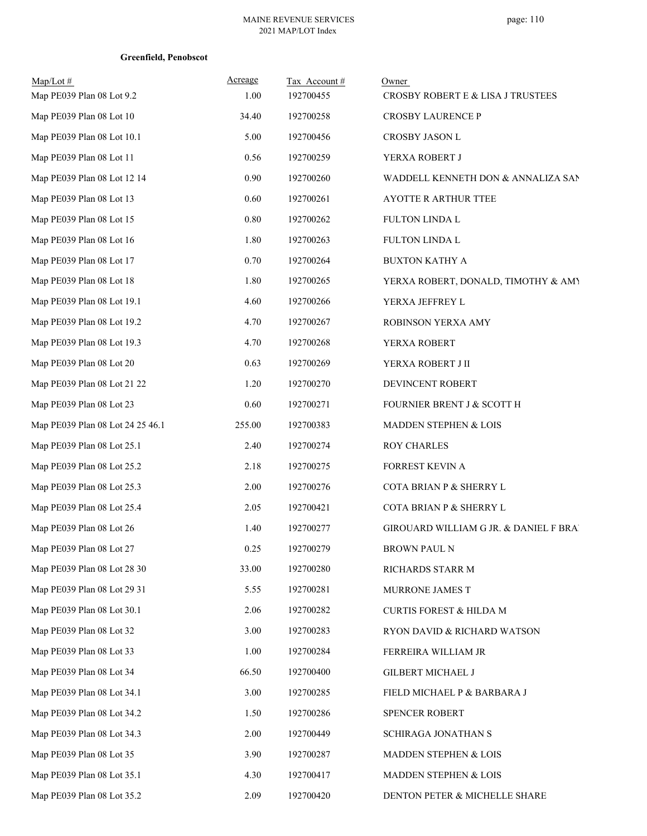| $Map/Lot \#$<br>Map PE039 Plan 08 Lot 9.2 | Acreage<br>1.00 | Tax Account#<br>192700455 | Owner<br>CROSBY ROBERT E & LISA J TRUSTEES |
|-------------------------------------------|-----------------|---------------------------|--------------------------------------------|
| Map PE039 Plan 08 Lot 10                  | 34.40           | 192700258                 | CROSBY LAURENCE P                          |
| Map PE039 Plan 08 Lot 10.1                | 5.00            | 192700456                 | CROSBY JASON L                             |
| Map PE039 Plan 08 Lot 11                  | 0.56            | 192700259                 | YERXA ROBERT J                             |
| Map PE039 Plan 08 Lot 12 14               | 0.90            | 192700260                 | WADDELL KENNETH DON & ANNALIZA SAN         |
| Map PE039 Plan 08 Lot 13                  | 0.60            | 192700261                 | AYOTTE R ARTHUR TTEE                       |
| Map PE039 Plan 08 Lot 15                  | 0.80            | 192700262                 | FULTON LINDA L                             |
| Map PE039 Plan 08 Lot 16                  | 1.80            | 192700263                 | FULTON LINDA L                             |
| Map PE039 Plan 08 Lot 17                  | 0.70            | 192700264                 | <b>BUXTON KATHY A</b>                      |
| Map PE039 Plan 08 Lot 18                  | 1.80            | 192700265                 | YERXA ROBERT, DONALD, TIMOTHY & AMY        |
| Map PE039 Plan 08 Lot 19.1                | 4.60            | 192700266                 | YERXA JEFFREY L                            |
| Map PE039 Plan 08 Lot 19.2                | 4.70            | 192700267                 |                                            |
|                                           |                 |                           | ROBINSON YERXA AMY                         |
| Map PE039 Plan 08 Lot 19.3                | 4.70            | 192700268                 | YERXA ROBERT                               |
| Map PE039 Plan 08 Lot 20                  | 0.63            | 192700269                 | YERXA ROBERT J II                          |
| Map PE039 Plan 08 Lot 21 22               | 1.20            | 192700270                 | DEVINCENT ROBERT                           |
| Map PE039 Plan 08 Lot 23                  | 0.60            | 192700271                 | FOURNIER BRENT J & SCOTT H                 |
| Map PE039 Plan 08 Lot 24 25 46.1          | 255.00          | 192700383                 | MADDEN STEPHEN & LOIS                      |
| Map PE039 Plan 08 Lot 25.1                | 2.40            | 192700274                 | <b>ROY CHARLES</b>                         |
| Map PE039 Plan 08 Lot 25.2                | 2.18            | 192700275                 | FORREST KEVIN A                            |
| Map PE039 Plan 08 Lot 25.3                | 2.00            | 192700276                 | COTA BRIAN P & SHERRY L                    |
| Map PE039 Plan 08 Lot 25.4                | 2.05            | 192700421                 | COTA BRIAN P & SHERRY L                    |
| Map PE039 Plan 08 Lot 26                  | 1.40            | 192700277                 | GIROUARD WILLIAM G JR. & DANIEL F BRAI     |
| Map PE039 Plan 08 Lot 27                  | 0.25            | 192700279                 | <b>BROWN PAUL N</b>                        |
| Map PE039 Plan 08 Lot 28 30               | 33.00           | 192700280                 | RICHARDS STARR M                           |
| Map PE039 Plan 08 Lot 29 31               | 5.55            | 192700281                 | MURRONE JAMES T                            |
| Map PE039 Plan 08 Lot 30.1                | 2.06            | 192700282                 | CURTIS FOREST & HILDA M                    |
| Map PE039 Plan 08 Lot 32                  | 3.00            | 192700283                 | RYON DAVID & RICHARD WATSON                |
| Map PE039 Plan 08 Lot 33                  | 1.00            | 192700284                 | FERREIRA WILLIAM JR                        |
| Map PE039 Plan 08 Lot 34                  | 66.50           | 192700400                 | GILBERT MICHAEL J                          |
| Map PE039 Plan 08 Lot 34.1                | 3.00            | 192700285                 | FIELD MICHAEL P & BARBARA J                |
| Map PE039 Plan 08 Lot 34.2                | 1.50            | 192700286                 | SPENCER ROBERT                             |
| Map PE039 Plan 08 Lot 34.3                | 2.00            | 192700449                 | SCHIRAGA JONATHAN S                        |
| Map PE039 Plan 08 Lot 35                  | 3.90            | 192700287                 | MADDEN STEPHEN & LOIS                      |
| Map PE039 Plan 08 Lot 35.1                | 4.30            | 192700417                 | MADDEN STEPHEN & LOIS                      |
| Map PE039 Plan 08 Lot 35.2                | 2.09            | 192700420                 | DENTON PETER & MICHELLE SHARE              |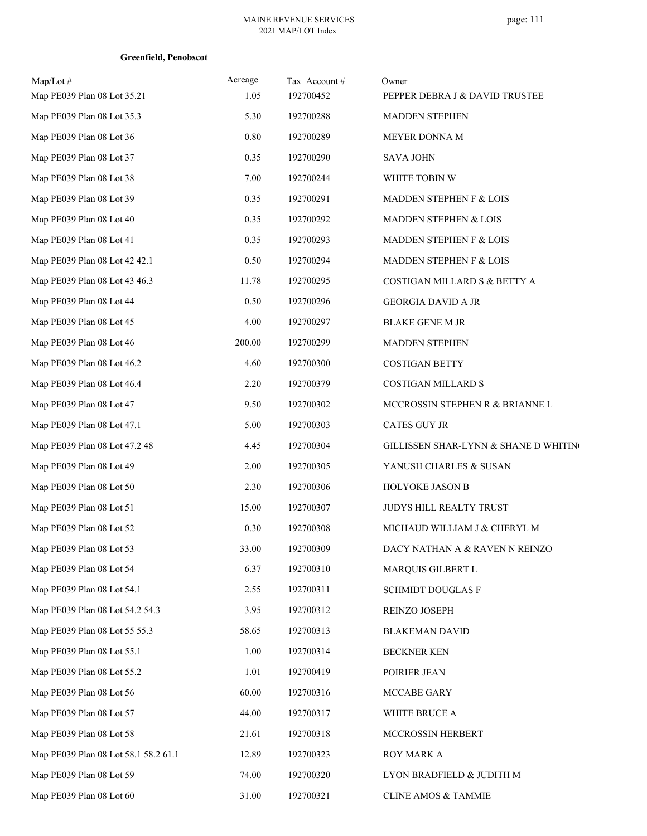| $Map/Lot \#$<br>Map PE039 Plan 08 Lot 35.21 | Acreage<br>1.05 | Tax Account#<br>192700452 | Owner<br>PEPPER DEBRA J & DAVID TRUSTEE |
|---------------------------------------------|-----------------|---------------------------|-----------------------------------------|
| Map PE039 Plan 08 Lot 35.3                  | 5.30            | 192700288                 | <b>MADDEN STEPHEN</b>                   |
| Map PE039 Plan 08 Lot 36                    | $0.80\,$        | 192700289                 | MEYER DONNA M                           |
| Map PE039 Plan 08 Lot 37                    | 0.35            | 192700290                 | <b>SAVA JOHN</b>                        |
| Map PE039 Plan 08 Lot 38                    | 7.00            | 192700244                 | WHITE TOBIN W                           |
| Map PE039 Plan 08 Lot 39                    | 0.35            | 192700291                 | <b>MADDEN STEPHEN F &amp; LOIS</b>      |
| Map PE039 Plan 08 Lot 40                    | 0.35            | 192700292                 | MADDEN STEPHEN & LOIS                   |
| Map PE039 Plan 08 Lot 41                    | 0.35            | 192700293                 | MADDEN STEPHEN F & LOIS                 |
| Map PE039 Plan 08 Lot 42 42.1               | 0.50            | 192700294                 | MADDEN STEPHEN F & LOIS                 |
| Map PE039 Plan 08 Lot 43 46.3               | 11.78           | 192700295                 | COSTIGAN MILLARD S & BETTY A            |
| Map PE039 Plan 08 Lot 44                    | 0.50            | 192700296                 | <b>GEORGIA DAVID A JR</b>               |
| Map PE039 Plan 08 Lot 45                    | 4.00            | 192700297                 | <b>BLAKE GENE M JR</b>                  |
| Map PE039 Plan 08 Lot 46                    | 200.00          | 192700299                 | <b>MADDEN STEPHEN</b>                   |
| Map PE039 Plan 08 Lot 46.2                  | 4.60            | 192700300                 | <b>COSTIGAN BETTY</b>                   |
| Map PE039 Plan 08 Lot 46.4                  | 2.20            | 192700379                 | COSTIGAN MILLARD S                      |
| Map PE039 Plan 08 Lot 47                    | 9.50            | 192700302                 | MCCROSSIN STEPHEN R & BRIANNE L         |
| Map PE039 Plan 08 Lot 47.1                  | 5.00            | 192700303                 | CATES GUY JR                            |
| Map PE039 Plan 08 Lot 47.2 48               | 4.45            | 192700304                 | GILLISSEN SHAR-LYNN & SHANE D WHITING   |
| Map PE039 Plan 08 Lot 49                    | 2.00            | 192700305                 | YANUSH CHARLES & SUSAN                  |
| Map PE039 Plan 08 Lot 50                    | 2.30            | 192700306                 | HOLYOKE JASON B                         |
| Map PE039 Plan 08 Lot 51                    | 15.00           | 192700307                 | JUDYS HILL REALTY TRUST                 |
| Map PE039 Plan 08 Lot 52                    | 0.30            | 192700308                 | MICHAUD WILLIAM J & CHERYL M            |
| Map PE039 Plan 08 Lot 53                    | 33.00           | 192700309                 | DACY NATHAN A & RAVEN N REINZO          |
| Map PE039 Plan 08 Lot 54                    | 6.37            | 192700310                 | MARQUIS GILBERT L                       |
| Map PE039 Plan 08 Lot 54.1                  | 2.55            | 192700311                 | <b>SCHMIDT DOUGLAS F</b>                |
| Map PE039 Plan 08 Lot 54.2 54.3             | 3.95            | 192700312                 | REINZO JOSEPH                           |
| Map PE039 Plan 08 Lot 55 55.3               | 58.65           | 192700313                 | <b>BLAKEMAN DAVID</b>                   |
| Map PE039 Plan 08 Lot 55.1                  | 1.00            | 192700314                 | <b>BECKNER KEN</b>                      |
| Map PE039 Plan 08 Lot 55.2                  | 1.01            | 192700419                 | POIRIER JEAN                            |
| Map PE039 Plan 08 Lot 56                    | 60.00           | 192700316                 | MCCABE GARY                             |
| Map PE039 Plan 08 Lot 57                    | 44.00           | 192700317                 | WHITE BRUCE A                           |
| Map PE039 Plan 08 Lot 58                    | 21.61           | 192700318                 | MCCROSSIN HERBERT                       |
| Map PE039 Plan 08 Lot 58.1 58.2 61.1        | 12.89           | 192700323                 | ROY MARK A                              |
| Map PE039 Plan 08 Lot 59                    | 74.00           | 192700320                 | LYON BRADFIELD & JUDITH M               |
| Map PE039 Plan 08 Lot 60                    | 31.00           | 192700321                 | <b>CLINE AMOS &amp; TAMMIE</b>          |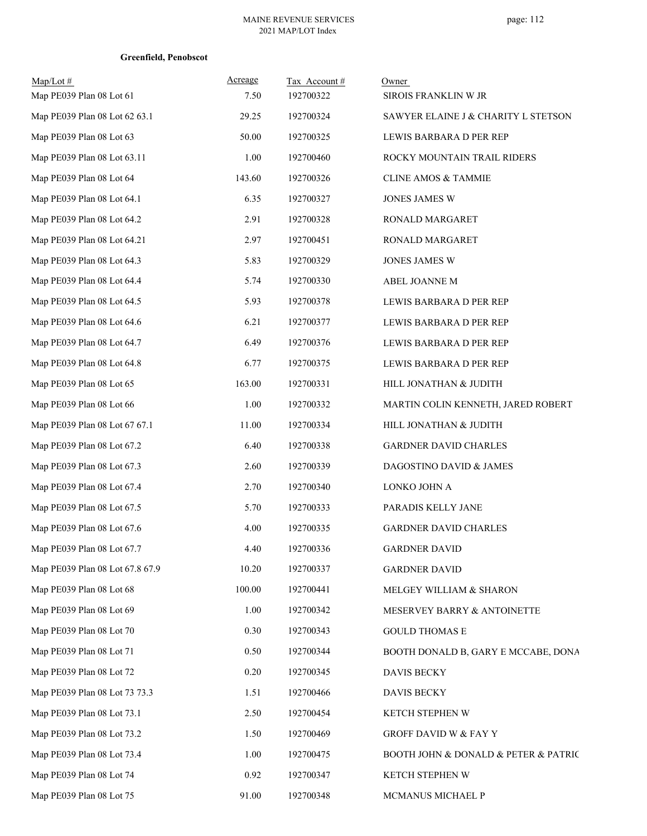| $Map/Lot \#$<br>Map PE039 Plan 08 Lot 61 | Acreage<br>7.50 | Tax Account#<br>192700322 | Owner<br>SIROIS FRANKLIN W JR                           |
|------------------------------------------|-----------------|---------------------------|---------------------------------------------------------|
| Map PE039 Plan 08 Lot 62 63.1            | 29.25           | 192700324                 | SAWYER ELAINE J & CHARITY L STETSON                     |
| Map PE039 Plan 08 Lot 63                 | 50.00           | 192700325                 | LEWIS BARBARA D PER REP                                 |
| Map PE039 Plan 08 Lot 63.11              | 1.00            | 192700460                 | ROCKY MOUNTAIN TRAIL RIDERS                             |
| Map PE039 Plan 08 Lot 64                 | 143.60          | 192700326                 | <b>CLINE AMOS &amp; TAMMIE</b>                          |
| Map PE039 Plan 08 Lot 64.1               | 6.35            | 192700327                 | JONES JAMES W                                           |
| Map PE039 Plan 08 Lot 64.2               | 2.91            | 192700328                 | RONALD MARGARET                                         |
| Map PE039 Plan 08 Lot 64.21              | 2.97            | 192700451                 | RONALD MARGARET                                         |
| Map PE039 Plan 08 Lot 64.3               | 5.83            | 192700329                 | JONES JAMES W                                           |
| Map PE039 Plan 08 Lot 64.4               | 5.74            | 192700330                 | ABEL JOANNE M                                           |
| Map PE039 Plan 08 Lot 64.5               | 5.93            | 192700378                 | LEWIS BARBARA D PER REP                                 |
| Map PE039 Plan 08 Lot 64.6               | 6.21            | 192700377                 | LEWIS BARBARA D PER REP                                 |
| Map PE039 Plan 08 Lot 64.7               | 6.49            | 192700376                 | LEWIS BARBARA D PER REP                                 |
| Map PE039 Plan 08 Lot 64.8               | 6.77            | 192700375                 | LEWIS BARBARA D PER REP                                 |
| Map PE039 Plan 08 Lot 65                 | 163.00          | 192700331                 | HILL JONATHAN & JUDITH                                  |
| Map PE039 Plan 08 Lot 66                 | 1.00            | 192700332                 | MARTIN COLIN KENNETH, JARED ROBERT                      |
| Map PE039 Plan 08 Lot 67 67.1            | 11.00           | 192700334                 | HILL JONATHAN & JUDITH                                  |
| Map PE039 Plan 08 Lot 67.2               | 6.40            | 192700338                 | GARDNER DAVID CHARLES                                   |
| Map PE039 Plan 08 Lot 67.3               | 2.60            | 192700339                 | DAGOSTINO DAVID & JAMES                                 |
| Map PE039 Plan 08 Lot 67.4               | 2.70            | 192700340                 | LONKO JOHN A                                            |
| Map PE039 Plan 08 Lot 67.5               | 5.70            | 192700333                 | PARADIS KELLY JANE                                      |
| Map PE039 Plan 08 Lot 67.6               | 4.00            | 192700335                 | <b>GARDNER DAVID CHARLES</b>                            |
| Map PE039 Plan 08 Lot 67.7               | 4.40            | 192700336                 | <b>GARDNER DAVID</b>                                    |
| Map PE039 Plan 08 Lot 67.8 67.9          | 10.20           | 192700337                 | <b>GARDNER DAVID</b>                                    |
| Map PE039 Plan 08 Lot 68                 | 100.00          | 192700441                 | MELGEY WILLIAM & SHARON                                 |
| Map PE039 Plan 08 Lot 69                 | 1.00            | 192700342                 | MESERVEY BARRY & ANTOINETTE                             |
| Map PE039 Plan 08 Lot 70                 | 0.30            | 192700343                 | <b>GOULD THOMAS E</b>                                   |
| Map PE039 Plan 08 Lot 71                 | 0.50            | 192700344                 | BOOTH DONALD B, GARY E MCCABE, DONA                     |
| Map PE039 Plan 08 Lot 72                 | 0.20            | 192700345                 | DAVIS BECKY                                             |
| Map PE039 Plan 08 Lot 73 73.3            | 1.51            | 192700466                 | DAVIS BECKY                                             |
| Map PE039 Plan 08 Lot 73.1               | 2.50            | 192700454                 | KETCH STEPHEN W                                         |
| Map PE039 Plan 08 Lot 73.2               | 1.50            | 192700469                 | <b>GROFF DAVID W &amp; FAY Y</b>                        |
| Map PE039 Plan 08 Lot 73.4               | 1.00            | 192700475                 | <b>BOOTH JOHN &amp; DONALD &amp; PETER &amp; PATRIC</b> |
| Map PE039 Plan 08 Lot 74                 | 0.92            | 192700347                 | KETCH STEPHEN W                                         |
| Map PE039 Plan 08 Lot 75                 | 91.00           | 192700348                 | MCMANUS MICHAEL P                                       |